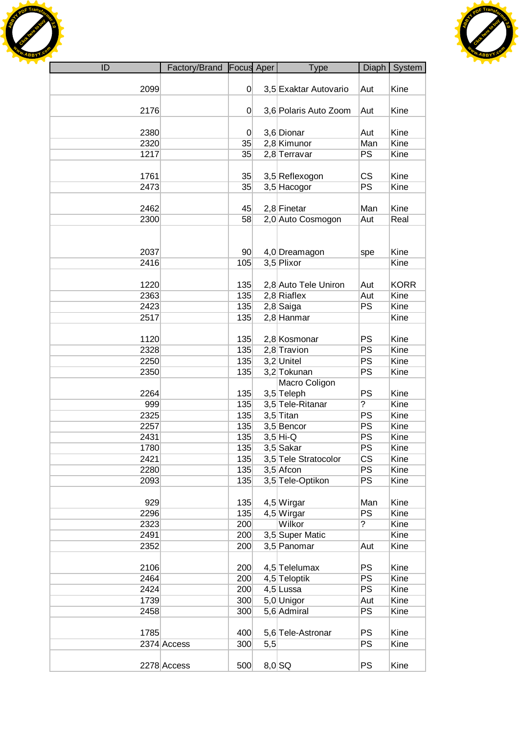



| ID   | Factory/Brand Focus Aper |                 |     | Type                  | Diaph          | System      |
|------|--------------------------|-----------------|-----|-----------------------|----------------|-------------|
|      |                          |                 |     |                       |                |             |
| 2099 |                          | $\overline{0}$  |     | 3,5 Exaktar Autovario | Aut            | Kine        |
|      |                          |                 |     |                       |                |             |
| 2176 |                          | 0               |     | 3,6 Polaris Auto Zoom | Aut            | Kine        |
|      |                          |                 |     |                       |                |             |
| 2380 |                          | 0               |     | 3,6 Dionar            | Aut            | Kine        |
| 2320 |                          | 35              |     | 2,8 Kimunor           | Man            | Kine        |
| 1217 |                          | 35              |     | 2,8 Terravar          | PS             | Kine        |
|      |                          |                 |     |                       |                |             |
| 1761 |                          | 35              |     | 3,5 Reflexogon        | <b>CS</b>      | Kine        |
| 2473 |                          | 35              |     | 3,5 Hacogor           | PS             | Kine        |
|      |                          |                 |     |                       |                |             |
| 2462 |                          | 45              |     | 2,8 Finetar           | Man            | Kine        |
| 2300 |                          | 58              |     | 2,0 Auto Cosmogon     | Aut            | Real        |
|      |                          |                 |     |                       |                |             |
|      |                          |                 |     |                       |                |             |
| 2037 |                          | 90 <sup>°</sup> |     | 4,0 Dreamagon         |                | Kine        |
| 2416 |                          | 105             |     | 3,5 Plixor            | spe            | Kine        |
|      |                          |                 |     |                       |                |             |
|      |                          |                 |     |                       |                |             |
| 1220 |                          | 135             |     | 2,8 Auto Tele Uniron  | Aut            | <b>KORR</b> |
| 2363 |                          | 135             |     | $2,8$ Riaflex         | Aut            | Kine        |
| 2423 |                          | 135             |     | $2,8$ Saiga           | <b>PS</b>      | Kine        |
| 2517 |                          | 135             |     | 2,8 Hanmar            |                | Kine        |
|      |                          |                 |     |                       |                |             |
| 1120 |                          | 135             |     | 2,8 Kosmonar          | <b>PS</b>      | Kine        |
| 2328 |                          | 135             |     | 2,8 Travion           | PS             | Kine        |
| 2250 |                          | 135             |     | 3,2 Unitel            | PS             | Kine        |
| 2350 |                          | 135             |     | 3,2 Tokunan           | PS             | Kine        |
|      |                          |                 |     | Macro Coligon         |                |             |
| 2264 |                          | 135             |     | 3,5 Teleph            | PS             | Kine        |
| 999  |                          | 135             |     | 3,5 Tele-Ritanar      | $\overline{?}$ | Kine        |
| 2325 |                          | 135             |     | $3,5$ Titan           | PS             | Kine        |
| 2257 |                          | 135             |     | 3,5 Bencor            | <b>PS</b>      | Kine        |
| 2431 |                          | 135             |     | $3,5$ Hi-Q            | PS             | Kine        |
| 1780 |                          | 135             |     | 3,5 Sakar             | PS             | Kine        |
| 2421 |                          | 135             |     | 3,5 Tele Stratocolor  | <b>CS</b>      | Kine        |
| 2280 |                          | 135             |     | $3,5$ Afcon           | <b>PS</b>      | Kine        |
| 2093 |                          | 135             |     | 3,5 Tele-Optikon      | PS             | Kine        |
|      |                          |                 |     |                       |                |             |
| 929  |                          | 135             |     | 4,5 Wirgar            | Man            | Kine        |
| 2296 |                          | 135             |     | 4,5 Wirgar            | PS             | Kine        |
| 2323 |                          | 200             |     | Wilkor                | ?              | Kine        |
| 2491 |                          | 200             |     | 3,5 Super Matic       |                | Kine        |
| 2352 |                          | 200             |     | 3,5 Panomar           | Aut            | Kine        |
|      |                          |                 |     |                       |                |             |
| 2106 |                          | 200             |     | 4,5 Telelumax         | <b>PS</b>      | Kine        |
| 2464 |                          | 200             |     | 4,5 Teloptik          | <b>PS</b>      | Kine        |
| 2424 |                          | 200             |     | 4,5 Lussa             | PS             | Kine        |
| 1739 |                          | 300             |     | 5,0 Unigor            | Aut            | Kine        |
| 2458 |                          | 300             |     | 5,6 Admiral           | <b>PS</b>      | Kine        |
|      |                          |                 |     |                       |                |             |
| 1785 |                          | 400             |     | 5,6 Tele-Astronar     | <b>PS</b>      | Kine        |
|      | 2374 Access              | 300             | 5,5 |                       | <b>PS</b>      | Kine        |
|      |                          |                 |     |                       |                |             |
|      | 2278 Access              | 500             |     | $8,0$ SQ              | <b>PS</b>      | Kine        |
|      |                          |                 |     |                       |                |             |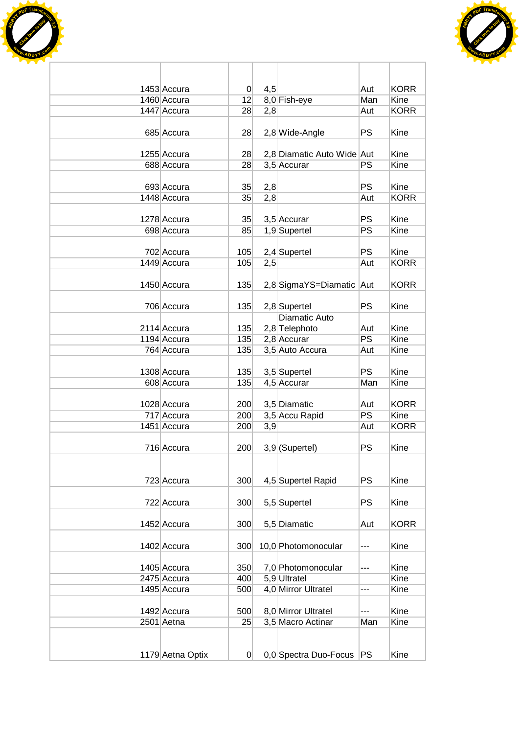



| 1453 Accura      | $\overline{0}$ | 4,5 |                            | Aut       | <b>KORR</b> |
|------------------|----------------|-----|----------------------------|-----------|-------------|
| 1460 Accura      | 12             |     | 8,0 Fish-eye               | Man       | Kine        |
| 1447 Accura      | 28             | 2,8 |                            | Aut       | <b>KORR</b> |
| 685 Accura       | 28             |     | 2,8 Wide-Angle             | <b>PS</b> | Kine        |
| 1255 Accura      | 28             |     | 2,8 Diamatic Auto Wide Aut |           | Kine        |
| 688 Accura       | 28             |     | 3,5 Accurar                | <b>PS</b> | Kine        |
|                  |                |     |                            |           |             |
| 693 Accura       | 35             | 2,8 |                            | <b>PS</b> | Kine        |
| 1448 Accura      | 35             | 2,8 |                            | Aut       | <b>KORR</b> |
|                  |                |     |                            |           |             |
| 1278 Accura      | 35             |     | $3,5$ Accurar              | <b>PS</b> | Kine        |
| 698 Accura       | 85             |     | 1,9 Supertel               | <b>PS</b> | Kine        |
|                  |                |     |                            |           |             |
| 702 Accura       | 105            |     | 2,4 Supertel               | <b>PS</b> | Kine        |
| 1449 Accura      | 105            | 2,5 |                            | Aut       | <b>KORR</b> |
|                  |                |     |                            |           |             |
| 1450 Accura      | 135            |     | 2,8 SigmaYS=Diamatic Aut   |           | <b>KORR</b> |
|                  |                |     |                            |           |             |
| 706 Accura       | 135            |     | 2,8 Supertel               | <b>PS</b> | Kine        |
|                  |                |     | Diamatic Auto              |           |             |
| 2114 Accura      | 135            |     | 2,8 Telephoto              | Aut       | Kine        |
| 1194 Accura      | 135            |     | $2,8$ Accurar              | PS        | Kine        |
| 764 Accura       | 135            |     | 3,5 Auto Accura            | Aut       | Kine        |
|                  |                |     |                            |           |             |
| 1308 Accura      | 135            |     | 3,5 Supertel               | <b>PS</b> | Kine        |
| 608 Accura       | 135            |     | 4,5 Accurar                | Man       | Kine        |
|                  |                |     |                            |           |             |
| 1028 Accura      | 200            |     | 3,5 Diamatic               | Aut       | <b>KORR</b> |
| 717 Accura       | 200            |     | 3,5 Accu Rapid             | <b>PS</b> | Kine        |
| 1451 Accura      | 200            | 3,9 |                            | Aut       | <b>KORR</b> |
|                  |                |     |                            |           |             |
| 716 Accura       | 200            |     | 3,9 (Supertel)             | <b>PS</b> | Kine        |
|                  |                |     |                            |           |             |
|                  |                |     |                            |           |             |
| 723 Accura       | 300            |     | 4,5 Supertel Rapid         | <b>PS</b> | Kine        |
|                  |                |     |                            |           |             |
| 722 Accura       | 300            |     | 5,5 Supertel               | <b>PS</b> | Kine        |
|                  |                |     |                            |           |             |
| 1452 Accura      | 300            |     | 5,5 Diamatic               | Aut       | <b>KORR</b> |
|                  |                |     |                            |           |             |
| 1402 Accura      | 300            |     | 10,0 Photomonocular        | ---       | Kine        |
|                  |                |     |                            |           |             |
| 1405 Accura      | 350            |     | 7,0 Photomonocular         | ---       | Kine        |
| 2475 Accura      | 400            |     | 5,9 Ultratel               |           | Kine        |
| 1495 Accura      | 500            |     | 4,0 Mirror Ultratel        | ---       | Kine        |
|                  |                |     |                            |           |             |
| 1492 Accura      | 500            |     | 8,0 Mirror Ultratel        | ---       | Kine        |
| 2501 Aetna       | 25             |     | 3,5 Macro Actinar          | Man       | Kine        |
|                  |                |     |                            |           |             |
|                  |                |     |                            |           |             |
|                  |                |     |                            |           |             |
| 1179 Aetna Optix | $\overline{0}$ |     | 0,0 Spectra Duo-Focus      | <b>PS</b> | Kine        |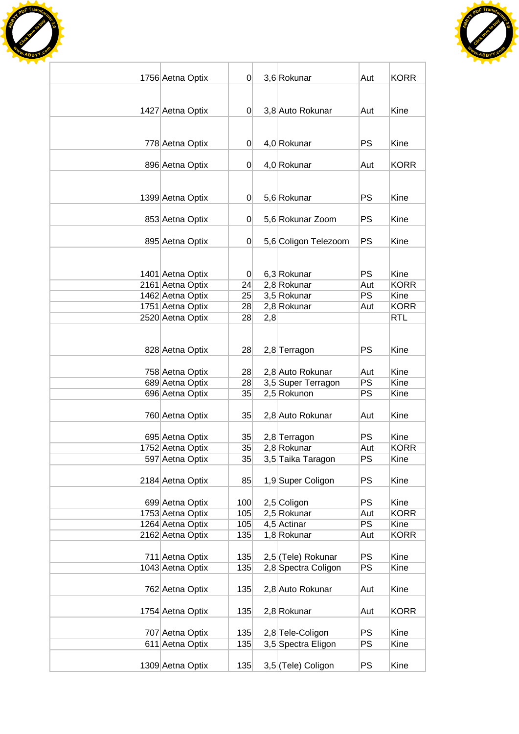



| 1756 Aetna Optix | $\Omega$       |     | 3,6 Rokunar          | Aut       | <b>KORR</b> |
|------------------|----------------|-----|----------------------|-----------|-------------|
|                  |                |     |                      |           |             |
|                  |                |     |                      |           |             |
| 1427 Aetna Optix | $\overline{0}$ |     | 3,8 Auto Rokunar     | Aut       | Kine        |
|                  |                |     |                      |           |             |
| 778 Aetna Optix  | $\overline{0}$ |     | 4,0 Rokunar          | <b>PS</b> | Kine        |
|                  |                |     |                      |           |             |
| 896 Aetna Optix  | $\overline{0}$ |     | 4,0 Rokunar          | Aut       | <b>KORR</b> |
|                  |                |     |                      |           |             |
|                  |                |     |                      |           |             |
| 1399 Aetna Optix | $\overline{0}$ |     | 5,6 Rokunar          | <b>PS</b> | Kine        |
|                  |                |     |                      | <b>PS</b> | Kine        |
| 853 Aetna Optix  | $\overline{0}$ |     | 5,6 Rokunar Zoom     |           |             |
| 895 Aetna Optix  | 0              |     | 5,6 Coligon Telezoom | <b>PS</b> | Kine        |
|                  |                |     |                      |           |             |
|                  |                |     |                      |           |             |
| 1401 Aetna Optix | $\overline{0}$ |     | 6,3 Rokunar          | <b>PS</b> | Kine        |
| 2161 Aetna Optix | 24             |     | 2,8 Rokunar          | Aut       | <b>KORR</b> |
| 1462 Aetna Optix | 25             |     | 3,5 Rokunar          | PS        | Kine        |
| 1751 Aetna Optix | 28             |     | 2,8 Rokunar          | Aut       | <b>KORR</b> |
| 2520 Aetna Optix | 28             | 2,8 |                      |           | <b>RTL</b>  |
|                  |                |     |                      |           |             |
|                  |                |     |                      | <b>PS</b> |             |
| 828 Aetna Optix  | 28             |     | 2,8 Terragon         |           | Kine        |
| 758 Aetna Optix  | 28             |     | 2,8 Auto Rokunar     | Aut       | Kine        |
| 689 Aetna Optix  | 28             |     | 3,5 Super Terragon   | <b>PS</b> | Kine        |
| 696 Aetna Optix  | 35             |     | 2,5 Rokunon          | PS        | Kine        |
|                  |                |     |                      |           |             |
| 760 Aetna Optix  | 35             |     | 2,8 Auto Rokunar     | Aut       | Kine        |
|                  |                |     |                      |           |             |
| 695 Aetna Optix  | $35$           |     | 2,8 Terragon         | <b>PS</b> | Kine        |
| 1752 Aetna Optix | 35             |     | 2,8 Rokunar          | Aut       | <b>KORR</b> |
| 597 Aetna Optix  | 35             |     | 3,5 Taika Taragon    | <b>PS</b> | Kine        |
| 2184 Aetna Optix | 85             |     | 1,9 Super Coligon    | <b>PS</b> | Kine        |
|                  |                |     |                      |           |             |
| 699 Aetna Optix  | 100            |     | 2,5 Coligon          | <b>PS</b> | Kine        |
| 1753 Aetna Optix | 105            |     | 2,5 Rokunar          | Aut       | <b>KORR</b> |
| 1264 Aetna Optix | 105            |     | 4,5 Actinar          | <b>PS</b> | Kine        |
| 2162 Aetna Optix | 135            |     | 1,8 Rokunar          | Aut       | <b>KORR</b> |
|                  |                |     |                      |           |             |
| 711 Aetna Optix  | 135            |     | 2,5 (Tele) Rokunar   | <b>PS</b> | Kine        |
| 1043 Aetna Optix | 135            |     | 2,8 Spectra Coligon  | PS        | Kine        |
|                  |                |     |                      |           |             |
| 762 Aetna Optix  | 135            |     | 2,8 Auto Rokunar     | Aut       | Kine        |
|                  | 135            |     |                      |           | <b>KORR</b> |
| 1754 Aetna Optix |                |     | 2,8 Rokunar          | Aut       |             |
| 707 Aetna Optix  | 135            |     | 2,8 Tele-Coligon     | <b>PS</b> | Kine        |
| 611 Aetna Optix  | 135            |     | 3,5 Spectra Eligon   | <b>PS</b> | Kine        |
|                  |                |     |                      |           |             |
| 1309 Aetna Optix | 135            |     | 3,5 (Tele) Coligon   | <b>PS</b> | Kine        |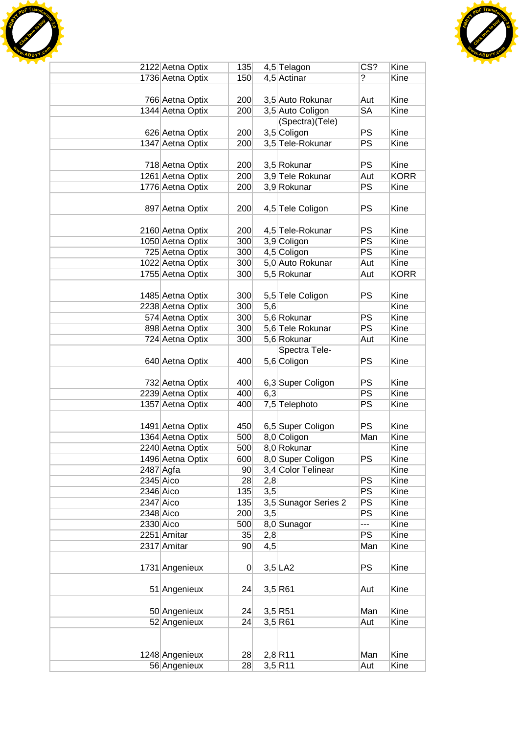



|             | 2122 Aetna Optix | 135             |     | 4,5 Telagon          | $\overline{\text{CS}'}$ | Kine        |
|-------------|------------------|-----------------|-----|----------------------|-------------------------|-------------|
|             | 1736 Aetna Optix | 150             |     | 4,5 Actinar          | ?                       | Kine        |
|             |                  |                 |     |                      |                         |             |
|             | 766 Aetna Optix  | 200             |     | 3,5 Auto Rokunar     | Aut                     | Kine        |
|             | 1344 Aetna Optix | 200             |     | 3,5 Auto Coligon     | <b>SA</b>               | Kine        |
|             |                  |                 |     | (Spectra)(Tele)      |                         |             |
|             | 626 Aetna Optix  | 200             |     | 3,5 Coligon          | <b>PS</b>               | Kine        |
|             | 1347 Aetna Optix | 200             |     | 3,5 Tele-Rokunar     | PS                      | Kine        |
|             |                  |                 |     |                      |                         |             |
|             | 718 Aetna Optix  | 200             |     | 3,5 Rokunar          | <b>PS</b>               | Kine        |
|             | 1261 Aetna Optix | 200             |     | 3,9 Tele Rokunar     | Aut                     | <b>KORR</b> |
|             | 1776 Aetna Optix | 200             |     | 3,9 Rokunar          | PS                      | Kine        |
|             |                  |                 |     |                      |                         |             |
|             | 897 Aetna Optix  | 200             |     | 4,5 Tele Coligon     | <b>PS</b>               | Kine        |
|             |                  |                 |     |                      |                         |             |
|             |                  |                 |     |                      | <b>PS</b>               |             |
|             | 2160 Aetna Optix | 200             |     | 4,5 Tele-Rokunar     |                         | Kine        |
|             | 1050 Aetna Optix | 300             |     | 3,9 Coligon          | <b>PS</b>               | Kine        |
|             | 725 Aetna Optix  | 300             |     | 4,5 Coligon          | PS                      | Kine        |
|             | 1022 Aetna Optix | 300             |     | 5,0 Auto Rokunar     | Aut                     | Kine        |
|             | 1755 Aetna Optix | 300             |     | 5,5 Rokunar          | Aut                     | <b>KORR</b> |
|             |                  |                 |     |                      |                         |             |
|             | 1485 Aetna Optix | 300             |     | 5,5 Tele Coligon     | <b>PS</b>               | Kine        |
|             | 2238 Aetna Optix | 300             | 5,6 |                      |                         | Kine        |
|             | 574 Aetna Optix  | 300             |     | 5,6 Rokunar          | PS                      | Kine        |
|             | 898 Aetna Optix  | 300             |     | 5,6 Tele Rokunar     | PS                      | Kine        |
|             | 724 Aetna Optix  | 300             |     | 5,6 Rokunar          | Aut                     | Kine        |
|             |                  |                 |     | Spectra Tele-        |                         |             |
|             | 640 Aetna Optix  | 400             |     | 5,6 Coligon          | <b>PS</b>               | Kine        |
|             |                  |                 |     |                      |                         |             |
|             | 732 Aetna Optix  | 400             |     | 6,3 Super Coligon    | <b>PS</b>               | Kine        |
|             | 2239 Aetna Optix | 400             | 6,3 |                      | <b>PS</b>               | Kine        |
|             | 1357 Aetna Optix | 400             |     | 7,5 Telephoto        | PS                      | Kine        |
|             |                  |                 |     |                      |                         |             |
|             | 1491 Aetna Optix | 450             |     |                      | <b>PS</b>               | Kine        |
|             |                  |                 |     | 6,5 Super Coligon    |                         | Kine        |
|             | 1364 Aetna Optix | 500             |     | 8,0 Coligon          | Man                     |             |
|             | 2240 Aetna Optix | 500             |     | 8,0 Rokunar          |                         | Kine        |
|             | 1496 Aetna Optix | 600             |     | 8,0 Super Coligon    | PS                      | Kine        |
|             | $2487$ Agfa      | 90 <sub>1</sub> |     | 3,4 Color Telinear   |                         | Kine        |
| $2345$ Aico |                  | 28              | 2,8 |                      | PS                      | Kine        |
| $2346$ Aico |                  | 135             | 3,5 |                      | <b>PS</b>               | Kine        |
| 2347 Aico   |                  | 135             |     | 3,5 Sunagor Series 2 | <b>PS</b>               | Kine        |
| 2348 Aico   |                  | 200             | 3,5 |                      | PS                      | Kine        |
| 2330 Aico   |                  | 500             |     | 8,0 Sunagor          | ---                     | Kine        |
|             | 2251 Amitar      | 35              | 2,8 |                      | <b>PS</b>               | Kine        |
|             | 2317 Amitar      | 90              | 4,5 |                      | Man                     | Kine        |
|             |                  |                 |     |                      |                         |             |
|             | 1731 Angenieux   | 0               |     | $3,5$ LA2            | <b>PS</b>               | Kine        |
|             |                  |                 |     |                      |                         |             |
|             | 51 Angenieux     | 24              |     | 3,5 R61              | Aut                     | Kine        |
|             |                  |                 |     |                      |                         |             |
|             | 50 Angenieux     | 24              |     | $3,5$ R51            | Man                     | Kine        |
|             | 52 Angenieux     | 24              |     | 3,5 R61              | Aut                     | Kine        |
|             |                  |                 |     |                      |                         |             |
|             |                  |                 |     |                      |                         |             |
|             | 1248 Angenieux   | 28              |     | $2,8$ R11            | Man                     | Kine        |
|             |                  |                 |     |                      |                         |             |
|             | 56 Angenieux     | 28              |     | $3,5$ R11            | Aut                     | Kine        |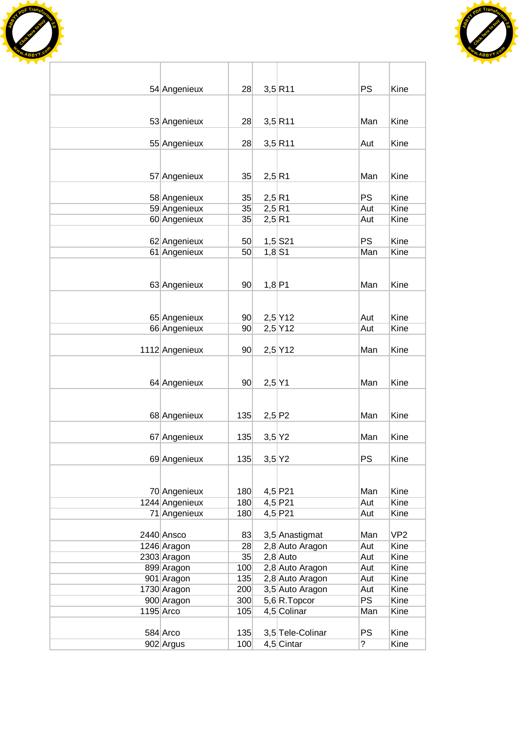



| <b>PS</b><br>Kine<br>54 Angenieux<br>$3,5$ R11<br>28<br>$3,5$ R11<br>Kine<br>53 Angenieux<br>28<br>Man<br>Kine<br>55 Angenieux<br>28<br>$3,5$ R11<br>Aut<br>35<br>2,5 R1<br>Man<br>Kine<br>57 Angenieux<br><b>PS</b><br>2,5 R1<br>Kine<br>58 Angenieux<br>35<br>59 Angenieux<br>35<br>Kine<br>2,5 R1<br>Aut<br>60 Angenieux<br>35<br>2,5 R1<br>Kine<br>Aut<br><b>PS</b><br>Kine<br>62 Angenieux<br>$1,5$ S21<br>50<br>61 Angenieux<br>50<br>Man<br>Kine<br>$1,8$ S1<br>1,8 P1<br>Kine<br>63 Angenieux<br>90 <sup>°</sup><br>Man<br>$2,5$ Y12<br>Kine<br>65 Angenieux<br>90 <sub>0</sub><br>Aut<br>$2,5$ Y12<br>66 Angenieux<br>90 <sup>°</sup><br>Kine<br>Aut<br>1112 Angenieux<br>$2,5$ Y12<br>Kine<br>90 <sup>°</sup><br>Man<br>$2,5$ Y1<br>Kine<br>64 Angenieux<br>90<br>Man<br>135<br>2,5 P2<br>Kine<br>68 Angenieux<br>Man<br>3,5 Y2<br>Man<br>Kine<br>67 Angenieux<br>135<br>PS<br>69 Angenieux<br>135<br>3,5 Y2<br>Kine<br>$4,5$ P21<br>Kine<br>70 Angenieux<br>180<br>Man<br>1244 Angenieux<br>Kine<br>180<br>4,5 P21<br>Aut<br>71 Angenieux<br>180<br>4,5 P21<br>Kine<br>Aut<br>VP <sub>2</sub><br>2440 Ansco<br>83<br>3,5 Anastigmat<br>Man<br>Kine<br>28<br>2,8 Auto Aragon<br>1246 Aragon<br>Aut<br>Kine<br>$2,8$ Auto<br>2303 Aragon<br>35<br>Aut<br>Kine<br>899 Aragon<br>100<br>2,8 Auto Aragon<br>Aut<br>2,8 Auto Aragon<br>901 Aragon<br>135<br>Kine<br>Aut<br>3,5 Auto Aragon<br>1730 Aragon<br>200<br>Kine<br>Aut<br>PS<br>5,6 R. Topcor<br>900 Aragon<br>300<br>Kine<br>1195 Arco<br>105<br>4,5 Colinar<br>Man<br>Kine<br><b>PS</b><br>Kine<br>135<br>3,5 Tele-Colinar<br>584 Arco<br>902 Argus |  |     |              |                  |      |
|---------------------------------------------------------------------------------------------------------------------------------------------------------------------------------------------------------------------------------------------------------------------------------------------------------------------------------------------------------------------------------------------------------------------------------------------------------------------------------------------------------------------------------------------------------------------------------------------------------------------------------------------------------------------------------------------------------------------------------------------------------------------------------------------------------------------------------------------------------------------------------------------------------------------------------------------------------------------------------------------------------------------------------------------------------------------------------------------------------------------------------------------------------------------------------------------------------------------------------------------------------------------------------------------------------------------------------------------------------------------------------------------------------------------------------------------------------------------------------------------------------------------------------------------------------------------------------------------------------------------|--|-----|--------------|------------------|------|
|                                                                                                                                                                                                                                                                                                                                                                                                                                                                                                                                                                                                                                                                                                                                                                                                                                                                                                                                                                                                                                                                                                                                                                                                                                                                                                                                                                                                                                                                                                                                                                                                                     |  |     |              |                  |      |
|                                                                                                                                                                                                                                                                                                                                                                                                                                                                                                                                                                                                                                                                                                                                                                                                                                                                                                                                                                                                                                                                                                                                                                                                                                                                                                                                                                                                                                                                                                                                                                                                                     |  |     |              |                  |      |
|                                                                                                                                                                                                                                                                                                                                                                                                                                                                                                                                                                                                                                                                                                                                                                                                                                                                                                                                                                                                                                                                                                                                                                                                                                                                                                                                                                                                                                                                                                                                                                                                                     |  |     |              |                  |      |
|                                                                                                                                                                                                                                                                                                                                                                                                                                                                                                                                                                                                                                                                                                                                                                                                                                                                                                                                                                                                                                                                                                                                                                                                                                                                                                                                                                                                                                                                                                                                                                                                                     |  |     |              |                  |      |
|                                                                                                                                                                                                                                                                                                                                                                                                                                                                                                                                                                                                                                                                                                                                                                                                                                                                                                                                                                                                                                                                                                                                                                                                                                                                                                                                                                                                                                                                                                                                                                                                                     |  |     |              |                  |      |
|                                                                                                                                                                                                                                                                                                                                                                                                                                                                                                                                                                                                                                                                                                                                                                                                                                                                                                                                                                                                                                                                                                                                                                                                                                                                                                                                                                                                                                                                                                                                                                                                                     |  |     |              |                  |      |
|                                                                                                                                                                                                                                                                                                                                                                                                                                                                                                                                                                                                                                                                                                                                                                                                                                                                                                                                                                                                                                                                                                                                                                                                                                                                                                                                                                                                                                                                                                                                                                                                                     |  |     |              |                  |      |
|                                                                                                                                                                                                                                                                                                                                                                                                                                                                                                                                                                                                                                                                                                                                                                                                                                                                                                                                                                                                                                                                                                                                                                                                                                                                                                                                                                                                                                                                                                                                                                                                                     |  |     |              |                  |      |
|                                                                                                                                                                                                                                                                                                                                                                                                                                                                                                                                                                                                                                                                                                                                                                                                                                                                                                                                                                                                                                                                                                                                                                                                                                                                                                                                                                                                                                                                                                                                                                                                                     |  |     |              |                  |      |
|                                                                                                                                                                                                                                                                                                                                                                                                                                                                                                                                                                                                                                                                                                                                                                                                                                                                                                                                                                                                                                                                                                                                                                                                                                                                                                                                                                                                                                                                                                                                                                                                                     |  |     |              |                  |      |
|                                                                                                                                                                                                                                                                                                                                                                                                                                                                                                                                                                                                                                                                                                                                                                                                                                                                                                                                                                                                                                                                                                                                                                                                                                                                                                                                                                                                                                                                                                                                                                                                                     |  |     |              |                  |      |
|                                                                                                                                                                                                                                                                                                                                                                                                                                                                                                                                                                                                                                                                                                                                                                                                                                                                                                                                                                                                                                                                                                                                                                                                                                                                                                                                                                                                                                                                                                                                                                                                                     |  |     |              |                  |      |
|                                                                                                                                                                                                                                                                                                                                                                                                                                                                                                                                                                                                                                                                                                                                                                                                                                                                                                                                                                                                                                                                                                                                                                                                                                                                                                                                                                                                                                                                                                                                                                                                                     |  |     |              |                  |      |
|                                                                                                                                                                                                                                                                                                                                                                                                                                                                                                                                                                                                                                                                                                                                                                                                                                                                                                                                                                                                                                                                                                                                                                                                                                                                                                                                                                                                                                                                                                                                                                                                                     |  |     |              |                  |      |
|                                                                                                                                                                                                                                                                                                                                                                                                                                                                                                                                                                                                                                                                                                                                                                                                                                                                                                                                                                                                                                                                                                                                                                                                                                                                                                                                                                                                                                                                                                                                                                                                                     |  |     |              |                  |      |
|                                                                                                                                                                                                                                                                                                                                                                                                                                                                                                                                                                                                                                                                                                                                                                                                                                                                                                                                                                                                                                                                                                                                                                                                                                                                                                                                                                                                                                                                                                                                                                                                                     |  |     |              |                  |      |
|                                                                                                                                                                                                                                                                                                                                                                                                                                                                                                                                                                                                                                                                                                                                                                                                                                                                                                                                                                                                                                                                                                                                                                                                                                                                                                                                                                                                                                                                                                                                                                                                                     |  |     |              |                  |      |
|                                                                                                                                                                                                                                                                                                                                                                                                                                                                                                                                                                                                                                                                                                                                                                                                                                                                                                                                                                                                                                                                                                                                                                                                                                                                                                                                                                                                                                                                                                                                                                                                                     |  |     |              |                  |      |
|                                                                                                                                                                                                                                                                                                                                                                                                                                                                                                                                                                                                                                                                                                                                                                                                                                                                                                                                                                                                                                                                                                                                                                                                                                                                                                                                                                                                                                                                                                                                                                                                                     |  |     |              |                  |      |
|                                                                                                                                                                                                                                                                                                                                                                                                                                                                                                                                                                                                                                                                                                                                                                                                                                                                                                                                                                                                                                                                                                                                                                                                                                                                                                                                                                                                                                                                                                                                                                                                                     |  |     |              |                  |      |
|                                                                                                                                                                                                                                                                                                                                                                                                                                                                                                                                                                                                                                                                                                                                                                                                                                                                                                                                                                                                                                                                                                                                                                                                                                                                                                                                                                                                                                                                                                                                                                                                                     |  |     |              |                  |      |
|                                                                                                                                                                                                                                                                                                                                                                                                                                                                                                                                                                                                                                                                                                                                                                                                                                                                                                                                                                                                                                                                                                                                                                                                                                                                                                                                                                                                                                                                                                                                                                                                                     |  |     |              |                  |      |
|                                                                                                                                                                                                                                                                                                                                                                                                                                                                                                                                                                                                                                                                                                                                                                                                                                                                                                                                                                                                                                                                                                                                                                                                                                                                                                                                                                                                                                                                                                                                                                                                                     |  |     |              |                  |      |
|                                                                                                                                                                                                                                                                                                                                                                                                                                                                                                                                                                                                                                                                                                                                                                                                                                                                                                                                                                                                                                                                                                                                                                                                                                                                                                                                                                                                                                                                                                                                                                                                                     |  |     |              |                  |      |
|                                                                                                                                                                                                                                                                                                                                                                                                                                                                                                                                                                                                                                                                                                                                                                                                                                                                                                                                                                                                                                                                                                                                                                                                                                                                                                                                                                                                                                                                                                                                                                                                                     |  |     |              |                  |      |
|                                                                                                                                                                                                                                                                                                                                                                                                                                                                                                                                                                                                                                                                                                                                                                                                                                                                                                                                                                                                                                                                                                                                                                                                                                                                                                                                                                                                                                                                                                                                                                                                                     |  |     |              |                  |      |
|                                                                                                                                                                                                                                                                                                                                                                                                                                                                                                                                                                                                                                                                                                                                                                                                                                                                                                                                                                                                                                                                                                                                                                                                                                                                                                                                                                                                                                                                                                                                                                                                                     |  |     |              |                  |      |
|                                                                                                                                                                                                                                                                                                                                                                                                                                                                                                                                                                                                                                                                                                                                                                                                                                                                                                                                                                                                                                                                                                                                                                                                                                                                                                                                                                                                                                                                                                                                                                                                                     |  |     |              |                  |      |
|                                                                                                                                                                                                                                                                                                                                                                                                                                                                                                                                                                                                                                                                                                                                                                                                                                                                                                                                                                                                                                                                                                                                                                                                                                                                                                                                                                                                                                                                                                                                                                                                                     |  |     |              |                  |      |
|                                                                                                                                                                                                                                                                                                                                                                                                                                                                                                                                                                                                                                                                                                                                                                                                                                                                                                                                                                                                                                                                                                                                                                                                                                                                                                                                                                                                                                                                                                                                                                                                                     |  |     |              |                  |      |
|                                                                                                                                                                                                                                                                                                                                                                                                                                                                                                                                                                                                                                                                                                                                                                                                                                                                                                                                                                                                                                                                                                                                                                                                                                                                                                                                                                                                                                                                                                                                                                                                                     |  |     |              |                  |      |
|                                                                                                                                                                                                                                                                                                                                                                                                                                                                                                                                                                                                                                                                                                                                                                                                                                                                                                                                                                                                                                                                                                                                                                                                                                                                                                                                                                                                                                                                                                                                                                                                                     |  |     |              |                  |      |
|                                                                                                                                                                                                                                                                                                                                                                                                                                                                                                                                                                                                                                                                                                                                                                                                                                                                                                                                                                                                                                                                                                                                                                                                                                                                                                                                                                                                                                                                                                                                                                                                                     |  |     |              |                  |      |
|                                                                                                                                                                                                                                                                                                                                                                                                                                                                                                                                                                                                                                                                                                                                                                                                                                                                                                                                                                                                                                                                                                                                                                                                                                                                                                                                                                                                                                                                                                                                                                                                                     |  |     |              |                  |      |
|                                                                                                                                                                                                                                                                                                                                                                                                                                                                                                                                                                                                                                                                                                                                                                                                                                                                                                                                                                                                                                                                                                                                                                                                                                                                                                                                                                                                                                                                                                                                                                                                                     |  |     |              |                  |      |
|                                                                                                                                                                                                                                                                                                                                                                                                                                                                                                                                                                                                                                                                                                                                                                                                                                                                                                                                                                                                                                                                                                                                                                                                                                                                                                                                                                                                                                                                                                                                                                                                                     |  |     |              |                  |      |
|                                                                                                                                                                                                                                                                                                                                                                                                                                                                                                                                                                                                                                                                                                                                                                                                                                                                                                                                                                                                                                                                                                                                                                                                                                                                                                                                                                                                                                                                                                                                                                                                                     |  |     |              |                  |      |
|                                                                                                                                                                                                                                                                                                                                                                                                                                                                                                                                                                                                                                                                                                                                                                                                                                                                                                                                                                                                                                                                                                                                                                                                                                                                                                                                                                                                                                                                                                                                                                                                                     |  |     |              |                  |      |
|                                                                                                                                                                                                                                                                                                                                                                                                                                                                                                                                                                                                                                                                                                                                                                                                                                                                                                                                                                                                                                                                                                                                                                                                                                                                                                                                                                                                                                                                                                                                                                                                                     |  |     |              |                  |      |
|                                                                                                                                                                                                                                                                                                                                                                                                                                                                                                                                                                                                                                                                                                                                                                                                                                                                                                                                                                                                                                                                                                                                                                                                                                                                                                                                                                                                                                                                                                                                                                                                                     |  |     |              |                  |      |
|                                                                                                                                                                                                                                                                                                                                                                                                                                                                                                                                                                                                                                                                                                                                                                                                                                                                                                                                                                                                                                                                                                                                                                                                                                                                                                                                                                                                                                                                                                                                                                                                                     |  |     |              |                  |      |
|                                                                                                                                                                                                                                                                                                                                                                                                                                                                                                                                                                                                                                                                                                                                                                                                                                                                                                                                                                                                                                                                                                                                                                                                                                                                                                                                                                                                                                                                                                                                                                                                                     |  |     |              |                  |      |
|                                                                                                                                                                                                                                                                                                                                                                                                                                                                                                                                                                                                                                                                                                                                                                                                                                                                                                                                                                                                                                                                                                                                                                                                                                                                                                                                                                                                                                                                                                                                                                                                                     |  |     |              |                  |      |
|                                                                                                                                                                                                                                                                                                                                                                                                                                                                                                                                                                                                                                                                                                                                                                                                                                                                                                                                                                                                                                                                                                                                                                                                                                                                                                                                                                                                                                                                                                                                                                                                                     |  |     |              |                  |      |
|                                                                                                                                                                                                                                                                                                                                                                                                                                                                                                                                                                                                                                                                                                                                                                                                                                                                                                                                                                                                                                                                                                                                                                                                                                                                                                                                                                                                                                                                                                                                                                                                                     |  |     |              |                  |      |
|                                                                                                                                                                                                                                                                                                                                                                                                                                                                                                                                                                                                                                                                                                                                                                                                                                                                                                                                                                                                                                                                                                                                                                                                                                                                                                                                                                                                                                                                                                                                                                                                                     |  |     |              |                  |      |
|                                                                                                                                                                                                                                                                                                                                                                                                                                                                                                                                                                                                                                                                                                                                                                                                                                                                                                                                                                                                                                                                                                                                                                                                                                                                                                                                                                                                                                                                                                                                                                                                                     |  | 100 | $4,5$ Cintar | $\boldsymbol{?}$ | Kine |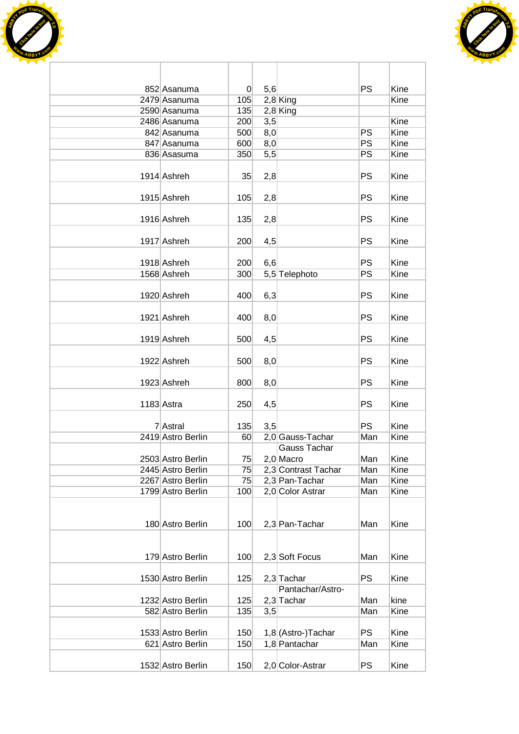



| 852 Asanuma       | $\overline{0}$ | 5,6 |                                  | PS              | Kine |
|-------------------|----------------|-----|----------------------------------|-----------------|------|
| 2479 Asanuma      | 105            |     | $2,8$ King                       |                 | Kine |
| 2590 Asanuma      | 135            |     | $2,8$ King                       |                 |      |
| 2486 Asanuma      | 200            | 3,5 |                                  |                 | Kine |
| 842 Asanuma       | 500            | 8,0 |                                  | PS              | Kine |
| 847 Asanuma       | 600            | 8,0 |                                  | PS              | Kine |
| 836 Asasuma       | 350            | 5,5 |                                  | $\overline{PS}$ | Kine |
| 1914 Ashreh       | 35             | 2,8 |                                  | PS              | Kine |
| 1915 Ashreh       | 105            | 2,8 |                                  | PS              | Kine |
| 1916 Ashreh       | 135            | 2,8 |                                  | PS              | Kine |
| 1917 Ashreh       | 200            | 4,5 |                                  | PS              | Kine |
| 1918 Ashreh       | 200            | 6,6 |                                  | PS              | Kine |
| 1568 Ashreh       | 300            |     | 5,5 Telephoto                    | PS              | Kine |
| 1920 Ashreh       | 400            | 6,3 |                                  | PS              | Kine |
| 1921 Ashreh       | 400            | 8,0 |                                  | PS              | Kine |
| 1919 Ashreh       | 500            | 4,5 |                                  | PS              | Kine |
| 1922 Ashreh       | 500            | 8,0 |                                  | PS              | Kine |
| 1923 Ashreh       | 800            | 8,0 |                                  | PS              | Kine |
| 1183 Astra        | 250            | 4,5 |                                  | PS              | Kine |
|                   |                |     |                                  |                 |      |
| 7 Astral          | 135            | 3,5 |                                  | PS              | Kine |
| 2419 Astro Berlin | 60             |     | 2,0 Gauss-Tachar<br>Gauss Tachar | Man             | Kine |
| 2503 Astro Berlin | 75             |     | $2,0$ Macro                      | Man             | Kine |
| 2445 Astro Berlin | 75             |     | 2,3 Contrast Tachar              | Man             | Kine |
| 2267 Astro Berlin | 75             |     | 2,3 Pan-Tachar                   | Man             | Kine |
| 1799 Astro Berlin | 100            |     | 2,0 Color Astrar                 | Man             | Kine |
|                   |                |     |                                  |                 |      |
|                   |                |     |                                  |                 |      |
| 180 Astro Berlin  | 100            |     | 2,3 Pan-Tachar                   | Man             | Kine |
|                   |                |     |                                  |                 |      |
| 179 Astro Berlin  | 100            |     | 2,3 Soft Focus                   | Man             | Kine |
|                   |                |     |                                  |                 |      |
| 1530 Astro Berlin | 125            |     | $2,3$ Tachar                     | PS              | Kine |
|                   |                |     | Pantachar/Astro-                 |                 |      |
| 1232 Astro Berlin | 125            |     | $2,3$ Tachar                     | Man             | kine |
| 582 Astro Berlin  | 135            | 3,5 |                                  | Man             | Kine |
| 1533 Astro Berlin | 150            |     | 1,8 (Astro-)Tachar               | PS              | Kine |
| 621 Astro Berlin  | 150            |     | 1,8 Pantachar                    | Man             | Kine |
|                   |                |     |                                  |                 |      |
| 1532 Astro Berlin | 150            |     | 2,0 Color-Astrar                 | PS              | Kine |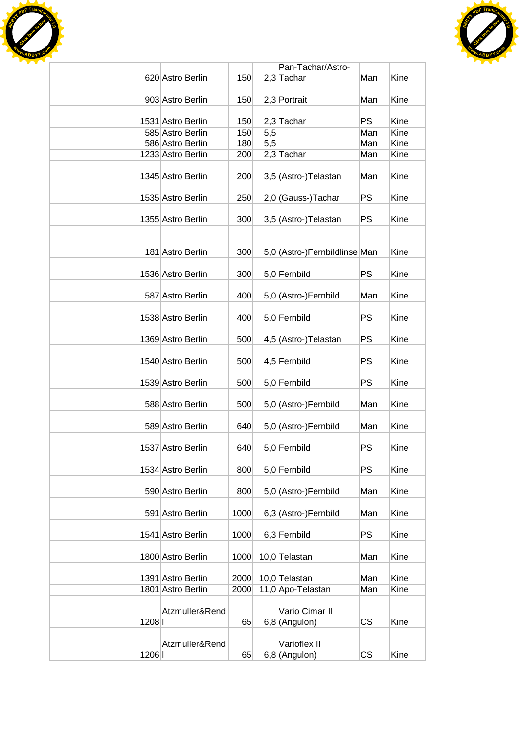



|      |                                        |              |            | Pan-Tachar/Astro-                  |            |              |
|------|----------------------------------------|--------------|------------|------------------------------------|------------|--------------|
|      | 620 Astro Berlin                       | 150          |            | $2,3$ Tachar                       | Man        | Kine         |
|      |                                        |              |            |                                    |            |              |
|      | 903 Astro Berlin                       | 150          |            | 2,3 Portrait                       | Man        | Kine         |
|      |                                        |              |            |                                    |            |              |
|      | 1531 Astro Berlin                      | 150          |            | $2,3$ Tachar                       | <b>PS</b>  | Kine         |
|      | 585 Astro Berlin<br>586 Astro Berlin   | 150<br>180   | 5,5<br>5,5 |                                    | Man<br>Man | Kine<br>Kine |
|      | 1233 Astro Berlin                      | 200          |            | $2,3$ Tachar                       | Man        | Kine         |
|      |                                        |              |            |                                    |            |              |
|      | 1345 Astro Berlin                      | 200          |            | 3,5 (Astro-) Telastan              | Man        | Kine         |
|      |                                        |              |            |                                    |            |              |
|      | 1535 Astro Berlin                      | 250          |            | 2,0 (Gauss-) Tachar                | PS         | Kine         |
|      |                                        |              |            |                                    |            |              |
|      | 1355 Astro Berlin                      | 300          |            | 3,5 (Astro-) Telastan              | PS         | Kine         |
|      |                                        |              |            |                                    |            |              |
|      | 181 Astro Berlin                       |              |            | 5,0 (Astro-)Fernbildlinse Man      |            | Kine         |
|      |                                        | 300          |            |                                    |            |              |
|      | 1536 Astro Berlin                      | 300          |            | 5,0 Fernbild                       | PS         | Kine         |
|      |                                        |              |            |                                    |            |              |
|      | 587 Astro Berlin                       | 400          |            | 5,0 (Astro-)Fernbild               | Man        | Kine         |
|      |                                        |              |            |                                    |            |              |
|      | 1538 Astro Berlin                      | 400          |            | 5,0 Fernbild                       | PS         | Kine         |
|      |                                        |              |            |                                    |            |              |
|      | 1369 Astro Berlin                      | 500          |            | 4,5 (Astro-) Telastan              | PS         | Kine         |
|      |                                        |              |            |                                    |            |              |
|      | 1540 Astro Berlin                      | 500          |            | 4,5 Fernbild                       | PS         | Kine         |
|      | 1539 Astro Berlin                      | 500          |            | 5,0 Fernbild                       | PS         | Kine         |
|      |                                        |              |            |                                    |            |              |
|      | 588 Astro Berlin                       | 500          |            | 5,0 (Astro-)Fernbild               | Man        | Kine         |
|      |                                        |              |            |                                    |            |              |
|      | 589 Astro Berlin                       | 640          |            | 5,0 (Astro-) Fernbild              | Man        | Kine         |
|      |                                        |              |            |                                    |            |              |
|      | 1537 Astro Berlin                      | 640          |            | 5,0 Fernbild                       | PS         | Kine         |
|      |                                        |              |            |                                    | <b>PS</b>  | Kine         |
|      | 1534 Astro Berlin                      | 800          |            | 5,0 Fernbild                       |            |              |
|      | 590 Astro Berlin                       | 800          |            | 5,0 (Astro-)Fernbild               | Man        | Kine         |
|      |                                        |              |            |                                    |            |              |
|      | 591 Astro Berlin                       | 1000         |            | 6,3 (Astro-)Fernbild               | Man        | Kine         |
|      |                                        |              |            |                                    |            |              |
|      | 1541 Astro Berlin                      | 1000         |            | 6,3 Fernbild                       | <b>PS</b>  | Kine         |
|      |                                        |              |            |                                    |            |              |
|      | 1800 Astro Berlin                      | 1000         |            | 10,0 Telastan                      | Man        | Kine         |
|      |                                        |              |            |                                    |            |              |
|      | 1391 Astro Berlin<br>1801 Astro Berlin | 2000<br>2000 |            | 10,0 Telastan<br>11,0 Apo-Telastan | Man<br>Man | Kine<br>Kine |
|      |                                        |              |            |                                    |            |              |
|      | Atzmuller&Rend                         |              |            | Vario Cimar II                     |            |              |
| 1208 |                                        | 65           |            | $6,8$ (Angulon)                    | CS         | Kine         |
|      |                                        |              |            |                                    |            |              |
|      | Atzmuller&Rend                         |              |            | Varioflex II                       |            |              |
| 1206 |                                        | 65           |            | $6,8$ (Angulon)                    | <b>CS</b>  | Kine         |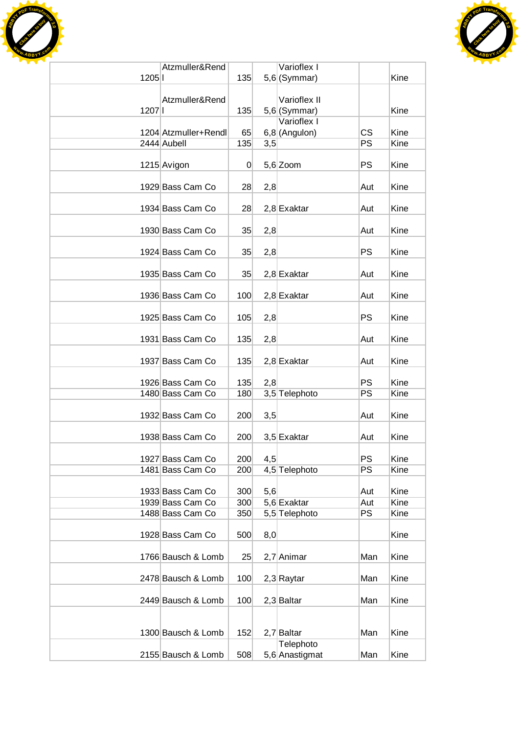



|      | Atzmuller&Rend       |                |     | Varioflex I     |           |      |
|------|----------------------|----------------|-----|-----------------|-----------|------|
| 1205 |                      | 135            |     | $5,6$ (Symmar)  |           | Kine |
|      |                      |                |     |                 |           |      |
|      | Atzmuller&Rend       |                |     | Varioflex II    |           |      |
| 1207 |                      | 135            |     | $5,6$ (Symmar)  |           | Kine |
|      |                      |                |     | Varioflex I     |           |      |
|      | 1204 Atzmuller+Rendl | 65             |     | $6,8$ (Angulon) | <b>CS</b> | Kine |
|      | 2444 Aubell          | 135            | 3,5 |                 | PS        | Kine |
|      |                      |                |     |                 |           |      |
|      | 1215 Avigon          | $\overline{0}$ |     | $5,6$ Zoom      | <b>PS</b> | Kine |
|      |                      |                |     |                 |           |      |
|      | 1929 Bass Cam Co     | 28             | 2,8 |                 | Aut       | Kine |
|      |                      |                |     |                 |           |      |
|      | 1934 Bass Cam Co     | 28             |     | $2,8$ Exaktar   | Aut       | Kine |
|      |                      |                |     |                 |           |      |
|      | 1930 Bass Cam Co     | 35             | 2,8 |                 | Aut       | Kine |
|      |                      |                |     |                 |           |      |
|      | 1924 Bass Cam Co     | 35             | 2,8 |                 | <b>PS</b> | Kine |
|      |                      |                |     |                 |           |      |
|      | 1935 Bass Cam Co     | 35             |     | $2,8$ Exaktar   | Aut       | Kine |
|      |                      |                |     |                 |           |      |
|      | 1936 Bass Cam Co     | 100            |     | $2,8$ Exaktar   | Aut       | Kine |
|      |                      |                |     |                 |           |      |
|      | 1925 Bass Cam Co     | 105            | 2,8 |                 | <b>PS</b> | Kine |
|      |                      |                |     |                 |           |      |
|      | 1931 Bass Cam Co     | 135            | 2,8 |                 | Aut       | Kine |
|      | 1937 Bass Cam Co     | 135            |     |                 |           | Kine |
|      |                      |                |     | $2,8$ Exaktar   | Aut       |      |
|      | 1926 Bass Cam Co     | 135            | 2,8 |                 | <b>PS</b> | Kine |
|      | 1480 Bass Cam Co     | 180            |     | 3,5 Telephoto   | <b>PS</b> | Kine |
|      |                      |                |     |                 |           |      |
|      | 1932 Bass Cam Co     | 200            | 3,5 |                 | Aut       | Kine |
|      |                      |                |     |                 |           |      |
|      | 1938 Bass Cam Co     | 200            |     | 3,5 Exaktar     | Aut       | Kine |
|      |                      |                |     |                 |           |      |
|      | 1927 Bass Cam Co     | 200            | 4,5 |                 | <b>PS</b> | Kine |
|      | 1481 Bass Cam Co     | 200            |     | 4,5 Telephoto   | <b>PS</b> | Kine |
|      |                      |                |     |                 |           |      |
|      | 1933 Bass Cam Co     | 300            | 5,6 |                 | Aut       | Kine |
|      | 1939 Bass Cam Co     | 300            |     | 5,6 Exaktar     | Aut       | Kine |
|      | 1488 Bass Cam Co     | 350            |     | 5,5 Telephoto   | <b>PS</b> | Kine |
|      |                      |                |     |                 |           |      |
|      | 1928 Bass Cam Co     | 500            | 8,0 |                 |           | Kine |
|      |                      |                |     |                 |           |      |
|      | 1766 Bausch & Lomb   | 25             |     | 2,7 Animar      | Man       | Kine |
|      |                      |                |     |                 |           |      |
|      | 2478 Bausch & Lomb   | 100            |     | 2,3 Raytar      | Man       | Kine |
|      |                      |                |     |                 |           |      |
|      | 2449 Bausch & Lomb   | 100            |     | $2,3$ Baltar    | Man       | Kine |
|      |                      |                |     |                 |           |      |
|      |                      |                |     |                 |           |      |
|      | 1300 Bausch & Lomb   | 152            |     | 2,7 Baltar      | Man       | Kine |
|      |                      |                |     | Telephoto       |           |      |
|      | 2155 Bausch & Lomb   | 508            |     | 5,6 Anastigmat  | Man       | Kine |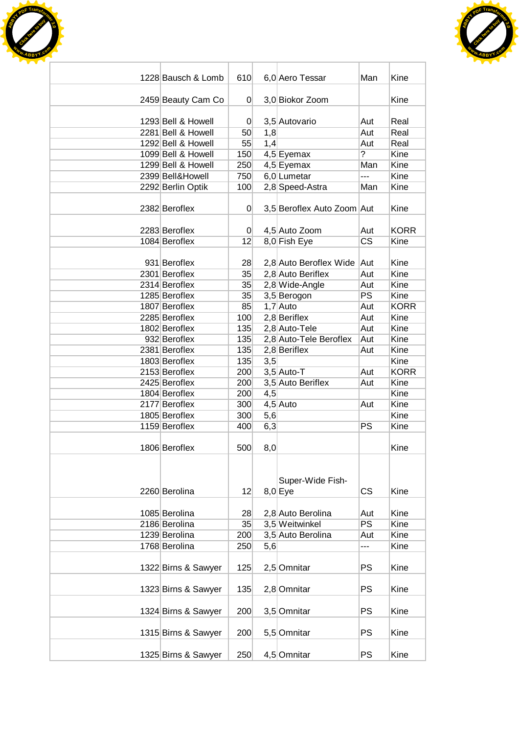



| 1228 Bausch & Lomb             | 610            |     | 6,0 Aero Tessar            | Man            | Kine         |
|--------------------------------|----------------|-----|----------------------------|----------------|--------------|
|                                |                |     |                            |                |              |
| 2459 Beauty Cam Co             | 0              |     | 3,0 Biokor Zoom            |                | Kine         |
|                                |                |     |                            |                |              |
| 1293 Bell & Howell             | 0              |     | 3,5 Autovario              | Aut            | Real         |
| 2281 Bell & Howell             | 50             | 1,8 |                            | Aut            | Real         |
| 1292 Bell & Howell             | 55             | 1,4 |                            | Aut            | Real         |
| 1099 Bell & Howell             | 150            |     | $4,5$ Eyemax               | $\overline{?}$ | Kine         |
| 1299 Bell & Howell             | 250            |     | 4,5 Eyemax                 | Man            | Kine         |
| 2399 Bell&Howell               | 750            |     | 6,0 Lumetar                | ---            | Kine         |
| 2292 Berlin Optik              | 100            |     | 2,8 Speed-Astra            | Man            | Kine         |
|                                |                |     |                            |                |              |
| 2382 Beroflex                  | 0              |     | 3,5 Beroflex Auto Zoom Aut |                | Kine         |
|                                |                |     |                            |                |              |
| 2283 Beroflex                  | $\overline{0}$ |     | 4,5 Auto Zoom              | Aut            | <b>KORR</b>  |
| 1084 Beroflex                  | 12             |     | 8,0 Fish Eye               | <b>CS</b>      | Kine         |
|                                |                |     |                            |                |              |
| 931 Beroflex                   | 28             |     | 2,8 Auto Beroflex Wide Aut |                | Kine         |
| 2301 Beroflex                  | 35             |     | 2,8 Auto Beriflex          | Aut            | Kine         |
| 2314 Beroflex                  | 35             |     | 2,8 Wide-Angle             | Aut            | Kine         |
| 1285 Beroflex                  | 35             |     | 3,5 Berogon                | <b>PS</b>      | Kine         |
| 1807 Beroflex                  | 85             |     | $1,7$ Auto                 | Aut            | <b>KORR</b>  |
| 2285 Beroflex                  | 100            |     | $2,8$ Beriflex             | Aut            | Kine         |
| 1802 Beroflex                  | 135            |     | 2,8 Auto-Tele              | Aut            | Kine         |
| 932 Beroflex                   | 135            |     | 2,8 Auto-Tele Beroflex     | Aut            | Kine         |
| 2381 Beroflex                  | 135            |     | 2,8 Beriflex               |                | Kine         |
|                                |                |     |                            | Aut            | Kine         |
| 1803 Beroflex                  | 135            | 3,5 |                            |                | <b>KORR</b>  |
| 2153 Beroflex                  | 200            |     | $3,5$ Auto-T               | Aut            |              |
| 2425 Beroflex                  | 200            |     | 3,5 Auto Beriflex          | Aut            | Kine<br>Kine |
| 1804 Beroflex<br>2177 Beroflex | 200            | 4,5 |                            |                | Kine         |
| 1805 Beroflex                  | 300            |     | $4,5$ Auto                 | Aut            |              |
|                                | 300            | 5,6 |                            |                | Kine         |
| 1159 Beroflex                  | 400            | 6,3 |                            | PS             | Kine         |
|                                |                |     |                            |                |              |
| 1806 Beroflex                  | 500            | 8,0 |                            |                | Kine         |
|                                |                |     |                            |                |              |
|                                |                |     |                            |                |              |
|                                |                |     | Super-Wide Fish-           |                |              |
| 2260 Berolina                  | 12             |     | $8,0$ Eye                  | <b>CS</b>      | Kine         |
|                                |                |     |                            |                |              |
| 1085 Berolina                  | 28             |     | 2,8 Auto Berolina          | Aut<br>PS      | Kine<br>Kine |
| 2186 Berolina                  | 35             |     | 3,5 Weitwinkel             |                |              |
| 1239 Berolina<br>1768 Berolina | 200            |     | 3,5 Auto Berolina          | Aut            | Kine         |
|                                | 250            | 5,6 |                            | ---            | Kine         |
|                                |                |     |                            |                |              |
| 1322 Birns & Sawyer            | 125            |     | 2,5 Omnitar                | <b>PS</b>      | Kine         |
|                                |                |     |                            |                |              |
| 1323 Birns & Sawyer            | 135            |     | 2,8 Omnitar                | <b>PS</b>      | Kine         |
|                                |                |     |                            |                |              |
| 1324 Birns & Sawyer            | 200            |     | 3,5 Omnitar                | <b>PS</b>      | Kine         |
|                                |                |     |                            | <b>PS</b>      |              |
| 1315 Birns & Sawyer            | 200            |     | 5,5 Omnitar                |                | Kine         |
| 1325 Birns & Sawyer            | 250            |     | 4,5 Omnitar                | <b>PS</b>      | Kine         |
|                                |                |     |                            |                |              |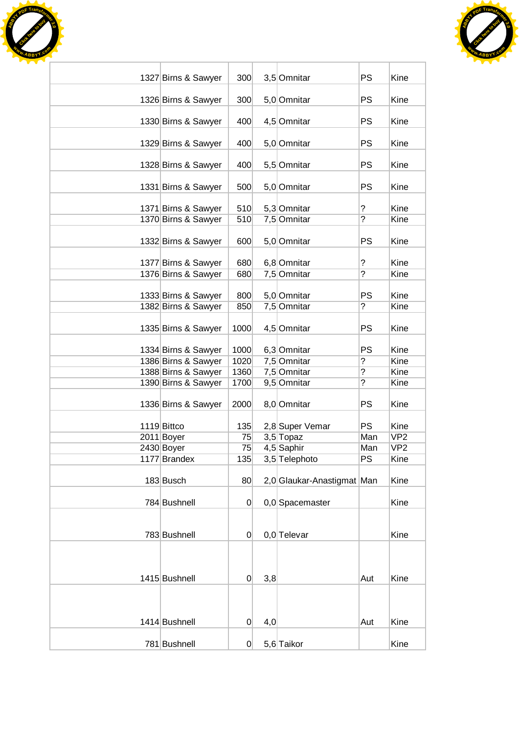



| 1327 Birns & Sawyer | 300            |     | 3,5 Omnitar                | <b>PS</b>      | Kine            |
|---------------------|----------------|-----|----------------------------|----------------|-----------------|
|                     |                |     |                            |                |                 |
| 1326 Birns & Sawyer | 300            |     | 5,0 Omnitar                | <b>PS</b>      | Kine            |
| 1330 Birns & Sawyer | 400            |     | 4,5 Omnitar                | PS             | Kine            |
|                     |                |     |                            |                |                 |
| 1329 Birns & Sawyer | 400            |     | 5,0 Omnitar                | PS             | Kine            |
| 1328 Birns & Sawyer | 400            |     | 5,5 Omnitar                | <b>PS</b>      | Kine            |
|                     |                |     |                            |                |                 |
| 1331 Birns & Sawyer | 500            |     | 5,0 Omnitar                | <b>PS</b>      | Kine            |
| 1371 Birns & Sawyer | 510            |     | 5,3 Omnitar                | ?              | Kine            |
| 1370 Birns & Sawyer | 510            |     | 7,5 Omnitar                | ?              | Kine            |
|                     |                |     |                            |                |                 |
| 1332 Birns & Sawyer | 600            |     | 5,0 Omnitar                | PS             | Kine            |
| 1377 Birns & Sawyer | 680            |     | 6,8 Omnitar                | ?              | Kine            |
| 1376 Birns & Sawyer | 680            |     | 7,5 Omnitar                | ?              | Kine            |
|                     |                |     |                            |                |                 |
| 1333 Birns & Sawyer | 800            |     | 5,0 Omnitar                | <b>PS</b>      | Kine            |
| 1382 Birns & Sawyer | 850            |     | 7,5 Omnitar                | $\tilde{.}$    | Kine            |
| 1335 Birns & Sawyer | 1000           |     | 4,5 Omnitar                | <b>PS</b>      | Kine            |
| 1334 Birns & Sawyer | 1000           |     | 6,3 Omnitar                | <b>PS</b>      | Kine            |
| 1386 Birns & Sawyer | 1020           |     | 7,5 Omnitar                | $\overline{?}$ | Kine            |
| 1388 Birns & Sawyer | 1360           |     | 7,5 Omnitar                | ?              | Kine            |
| 1390 Birns & Sawyer | 1700           |     | 9,5 Omnitar                | ?              | Kine            |
|                     |                |     |                            |                |                 |
| 1336 Birns & Sawyer | 2000           |     | 8,0 Omnitar                | PS             | Kine            |
| 1119 Bittco         | 135            |     | 2,8 Super Vemar            | <b>PS</b>      | Kine            |
| 2011 Boyer          | 75             |     | $3,5$ Topaz                | Man            | VP <sub>2</sub> |
| 2430 Boyer          | 75             |     | 4,5 Saphir                 | Man            | VP <sub>2</sub> |
| 1177 Brandex        | 135            |     | 3,5 Telephoto              | PS             | Kine            |
|                     |                |     |                            |                |                 |
| 183 Busch           | 80             |     | 2,0 Glaukar-Anastigmat Man |                | Kine            |
| 784 Bushnell        | $\Omega$       |     | 0,0 Spacemaster            |                | Kine            |
|                     |                |     |                            |                |                 |
|                     |                |     |                            |                |                 |
| 783 Bushnell        | 0              |     | $0,0$ Televar              |                | Kine            |
|                     |                |     |                            |                |                 |
|                     |                |     |                            |                |                 |
| 1415 Bushnell       | 0              | 3,8 |                            | Aut            | Kine            |
|                     |                |     |                            |                |                 |
|                     |                |     |                            |                |                 |
|                     |                |     |                            |                |                 |
| 1414 Bushnell       | 0              | 4,0 |                            | Aut            | Kine            |
| 781 Bushnell        | $\overline{0}$ |     | 5,6 Taikor                 |                | Kine            |
|                     |                |     |                            |                |                 |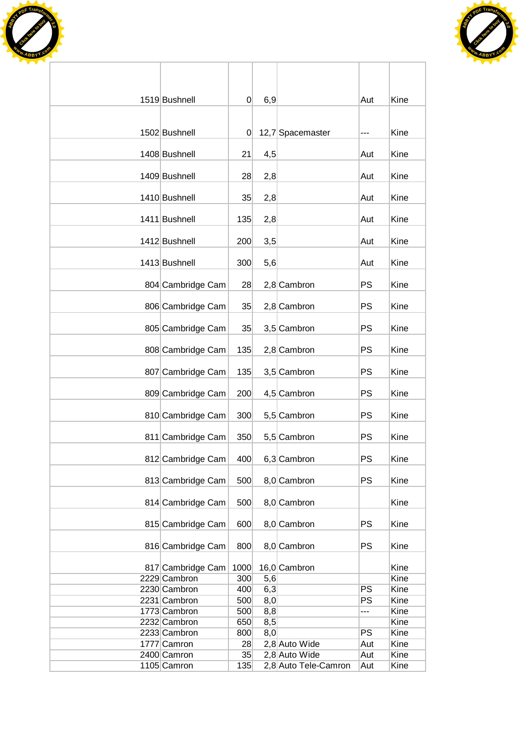



| 1519 Bushnell     | 0        | 6,9 |                      | Aut       | Kine |
|-------------------|----------|-----|----------------------|-----------|------|
|                   |          |     |                      |           |      |
| 1502 Bushnell     | $\Omega$ |     | 12,7 Spacemaster     | ---       | Kine |
| 1408 Bushnell     |          |     |                      |           | Kine |
|                   | 21       | 4,5 |                      | Aut       |      |
| 1409 Bushnell     | 28       | 2,8 |                      | Aut       | Kine |
|                   |          |     |                      |           |      |
| 1410 Bushnell     | 35       | 2,8 |                      | Aut       | Kine |
| 1411 Bushnell     | 135      | 2,8 |                      | Aut       | Kine |
|                   |          |     |                      |           |      |
| 1412 Bushnell     | 200      | 3,5 |                      | Aut       | Kine |
| 1413 Bushnell     | 300      | 5,6 |                      | Aut       | Kine |
|                   |          |     |                      |           |      |
| 804 Cambridge Cam | 28       |     | 2,8 Cambron          | <b>PS</b> | Kine |
| 806 Cambridge Cam | 35       |     | 2,8 Cambron          | <b>PS</b> | Kine |
|                   |          |     |                      |           |      |
| 805 Cambridge Cam | 35       |     | 3,5 Cambron          | <b>PS</b> | Kine |
|                   |          |     |                      |           |      |
| 808 Cambridge Cam | 135      |     | 2,8 Cambron          | <b>PS</b> | Kine |
| 807 Cambridge Cam | 135      |     | 3,5 Cambron          | <b>PS</b> | Kine |
|                   |          |     |                      |           |      |
| 809 Cambridge Cam | 200      |     | 4,5 Cambron          | <b>PS</b> | Kine |
| 810 Cambridge Cam | 300      |     | 5,5 Cambron          | PS        | Kine |
|                   |          |     |                      |           |      |
| 811 Cambridge Cam | 350      |     | 5,5 Cambron          | <b>PS</b> | Kine |
| 812 Cambridge Cam | 400      |     | 6,3 Cambron          | PS        | Kine |
|                   |          |     |                      |           |      |
| 813 Cambridge Cam | 500      |     | 8,0 Cambron          | <b>PS</b> | Kine |
| 814 Cambridge Cam | 500      |     | 8,0 Cambron          |           | Kine |
|                   |          |     |                      |           |      |
| 815 Cambridge Cam | 600      |     | 8,0 Cambron          | <b>PS</b> | Kine |
|                   |          |     |                      | <b>PS</b> |      |
| 816 Cambridge Cam | 800      |     | 8,0 Cambron          |           | Kine |
| 817 Cambridge Cam | 1000     |     | 16,0 Cambron         |           | Kine |
| 2229 Cambron      | 300      | 5,6 |                      |           | Kine |
| 2230 Cambron      | 400      | 6,3 |                      | PS        | Kine |
| 2231 Cambron      | 500      | 8,0 |                      | PS        | Kine |
| 1773 Cambron      | 500      | 8,8 |                      | ---       | Kine |
| 2232 Cambron      | 650      | 8,5 |                      |           | Kine |
| 2233 Cambron      | 800      | 8,0 |                      | <b>PS</b> | Kine |
| 1777 Camron       | 28       |     | 2,8 Auto Wide        | Aut       | Kine |
| 2400 Camron       | 35       |     | 2,8 Auto Wide        | Aut       | Kine |
| 1105 Camron       | 135      |     | 2,8 Auto Tele-Camron | Aut       | Kine |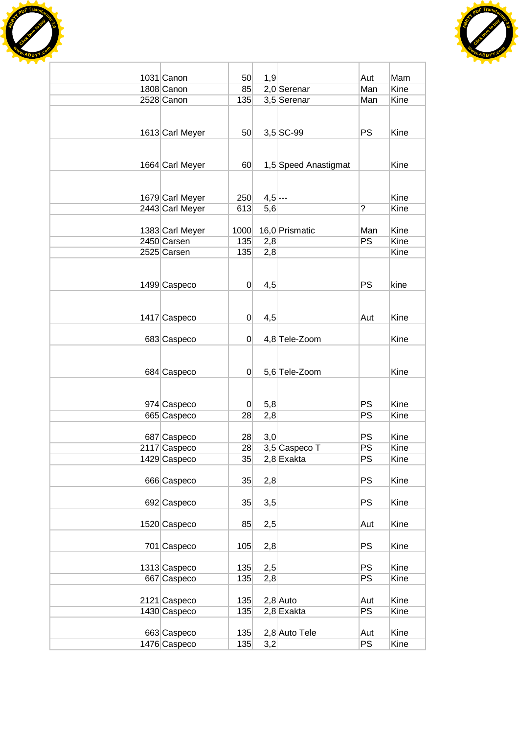



| 1031 Canon      | 50             | 1,9       |                      | Aut                      | Mam  |
|-----------------|----------------|-----------|----------------------|--------------------------|------|
| 1808 Canon      | 85             |           | $2,0$ Serenar        | Man                      | Kine |
| 2528 Canon      | 135            |           | 3,5 Serenar          | Man                      | Kine |
|                 |                |           |                      |                          |      |
|                 |                |           |                      |                          |      |
|                 | 50             |           | $3,5$ SC-99          | <b>PS</b>                | Kine |
| 1613 Carl Meyer |                |           |                      |                          |      |
|                 |                |           |                      |                          |      |
|                 |                |           |                      |                          | Kine |
| 1664 Carl Meyer | 60             |           | 1,5 Speed Anastigmat |                          |      |
|                 |                |           |                      |                          |      |
|                 |                |           |                      |                          |      |
| 1679 Carl Meyer | 250            | $4,5$ --- |                      | $\overline{\phantom{a}}$ | Kine |
| 2443 Carl Meyer | 613            | 5,6       |                      |                          | Kine |
|                 |                |           |                      |                          |      |
| 1383 Carl Meyer | 1000           |           | 16,0 Prismatic       | Man                      | Kine |
| 2450 Carsen     | 135            | 2,8       |                      | <b>PS</b>                | Kine |
| 2525 Carsen     | 135            | 2,8       |                      |                          | Kine |
|                 |                |           |                      |                          |      |
|                 |                |           |                      |                          |      |
| 1499 Caspeco    | 0              | 4,5       |                      | <b>PS</b>                | kine |
|                 |                |           |                      |                          |      |
|                 |                |           |                      |                          |      |
| 1417 Caspeco    | $\overline{0}$ | 4,5       |                      | Aut                      | Kine |
|                 |                |           |                      |                          |      |
| 683 Caspeco     | $\Omega$       |           | 4,8 Tele-Zoom        |                          | Kine |
|                 |                |           |                      |                          |      |
|                 |                |           |                      |                          |      |
| 684 Caspeco     | $\Omega$       |           | 5,6 Tele-Zoom        |                          | Kine |
|                 |                |           |                      |                          |      |
|                 |                |           |                      |                          |      |
| 974 Caspeco     | $\overline{0}$ | 5,8       |                      | PS                       | Kine |
| 665 Caspeco     | 28             | 2,8       |                      | PS                       | Kine |
|                 |                |           |                      |                          |      |
| 687 Caspeco     | 28             | 3,0       |                      | <b>PS</b>                | Kine |
| 2117 Caspeco    | 28             |           | 3,5 Caspeco T        | PS                       | Kine |
| 1429 Caspeco    | 35             |           | $2,8$ Exakta         | <b>PS</b>                | Kine |
|                 |                |           |                      |                          |      |
| 666 Caspeco     | 35             | 2,8       |                      | <b>PS</b>                | Kine |
|                 |                |           |                      |                          |      |
| 692 Caspeco     | 35             | 3,5       |                      | <b>PS</b>                | Kine |
|                 |                |           |                      |                          |      |
| 1520 Caspeco    | 85             | 2,5       |                      | Aut                      | Kine |
|                 |                |           |                      |                          |      |
| 701 Caspeco     | 105            | 2,8       |                      | <b>PS</b>                | Kine |
|                 |                |           |                      |                          |      |
| 1313 Caspeco    | 135            | 2,5       |                      | <b>PS</b>                | Kine |
| 667 Caspeco     | 135            | 2,8       |                      | <b>PS</b>                | Kine |
|                 |                |           |                      |                          |      |
| 2121 Caspeco    | 135            |           | $2,8$ Auto           | Aut                      | Kine |
| 1430 Caspeco    | 135            |           | $2,8$ Exakta         | PS                       | Kine |
|                 |                |           |                      |                          |      |
| 663 Caspeco     | 135            |           | 2,8 Auto Tele        | Aut                      | Kine |
| 1476 Caspeco    | 135            | 3,2       |                      | <b>PS</b>                | Kine |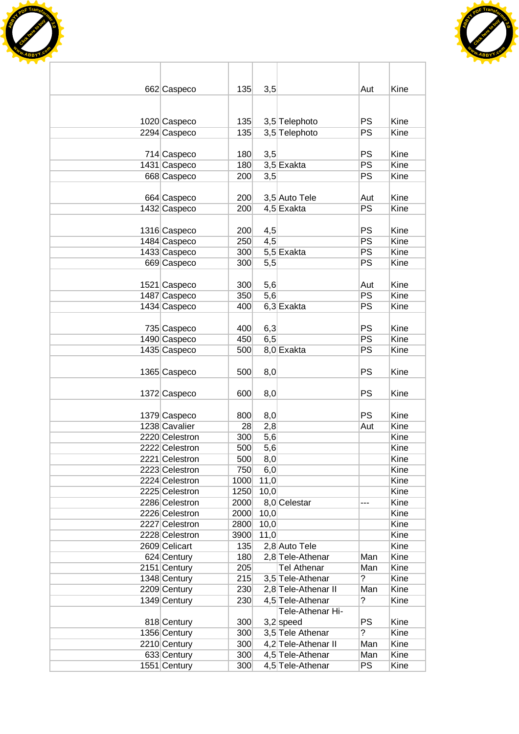



| 662 Caspeco    | 135  | 3,5  |                                 | Aut             | Kine         |
|----------------|------|------|---------------------------------|-----------------|--------------|
|                |      |      |                                 |                 |              |
|                |      |      |                                 |                 |              |
| 1020 Caspeco   | 135  |      | 3,5 Telephoto                   | <b>PS</b>       | Kine         |
| 2294 Caspeco   | 135  |      | 3,5 Telephoto                   | PS              | Kine         |
| 714 Caspeco    | 180  | 3,5  |                                 | <b>PS</b>       | Kine         |
| 1431 Caspeco   | 180  |      | 3,5 Exakta                      | <b>PS</b>       | Kine         |
| 668 Caspeco    | 200  | 3,5  |                                 | PS              | Kine         |
|                |      |      |                                 |                 |              |
| 664 Caspeco    | 200  |      | 3,5 Auto Tele                   | Aut             | Kine         |
| 1432 Caspeco   | 200  |      | 4,5 Exakta                      | <b>PS</b>       | Kine         |
|                |      |      |                                 |                 |              |
| 1316 Caspeco   | 200  | 4,5  |                                 | <b>PS</b>       | Kine         |
| 1484 Caspeco   | 250  | 4,5  |                                 | <b>PS</b><br>PS | Kine<br>Kine |
| 1433 Caspeco   | 300  |      | 5,5 Exakta                      | PS              | Kine         |
| 669 Caspeco    | 300  | 5,5  |                                 |                 |              |
| 1521 Caspeco   | 300  | 5,6  |                                 | Aut             | Kine         |
| 1487 Caspeco   | 350  | 5,6  |                                 | PS              | Kine         |
| 1434 Caspeco   | 400  |      | $6,3$ Exakta                    | PS              | Kine         |
|                |      |      |                                 |                 |              |
| 735 Caspeco    | 400  | 6,3  |                                 | PS              | Kine         |
| 1490 Caspeco   | 450  | 6,5  |                                 | PS              | Kine         |
| 1435 Caspeco   | 500  |      | 8,0 Exakta                      | <b>PS</b>       | Kine         |
|                |      |      |                                 |                 |              |
| 1365 Caspeco   | 500  | 8,0  |                                 | <b>PS</b>       | Kine         |
| 1372 Caspeco   | 600  | 8,0  |                                 | <b>PS</b>       | Kine         |
|                |      |      |                                 |                 |              |
| 1379 Caspeco   | 800  | 8,0  |                                 | <b>PS</b>       | Kine         |
| 1238 Cavalier  | 28   | 2,8  |                                 | Aut             | Kine         |
| 2220 Celestron | 300  | 5,6  |                                 |                 | Kine         |
| 2222 Celestron | 500  | 5,6  |                                 |                 | Kine         |
| 2221 Celestron | 500  | 8,0  |                                 |                 | Kine         |
| 2223 Celestron | 750  | 6,0  |                                 |                 | Kine         |
| 2224 Celestron | 1000 | 11,0 |                                 |                 | Kine         |
| 2225 Celestron | 1250 | 10,0 |                                 |                 | Kine         |
| 2286 Celestron | 2000 |      | 8,0 Celestar                    | ---             | Kine         |
| 2226 Celestron | 2000 | 10,0 |                                 |                 | Kine         |
| 2227 Celestron | 2800 | 10,0 |                                 |                 | Kine         |
| 2228 Celestron | 3900 | 11,0 |                                 |                 | Kine         |
| 2609 Celicart  | 135  |      | 2,8 Auto Tele                   |                 | Kine         |
| 624 Century    | 180  |      | 2,8 Tele-Athenar                | Man             | Kine         |
| 2151 Century   | 205  |      | <b>Tel Athenar</b>              | Man             | Kine         |
| 1348 Century   | 215  |      | 3,5 Tele-Athenar                | ?               | Kine         |
| 2209 Century   | 230  |      | 2,8 Tele-Athenar II             | Man             | Kine         |
| 1349 Century   | 230  |      | 4,5 Tele-Athenar                | ?               | Kine         |
| 818 Century    | 300  |      | Tele-Athenar Hi-<br>$3,2$ speed | <b>PS</b>       | Kine         |
| 1356 Century   | 300  |      | 3,5 Tele Athenar                | $\overline{?}$  | Kine         |
| 2210 Century   | 300  |      | 4,2 Tele-Athenar II             | Man             | Kine         |
| 633 Century    | 300  |      | 4,5 Tele-Athenar                | Man             | Kine         |
| 1551 Century   | 300  |      | 4,5 Tele-Athenar                | <b>PS</b>       | Kine         |
|                |      |      |                                 |                 |              |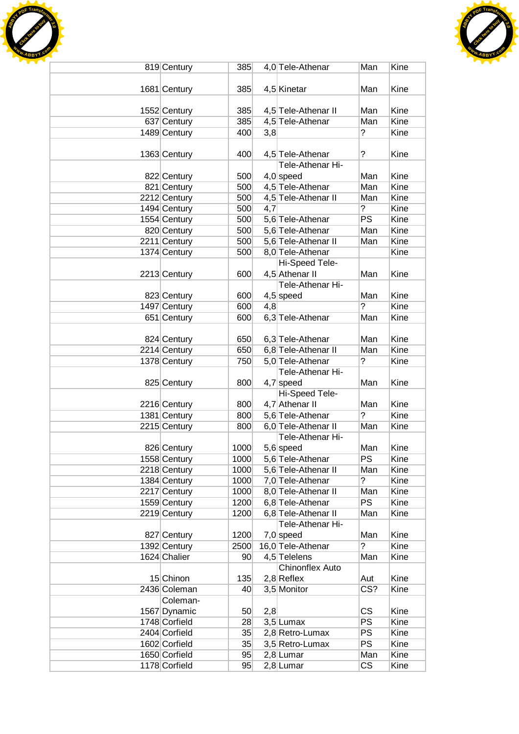



| 819 Century   | 385             |     | 4,0 Tele-Athenar       | Man                     | Kine        |
|---------------|-----------------|-----|------------------------|-------------------------|-------------|
|               |                 |     |                        |                         |             |
| 1681 Century  | 385             |     | 4,5 Kinetar            | Man                     | Kine        |
|               |                 |     |                        |                         |             |
|               |                 |     |                        |                         |             |
| 1552 Century  | 385             |     | 4,5 Tele-Athenar II    | Man                     | Kine        |
| 637 Century   | 385             |     | 4,5 Tele-Athenar       | Man                     | Kine        |
| 1489 Century  | 400             | 3,8 |                        | ?                       | Kine        |
|               |                 |     |                        |                         |             |
| 1363 Century  | 400             |     | 4,5 Tele-Athenar       | $\tilde{?}$             | Kine        |
|               |                 |     | Tele-Athenar Hi-       |                         |             |
| 822 Century   | 500             |     | $4,0$ speed            | Man                     | Kine        |
| 821 Century   | 500             |     | 4,5 Tele-Athenar       | Man                     | Kine        |
| 2212 Century  | 500             |     | 4,5 Tele-Athenar II    | Man                     | Kine        |
| 1494 Century  | 500             | 4,7 |                        | ?                       | Kine        |
|               |                 |     |                        | PS                      | Kine        |
| 1554 Century  | 500             |     | 5,6 Tele-Athenar       |                         |             |
| 820 Century   | 500             |     | 5,6 Tele-Athenar       | Man                     | Kine        |
| 2211 Century  | 500             |     | 5,6 Tele-Athenar II    | Man                     | Kine        |
| 1374 Century  | 500             |     | 8,0 Tele-Athenar       |                         | Kine        |
|               |                 |     | Hi-Speed Tele-         |                         |             |
| 2213 Century  | 600             |     | 4,5 Athenar II         | Man                     | Kine        |
|               |                 |     | Tele-Athenar Hi-       |                         |             |
| 823 Century   | 600             |     | $4,5$ speed            | Man                     | Kine        |
| 1497 Century  | 600             | 4,8 |                        | $\tilde{?}$             | Kine        |
| 651 Century   | 600             |     | 6,3 Tele-Athenar       | Man                     | Kine        |
|               |                 |     |                        |                         |             |
|               |                 |     |                        |                         |             |
| 824 Century   | 650             |     | 6,3 Tele-Athenar       | Man                     | Kine        |
| 2214 Century  | 650             |     | 6,8 Tele-Athenar II    | Man                     | Kine        |
| 1378 Century  | 750             |     | 5,0 Tele-Athenar       | ?                       | Kine        |
|               |                 |     | Tele-Athenar Hi-       |                         |             |
| 825 Century   | 800             |     | $4,7$ speed            | Man                     | Kine        |
|               |                 |     | Hi-Speed Tele-         |                         |             |
| 2216 Century  | 800             |     | 4,7 Athenar II         | Man                     | Kine        |
| 1381 Century  | 800             |     | 5,6 Tele-Athenar       | $\tilde{?}$             | Kine        |
| 2215 Century  | 800             |     | 6,0 Tele-Athenar II    | Man                     | Kine        |
|               |                 |     | Tele-Athenar Hi-       |                         |             |
| 826 Century   | 1000            |     | 5,6 speed              | Man                     | Kine        |
|               |                 |     |                        |                         |             |
| 1558 Century  | 1000            |     | 5,6 Tele-Athenar       | <b>PS</b>               | Kine        |
| 2218 Century  | 1000            |     | 5,6 Tele-Athenar II    | Man                     | Kine        |
| 1384 Century  | 1000            |     | 7,0 Tele-Athenar       | ?                       | Kine        |
| 2217 Century  | 1000            |     | 8,0 Tele-Athenar II    | Man                     | Kine        |
| 1559 Century  | 1200            |     | 6,8 Tele-Athenar       | <b>PS</b>               | Kine        |
| 2219 Century  | 1200            |     | 6,8 Tele-Athenar II    | Man                     | Kine        |
|               |                 |     | Tele-Athenar Hi-       |                         |             |
| 827 Century   | 1200            |     | $7,0$ speed            | Man                     | Kine        |
| 1392 Century  | 2500            |     | 16,0 Tele-Athenar      | $\overline{?}$          | <b>Kine</b> |
| 1624 Chalier  | 90 <sup>°</sup> |     | 4,5 Telelens           | Man                     | Kine        |
|               |                 |     | <b>Chinonflex Auto</b> |                         |             |
|               |                 |     |                        |                         |             |
| 15 Chinon     | 135             |     | $2,8$ Reflex           | Aut                     | Kine        |
| 2436 Coleman  | 40              |     | 3,5 Monitor            | $\overline{\text{CS}'}$ | Kine        |
| Coleman-      |                 |     |                        |                         |             |
| 1567 Dynamic  | 50              | 2,8 |                        | CS                      | Kine        |
| 1748 Corfield | 28              |     | $3,5$ Lumax            | PS                      | Kine        |
| 2404 Corfield | 35              |     | 2,8 Retro-Lumax        | PS                      | Kine        |
| 1602 Corfield | 35              |     | 3,5 Retro-Lumax        | <b>PS</b>               | Kine        |
| 1650 Corfield | 95              |     | $2,8$ Lumar            | Man                     | Kine        |
| 1178 Corfield | 95              |     | $2,8$ Lumar            | $\overline{\text{CS}}$  | Kine        |
|               |                 |     |                        |                         |             |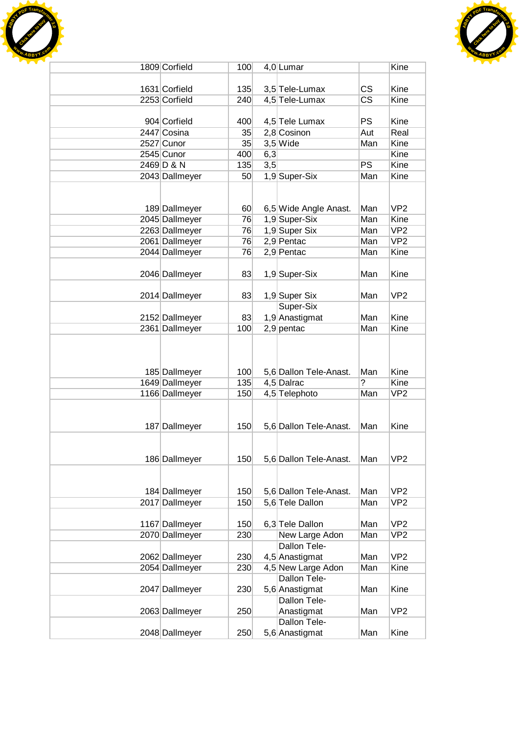



| 1809 Corfield  | 100             |     | 4,0 Lumar              |                        | Kine            |
|----------------|-----------------|-----|------------------------|------------------------|-----------------|
|                |                 |     |                        |                        |                 |
| 1631 Corfield  | 135             |     | 3,5 Tele-Lumax         | <b>CS</b>              | Kine            |
| 2253 Corfield  | 240             |     | 4,5 Tele-Lumax         | $\overline{\text{CS}}$ | Kine            |
|                |                 |     |                        |                        |                 |
| 904 Corfield   | 400             |     | 4,5 Tele Lumax         | <b>PS</b>              | Kine            |
| 2447 Cosina    | 35              |     | 2,8 Cosinon            | Aut                    | Real            |
| 2527 Cunor     | 35              |     | $3,5$ Wide             | Man                    | Kine            |
| 2545 Cunor     | 400             |     |                        |                        | Kine            |
|                |                 | 6,3 |                        | <b>PS</b>              |                 |
| 2469 D & N     | 135             | 3,5 |                        |                        | Kine            |
| 2043 Dallmeyer | 50              |     | 1,9 Super-Six          | Man                    | Kine            |
|                |                 |     |                        |                        |                 |
|                |                 |     |                        |                        |                 |
| 189 Dallmeyer  | 60 <sup>°</sup> |     | 6,5 Wide Angle Anast.  | Man                    | VP <sub>2</sub> |
| 2045 Dallmeyer | 76              |     | 1,9 Super-Six          | Man                    | Kine            |
| 2263 Dallmeyer | 76              |     | 1,9 Super Six          | Man                    | VP <sub>2</sub> |
| 2061 Dallmeyer | 76              |     | 2,9 Pentac             | Man                    | VP <sub>2</sub> |
| 2044 Dallmeyer | 76              |     | 2,9 Pentac             | Man                    | Kine            |
|                |                 |     |                        |                        |                 |
| 2046 Dallmeyer | 83              |     | 1,9 Super-Six          | Man                    | Kine            |
|                |                 |     |                        |                        |                 |
| 2014 Dallmeyer | 83              |     | 1,9 Super Six          | Man                    | VP <sub>2</sub> |
|                |                 |     | Super-Six              |                        |                 |
| 2152 Dallmeyer | 83              |     | 1,9 Anastigmat         | Man                    | Kine            |
| 2361 Dallmeyer | 100             |     | $2,9$ pentac           | Man                    | Kine            |
|                |                 |     |                        |                        |                 |
|                |                 |     |                        |                        |                 |
|                |                 |     |                        |                        |                 |
| 185 Dallmeyer  | 100             |     | 5,6 Dallon Tele-Anast. | Man                    | Kine            |
| 1649 Dallmeyer | 135             |     | 4,5 Dalrac             | ?                      | Kine            |
| 1166 Dallmeyer | 150             |     | 4,5 Telephoto          | Man                    | VP <sub>2</sub> |
|                |                 |     |                        |                        |                 |
|                |                 |     |                        |                        |                 |
|                |                 |     |                        |                        |                 |
| 187 Dallmeyer  | 150             |     | 5,6 Dallon Tele-Anast. | Man                    | Kine            |
|                |                 |     |                        |                        |                 |
|                |                 |     |                        |                        |                 |
| 186 Dallmeyer  | 150             |     | 5,6 Dallon Tele-Anast. | Man                    | VP <sub>2</sub> |
|                |                 |     |                        |                        |                 |
|                |                 |     |                        |                        |                 |
| 184 Dallmeyer  | 150             |     | 5,6 Dallon Tele-Anast. | Man                    | VP <sub>2</sub> |
| 2017 Dallmeyer | 150             |     | 5,6 Tele Dallon        | Man                    | VP <sub>2</sub> |
|                |                 |     |                        |                        |                 |
| 1167 Dallmeyer | 150             |     | 6,3 Tele Dallon        | Man                    | VP <sub>2</sub> |
| 2070 Dallmeyer | 230             |     | New Large Adon         | Man                    | VP <sub>2</sub> |
|                |                 |     | Dallon Tele-           |                        |                 |
| 2062 Dallmeyer | 230             |     | 4,5 Anastigmat         | Man                    | VP <sub>2</sub> |
| 2054 Dallmeyer | 230             |     | 4,5 New Large Adon     | Man                    | Kine            |
|                |                 |     | Dallon Tele-           |                        |                 |
| 2047 Dallmeyer | 230             |     | 5,6 Anastigmat         | Man                    | Kine            |
|                |                 |     | Dallon Tele-           |                        |                 |
| 2063 Dallmeyer | 250             |     | Anastigmat             | Man                    | VP <sub>2</sub> |
|                |                 |     | Dallon Tele-           |                        |                 |
| 2048 Dallmeyer | 250             |     | 5,6 Anastigmat         | Man                    | Kine            |
|                |                 |     |                        |                        |                 |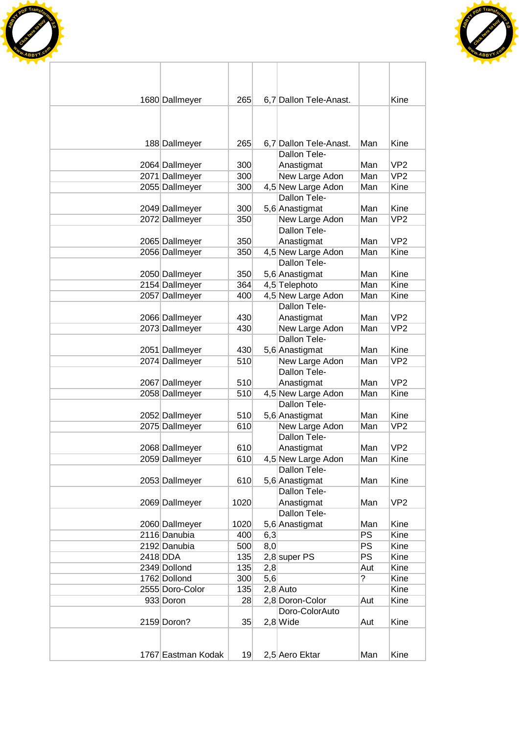



| 1680 Dallmeyer     | 265  |     | 6,7 Dallon Tele-Anast. |           | Kine            |
|--------------------|------|-----|------------------------|-----------|-----------------|
|                    |      |     |                        |           |                 |
| 188 Dallmeyer      | 265  |     | 6.7 Dallon Tele-Anast. | Man       | Kine            |
|                    |      |     | Dallon Tele-           |           |                 |
| 2064 Dallmeyer     | 300  |     | Anastigmat             | Man       | VP <sub>2</sub> |
| 2071 Dallmeyer     | 300  |     | New Large Adon         | Man       | VP <sub>2</sub> |
| 2055 Dallmeyer     | 300  |     | 4,5 New Large Adon     | Man       | Kine            |
|                    |      |     | Dallon Tele-           |           |                 |
| 2049 Dallmeyer     | 300  |     | 5,6 Anastigmat         | Man       | Kine            |
| 2072 Dallmeyer     | 350  |     | New Large Adon         | Man       | VP <sub>2</sub> |
|                    |      |     | Dallon Tele-           |           |                 |
| 2065 Dallmeyer     | 350  |     | Anastigmat             | Man       | VP <sub>2</sub> |
| 2056 Dallmeyer     | 350  |     | 4,5 New Large Adon     | Man       | Kine            |
|                    |      |     | Dallon Tele-           |           |                 |
| 2050 Dallmeyer     | 350  |     | 5,6 Anastigmat         | Man       | Kine            |
| 2154 Dallmeyer     | 364  |     | 4,5 Telephoto          | Man       | Kine            |
| 2057 Dallmeyer     | 400  |     | 4,5 New Large Adon     | Man       | Kine            |
|                    |      |     | Dallon Tele-           |           |                 |
| 2066 Dallmeyer     | 430  |     | Anastigmat             | Man       | VP <sub>2</sub> |
| 2073 Dallmeyer     | 430  |     | New Large Adon         | Man       | VP <sub>2</sub> |
|                    |      |     | Dallon Tele-           |           |                 |
| 2051 Dallmeyer     | 430  |     | 5,6 Anastigmat         | Man       | Kine            |
| 2074 Dallmeyer     | 510  |     | New Large Adon         | Man       | VP <sub>2</sub> |
|                    |      |     | Dallon Tele-           |           |                 |
| 2067 Dallmeyer     | 510  |     | Anastigmat             | Man       | VP <sub>2</sub> |
| 2058 Dallmeyer     | 510  |     | 4,5 New Large Adon     | Man       | Kine            |
|                    |      |     | Dallon Tele-           |           |                 |
| 2052 Dallmeyer     | 510  |     | 5,6 Anastigmat         | Man       | Kine            |
| 2075 Dallmeyer     | 610  |     | New Large Adon         | Man       | VP <sub>2</sub> |
|                    |      |     | Dallon Tele-           |           |                 |
| 2068 Dallmeyer     | 610  |     | Anastigmat             | Man       | VP <sub>2</sub> |
| 2059 Dallmeyer     | 610  |     | 4,5 New Large Adon     | Man       | Kine            |
|                    |      |     | Dallon Tele-           |           |                 |
| 2053 Dallmeyer     | 610  |     | 5,6 Anastigmat         | Man       | Kine            |
|                    |      |     | Dallon Tele-           |           |                 |
| 2069 Dallmeyer     | 1020 |     | Anastigmat             | Man       | VP <sub>2</sub> |
|                    |      |     | Dallon Tele-           |           |                 |
| 2060 Dallmeyer     | 1020 |     | 5,6 Anastigmat         | Man       | Kine            |
| 2116 Danubia       | 400  | 6,3 |                        | <b>PS</b> | Kine            |
| 2192 Danubia       | 500  | 8,0 |                        | PS        | Kine            |
| 2418 DDA           | 135  |     | 2,8 super PS           | <b>PS</b> | Kine            |
| 2349 Dollond       | 135  | 2,8 |                        | Aut       | Kine            |
| 1762 Dollond       | 300  | 5,6 |                        | ?         | Kine            |
| 2555 Doro-Color    | 135  |     | $2,8$ Auto             |           | Kine            |
| 933 Doron          | 28   |     | 2,8 Doron-Color        | Aut       | Kine            |
|                    |      |     | Doro-ColorAuto         |           |                 |
| 2159 Doron?        | 35   |     | $2,8$ Wide             | Aut       | Kine            |
|                    |      |     |                        |           |                 |
| 1767 Eastman Kodak | 19   |     | 2,5 Aero Ektar         | Man       | Kine            |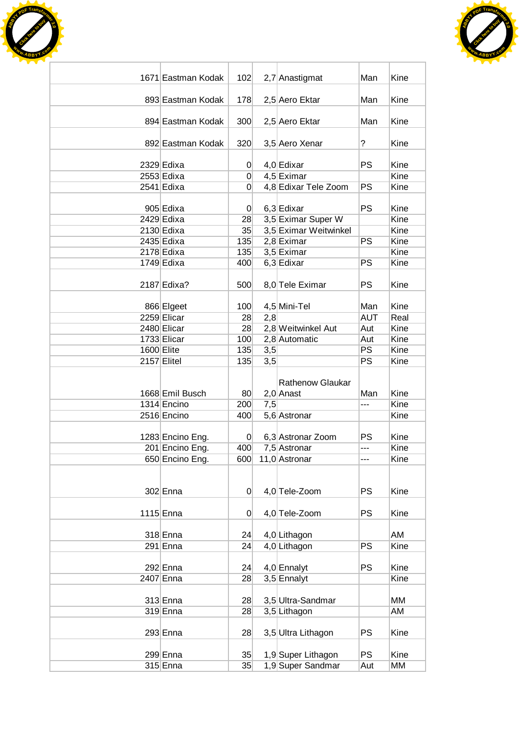



| 1671 Eastman Kodak             | 102                    |     | 2,7 Anastigmat                         | Man        | Kine         |
|--------------------------------|------------------------|-----|----------------------------------------|------------|--------------|
| 893 Eastman Kodak              | 178                    |     | 2,5 Aero Ektar                         | Man        | Kine         |
| 894 Eastman Kodak              | 300                    |     | 2,5 Aero Ektar                         | Man        | Kine         |
| 892 Eastman Kodak              | 320                    |     | 3,5 Aero Xenar                         | ?          | Kine         |
|                                |                        |     |                                        |            |              |
| 2329 Edixa                     | 0                      |     | 4,0 Edixar                             | <b>PS</b>  | Kine         |
| 2553 Edixa                     | $\Omega$               |     | 4,5 Eximar                             |            | Kine         |
| 2541 Edixa                     | 0                      |     | 4,8 Edixar Tele Zoom                   | <b>PS</b>  | Kine         |
| 905 Edixa                      | $\overline{0}$         |     | 6,3 Edixar                             | <b>PS</b>  | Kine         |
| 2429 Edixa                     | 28                     |     | 3,5 Eximar Super W                     |            | Kine         |
| 2130 Edixa                     | 35                     |     | 3,5 Eximar Weitwinkel                  |            | Kine         |
| 2435 Edixa                     | 135                    |     | 2,8 Eximar                             | <b>PS</b>  | Kine         |
| 2178 Edixa                     | 135                    |     | 3,5 Eximar                             |            | Kine         |
| 1749 Edixa                     | 400                    |     | 6,3 Edixar                             | <b>PS</b>  | Kine         |
| 2187 Edixa?                    | 500                    |     | 8,0 Tele Eximar                        | <b>PS</b>  | Kine         |
| 866 Elgeet                     | 100                    |     | 4,5 Mini-Tel                           | Man        | Kine         |
| 2259 Elicar                    | 28                     | 2,8 |                                        | <b>AUT</b> | Real         |
| 2480 Elicar                    | 28                     |     | 2,8 Weitwinkel Aut                     | Aut        | Kine         |
| 1733 Elicar                    | 100                    |     | 2,8 Automatic                          | Aut        | Kine         |
| 1600 Elite                     | 135                    | 3,5 |                                        | <b>PS</b>  | Kine         |
| 2157 Elitel                    | 135                    | 3,5 |                                        | PS         | Kine         |
| 1668 Emil Busch<br>1314 Encino | 80 <sub>l</sub><br>200 | 7,5 | <b>Rathenow Glaukar</b><br>$2,0$ Anast | Man<br>--- | Kine<br>Kine |
| 2516 Encino                    | 400                    |     | 5,6 Astronar                           |            | Kine         |
| 1283 Encino Eng.               | $\overline{0}$         |     | 6,3 Astronar Zoom                      | PS         | Kine         |
| 201 Encino Eng.                | 400                    |     | 7,5 Astronar                           | ---        | Kine         |
| 650 Encino Eng.                | 600                    |     | 11,0 Astronar                          | ---        | Kine         |
| 302 Enna                       | $\overline{0}$         |     | 4,0 Tele-Zoom                          | PS         | Kine         |
| 1115 Enna                      | $\Omega$               |     | 4,0 Tele-Zoom                          | <b>PS</b>  | Kine         |
| 318 Enna                       | 24                     |     | 4,0 Lithagon                           |            | AM           |
| 291 Enna                       | 24                     |     | 4,0 Lithagon                           | PS         | Kine         |
|                                |                        |     |                                        |            |              |
| 292 Enna                       | 24                     |     | 4,0 Ennalyt                            | <b>PS</b>  | Kine         |
| 2407 Enna                      | 28                     |     | 3,5 Ennalyt                            |            | Kine         |
|                                |                        |     |                                        |            |              |
| $313$ Enna                     | 28                     |     | 3,5 Ultra-Sandmar                      |            | МM           |
| 319 Enna                       | 28                     |     | 3,5 Lithagon                           |            | AM           |
| 293 Enna                       | 28                     |     | 3,5 Ultra Lithagon                     | <b>PS</b>  | Kine         |
| 299 Enna                       | 35                     |     | 1,9 Super Lithagon                     | <b>PS</b>  | Kine         |
| $315$ Enna                     | 35                     |     | 1,9 Super Sandmar                      | Aut        | МM           |
|                                |                        |     |                                        |            |              |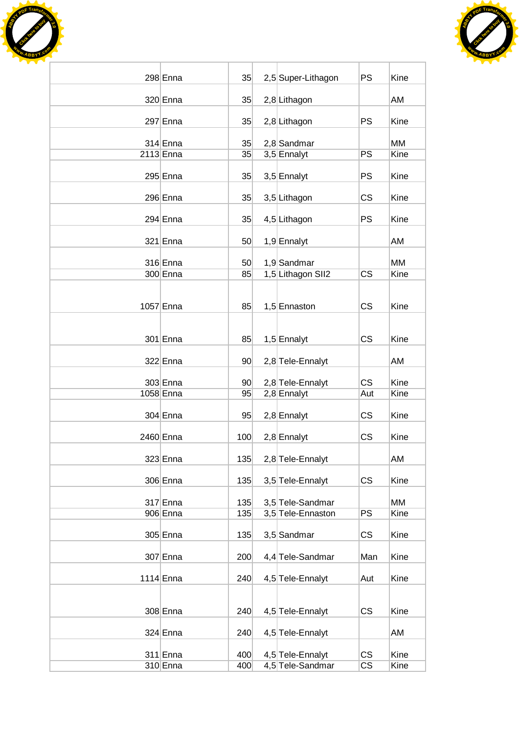

۰



| $298$ Enna  | 35              | 2,5 Super-Lithagon | <b>PS</b>              | Kine |
|-------------|-----------------|--------------------|------------------------|------|
| 320 Enna    | 35              | 2,8 Lithagon       |                        | AM   |
| 297 Enna    | 35              | 2,8 Lithagon       | <b>PS</b>              | Kine |
| $314$ Enna  | 35              | 2,8 Sandmar        |                        | MM   |
| 2113 Enna   | 35              | 3,5 Ennalyt        | PS                     | Kine |
| $295$ Enna  | 35              | 3,5 Ennalyt        | <b>PS</b>              | Kine |
| 296 Enna    | 35              | 3,5 Lithagon       | <b>CS</b>              | Kine |
| 294 Enna    | 35              | 4,5 Lithagon       | <b>PS</b>              | Kine |
| $321$ Enna  | 50              | 1,9 Ennalyt        |                        | AM   |
| $316$ Enna  | 50 <sup>°</sup> | 1,9 Sandmar        |                        | MМ   |
| $300$ Enna  | 85              | 1,5 Lithagon SII2  | <b>CS</b>              | Kine |
| 1057 Enna   | 85              | 1,5 Ennaston       | <b>CS</b>              | Kine |
| $301$ Enna  | 85              | 1,5 Ennalyt        | <b>CS</b>              | Kine |
| $322$ Enna  | 90 <sup>°</sup> | 2,8 Tele-Ennalyt   |                        | AM   |
| 303 Enna    | 90 <sup>°</sup> | 2,8 Tele-Ennalyt   | <b>CS</b>              | Kine |
| 1058 Enna   | 95              | 2,8 Ennalyt        | Aut                    | Kine |
| $304$ Enna  | 95              | 2,8 Ennalyt        | CS                     | Kine |
| 2460 Enna   | 100             | 2,8 Ennalyt        | CS                     | Kine |
| $323$ Enna  | 135             | 2,8 Tele-Ennalyt   |                        | AM   |
| 306 Enna    | 135             | 3,5 Tele-Ennalyt   | <b>CS</b>              | Kine |
| $317$ Enna  | 135             | 3,5 Tele-Sandmar   |                        | MM   |
| 906 Enna    | 135             | 3,5 Tele-Ennaston  | PS                     | Kine |
| $305$ Enna  | 135             | 3,5 Sandmar        | CS                     | Kine |
| $307$ Enna  | 200             | 4,4 Tele-Sandmar   | Man                    | Kine |
| $1114$ Enna | 240             | 4,5 Tele-Ennalyt   | Aut                    | Kine |
|             |                 |                    |                        |      |
| 308 Enna    | 240             | 4,5 Tele-Ennalyt   | <b>CS</b>              | Kine |
| 324 Enna    | 240             | 4,5 Tele-Ennalyt   |                        | AM   |
| $311$ Enna  | 400             | 4,5 Tele-Ennalyt   | CS                     | Kine |
| $310$ Enna  | 400             | 4,5 Tele-Sandmar   | $\overline{\text{CS}}$ | Kine |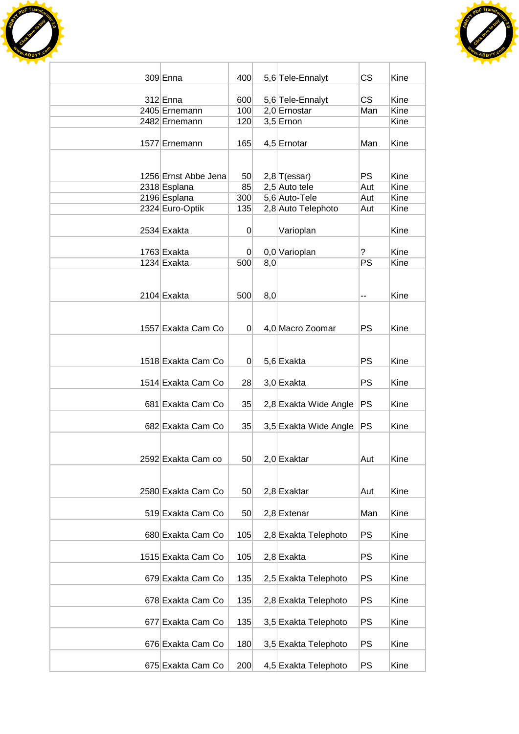



| 309 Enna                    | 400            |     | 5,6 Tele-Ennalyt                 | <b>CS</b>        | Kine         |
|-----------------------------|----------------|-----|----------------------------------|------------------|--------------|
|                             |                |     |                                  |                  |              |
| $312$ Enna<br>2405 Ernemann | 600<br>100     |     | 5,6 Tele-Ennalyt<br>2,0 Ernostar | <b>CS</b><br>Man | Kine<br>Kine |
| 2482 Ernemann               | 120            |     | $3,5$ Ernon                      |                  | Kine         |
|                             |                |     |                                  |                  |              |
| 1577 Ernemann               | 165            |     | 4,5 Ernotar                      | Man              | Kine         |
|                             |                |     |                                  |                  |              |
| 1256 Ernst Abbe Jena        | 50             |     | $2,8$ T(essar)                   | <b>PS</b>        | Kine         |
| 2318 Esplana                | 85             |     | 2,5 Auto tele                    | Aut              | Kine         |
| 2196 Esplana                | 300            |     | 5,6 Auto-Tele                    | Aut              | Kine         |
| 2324 Euro-Optik             | 135            |     | 2,8 Auto Telephoto               | Aut              | Kine         |
|                             |                |     |                                  |                  |              |
| 2534 Exakta                 | 0              |     | Varioplan                        |                  | Kine         |
| 1763 Exakta                 | $\overline{0}$ |     | 0,0 Varioplan                    | ?                | Kine         |
| 1234 Exakta                 | 500            | 8,0 |                                  | PS               | Kine         |
|                             |                |     |                                  |                  |              |
|                             |                |     |                                  |                  |              |
| 2104 Exakta                 | 500            | 8,0 |                                  | --               | Kine         |
|                             |                |     |                                  |                  |              |
| 1557 Exakta Cam Co          | $\overline{0}$ |     | 4,0 Macro Zoomar                 | <b>PS</b>        | Kine         |
|                             |                |     |                                  |                  |              |
|                             |                |     |                                  |                  |              |
| 1518 Exakta Cam Co          | 0              |     | 5,6 Exakta                       | <b>PS</b>        | Kine         |
| 1514 Exakta Cam Co          | 28             |     |                                  | <b>PS</b>        | Kine         |
|                             |                |     | 3,0 Exakta                       |                  |              |
| 681 Exakta Cam Co           | 35             |     | 2,8 Exakta Wide Angle            | <b>PS</b>        | Kine         |
|                             |                |     |                                  |                  |              |
| 682 Exakta Cam Co           | 35             |     | 3,5 Exakta Wide Angle            | <b>PS</b>        | Kine         |
|                             |                |     |                                  |                  |              |
| 2592 Exakta Cam co          | 50             |     | 2,0 Exaktar                      | Aut              | Kine         |
|                             |                |     |                                  |                  |              |
|                             |                |     |                                  |                  |              |
| 2580 Exakta Cam Co          | 50             |     | $2,8$ Exaktar                    | Aut              | Kine         |
|                             |                |     |                                  |                  |              |
| 519 Exakta Cam Co           | 50             |     | $2,8$ Extenar                    | Man              | Kine         |
| 680 Exakta Cam Co           | 105            |     | 2,8 Exakta Telephoto             | <b>PS</b>        | Kine         |
|                             |                |     |                                  |                  |              |
| 1515 Exakta Cam Co          | 105            |     | $2,8$ Exakta                     | PS               | Kine         |
|                             |                |     |                                  |                  |              |
| 679 Exakta Cam Co           | 135            |     | 2,5 Exakta Telephoto             | PS               | Kine         |
| 678 Exakta Cam Co           | 135            |     | 2,8 Exakta Telephoto             | PS               | Kine         |
|                             |                |     |                                  |                  |              |
| 677 Exakta Cam Co           | 135            |     | 3,5 Exakta Telephoto             | <b>PS</b>        | Kine         |
|                             |                |     |                                  |                  |              |
| 676 Exakta Cam Co           | 180            |     | 3,5 Exakta Telephoto             | PS               | Kine         |
| 675 Exakta Cam Co           | 200            |     | 4,5 Exakta Telephoto             | <b>PS</b>        | Kine         |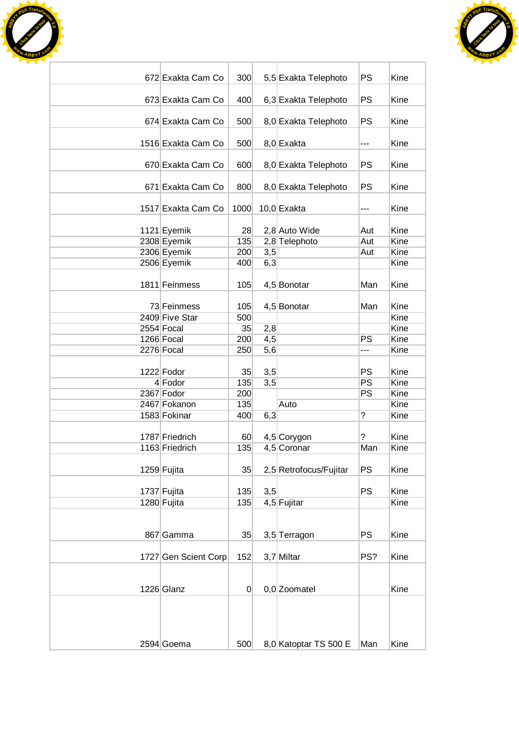



| 672 Exakta Cam Co    | 300      |     |                        | PS        | Kine |
|----------------------|----------|-----|------------------------|-----------|------|
|                      |          |     | 5,5 Exakta Telephoto   |           |      |
| 673 Exakta Cam Co    | 400      |     | 6,3 Exakta Telephoto   | PS        | Kine |
| 674 Exakta Cam Co    | 500      |     | 8,0 Exakta Telephoto   | PS        | Kine |
| 1516 Exakta Cam Co   | 500      |     | 8,0 Exakta             | ---       | Kine |
|                      |          |     |                        |           |      |
| 670 Exakta Cam Co    | 600      |     | 8,0 Exakta Telephoto   | PS        | Kine |
| 671 Exakta Cam Co    | 800      |     | 8,0 Exakta Telephoto   | PS        | Kine |
| 1517 Exakta Cam Co   | 1000     |     | $10,0$ Exakta          | ---       | Kine |
| 1121 Eyemik          | 28       |     | 2,8 Auto Wide          | Aut       | Kine |
| 2308 Eyemik          | 135      |     | 2,8 Telephoto          | Aut       | Kine |
| 2306 Eyemik          | 200      | 3,5 |                        | Aut       | Kine |
| 2506 Eyemik          | 400      | 6,3 |                        |           | Kine |
|                      |          |     |                        |           |      |
| 1811 Feinmess        | 105      |     | 4,5 Bonotar            | Man       | Kine |
| 73 Feinmess          | 105      |     | 4,5 Bonotar            | Man       | Kine |
| 2409 Five Star       | 500      |     |                        |           | Kine |
| 2554 Focal           | 35       | 2,8 |                        |           | Kine |
| 1266 Focal           | 200      | 4,5 |                        | PS        | Kine |
| 2276 Focal           | 250      | 5,6 |                        | ---       | Kine |
|                      |          |     |                        |           |      |
| 1222 Fodor           | 35       | 3,5 |                        | PS        | Kine |
| $4$ Fodor            | 135      | 3,5 |                        | <b>PS</b> | Kine |
| 2367 Fodor           | 200      |     |                        | PS        | Kine |
| 2467 Fokanon         | 135      |     | Auto                   |           | Kine |
| 1583 Fokinar         | 400      | 6,3 |                        | ?         | Kine |
|                      |          |     |                        |           |      |
| 1787 Friedrich       | 60       |     | 4,5 Corygon            | ?         | Kine |
| 1163 Friedrich       | 135      |     | 4,5 Coronar            | Man       | Kine |
| 1259 Fujita          | 35       |     | 2,5 Retrofocus/Fujitar | PS        | Kine |
|                      |          |     |                        |           |      |
| 1737 Fujita          | 135      | 3,5 |                        | <b>PS</b> | Kine |
| 1280 Fujita          | 135      |     | 4,5 Fujitar            |           | Kine |
|                      |          |     |                        |           |      |
|                      |          |     |                        |           |      |
| 867 Gamma            | 35       |     | 3,5 Terragon           | <b>PS</b> | Kine |
| 1727 Gen Scient Corp | 152      |     | 3,7 Miltar             | PS?       | Kine |
|                      |          |     |                        |           |      |
| 1226 Glanz           | $\Omega$ |     | $0,0$ Zoomatel         |           | Kine |
|                      |          |     |                        |           |      |
|                      |          |     |                        |           |      |
|                      |          |     |                        |           |      |
|                      |          |     |                        |           |      |
| 2594 Goema           | 500      |     | 8,0 Katoptar TS 500 E  | Man       | Kine |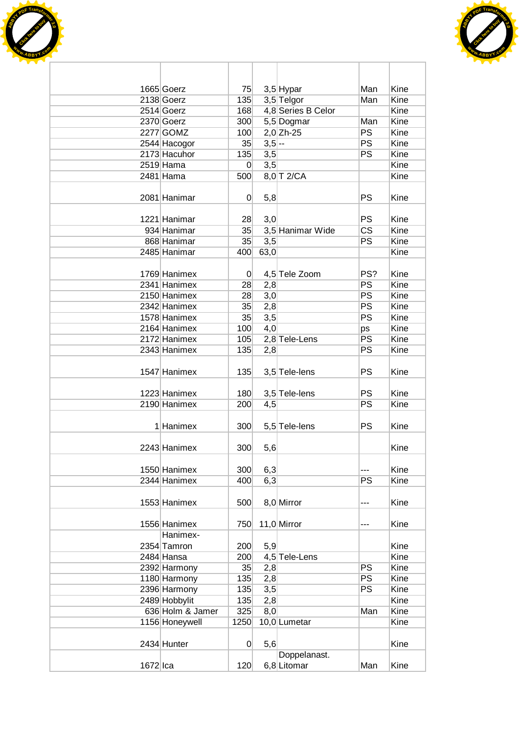



|            | 1665 Goerz       | 75             |                  | $3,5$ Hypar        | Man       | Kine        |
|------------|------------------|----------------|------------------|--------------------|-----------|-------------|
|            | 2138 Goerz       | 135            |                  | 3,5 Telgor         | Man       | Kine        |
|            | 2514 Goerz       | 168            |                  | 4,8 Series B Celor |           | Kine        |
|            | 2370 Goerz       | 300            |                  | 5,5 Dogmar         | Man       | Kine        |
|            | 2277 GOMZ        | 100            |                  | $2,0$ Zh-25        | <b>PS</b> | Kine        |
|            | 2544 Hacogor     | 35             | $3,5$ --         |                    | PS        | Kine        |
|            | 2173 Hacuhor     | 135            | 3,5              |                    | PS        | Kine        |
|            | $2519$ Hama      | $\overline{0}$ | 3,5              |                    |           | Kine        |
|            | 2481 Hama        | 500            |                  | 8,0 T 2/CA         |           | Kine        |
|            |                  |                |                  |                    |           |             |
|            | 2081 Hanimar     | $\overline{0}$ | 5,8              |                    | PS        | Kine        |
|            |                  |                |                  |                    |           |             |
|            | 1221 Hanimar     | 28             | 3,0              |                    | <b>PS</b> | Kine        |
|            | 934 Hanimar      | 35             |                  | 3,5 Hanimar Wide   | <b>CS</b> | Kine        |
|            | 868 Hanimar      | 35             | $\overline{3,5}$ |                    | <b>PS</b> | Kine        |
|            | 2485 Hanimar     | 400            | 63,0             |                    |           | Kine        |
|            |                  |                |                  |                    |           |             |
|            | 1769 Hanimex     | $\overline{0}$ |                  | 4,5 Tele Zoom      | PS?       | Kine        |
|            | 2341 Hanimex     | 28             | 2,8              |                    | PS        | Kine        |
|            | 2150 Hanimex     | 28             | 3,0              |                    | PS        | <b>Kine</b> |
|            | 2342 Hanimex     | 35             | 2,8              |                    | <b>PS</b> | Kine        |
|            | 1578 Hanimex     | 35             | 3,5              |                    | <b>PS</b> | Kine        |
|            | 2164 Hanimex     | 100            | 4,0              |                    | ps        | Kine        |
|            | 2172 Hanimex     | 105            |                  | 2,8 Tele-Lens      | PS        | Kine        |
|            | 2343 Hanimex     | 135            | 2,8              |                    | <b>PS</b> | Kine        |
|            |                  |                |                  |                    |           |             |
|            | 1547 Hanimex     | 135            |                  | 3,5 Tele-lens      | PS        | Kine        |
|            |                  |                |                  |                    |           |             |
|            | 1223 Hanimex     | 180            |                  | 3,5 Tele-lens      | PS        | Kine        |
|            | 2190 Hanimex     | 200            | 4,5              |                    | PS        | Kine        |
|            |                  |                |                  |                    |           |             |
|            | 1 Hanimex        | 300            |                  | 5,5 Tele-lens      | <b>PS</b> | Kine        |
|            |                  |                |                  |                    |           |             |
|            | 2243 Hanimex     | 300            | 5,6              |                    |           | Kine        |
|            |                  |                |                  |                    |           |             |
|            | 1550 Hanimex     | 300            | 6,3              |                    | ---       | Kine        |
|            | 2344 Hanimex     | 400            | 6,3              |                    | PS        | Kine        |
|            |                  |                |                  |                    |           |             |
|            | 1553 Hanimex     | 500            |                  | 8,0 Mirror         | ---       | Kine        |
|            |                  |                |                  |                    |           |             |
|            | 1556 Hanimex     | 750            |                  | 11,0 Mirror        | ---       | Kine        |
|            | Hanimex-         |                |                  |                    |           |             |
|            | 2354 Tamron      | 200            | 5,9              |                    |           | Kine        |
|            | 2484 Hansa       | 200            |                  | 4,5 Tele-Lens      |           | Kine        |
|            | 2392 Harmony     | 35             | 2,8              |                    | <b>PS</b> | Kine        |
|            | 1180 Harmony     | 135            | 2,8              |                    | <b>PS</b> | Kine        |
|            | 2396 Harmony     | 135            | 3,5              |                    | PS        | Kine        |
|            | 2489 Hobbylit    | 135            | 2,8              |                    |           | Kine        |
|            | 636 Holm & Jamer | 325            | 8,0              |                    | Man       | Kine        |
|            | 1156 Honeywell   | 1250           |                  | 10,0 Lumetar       |           | Kine        |
|            |                  |                |                  |                    |           |             |
|            | 2434 Hunter      | $\overline{0}$ | 5,6              |                    |           | Kine        |
|            |                  |                |                  | Doppelanast.       |           |             |
| $1672$  ca |                  | 120            |                  | 6,8 Litomar        | Man       | Kine        |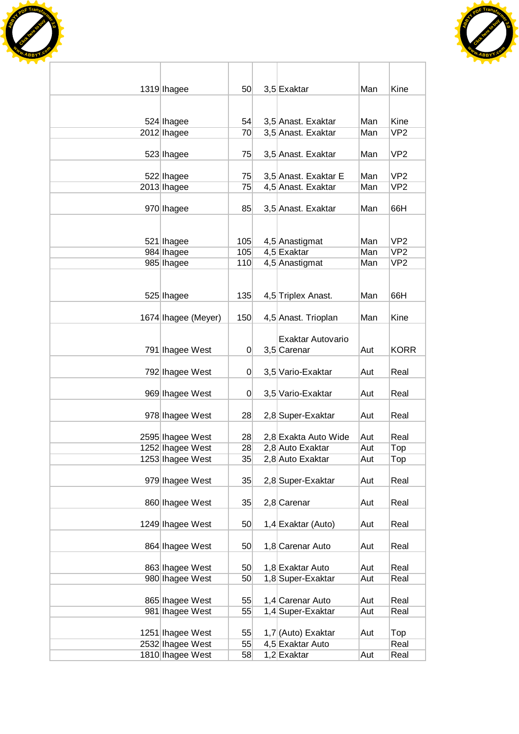



| 1319 Ihagee         | 50  | 3,5 Exaktar          | Man | Kine            |
|---------------------|-----|----------------------|-----|-----------------|
|                     |     |                      |     |                 |
| 524 Ihagee          | 54  | 3,5 Anast. Exaktar   | Man | Kine            |
| 2012 Ihagee         | 70  | 3,5 Anast. Exaktar   | Man | VP <sub>2</sub> |
|                     |     |                      |     |                 |
| 523 Ihagee          | 75  | 3,5 Anast. Exaktar   | Man | VP <sub>2</sub> |
| 522 Ihagee          | 75  | 3,5 Anast. Exaktar E | Man | VP <sub>2</sub> |
| 2013 Ihagee         | 75  | 4,5 Anast. Exaktar   | Man | VP <sub>2</sub> |
|                     |     |                      |     |                 |
| 970 Ihagee          | 85  | 3,5 Anast. Exaktar   | Man | 66H             |
|                     |     |                      |     |                 |
| 521 lhagee          | 105 | 4,5 Anastigmat       | Man | VP <sub>2</sub> |
| 984 Ihagee          | 105 | 4,5 Exaktar          | Man | VP <sub>2</sub> |
| 985 Ihagee          | 110 | 4,5 Anastigmat       | Man | VP <sub>2</sub> |
|                     |     |                      |     |                 |
|                     |     |                      |     | 66H             |
| 525 Ihagee          | 135 | 4,5 Triplex Anast.   | Man |                 |
| 1674 Ihagee (Meyer) | 150 | 4,5 Anast. Trioplan  | Man | Kine            |
|                     |     |                      |     |                 |
|                     |     | Exaktar Autovario    |     |                 |
| 791 Ihagee West     | 0   | 3,5 Carenar          | Aut | <b>KORR</b>     |
| 792 Ihagee West     | 0   | 3,5 Vario-Exaktar    | Aut | Real            |
|                     |     |                      |     |                 |
| 969 Ihagee West     | 0   | 3,5 Vario-Exaktar    | Aut | Real            |
| 978 Ihagee West     | 28  | 2,8 Super-Exaktar    | Aut | Real            |
|                     |     |                      |     |                 |
| 2595 Ihagee West    | 28  | 2,8 Exakta Auto Wide | Aut | Real            |
| 1252 Ihagee West    | 28  | 2,8 Auto Exaktar     | Aut | Top             |
| 1253 Ihagee West    | 35  | 2,8 Auto Exaktar     | Aut | Top             |
| 979 Ihagee West     | 35  | 2,8 Super-Exaktar    | Aut | Real            |
|                     |     |                      |     |                 |
| 860 Ihagee West     | 35  | $2,8$ Carenar        | Aut | Real            |
|                     |     |                      |     |                 |
| 1249 Ihagee West    | 50  | 1,4 Exaktar (Auto)   | Aut | Real            |
| 864 Ihagee West     | 50  | 1,8 Carenar Auto     | Aut | Real            |
|                     |     |                      |     |                 |
| 863 Ihagee West     | 50  | 1,8 Exaktar Auto     | Aut | Real            |
| 980 Ihagee West     | 50  | 1,8 Super-Exaktar    | Aut | Real            |
|                     |     |                      |     |                 |
| 865 Ihagee West     | 55  | 1,4 Carenar Auto     | Aut | Real            |
| 981 Ihagee West     | 55  | 1,4 Super-Exaktar    | Aut | Real            |
| 1251 Ihagee West    | 55  | 1,7 (Auto) Exaktar   | Aut | Top             |
| 2532 Ihagee West    | 55  | 4,5 Exaktar Auto     |     | Real            |
| 1810 Ihagee West    | 58  | 1,2 Exaktar          | Aut | Real            |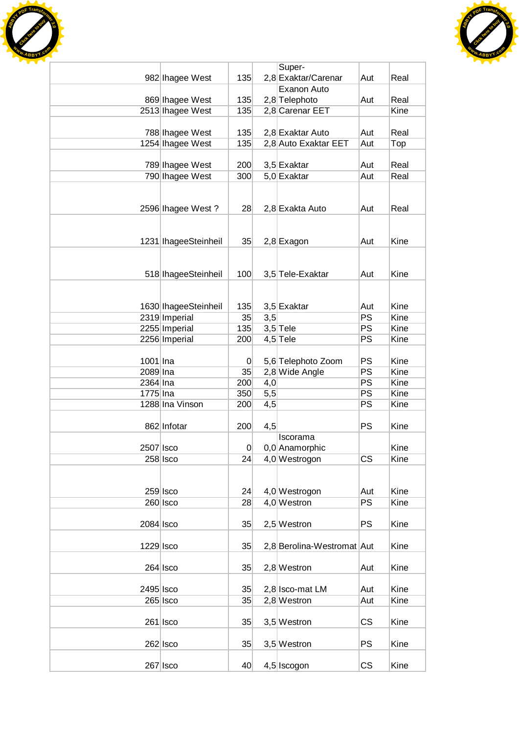



|             |                      |                |     | Super-                     |           |      |
|-------------|----------------------|----------------|-----|----------------------------|-----------|------|
|             | 982 Ihagee West      | 135            |     | 2,8 Exaktar/Carenar        | Aut       | Real |
|             |                      |                |     | Exanon Auto                |           |      |
|             | 869 Ihagee West      | 135            |     | 2,8 Telephoto              | Aut       | Real |
|             | 2513 Ihagee West     | 135            |     | 2,8 Carenar EET            |           | Kine |
|             |                      |                |     |                            |           |      |
|             | 788 Ihagee West      | 135            |     | 2,8 Exaktar Auto           | Aut       | Real |
|             | 1254 Ihagee West     | 135            |     | 2,8 Auto Exaktar EET       | Aut       | Top  |
|             |                      |                |     |                            |           |      |
|             | 789 Ihagee West      | 200            |     | 3,5 Exaktar                | Aut       | Real |
|             | 790 Ihagee West      | 300            |     | 5,0 Exaktar                | Aut       | Real |
|             |                      |                |     |                            |           |      |
|             |                      |                |     |                            |           |      |
|             | 2596 Ihagee West?    | 28             |     | 2,8 Exakta Auto            | Aut       | Real |
|             |                      |                |     |                            |           |      |
|             |                      |                |     |                            |           |      |
|             |                      |                |     |                            |           | Kine |
|             | 1231 IhageeSteinheil | 35             |     | $2,8$ Exagon               | Aut       |      |
|             |                      |                |     |                            |           |      |
|             |                      |                |     |                            |           |      |
|             | 518 IhageeSteinheil  | 100            |     | 3,5 Tele-Exaktar           | Aut       | Kine |
|             |                      |                |     |                            |           |      |
|             |                      |                |     |                            |           |      |
|             | 1630 IhageeSteinheil | 135            |     | 3,5 Exaktar                | Aut       | Kine |
|             | 2319 Imperial        | 35             | 3,5 |                            | <b>PS</b> | Kine |
|             | 2255 Imperial        | 135            |     | $3,5$ Tele                 | PS        | Kine |
|             | 2256 Imperial        | 200            |     | $4,5$ Tele                 | PS        | Kine |
|             |                      |                |     |                            |           |      |
| 1001 Ina    |                      | $\overline{0}$ |     | 5,6 Telephoto Zoom         | <b>PS</b> | Kine |
| 2089 Ina    |                      | 35             |     | 2,8 Wide Angle             | PS        | Kine |
| 2364 Ina    |                      | 200            | 4,0 |                            | <b>PS</b> | Kine |
| 1775 Ina    |                      | 350            | 5,5 |                            | <b>PS</b> | Kine |
|             | 1288 Ina Vinson      | 200            | 4,5 |                            | PS        | Kine |
|             |                      |                |     |                            |           |      |
|             | 862 Infotar          | 200            |     |                            | <b>PS</b> | Kine |
|             |                      |                | 4,5 |                            |           |      |
|             |                      |                |     | Iscorama                   |           |      |
| 2507 Isco   |                      | 0              |     | 0,0 Anamorphic             |           | Kine |
|             | 258 Isco             | 24             |     | 4,0 Westrogon              | <b>CS</b> | Kine |
|             |                      |                |     |                            |           |      |
|             |                      |                |     |                            |           |      |
|             | $259$ Isco           | 24             |     | 4,0 Westrogon              | Aut       | Kine |
|             | $260$ Isco           | 28             |     | 4,0 Westron                | <b>PS</b> | Kine |
|             |                      |                |     |                            |           |      |
| $2084$ Isco |                      | 35             |     | 2,5 Westron                | <b>PS</b> | Kine |
|             |                      |                |     |                            |           |      |
| 1229 Isco   |                      | 35             |     | 2,8 Berolina-Westromat Aut |           | Kine |
|             |                      |                |     |                            |           |      |
|             | $264$ Isco           | 35             |     | 2,8 Westron                | Aut       | Kine |
|             |                      |                |     |                            |           |      |
| 2495 Isco   |                      | 35             |     | 2,8 Isco-mat LM            | Aut       | Kine |
|             | $265$ Isco           | 35             |     | 2,8 Westron                | Aut       | Kine |
|             |                      |                |     |                            |           |      |
|             |                      |                |     |                            |           |      |
|             | $261$   Isco         | 35             |     | 3,5 Westron                | <b>CS</b> | Kine |
|             |                      |                |     |                            |           |      |
|             | $262$ Isco           | 35             |     | 3,5 Westron                | <b>PS</b> | Kine |
|             |                      |                |     |                            |           |      |
|             | $267$ Isco           | 40             |     | 4,5 Iscogon                | <b>CS</b> | Kine |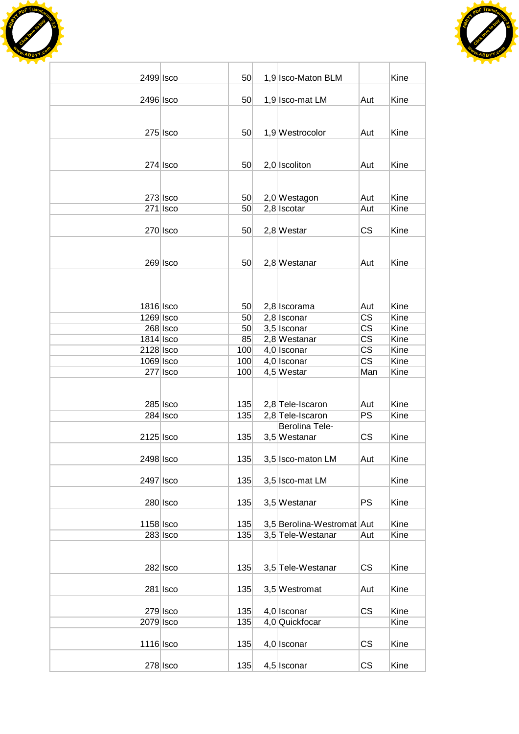



| 2499 Isco              |                        | 50 <sub>1</sub> | 1,9 Isco-Maton BLM                   |                        | Kine         |
|------------------------|------------------------|-----------------|--------------------------------------|------------------------|--------------|
| 2496 Isco              |                        | 50              | 1,9 Isco-mat LM                      | Aut                    | Kine         |
|                        |                        |                 |                                      |                        |              |
|                        |                        |                 |                                      |                        |              |
|                        | $275$ Isco             | 50 <sub>1</sub> | 1,9 Westrocolor                      | Aut                    | Kine         |
|                        |                        |                 |                                      |                        |              |
|                        | $274$ Isco             | 50 <sub>1</sub> | $2,0$ Iscoliton                      | Aut                    | Kine         |
|                        |                        |                 |                                      |                        |              |
|                        | $273$ Isco             | 50              | 2,0 Westagon                         | Aut                    | Kine         |
|                        | $271$ Isco             | 50 <sub>1</sub> | $2,8$ Iscotar                        | Aut                    | Kine         |
|                        |                        |                 |                                      |                        |              |
|                        | $270$ Isco             | 50 <sub>1</sub> | $2,8$ Westar                         | <b>CS</b>              | Kine         |
|                        |                        |                 |                                      |                        |              |
|                        | $269$ Isco             | 50 <sub>1</sub> | $2,8$ Westanar                       | Aut                    | Kine         |
|                        |                        |                 |                                      |                        |              |
|                        |                        |                 |                                      |                        |              |
|                        |                        |                 |                                      |                        |              |
| 1816 Isco<br>1269 Isco |                        | 50<br>50        | 2,8 Iscorama<br>$2,8$ Isconar        | Aut<br><b>CS</b>       | Kine<br>Kine |
|                        | $268$ Isco             | 50              | 3,5 Isconar                          | $\overline{\text{CS}}$ | Kine         |
| 1814 Isco              |                        | 85              | 2,8 Westanar                         | $\overline{\text{CS}}$ | Kine         |
| 2128 Isco              |                        | 100             | 4,0 Isconar                          | $\overline{\text{CS}}$ | Kine         |
|                        |                        |                 |                                      | $\overline{\text{CS}}$ |              |
| 1069 Isco              |                        | 100             | $4,0$ Isconar                        |                        | Kine         |
|                        | 277 Isco               | 100             | $4,5$ Westar                         | Man                    | Kine         |
|                        |                        |                 |                                      |                        |              |
|                        |                        |                 |                                      |                        |              |
|                        | 285 Isco<br>$284$ Isco | 135<br>135      | 2,8 Tele-Iscaron<br>2,8 Tele-Iscaron | Aut<br><b>PS</b>       | Kine<br>Kine |
|                        |                        |                 | <b>Berolina Tele-</b>                |                        |              |
|                        |                        |                 |                                      |                        |              |
| 2125 Isco              |                        | 135             | 3,5 Westanar                         | <b>CS</b>              | Kine         |
| 2498 Isco              |                        | 135             | 3,5 Isco-maton LM                    | Aut                    | Kine         |
|                        |                        |                 |                                      |                        |              |
| 2497 Isco              |                        | 135             | 3,5 Isco-mat LM                      |                        | Kine         |
|                        |                        |                 |                                      |                        |              |
|                        | $280$ Isco             | 135             | 3,5 Westanar                         | <b>PS</b>              | Kine         |
| 1158 Isco              |                        | 135             | 3,5 Berolina-Westromat Aut           |                        | Kine         |
|                        | $283$ Isco             | 135             | 3,5 Tele-Westanar                    | Aut                    | Kine         |
|                        |                        |                 |                                      |                        |              |
|                        |                        |                 |                                      |                        |              |
|                        | $282$ Isco             | 135             | 3,5 Tele-Westanar                    | CS                     | Kine         |
|                        | $281$   Isco           | 135             | 3,5 Westromat                        | Aut                    | Kine         |
|                        |                        |                 |                                      |                        |              |
|                        | $279$ Isco             | 135             | 4,0 Isconar                          | <b>CS</b>              | Kine         |
| 2079 Isco              |                        | 135             | 4,0 Quickfocar                       |                        | Kine         |
| 1116 Isco              |                        | 135             | $4,0$ Isconar                        | CS                     | Kine         |
|                        |                        |                 |                                      |                        |              |
|                        | $278$ Isco             | 135             | $4,5$ Isconar                        | <b>CS</b>              | Kine         |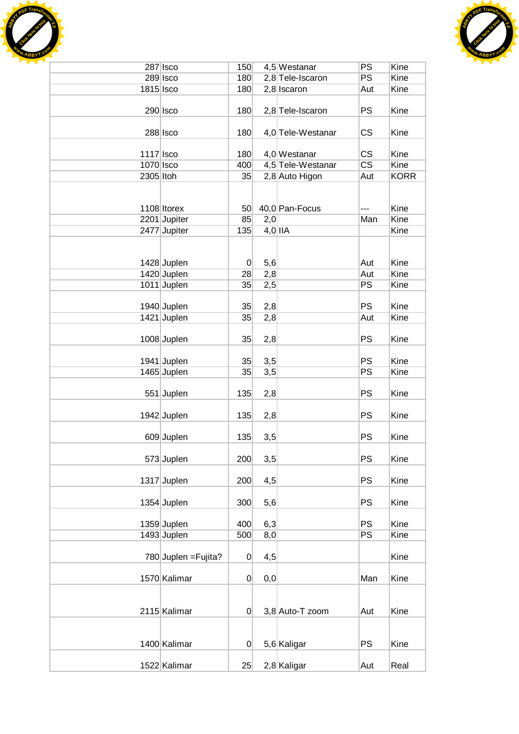



|             | $287$ Isco           | 150             |           | 4,5 Westanar      | PS                     | Kine        |
|-------------|----------------------|-----------------|-----------|-------------------|------------------------|-------------|
|             | 289 Isco             | 180             |           | 2,8 Tele-Iscaron  | PS                     | <b>Kine</b> |
| 1815 Isco   |                      | 180             |           | $2,8$ Iscaron     | Aut                    | Kine        |
|             |                      |                 |           |                   |                        |             |
|             | $290$ Isco           | 180             |           | 2,8 Tele-Iscaron  | <b>PS</b>              | Kine        |
|             |                      |                 |           |                   |                        |             |
|             | $288$ Isco           | 180             |           | 4,0 Tele-Westanar | CS                     | Kine        |
|             |                      |                 |           |                   |                        |             |
| $1117$ Isco |                      | 180             |           | 4,0 Westanar      | <b>CS</b>              | Kine        |
| 1070 Isco   |                      | 400             |           | 4,5 Tele-Westanar | $\overline{\text{CS}}$ | Kine        |
| 2305 Itoh   |                      | 35              |           | 2,8 Auto Higon    | Aut                    | <b>KORR</b> |
|             |                      |                 |           |                   |                        |             |
|             |                      |                 |           |                   |                        |             |
|             |                      |                 |           |                   |                        |             |
|             | 1108 Itorex          | 50 <sup>°</sup> |           | 40,0 Pan-Focus    |                        | Kine        |
|             | 2201 Jupiter         | 85              | 2,0       |                   | Man                    | Kine        |
|             | 2477 Jupiter         | 135             | $4,0$ IIA |                   |                        | Kine        |
|             |                      |                 |           |                   |                        |             |
|             |                      |                 |           |                   |                        |             |
|             | 1428 Juplen          | $\overline{0}$  | 5,6       |                   | Aut                    | Kine        |
|             | 1420 Juplen          | 28              | 2,8       |                   | Aut                    | Kine        |
|             | 1011 Juplen          | 35              | 2,5       |                   | PS                     | Kine        |
|             |                      |                 |           |                   |                        |             |
|             | 1940 Juplen          | 35              | 2,8       |                   | <b>PS</b>              | Kine        |
|             | 1421 Juplen          | 35              | 2,8       |                   | Aut                    | Kine        |
|             |                      |                 |           |                   |                        |             |
|             | 1008 Juplen          | 35              | 2,8       |                   | PS                     | Kine        |
|             |                      |                 |           |                   |                        |             |
|             | 1941 Juplen          | 35              | 3,5       |                   | <b>PS</b>              | Kine        |
|             | 1465 Juplen          | 35              | 3,5       |                   | PS                     | Kine        |
|             |                      |                 |           |                   |                        |             |
|             | 551 Juplen           | 135             | 2,8       |                   | <b>PS</b>              | Kine        |
|             |                      |                 |           |                   |                        |             |
|             | 1942 Juplen          | 135             | 2,8       |                   | <b>PS</b>              | Kine        |
|             |                      |                 |           |                   |                        |             |
|             | 609 Juplen           | 135             | 3,5       |                   | PS                     | Kine        |
|             |                      |                 |           |                   |                        |             |
|             | 573 Juplen           | 200             |           |                   | PS                     | Kine        |
|             |                      |                 | 3,5       |                   |                        |             |
|             |                      |                 |           |                   | PS                     | Kine        |
|             | 1317 Juplen          | 200             | 4,5       |                   |                        |             |
|             |                      |                 |           |                   |                        |             |
|             | 1354 Juplen          | 300             | 5,6       |                   | <b>PS</b>              | Kine        |
|             |                      |                 |           |                   |                        |             |
|             | 1359 Juplen          | 400             | 6,3       |                   | PS                     | Kine        |
|             | 1493 Juplen          | 500             | 8,0       |                   | PS                     | Kine        |
|             |                      |                 |           |                   |                        |             |
|             | 780 Juplen = Fujita? | 0               | 4,5       |                   |                        | Kine        |
|             |                      |                 |           |                   |                        |             |
|             | 1570 Kalimar         | 0               | 0,0       |                   | Man                    | Kine        |
|             |                      |                 |           |                   |                        |             |
|             |                      |                 |           |                   |                        |             |
|             | 2115 Kalimar         | $\overline{0}$  |           | 3,8 Auto-T zoom   | Aut                    | Kine        |
|             |                      |                 |           |                   |                        |             |
|             |                      |                 |           |                   |                        |             |
|             | 1400 Kalimar         | 0               |           | 5,6 Kaligar       | <b>PS</b>              | Kine        |
|             |                      |                 |           |                   |                        |             |
|             | 1522 Kalimar         | 25              |           | $2,8$ Kaligar     | Aut                    | Real        |
|             |                      |                 |           |                   |                        |             |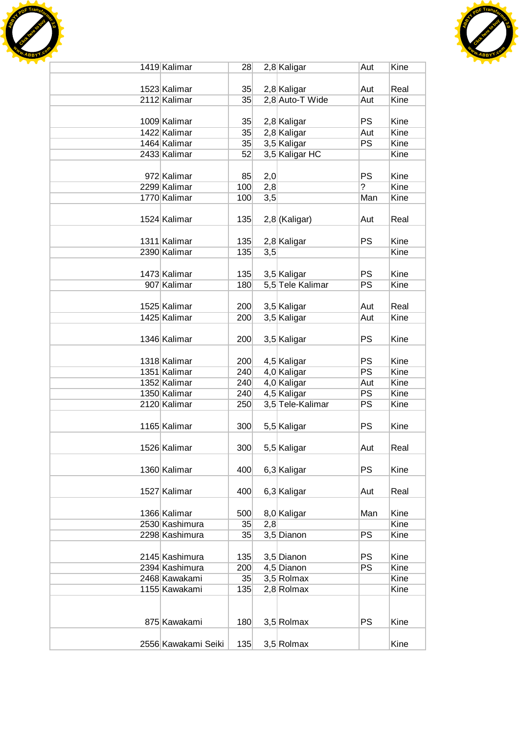



| 1419 Kalimar        | 28  |     | 2,8 Kaligar      | Aut            | Kine        |
|---------------------|-----|-----|------------------|----------------|-------------|
|                     |     |     |                  |                |             |
| 1523 Kalimar        | 35  |     | 2,8 Kaligar      | Aut            | Real        |
| 2112 Kalimar        | 35  |     | 2,8 Auto-T Wide  | Aut            | Kine        |
|                     |     |     |                  |                |             |
| 1009 Kalimar        | 35  |     | 2,8 Kaligar      | <b>PS</b>      | Kine        |
| 1422 Kalimar        | 35  |     | $2,8$ Kaligar    | Aut            | Kine        |
| 1464 Kalimar        | 35  |     | 3,5 Kaligar      | PS             | <b>Kine</b> |
| 2433 Kalimar        | 52  |     | 3,5 Kaligar HC   |                | Kine        |
| 972 Kalimar         | 85  | 2,0 |                  | <b>PS</b>      | Kine        |
| 2299 Kalimar        | 100 | 2,8 |                  | $\overline{?}$ | Kine        |
| 1770 Kalimar        | 100 | 3,5 |                  | Man            | Kine        |
|                     |     |     |                  |                |             |
| 1524 Kalimar        | 135 |     | $2,8$ (Kaligar)  | Aut            | Real        |
|                     |     |     |                  |                |             |
| 1311 Kalimar        | 135 |     | 2,8 Kaligar      | <b>PS</b>      | Kine        |
| 2390 Kalimar        | 135 | 3,5 |                  |                | Kine        |
|                     |     |     |                  |                |             |
| 1473 Kalimar        | 135 |     | 3,5 Kaligar      | <b>PS</b>      | Kine        |
| 907 Kalimar         | 180 |     | 5,5 Tele Kalimar | <b>PS</b>      | Kine        |
|                     |     |     |                  |                |             |
| 1525 Kalimar        | 200 |     | 3,5 Kaligar      | Aut            | Real        |
| 1425 Kalimar        | 200 |     | 3,5 Kaligar      | Aut            | Kine        |
|                     |     |     |                  |                |             |
| 1346 Kalimar        | 200 |     | 3,5 Kaligar      | <b>PS</b>      | Kine        |
|                     |     |     |                  |                |             |
| 1318 Kalimar        | 200 |     | 4,5 Kaligar      | <b>PS</b>      | Kine        |
| 1351 Kalimar        | 240 |     | 4,0 Kaligar      | PS             | Kine        |
| 1352 Kalimar        | 240 |     | 4,0 Kaligar      | Aut            | Kine        |
| 1350 Kalimar        | 240 |     | 4,5 Kaligar      | <b>PS</b>      | Kine        |
| 2120 Kalimar        | 250 |     | 3,5 Tele-Kalimar | PS             | Kine        |
|                     |     |     |                  |                |             |
| 1165 Kalimar        | 300 |     | 5,5 Kaligar      | <b>PS</b>      | Kine        |
| 1526 Kalimar        |     |     | 5,5 Kaligar      |                |             |
|                     | 300 |     |                  | Aut            | Real        |
| 1360 Kalimar        | 400 |     |                  | <b>PS</b>      | Kine        |
|                     |     |     | 6,3 Kaligar      |                |             |
| 1527 Kalimar        | 400 |     | 6,3 Kaligar      | Aut            | Real        |
|                     |     |     |                  |                |             |
| 1366 Kalimar        | 500 |     | 8,0 Kaligar      | Man            | Kine        |
| 2530 Kashimura      | 35  | 2,8 |                  |                | Kine        |
| 2298 Kashimura      | 35  |     | 3,5 Dianon       | <b>PS</b>      | Kine        |
|                     |     |     |                  |                |             |
| 2145 Kashimura      | 135 |     | 3,5 Dianon       | <b>PS</b>      | Kine        |
| 2394 Kashimura      | 200 |     | 4,5 Dianon       | <b>PS</b>      | Kine        |
| 2468 Kawakami       | 35  |     | 3,5 Rolmax       |                | Kine        |
| 1155 Kawakami       | 135 |     | 2,8 Rolmax       |                | Kine        |
|                     |     |     |                  |                |             |
|                     |     |     |                  |                |             |
| 875 Kawakami        | 180 |     | 3,5 Rolmax       | <b>PS</b>      | Kine        |
|                     |     |     |                  |                |             |
| 2556 Kawakami Seiki | 135 |     | 3,5 Rolmax       |                | Kine        |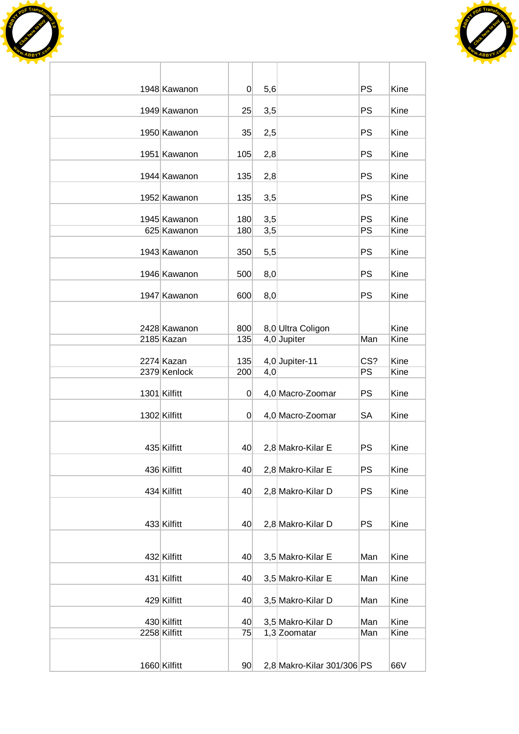



| 1948 Kawanon | 0               | 5,6 |                            | <b>PS</b> | Kine |
|--------------|-----------------|-----|----------------------------|-----------|------|
| 1949 Kawanon | 25              | 3,5 |                            | <b>PS</b> | Kine |
| 1950 Kawanon | 35              | 2,5 |                            | PS        | Kine |
| 1951 Kawanon | 105             | 2,8 |                            | <b>PS</b> | Kine |
| 1944 Kawanon | 135             | 2,8 |                            | <b>PS</b> | Kine |
| 1952 Kawanon | 135             | 3,5 |                            | PS        | Kine |
| 1945 Kawanon | 180             | 3,5 |                            | <b>PS</b> | Kine |
| 625 Kawanon  | 180             | 3,5 |                            | PS        | Kine |
| 1943 Kawanon | 350             | 5,5 |                            | <b>PS</b> | Kine |
| 1946 Kawanon | 500             | 8,0 |                            | <b>PS</b> | Kine |
| 1947 Kawanon | 600             | 8,0 |                            | <b>PS</b> | Kine |
|              |                 |     |                            |           |      |
| 2428 Kawanon | 800             |     | 8,0 Ultra Coligon          |           | Kine |
| 2185 Kazan   | 135             |     | $4,0$ Jupiter              | Man       | Kine |
| 2274 Kazan   | 135             |     | 4,0 Jupiter-11             | CS?       | Kine |
| 2379 Kenlock | 200             | 4,0 |                            | PS        | Kine |
| 1301 Kilfitt | $\mathbf 0$     |     | 4,0 Macro-Zoomar           | PS        | Kine |
| 1302 Kilfitt | 0               |     | 4,0 Macro-Zoomar           | <b>SA</b> | Kine |
|              |                 |     |                            |           |      |
| 435 Kilfitt  | 40              |     | 2,8 Makro-Kilar E          | <b>PS</b> | Kine |
| 436 Kilfitt  | 40              |     | 2,8 Makro-Kilar E          | <b>PS</b> | Kine |
| 434 Kilfitt  | 40              |     | 2,8 Makro-Kilar D          | PS        | Kine |
|              |                 |     |                            |           |      |
| 433 Kilfitt  | 40              |     | 2,8 Makro-Kilar D          | <b>PS</b> | Kine |
| 432 Kilfitt  | 40              |     | 3,5 Makro-Kilar E          | Man       | Kine |
| 431 Kilfitt  | 40              |     | 3,5 Makro-Kilar E          | Man       | Kine |
| 429 Kilfitt  | 40              |     | 3,5 Makro-Kilar D          | Man       | Kine |
| 430 Kilfitt  | 40              |     | 3,5 Makro-Kilar D          | Man       | Kine |
| 2258 Kilfitt | 75              |     | 1,3 Zoomatar               | Man       | Kine |
|              |                 |     |                            |           |      |
| 1660 Kilfitt | 90 <sup>°</sup> |     | 2,8 Makro-Kilar 301/306 PS |           | 66V  |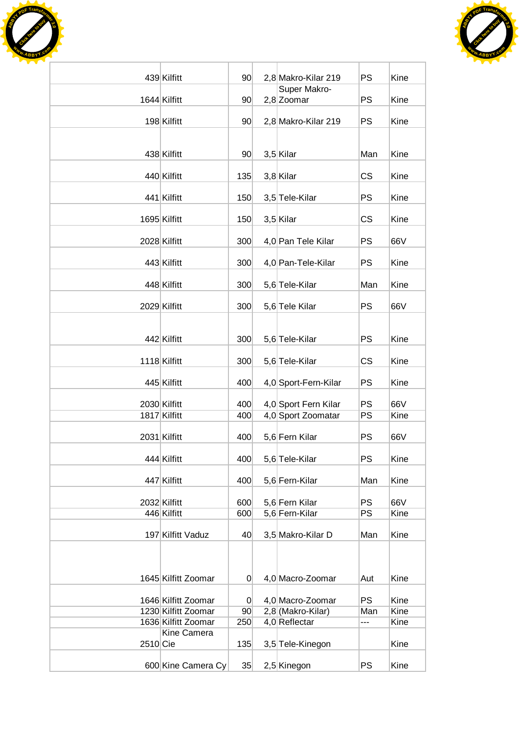



|          | 439 Kilfitt                                | 90             | 2,8 Makro-Kilar 219                | <b>PS</b>  | Kine         |
|----------|--------------------------------------------|----------------|------------------------------------|------------|--------------|
|          | 1644 Kilfitt                               | 90             | Super Makro-<br>2,8 Zoomar         | <b>PS</b>  | Kine         |
|          | 198 Kilfitt                                | 90             | 2,8 Makro-Kilar 219                | <b>PS</b>  | Kine         |
|          |                                            |                |                                    |            |              |
|          | 438 Kilfitt                                | 90             | 3,5 Kilar                          | Man        | Kine         |
|          | 440 Kilfitt                                | 135            | 3,8 Kilar                          | <b>CS</b>  | Kine         |
|          | 441 Kilfitt                                | 150            | 3,5 Tele-Kilar                     | <b>PS</b>  | Kine         |
|          | 1695 Kilfitt                               | 150            | 3,5 Kilar                          | <b>CS</b>  | Kine         |
|          | 2028 Kilfitt                               | 300            | 4,0 Pan Tele Kilar                 | <b>PS</b>  | 66V          |
|          | 443 Kilfitt                                |                | 4,0 Pan-Tele-Kilar                 | <b>PS</b>  | Kine         |
|          |                                            | 300            |                                    |            |              |
|          | 448 Kilfitt                                | 300            | 5,6 Tele-Kilar                     | Man        | Kine         |
|          | 2029 Kilfitt                               | 300            | 5,6 Tele Kilar                     | <b>PS</b>  | 66V          |
|          | 442 Kilfitt                                | 300            | 5,6 Tele-Kilar                     | PS         | Kine         |
|          | 1118 Kilfitt                               | 300            | 5,6 Tele-Kilar                     | <b>CS</b>  | Kine         |
|          | 445 Kilfitt                                | 400            | 4,0 Sport-Fern-Kilar               | <b>PS</b>  | Kine         |
|          | 2030 Kilfitt                               | 400            | 4,0 Sport Fern Kilar               | <b>PS</b>  | 66V          |
|          | 1817 Kilfitt                               | 400            | 4,0 Sport Zoomatar                 | <b>PS</b>  | Kine         |
|          | 2031 Kilfitt                               | 400            | 5,6 Fern Kilar                     | <b>PS</b>  | 66V          |
|          | 444 Kilfitt                                | 400            | 5,6 Tele-Kilar                     | PS         | Kine         |
|          |                                            |                |                                    |            |              |
|          | 447 Kilfitt                                | 400            | 5,6 Fern-Kilar                     | Man        | Kine         |
|          | 2032 Kilfitt                               | 600            | 5,6 Fern Kilar                     | <b>PS</b>  | 66V          |
|          | 446 Kilfitt                                | 600            | 5,6 Fern-Kilar                     | PS         | Kine         |
|          | 197 Kilfitt Vaduz                          | 40             | 3,5 Makro-Kilar D                  | Man        | Kine         |
|          |                                            |                |                                    |            |              |
|          | 1645 Kilfitt Zoomar                        | $\overline{0}$ | 4,0 Macro-Zoomar                   | Aut        | Kine         |
|          |                                            |                |                                    |            |              |
|          | 1646 Kilfitt Zoomar                        | $\overline{0}$ | 4,0 Macro-Zoomar                   | <b>PS</b>  | Kine         |
|          | 1230 Kilfitt Zoomar<br>1636 Kilfitt Zoomar | 90<br>250      | 2,8 (Makro-Kilar)<br>4,0 Reflectar | Man<br>--- | Kine<br>Kine |
|          | Kine Camera                                |                |                                    |            |              |
| 2510 Cie |                                            | 135            | 3,5 Tele-Kinegon                   |            | Kine         |
|          | 600 Kine Camera Cy                         | 35             | 2,5 Kinegon                        | <b>PS</b>  | Kine         |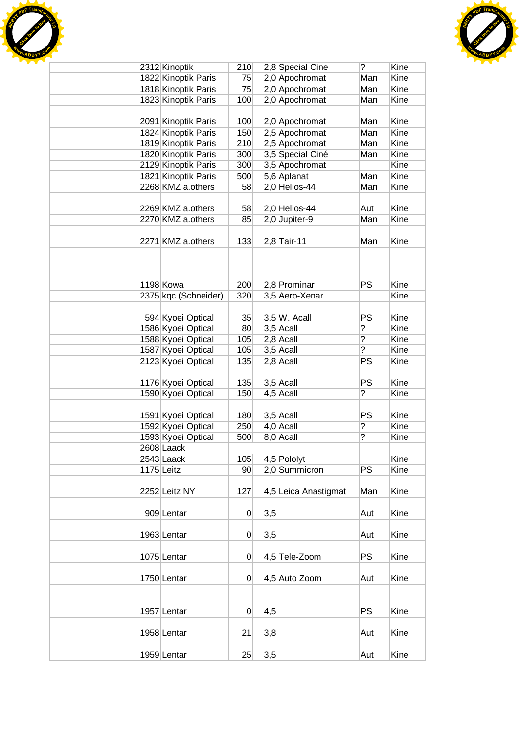



| 2312 Kinoptik        | 210             |     | 2,8 Special Cine     | $\overline{?}$ | Kine |
|----------------------|-----------------|-----|----------------------|----------------|------|
| 1822 Kinoptik Paris  | 75              |     | 2,0 Apochromat       | Man            | Kine |
| 1818 Kinoptik Paris  | 75              |     | 2,0 Apochromat       | Man            | Kine |
| 1823 Kinoptik Paris  | 100             |     | 2,0 Apochromat       | Man            | Kine |
|                      |                 |     |                      |                |      |
| 2091 Kinoptik Paris  | 100             |     | 2,0 Apochromat       | Man            | Kine |
| 1824 Kinoptik Paris  | 150             |     | 2,5 Apochromat       | Man            | Kine |
| 1819 Kinoptik Paris  | 210             |     | 2,5 Apochromat       | Man            | Kine |
| 1820 Kinoptik Paris  | 300             |     | 3,5 Special Ciné     | Man            | Kine |
| 2129 Kinoptik Paris  | 300             |     | 3,5 Apochromat       |                | Kine |
| 1821 Kinoptik Paris  | 500             |     | 5,6 Aplanat          | Man            | Kine |
| 2268 KMZ a.others    | 58              |     | 2,0 Helios-44        | Man            | Kine |
|                      |                 |     |                      |                |      |
| 2269 KMZ a.others    | 58              |     | 2,0 Helios-44        | Aut            | Kine |
| 2270 KMZ a.others    | 85              |     | 2,0 Jupiter-9        | Man            | Kine |
|                      |                 |     |                      |                |      |
| 2271 KMZ a.others    | 133             |     | $2,8$ Tair-11        | Man            | Kine |
|                      |                 |     |                      |                |      |
|                      |                 |     |                      |                |      |
|                      |                 |     |                      |                |      |
| 1198 Kowa            | 200             |     | 2,8 Prominar         | PS             | Kine |
| 2375 kgc (Schneider) | 320             |     | 3,5 Aero-Xenar       |                | Kine |
|                      |                 |     |                      |                |      |
| 594 Kyoei Optical    | 35              |     | $3,5 W.$ Acall       | PS             | Kine |
| 1586 Kyoei Optical   | 80              |     | $3,5$ Acall          | ?              | Kine |
| 1588 Kyoei Optical   | 105             |     | $2,8$ Acall          | $\overline{?}$ | Kine |
| 1587 Kyoei Optical   | 105             |     | $3,5$ Acall          | $\overline{?}$ | Kine |
| 2123 Kyoei Optical   | 135             |     | $2,8$ Acall          | PS             | Kine |
|                      |                 |     |                      |                |      |
| 1176 Kyoei Optical   | 135             |     | $3,5$ Acall          | <b>PS</b>      | Kine |
| 1590 Kyoei Optical   | 150             |     | $4,5$ Acall          | ?              | Kine |
|                      |                 |     |                      |                |      |
| 1591 Kyoei Optical   | 180             |     | $3,5$ Acall          | PS             | Kine |
| 1592 Kyoei Optical   | 250             |     | $4,0$ Acall          | ?              | Kine |
| 1593 Kyoei Optical   | 500             |     | 8,0 Acall            | $\overline{?}$ | Kine |
| 2608 Laack           |                 |     |                      |                |      |
| 2543 Laack           | 105             |     | 4,5 Pololyt          |                | Kine |
| 1175 Leitz           | 90 <sup>°</sup> |     | 2,0 Summicron        | <b>PS</b>      | Kine |
|                      |                 |     |                      |                |      |
| 2252 Leitz NY        | 127             |     | 4,5 Leica Anastigmat | Man            | Kine |
|                      |                 |     |                      |                |      |
| 909 Lentar           | $\overline{0}$  | 3,5 |                      | Aut            | Kine |
|                      |                 |     |                      |                |      |
| 1963 Lentar          | $\overline{0}$  | 3,5 |                      | Aut            | Kine |
|                      |                 |     |                      |                |      |
| 1075 Lentar          | $\overline{0}$  |     | 4,5 Tele-Zoom        | <b>PS</b>      | Kine |
|                      |                 |     |                      |                |      |
| 1750 Lentar          | $\overline{0}$  |     | 4,5 Auto Zoom        | Aut            | Kine |
|                      |                 |     |                      |                |      |
|                      |                 |     |                      |                |      |
| 1957 Lentar          | $\overline{0}$  | 4,5 |                      | <b>PS</b>      | Kine |
|                      |                 |     |                      |                |      |
|                      |                 |     |                      |                | Kine |
| 1958 Lentar          | 21              | 3,8 |                      | Aut            |      |
|                      | 25              |     |                      |                | Kine |
| 1959 Lentar          |                 | 3,5 |                      | Aut            |      |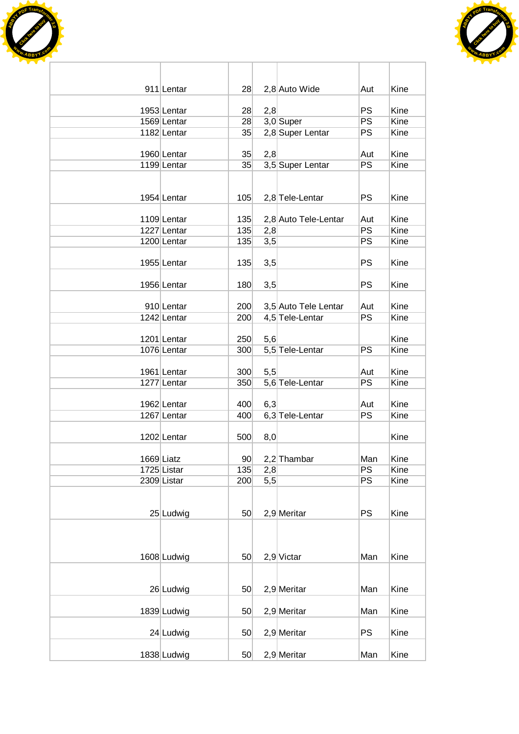



| 911 Lentar                 | 28              |            | 2,8 Auto Wide        | Aut       | Kine         |
|----------------------------|-----------------|------------|----------------------|-----------|--------------|
|                            |                 |            |                      | <b>PS</b> |              |
| 1953 Lentar<br>1569 Lentar | 28<br>28        | 2,8        | 3,0 Super            | <b>PS</b> | Kine<br>Kine |
| 1182 Lentar                | 35              |            | 2,8 Super Lentar     | <b>PS</b> | Kine         |
|                            |                 |            |                      |           |              |
| 1960 Lentar                | 35              | 2,8        |                      | Aut       | Kine         |
| 1199 Lentar                | 35              |            | 3,5 Super Lentar     | <b>PS</b> | Kine         |
|                            |                 |            |                      |           |              |
|                            |                 |            |                      |           |              |
| 1954 Lentar                | 105             |            | 2,8 Tele-Lentar      | <b>PS</b> | Kine         |
|                            |                 |            |                      |           |              |
| 1109 Lentar<br>1227 Lentar | 135<br>135      |            | 2,8 Auto Tele-Lentar | Aut<br>PS | Kine<br>Kine |
| 1200 Lentar                | 135             | 2,8<br>3,5 |                      | <b>PS</b> | Kine         |
|                            |                 |            |                      |           |              |
| 1955 Lentar                | 135             | 3,5        |                      | <b>PS</b> | Kine         |
|                            |                 |            |                      |           |              |
| 1956 Lentar                | 180             | 3,5        |                      | <b>PS</b> | Kine         |
|                            |                 |            |                      |           |              |
| 910 Lentar                 | 200             |            | 3,5 Auto Tele Lentar | Aut       | Kine         |
| 1242 Lentar                | 200             |            | 4,5 Tele-Lentar      | PS        | Kine         |
|                            |                 |            |                      |           |              |
| 1201 Lentar<br>1076 Lentar | 250<br>300      | 5,6        |                      | <b>PS</b> | Kine<br>Kine |
|                            |                 |            | 5,5 Tele-Lentar      |           |              |
| 1961 Lentar                | 300             | 5,5        |                      | Aut       | Kine         |
| 1277 Lentar                | 350             |            | 5,6 Tele-Lentar      | <b>PS</b> | Kine         |
|                            |                 |            |                      |           |              |
| 1962 Lentar                | 400             | 6,3        |                      | Aut       | Kine         |
| 1267 Lentar                | 400             |            | 6,3 Tele-Lentar      | <b>PS</b> | Kine         |
|                            |                 |            |                      |           |              |
| 1202 Lentar                | 500             | 8,0        |                      |           | Kine         |
|                            | 90 <sup>°</sup> |            |                      | Man       | Kine         |
| 1669 Liatz<br>1725 Listar  | 135             | 2,8        | 2,2 Thambar          | <b>PS</b> | Kine         |
| 2309 Listar                | 200             | 5,5        |                      | PS        | Kine         |
|                            |                 |            |                      |           |              |
|                            |                 |            |                      |           |              |
| 25 Ludwig                  | 50              |            | $2,9$ Meritar        | <b>PS</b> | Kine         |
|                            |                 |            |                      |           |              |
|                            |                 |            |                      |           |              |
|                            |                 |            |                      |           |              |
| 1608 Ludwig                | 50              |            | $2,9$ Victar         | Man       | Kine         |
|                            |                 |            |                      |           |              |
| 26 Ludwig                  | 50              |            | $2,9$ Meritar        | Man       | Kine         |
|                            |                 |            |                      |           |              |
| 1839 Ludwig                | 50              |            | 2,9 Meritar          | Man       | Kine         |
|                            |                 |            |                      |           |              |
| 24 Ludwig                  | 50              |            | 2,9 Meritar          | PS        | Kine         |
|                            |                 |            |                      |           |              |
| 1838 Ludwig                | 50              |            | $2,9$ Meritar        | Man       | Kine         |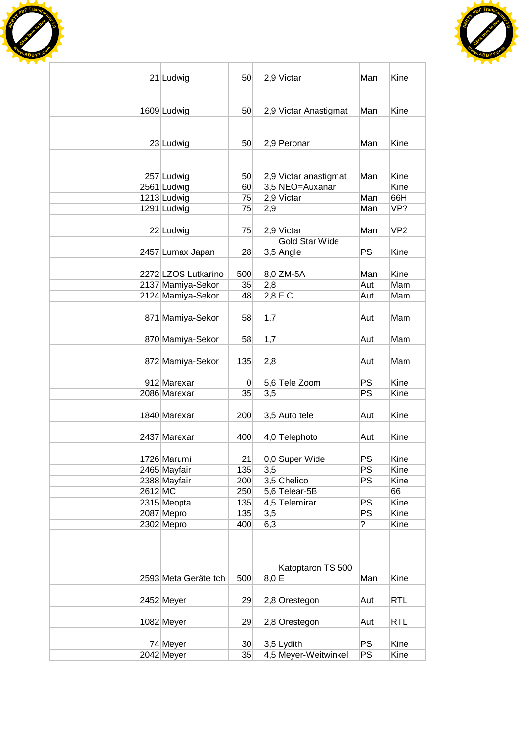



|         | 21 Ludwig                    | 50 <sup>1</sup>       |              | 2,9 Victar                           | Man            | Kine            |
|---------|------------------------------|-----------------------|--------------|--------------------------------------|----------------|-----------------|
|         |                              |                       |              |                                      |                |                 |
|         |                              |                       |              |                                      |                |                 |
|         | 1609 Ludwig                  | 50 <sup>°</sup>       |              | 2,9 Victar Anastigmat                | Man            | Kine            |
|         |                              |                       |              |                                      |                |                 |
|         | 23 Ludwig                    | 50                    |              | $2,9$ Peronar                        | Man            | Kine            |
|         |                              |                       |              |                                      |                |                 |
|         |                              |                       |              |                                      |                |                 |
|         | 257 Ludwig                   | 50 <sub>l</sub>       |              | 2,9 Victar anastigmat                | Man            | Kine            |
|         | 2561 Ludwig                  | 60<br>75              |              | 3,5 NEO=Auxanar                      | Man            | Kine<br>66H     |
|         | 1213 Ludwig                  | 75                    |              | 2,9 Victar                           | Man            | VP?             |
|         | 1291 Ludwig                  |                       | 2,9          |                                      |                |                 |
|         | 22 Ludwig                    | 75                    |              | 2,9 Victar                           | Man            | VP <sub>2</sub> |
|         |                              |                       |              | <b>Gold Star Wide</b>                |                |                 |
|         | 2457 Lumax Japan             | 28                    |              | 3,5 Angle                            | PS             | Kine            |
|         |                              |                       |              |                                      |                |                 |
|         | 2272 LZOS Lutkarino          | 500                   |              | $8,0$ ZM-5A                          | Man            | Kine            |
|         | 2137 Mamiya-Sekor            | 35                    | 2,8          |                                      | Aut            | Mam             |
|         | 2124 Mamiya-Sekor            | 48                    |              | $2,8$ F.C.                           | Aut            | Mam             |
|         |                              |                       |              |                                      |                |                 |
|         | 871 Mamiya-Sekor             | 58                    | 1,7          |                                      | Aut            | Mam             |
|         |                              |                       |              |                                      |                |                 |
|         | 870 Mamiya-Sekor             | 58                    | 1,7          |                                      | Aut            | Mam             |
|         |                              |                       |              |                                      |                | Mam             |
|         | 872 Mamiya-Sekor             | 135                   | 2,8          |                                      | Aut            |                 |
|         | 912 Marexar                  | 0                     |              | 5,6 Tele Zoom                        | PS             | Kine            |
|         | 2086 Marexar                 | 35                    | 3,5          |                                      | <b>PS</b>      | Kine            |
|         |                              |                       |              |                                      |                |                 |
|         | 1840 Marexar                 | 200                   |              | 3,5 Auto tele                        | Aut            | Kine            |
|         |                              |                       |              |                                      |                |                 |
|         | 2437 Marexar                 | 400                   |              | 4,0 Telephoto                        | Aut            | Kine            |
|         |                              |                       |              |                                      |                |                 |
|         | 1726 Marumi                  | 21                    |              | 0,0 Super Wide                       | PS<br>PS       | Kine<br>Kine    |
|         | 2465 Mayfair<br>2388 Mayfair | 135<br>200            | 3,5          | 3,5 Chelico                          | PS             | Kine            |
| 2612 MC |                              | 250                   |              | 5,6 Telear-5B                        |                | 66              |
|         | 2315 Meopta                  | 135                   |              | 4,5 Telemirar                        | PS             | Kine            |
|         | 2087 Mepro                   | 135                   | 3,5          |                                      | PS             | Kine            |
|         | 2302 Mepro                   | 400                   | 6,3          |                                      | $\overline{?}$ | Kine            |
|         |                              |                       |              |                                      |                |                 |
|         |                              |                       |              |                                      |                |                 |
|         |                              |                       |              |                                      |                |                 |
|         |                              |                       |              | Katoptaron TS 500                    |                |                 |
|         | 2593 Meta Geräte tch         | 500                   | $8,0 \mid E$ |                                      | Man            | Kine            |
|         |                              |                       |              |                                      |                |                 |
|         | 2452 Meyer                   | 29                    |              | 2,8 Orestegon                        | Aut            | <b>RTL</b>      |
|         |                              |                       |              |                                      |                |                 |
|         | 1082 Meyer                   | 29                    |              | 2,8 Orestegon                        | Aut            | <b>RTL</b>      |
|         |                              |                       |              |                                      | <b>PS</b>      | Kine            |
|         | 74 Meyer<br>2042 Meyer       | 30 <sub>1</sub><br>35 |              | $3,5$ Lydith<br>4,5 Meyer-Weitwinkel | PS             | Kine            |
|         |                              |                       |              |                                      |                |                 |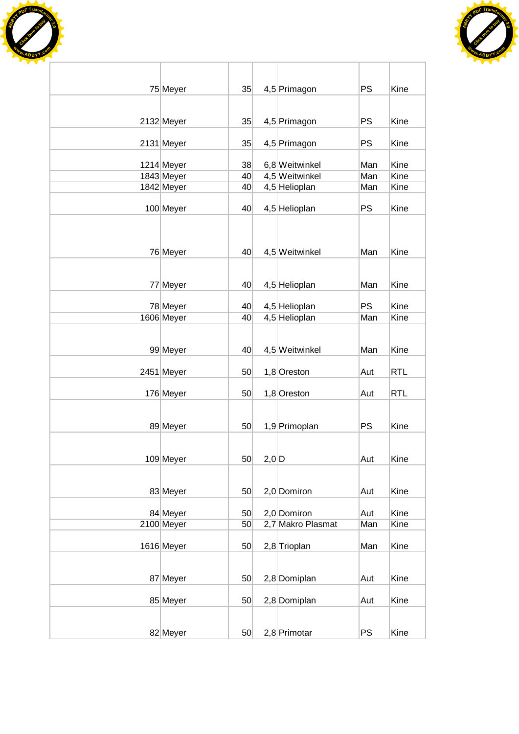



| 75 Meyer   | 35 |       | 4,5 Primagon      | <b>PS</b> | Kine       |
|------------|----|-------|-------------------|-----------|------------|
|            |    |       |                   |           |            |
| 2132 Meyer | 35 |       | 4,5 Primagon      | PS        | Kine       |
| 2131 Meyer | 35 |       | 4,5 Primagon      | PS        | Kine       |
| 1214 Meyer | 38 |       | 6,8 Weitwinkel    | Man       | Kine       |
| 1843 Meyer | 40 |       | 4,5 Weitwinkel    | Man       | Kine       |
|            | 40 |       | 4,5 Helioplan     | Man       | Kine       |
| 1842 Meyer |    |       |                   |           |            |
| 100 Meyer  | 40 |       | 4,5 Helioplan     | <b>PS</b> | Kine       |
| 76 Meyer   | 40 |       | 4,5 Weitwinkel    | Man       | Kine       |
| 77 Meyer   | 40 |       | 4,5 Helioplan     | Man       | Kine       |
|            |    |       |                   |           |            |
| 78 Meyer   | 40 |       | 4,5 Helioplan     | <b>PS</b> | Kine       |
| 1606 Meyer | 40 |       | 4,5 Helioplan     | Man       | Kine       |
| 99 Meyer   | 40 |       | 4,5 Weitwinkel    | Man       | Kine       |
| 2451 Meyer | 50 |       | 1,8 Oreston       | Aut       | <b>RTL</b> |
| 176 Meyer  | 50 |       | 1,8 Oreston       | Aut       | <b>RTL</b> |
|            |    |       |                   |           |            |
| 89 Meyer   | 50 |       | 1,9 Primoplan     | <b>PS</b> | Kine       |
| 109 Meyer  | 50 | 2,0 D |                   | Aut       | Kine       |
| 83 Meyer   | 50 |       | 2,0 Domiron       | Aut       | Kine       |
| 84 Meyer   | 50 |       | 2,0 Domiron       | Aut       | Kine       |
| 2100 Meyer | 50 |       | 2,7 Makro Plasmat | Man       | Kine       |
|            |    |       |                   |           |            |
| 1616 Meyer | 50 |       | 2,8 Trioplan      | Man       | Kine       |
| 87 Meyer   | 50 |       | 2,8 Domiplan      | Aut       | Kine       |
| 85 Meyer   | 50 |       | 2,8 Domiplan      | Aut       | Kine       |
| 82 Meyer   | 50 |       | 2,8 Primotar      | <b>PS</b> | Kine       |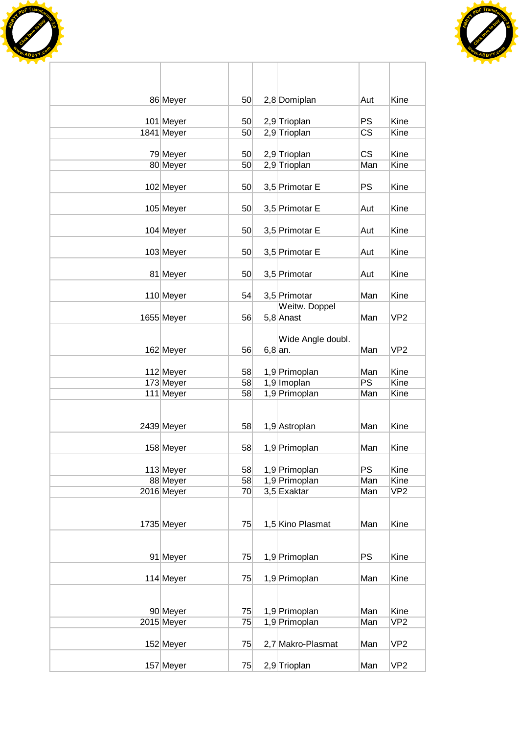



| 86 Meyer               | 50       | 2,8 Domiplan                   | Aut        | Kine            |
|------------------------|----------|--------------------------------|------------|-----------------|
| 101 Meyer              | 50       | 2,9 Trioplan                   | <b>PS</b>  | Kine            |
| 1841 Meyer             | 50       | 2,9 Trioplan                   | CS         | Kine            |
| 79 Meyer               | 50       | 2,9 Trioplan                   | <b>CS</b>  | Kine            |
| 80 Meyer               | 50       | 2,9 Trioplan                   | Man        | Kine            |
|                        |          |                                |            |                 |
| 102 Meyer              | 50       | 3,5 Primotar E                 | <b>PS</b>  | Kine            |
| 105 Meyer              | 50       | 3,5 Primotar E                 | Aut        | Kine            |
| 104 Meyer              | 50       | 3,5 Primotar E                 | Aut        | Kine            |
|                        |          |                                |            |                 |
| 103 Meyer              | 50       | 3,5 Primotar E                 | Aut        | Kine            |
| 81 Meyer               | 50       | 3,5 Primotar                   | Aut        | Kine            |
| 110 Meyer              | 54       | 3,5 Primotar                   | Man        | Kine            |
|                        |          | Weitw. Doppel                  |            |                 |
| 1655 Meyer             | 56       | $5,8$ Anast                    | Man        | VP <sub>2</sub> |
|                        |          |                                |            |                 |
| 162 Meyer              | 56       | Wide Angle doubl.<br>$6,8$ an. | Man        | VP <sub>2</sub> |
|                        |          |                                |            |                 |
| 112 Meyer              | 58       | 1,9 Primoplan                  | Man        | Kine            |
| 173 Meyer              | 58       | 1,9 Imoplan                    | <b>PS</b>  | Kine            |
| 111 Meyer              | 58       | 1,9 Primoplan                  | Man        | Kine            |
|                        |          |                                |            |                 |
| 2439 Meyer             | 58       | 1,9 Astroplan                  | Man        | Kine            |
|                        |          |                                |            |                 |
| 158 Meyer              | 58       | 1,9 Primoplan                  | Man        | Kine            |
| 113 Meyer              | 58       | 1,9 Primoplan                  | <b>PS</b>  | Kine            |
| 88 Meyer               | 58       | 1,9 Primoplan                  | Man        | Kine            |
| 2016 Meyer             | 70       | $3,5$ Exaktar                  | Man        | VP <sub>2</sub> |
|                        |          |                                |            |                 |
| 1735 Meyer             | 75       | 1,5 Kino Plasmat               | Man        | Kine            |
|                        |          |                                |            |                 |
|                        |          |                                |            |                 |
| 91 Meyer               | 75       | 1,9 Primoplan                  | <b>PS</b>  | Kine            |
| 114 Meyer              | 75       | 1,9 Primoplan                  | Man        | Kine            |
|                        |          |                                |            |                 |
|                        |          |                                |            | Kine            |
| 90 Meyer<br>2015 Meyer | 75<br>75 | 1,9 Primoplan<br>1,9 Primoplan | Man<br>Man | VP <sub>2</sub> |
|                        |          |                                |            |                 |
| 152 Meyer              | 75       | 2,7 Makro-Plasmat              | Man        | VP <sub>2</sub> |
| 157 Meyer              | 75       | 2,9 Trioplan                   | Man        | VP <sub>2</sub> |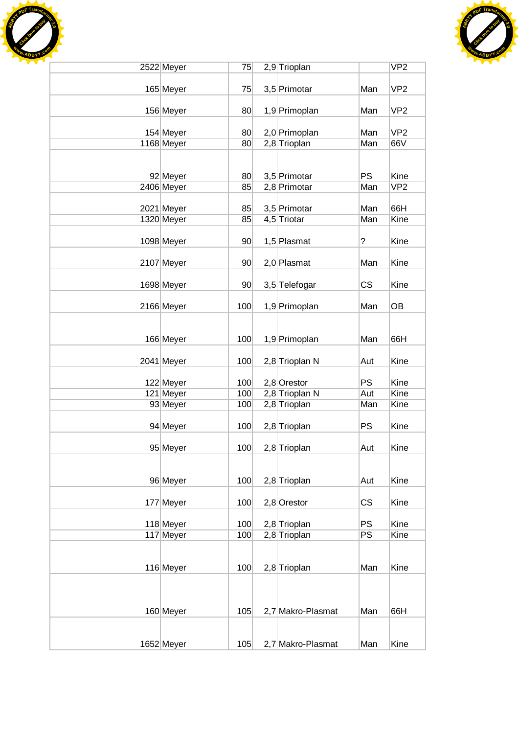



| 2522 Meyer | 75              | 2,9 Trioplan      |           | VP <sub>2</sub> |
|------------|-----------------|-------------------|-----------|-----------------|
|            |                 |                   |           |                 |
| 165 Meyer  | 75              | 3,5 Primotar      | Man       | VP <sub>2</sub> |
|            |                 |                   |           |                 |
| 156 Meyer  | 80              | 1,9 Primoplan     | Man       | VP <sub>2</sub> |
| 154 Meyer  | 80              | 2,0 Primoplan     | Man       | VP <sub>2</sub> |
| 1168 Meyer | 80              | 2,8 Trioplan      | Man       | 66V             |
|            |                 |                   |           |                 |
|            |                 |                   |           |                 |
| 92 Meyer   | 80              | 3,5 Primotar      | <b>PS</b> | Kine            |
| 2406 Meyer | 85              | 2,8 Primotar      | Man       | VP <sub>2</sub> |
|            |                 |                   |           |                 |
| 2021 Meyer | 85              | 3,5 Primotar      | Man       | 66H             |
| 1320 Meyer | 85              | 4,5 Triotar       | Man       | Kine            |
|            |                 |                   |           |                 |
| 1098 Meyer | 90 <sub>0</sub> | 1,5 Plasmat       | ?         | Kine            |
| 2107 Meyer | 90              | 2,0 Plasmat       | Man       | Kine            |
|            |                 |                   |           |                 |
| 1698 Meyer | 90 <sub>0</sub> | 3,5 Telefogar     | <b>CS</b> | Kine            |
|            |                 |                   |           |                 |
| 2166 Meyer | 100             | 1,9 Primoplan     | Man       | OB              |
|            |                 |                   |           |                 |
|            |                 |                   |           |                 |
| 166 Meyer  | 100             | 1,9 Primoplan     | Man       | 66H             |
|            |                 |                   |           |                 |
| 2041 Meyer | 100             | 2,8 Trioplan N    | Aut       | Kine            |
| 122 Meyer  | 100             | $2,8$ Orestor     | <b>PS</b> | Kine            |
| 121 Meyer  | 100             | 2,8 Trioplan N    | Aut       | Kine            |
| 93 Meyer   | 100             | 2,8 Trioplan      | Man       | Kine            |
|            |                 |                   |           |                 |
| 94 Meyer   | 100             | 2,8 Trioplan      | <b>PS</b> | Kine            |
|            |                 |                   |           |                 |
| 95 Meyer   | 100             | 2,8 Trioplan      | Aut       | Kine            |
|            |                 |                   |           |                 |
|            |                 |                   |           |                 |
| 96 Meyer   | 100             | 2,8 Trioplan      | Aut       | Kine            |
| 177 Meyer  | 100             | $2,8$ Orestor     | <b>CS</b> | Kine            |
|            |                 |                   |           |                 |
| 118 Meyer  | 100             | 2,8 Trioplan      | <b>PS</b> | Kine            |
| 117 Meyer  | 100             | 2,8 Trioplan      | <b>PS</b> | Kine            |
|            |                 |                   |           |                 |
|            |                 |                   |           |                 |
| 116 Meyer  | 100             | 2,8 Trioplan      | Man       | Kine            |
|            |                 |                   |           |                 |
|            |                 |                   |           |                 |
|            | 105             | 2,7 Makro-Plasmat | Man       | 66H             |
| 160 Meyer  |                 |                   |           |                 |
|            |                 |                   |           |                 |
| 1652 Meyer | 105             | 2,7 Makro-Plasmat | Man       | Kine            |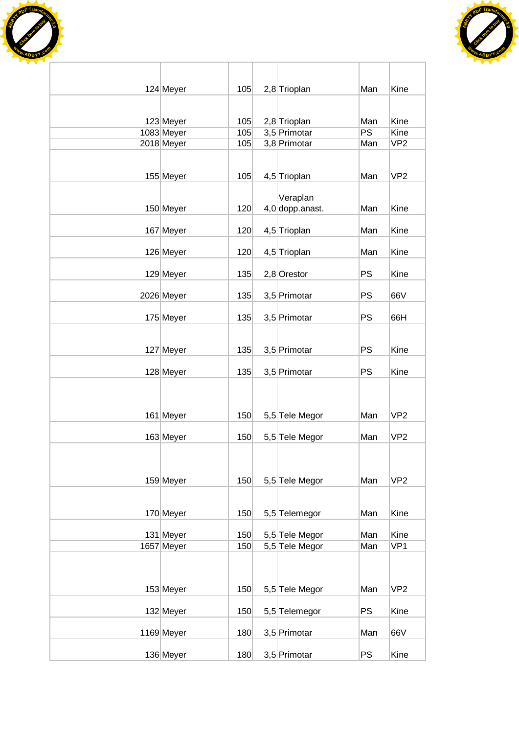



| 124 Meyer  | 105 | 2,8 Trioplan    | Man       | Kine            |
|------------|-----|-----------------|-----------|-----------------|
|            |     |                 |           |                 |
| 123 Meyer  | 105 | 2,8 Trioplan    | Man       | Kine            |
| 1083 Meyer | 105 | 3,5 Primotar    | PS        | Kine            |
| 2018 Meyer | 105 | 3,8 Primotar    | Man       | VP <sub>2</sub> |
|            |     |                 |           |                 |
| 155 Meyer  | 105 | 4,5 Trioplan    | Man       | VP <sub>2</sub> |
|            |     |                 |           |                 |
|            |     | Veraplan        |           |                 |
| 150 Meyer  | 120 | 4,0 dopp.anast. | Man       | Kine            |
|            |     |                 |           |                 |
| 167 Meyer  | 120 | 4,5 Trioplan    | Man       | Kine            |
|            |     |                 |           |                 |
| 126 Meyer  | 120 | 4,5 Trioplan    | Man       | Kine            |
| 129 Meyer  | 135 | $2,8$ Orestor   | <b>PS</b> | Kine            |
|            |     |                 |           |                 |
| 2026 Meyer | 135 | 3,5 Primotar    | <b>PS</b> | 66V             |
|            |     |                 |           |                 |
| 175 Meyer  | 135 | 3,5 Primotar    | <b>PS</b> | 66H             |
|            |     |                 |           |                 |
|            |     |                 |           |                 |
| 127 Meyer  | 135 | 3,5 Primotar    | <b>PS</b> | Kine            |
|            | 135 |                 | <b>PS</b> | Kine            |
| 128 Meyer  |     | 3,5 Primotar    |           |                 |
|            |     |                 |           |                 |
|            |     |                 |           |                 |
| 161 Meyer  | 150 | 5,5 Tele Megor  | Man       | VP <sub>2</sub> |
|            |     |                 |           |                 |
| 163 Meyer  | 150 | 5,5 Tele Megor  | Man       | VP <sub>2</sub> |
|            |     |                 |           |                 |
|            |     |                 |           |                 |
| 159 Meyer  | 150 | 5,5 Tele Megor  | Man       | VP <sub>2</sub> |
|            |     |                 |           |                 |
|            |     |                 |           |                 |
| 170 Meyer  | 150 | 5,5 Telemegor   | Man       | Kine            |
|            |     |                 |           |                 |
| 131 Meyer  | 150 | 5,5 Tele Megor  | Man       | Kine            |
| 1657 Meyer | 150 | 5,5 Tele Megor  | Man       | VP1             |
|            |     |                 |           |                 |
|            |     |                 |           |                 |
| 153 Meyer  | 150 | 5,5 Tele Megor  | Man       | VP <sub>2</sub> |
|            |     |                 |           |                 |
| 132 Meyer  | 150 | 5,5 Telemegor   | <b>PS</b> | Kine            |
|            |     |                 |           |                 |
| 1169 Meyer | 180 | 3,5 Primotar    | Man       | 66V             |
|            |     |                 |           |                 |
| 136 Meyer  | 180 | 3,5 Primotar    | <b>PS</b> | Kine            |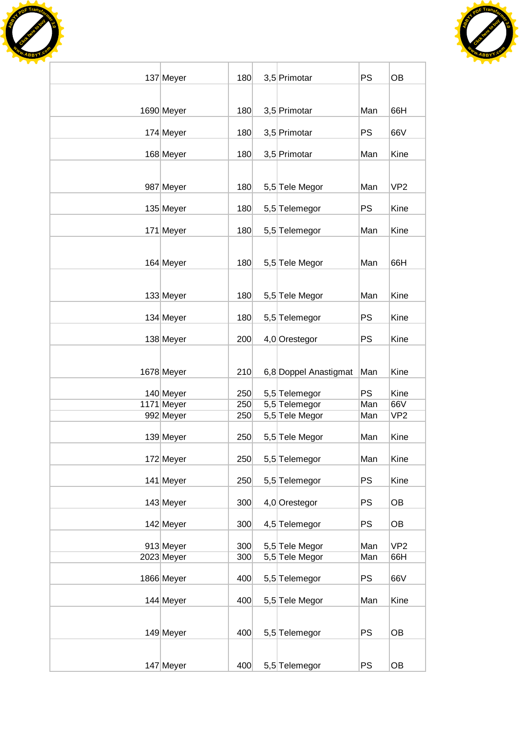



|                         |            |                                  | PS         | <b>OB</b>              |
|-------------------------|------------|----------------------------------|------------|------------------------|
| 137 Meyer               | 180        | 3,5 Primotar                     |            |                        |
|                         |            |                                  |            |                        |
| 1690 Meyer              | 180        | 3,5 Primotar                     | Man        | 66H                    |
| 174 Meyer               | 180        | 3,5 Primotar                     | <b>PS</b>  | 66V                    |
| 168 Meyer               | 180        | 3,5 Primotar                     | Man        | Kine                   |
|                         |            |                                  |            |                        |
| 987 Meyer               | 180        | 5,5 Tele Megor                   | Man        | VP <sub>2</sub>        |
| 135 Meyer               | 180        | 5,5 Telemegor                    | <b>PS</b>  | Kine                   |
| 171 Meyer               | 180        | 5,5 Telemegor                    | Man        | Kine                   |
|                         |            |                                  |            |                        |
| 164 Meyer               | 180        | 5,5 Tele Megor                   | Man        | 66H                    |
|                         |            |                                  |            |                        |
| 133 Meyer               | 180        | 5,5 Tele Megor                   | Man        | Kine                   |
| 134 Meyer               | 180        | 5,5 Telemegor                    | PS         | Kine                   |
| 138 Meyer               | 200        | 4,0 Orestegor                    | <b>PS</b>  | Kine                   |
|                         |            |                                  |            |                        |
| 1678 Meyer              | 210        | 6,8 Doppel Anastigmat            | Man        | Kine                   |
|                         |            |                                  |            |                        |
| 140 Meyer               | 250        | 5,5 Telemegor                    | <b>PS</b>  | Kine                   |
| 1171 Meyer              | 250        | 5,5 Telemegor                    | Man        | 66V                    |
| 992 Meyer               | 250        | 5,5 Tele Megor                   | Man        | VP <sub>2</sub>        |
| 139 Meyer               | 250        | 5,5 Tele Megor                   | Man        | Kine                   |
| 172 Meyer               | 250        | 5,5 Telemegor                    | Man        | Kine                   |
| 141 Meyer               | 250        | 5,5 Telemegor                    | <b>PS</b>  | Kine                   |
|                         |            |                                  |            |                        |
| 143 Meyer               | 300        | 4,0 Orestegor                    | <b>PS</b>  | OB                     |
| 142 Meyer               | 300        | 4,5 Telemegor                    | <b>PS</b>  | OB                     |
|                         |            |                                  |            |                        |
| 913 Meyer<br>2023 Meyer | 300<br>300 | 5,5 Tele Megor<br>5,5 Tele Megor | Man<br>Man | VP <sub>2</sub><br>66H |
|                         |            |                                  |            |                        |
| 1866 Meyer              | 400        | 5,5 Telemegor                    | <b>PS</b>  | 66V                    |
| 144 Meyer               | 400        | 5,5 Tele Megor                   | Man        | Kine                   |
|                         |            |                                  |            |                        |
| 149 Meyer               | 400        | 5,5 Telemegor                    | <b>PS</b>  | OB                     |
|                         |            |                                  |            |                        |
| 147 Meyer               | 400        | 5,5 Telemegor                    | <b>PS</b>  | OB                     |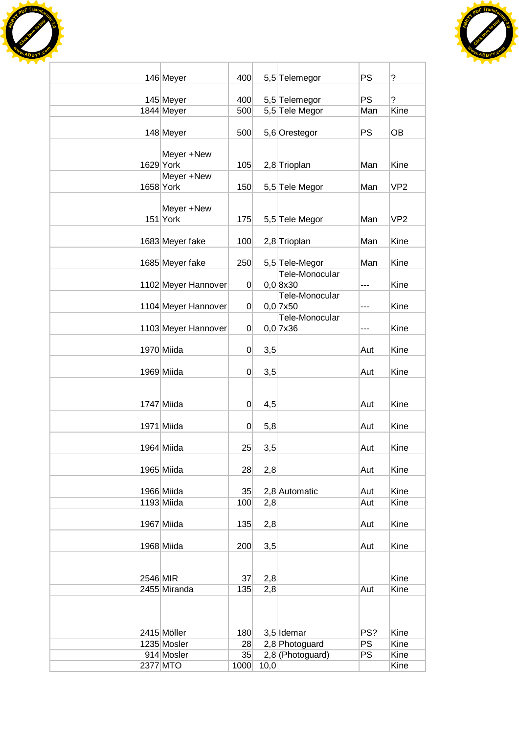



|          | 146 Meyer                 | 400            |      | 5,5 Telemegor                        | <b>PS</b>        | ?               |
|----------|---------------------------|----------------|------|--------------------------------------|------------------|-----------------|
|          | 145 Meyer                 | 400            |      | 5,5 Telemegor                        | <b>PS</b>        | $\overline{?}$  |
|          | 1844 Meyer                | 500            |      | 5,5 Tele Megor                       | Man              | Kine            |
|          |                           |                |      |                                      |                  |                 |
|          | 148 Meyer                 | 500            |      | 5,6 Orestegor                        | <b>PS</b>        | <b>OB</b>       |
|          |                           |                |      |                                      |                  |                 |
|          | Meyer +New<br>1629 York   | 105            |      |                                      | Man              | Kine            |
|          | Meyer +New                |                |      | 2,8 Trioplan                         |                  |                 |
|          | 1658 York                 | 150            |      | 5,5 Tele Megor                       | Man              | VP <sub>2</sub> |
|          |                           |                |      |                                      |                  |                 |
|          | Meyer +New                |                |      |                                      |                  |                 |
|          | $151$ York                | 175            |      | 5,5 Tele Megor                       | Man              | VP <sub>2</sub> |
|          |                           |                |      |                                      | Man              | Kine            |
|          | 1683 Meyer fake           | 100            |      | 2,8 Trioplan                         |                  |                 |
|          | 1685 Meyer fake           | 250            |      | 5,5 Tele-Megor                       | Man              | Kine            |
|          |                           |                |      | Tele-Monocular                       |                  |                 |
|          | 1102 Meyer Hannover       | $\overline{0}$ |      | $0,0$ 8x30                           | ---              | Kine            |
|          |                           |                |      | Tele-Monocular                       |                  |                 |
|          | 1104 Meyer Hannover       | $\overline{0}$ |      | $0,0$ 7x50                           | ---              | Kine            |
|          |                           |                |      | Tele-Monocular                       |                  | Kine            |
|          | 1103 Meyer Hannover       | $\overline{0}$ |      | $0,0$ 7x36                           | ---              |                 |
|          | 1970 Miida                | $\overline{0}$ | 3,5  |                                      | Aut              | Kine            |
|          |                           |                |      |                                      |                  |                 |
|          | 1969 Miida                | $\overline{0}$ | 3,5  |                                      | Aut              | Kine            |
|          |                           |                |      |                                      |                  |                 |
|          |                           |                |      |                                      |                  |                 |
|          | 1747 Miida                | $\overline{0}$ | 4,5  |                                      | Aut              | Kine            |
|          | 1971 Miida                | $\overline{0}$ | 5,8  |                                      | Aut              | Kine            |
|          |                           |                |      |                                      |                  |                 |
|          | 1964 Miida                | 25             | 3,5  |                                      | Aut              | Kine            |
|          |                           |                |      |                                      |                  |                 |
|          | 1965 Miida                | 28             | 2,8  |                                      | Aut              | Kine            |
|          | 1966 Miida                | 35             |      | 2,8 Automatic                        | Aut              | Kine            |
|          | 1193 Miida                | 100            | 2,8  |                                      | Aut              | Kine            |
|          |                           |                |      |                                      |                  |                 |
|          | 1967 Miida                | 135            | 2,8  |                                      | Aut              | Kine            |
|          |                           |                |      |                                      |                  |                 |
|          | 1968 Miida                | 200            | 3,5  |                                      | Aut              | Kine            |
|          |                           |                |      |                                      |                  |                 |
| 2546 MIR |                           | 37             | 2,8  |                                      |                  | Kine            |
|          | 2455 Miranda              | 135            | 2,8  |                                      | Aut              | Kine            |
|          |                           |                |      |                                      |                  |                 |
|          |                           |                |      |                                      |                  |                 |
|          |                           |                |      |                                      |                  |                 |
|          | 2415 Möller               | 180            |      | 3,5 Idemar                           | PS?<br><b>PS</b> | Kine<br>Kine    |
|          | 1235 Mosler<br>914 Mosler | 28<br>35       |      | 2,8 Photoguard<br>$2,8$ (Photoguard) | <b>PS</b>        | Kine            |
|          | 2377 MTO                  | 1000           | 10,0 |                                      |                  | Kine            |
|          |                           |                |      |                                      |                  |                 |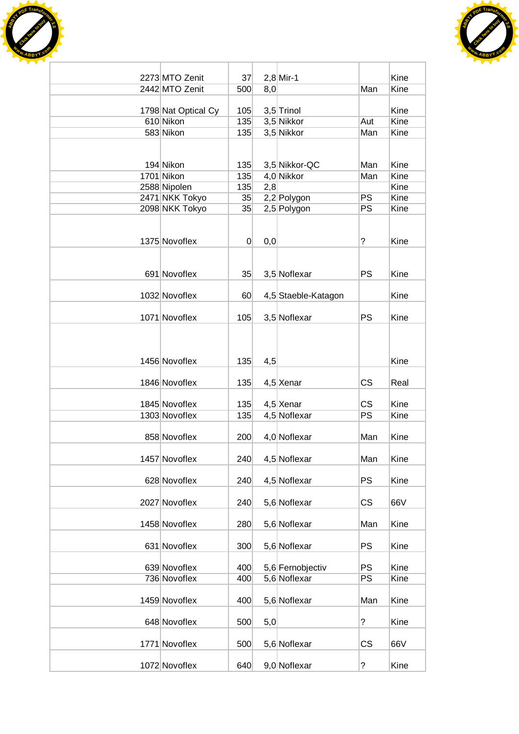



| 2273 MTO Zenit                   | 37             |     | $2,8$ Mir-1              |                 | Kine         |
|----------------------------------|----------------|-----|--------------------------|-----------------|--------------|
| 2442 MTO Zenit                   | 500            | 8,0 |                          | Man             | Kine         |
|                                  |                |     |                          |                 |              |
| 1798 Nat Optical Cy<br>610 Nikon | 105            |     | 3,5 Trinol<br>3,5 Nikkor |                 | Kine<br>Kine |
| 583 Nikon                        | 135<br>135     |     | 3,5 Nikkor               | Aut<br>Man      | Kine         |
|                                  |                |     |                          |                 |              |
|                                  |                |     |                          |                 |              |
| 194 Nikon                        | 135            |     | 3,5 Nikkor-QC            | Man             | Kine         |
| 1701 Nikon                       | 135            |     | 4,0 Nikkor               | Man             | Kine         |
| 2588 Nipolen                     | 135            | 2,8 |                          |                 | Kine         |
| 2471 NKK Tokyo                   | 35             |     | 2,2 Polygon              | <b>PS</b>       | Kine         |
| 2098 NKK Tokyo                   | 35             |     | 2,5 Polygon              | <b>PS</b>       | Kine         |
|                                  |                |     |                          |                 |              |
| 1375 Novoflex                    | $\overline{0}$ | 0,0 |                          | $\tilde{?}$     | Kine         |
|                                  |                |     |                          |                 |              |
|                                  |                |     |                          |                 |              |
| 691 Novoflex                     | 35             |     | 3,5 Noflexar             | <b>PS</b>       | Kine         |
|                                  |                |     |                          |                 |              |
| 1032 Novoflex                    | 60             |     | 4,5 Staeble-Katagon      |                 | Kine         |
|                                  |                |     |                          | <b>PS</b>       | Kine         |
| 1071 Novoflex                    | 105            |     | 3,5 Noflexar             |                 |              |
|                                  |                |     |                          |                 |              |
|                                  |                |     |                          |                 |              |
| 1456 Novoflex                    | 135            | 4,5 |                          |                 | Kine         |
|                                  |                |     |                          |                 |              |
| 1846 Novoflex                    | 135            |     | 4,5 Xenar                | <b>CS</b>       | Real         |
|                                  |                |     |                          |                 |              |
| 1845 Novoflex                    | 135            |     | 4,5 Xenar                | <b>CS</b><br>PS | Kine         |
| 1303 Novoflex                    | 135            |     | 4,5 Noflexar             |                 | Kine         |
| 858 Novoflex                     | 200            |     | 4,0 Noflexar             | Man             | Kine         |
|                                  |                |     |                          |                 |              |
| 1457 Novoflex                    | 240            |     | 4,5 Noflexar             | Man             | Kine         |
|                                  |                |     |                          |                 |              |
| 628 Novoflex                     | 240            |     | 4,5 Noflexar             | <b>PS</b>       | Kine         |
|                                  |                |     |                          |                 |              |
| 2027 Novoflex                    | 240            |     | 5,6 Noflexar             | CS              | 66V          |
| 1458 Novoflex                    | 280            |     | 5,6 Noflexar             | Man             | Kine         |
|                                  |                |     |                          |                 |              |
| 631 Novoflex                     | 300            |     | 5,6 Noflexar             | <b>PS</b>       | Kine         |
|                                  |                |     |                          |                 |              |
| 639 Novoflex                     | 400            |     | 5,6 Fernobjectiv         | <b>PS</b>       | Kine         |
| 736 Novoflex                     | 400            |     | 5,6 Noflexar             | PS              | Kine         |
|                                  |                |     |                          |                 |              |
| 1459 Novoflex                    | 400            |     | 5,6 Noflexar             | Man             | Kine         |
| 648 Novoflex                     | 500            | 5,0 |                          | $\tilde{?}$     | Kine         |
|                                  |                |     |                          |                 |              |
| 1771 Novoflex                    | 500            |     | 5,6 Noflexar             | CS              | 66V          |
|                                  |                |     |                          |                 |              |
| 1072 Novoflex                    | 640            |     | 9,0 Noflexar             | ?               | Kine         |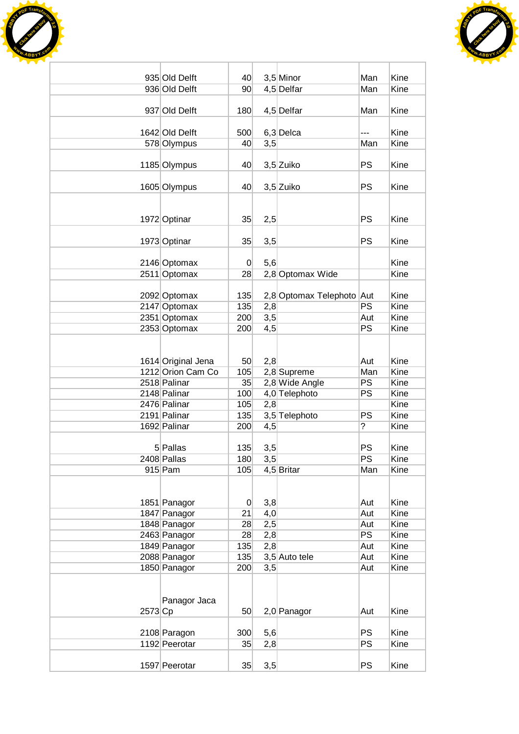



|           | 935 Old Delft                | 40             |     | $3,5$ Minor               | Man       | Kine         |
|-----------|------------------------------|----------------|-----|---------------------------|-----------|--------------|
|           | 936 Old Delft                | 90             |     | 4,5 Delfar                | Man       | Kine         |
|           |                              |                |     |                           |           |              |
|           | 937 Old Delft                | 180            |     | 4,5 Delfar                | Man       | Kine         |
|           |                              |                |     |                           |           |              |
|           | 1642 Old Delft               | 500            |     | $6,3$ Delca               | ---       | Kine         |
|           | 578 Olympus                  | 40             | 3,5 |                           | Man       | Kine         |
|           |                              |                |     |                           |           |              |
|           | 1185 Olympus                 | 40             |     | 3,5 Zuiko                 | <b>PS</b> | Kine         |
|           | 1605 Olympus                 | 40             |     | 3,5 Zuiko                 | <b>PS</b> | Kine         |
|           |                              |                |     |                           |           |              |
|           |                              |                |     |                           |           |              |
|           | 1972 Optinar                 | 35             | 2,5 |                           | <b>PS</b> | Kine         |
|           |                              |                |     |                           |           |              |
|           | 1973 Optinar                 | 35             | 3,5 |                           | <b>PS</b> | Kine         |
|           |                              |                |     |                           |           |              |
|           | 2146 Optomax                 | $\mathbf 0$    | 5,6 |                           |           | Kine         |
|           | 2511 Optomax                 | 28             |     | 2,8 Optomax Wide          |           | Kine         |
|           |                              |                |     |                           |           |              |
|           | 2092 Optomax                 | 135            |     | 2,8 Optomax Telephoto Aut |           | Kine         |
|           | 2147 Optomax                 | 135            | 2,8 |                           | <b>PS</b> | Kine         |
|           | 2351 Optomax                 | 200            | 3,5 |                           | Aut       | Kine         |
|           | 2353 Optomax                 | 200            | 4,5 |                           | PS        | Kine         |
|           |                              |                |     |                           |           |              |
|           |                              |                |     |                           |           |              |
|           | 1614 Original Jena           | 50             | 2,8 |                           | Aut       | Kine         |
|           | 1212 Orion Cam Co            | 105            |     | 2,8 Supreme               | Man       | Kine         |
|           | 2518 Palinar                 | 35             |     | 2,8 Wide Angle            | <b>PS</b> | Kine         |
|           | 2148 Palinar                 | 100            |     | 4,0 Telephoto             | PS        | Kine         |
|           | 2476 Palinar                 | 105            | 2,8 |                           |           | Kine         |
|           | 2191 Palinar                 | 135            |     | 3,5 Telephoto             | PS        | Kine         |
|           | 1692 Palinar                 | 200            | 4,5 |                           | ?         | Kine         |
|           |                              |                |     |                           |           |              |
|           | 5 Pallas                     | 135            | 3,5 |                           | <b>PS</b> | Kine         |
|           | 2408 Pallas                  | 180            | 3,5 |                           | PS        | Kine         |
|           | $915$ Pam                    | 105            |     | 4,5 Britar                | Man       | Kine         |
|           |                              |                |     |                           |           |              |
|           |                              |                |     |                           |           |              |
|           | 1851 Panagor                 | $\overline{0}$ | 3,8 |                           | Aut       | Kine         |
|           | 1847 Panagor                 | 21             | 4,0 |                           | Aut       | Kine         |
|           | 1848 Panagor                 | 28             | 2,5 |                           | Aut       | Kine         |
|           | 2463 Panagor                 | 28             | 2,8 |                           | <b>PS</b> | Kine         |
|           | 1849 Panagor<br>2088 Panagor | 135            | 2,8 | 3,5 Auto tele             | Aut       | Kine<br>Kine |
|           |                              | 135            |     |                           | Aut       | Kine         |
|           | 1850 Panagor                 | 200            | 3,5 |                           | Aut       |              |
|           |                              |                |     |                           |           |              |
|           | Panagor Jaca                 |                |     |                           |           |              |
| $2573$ Cp |                              | 50             |     | 2,0 Panagor               | Aut       | Kine         |
|           |                              |                |     |                           |           |              |
|           | 2108 Paragon                 | 300            | 5,6 |                           | <b>PS</b> | Kine         |
|           | 1192 Peerotar                | 35             | 2,8 |                           | <b>PS</b> | Kine         |
|           |                              |                |     |                           |           |              |
|           | 1597 Peerotar                | 35             | 3,5 |                           | <b>PS</b> | Kine         |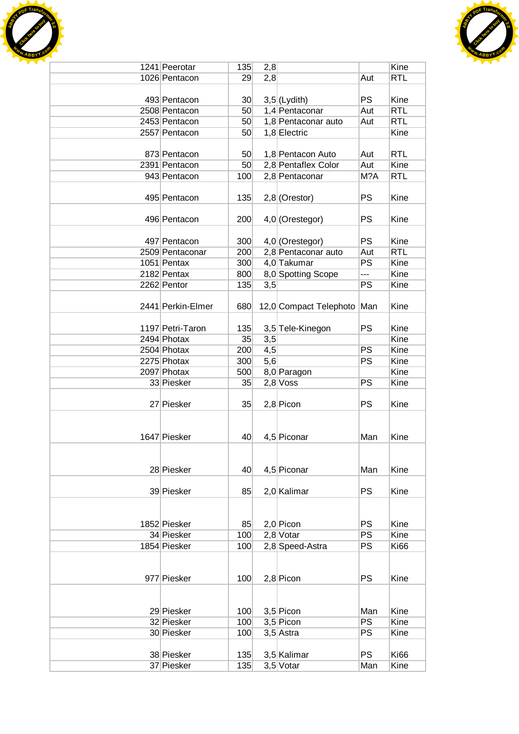



| 1241 Peerotar     | 135             | 2,8 |                        |           | Kine        |
|-------------------|-----------------|-----|------------------------|-----------|-------------|
| 1026 Pentacon     | 29              | 2,8 |                        | Aut       | <b>RTL</b>  |
|                   |                 |     |                        |           |             |
| 493 Pentacon      | 30 <sub>1</sub> |     | $3,5$ (Lydith)         | <b>PS</b> | Kine        |
| 2508 Pentacon     | 50 <sub>1</sub> |     | 1,4 Pentaconar         | Aut       | <b>RTL</b>  |
| 2453 Pentacon     | 50 <sub>1</sub> |     | 1,8 Pentaconar auto    | Aut       | <b>RTL</b>  |
| 2557 Pentacon     | 50              |     | 1,8 Electric           |           | Kine        |
|                   |                 |     |                        |           |             |
|                   |                 |     |                        |           |             |
| 873 Pentacon      | 50 <sub>1</sub> |     | 1,8 Pentacon Auto      | Aut       | <b>RTL</b>  |
| 2391 Pentacon     | 50 <sup>°</sup> |     | 2,8 Pentaflex Color    | Aut       | Kine        |
| 943 Pentacon      | 100             |     | 2,8 Pentaconar         | M?A       | <b>RTL</b>  |
|                   |                 |     |                        |           |             |
| 495 Pentacon      | 135             |     | $2,8$ (Orestor)        | PS        | Kine        |
|                   |                 |     |                        |           |             |
| 496 Pentacon      | 200             |     | 4,0 (Orestegor)        | <b>PS</b> | Kine        |
|                   |                 |     |                        |           |             |
| 497 Pentacon      | 300             |     | 4,0 (Orestegor)        | <b>PS</b> | Kine        |
| 2509 Pentaconar   | 200             |     | 2,8 Pentaconar auto    | Aut       | <b>RTL</b>  |
| 1051 Pentax       | 300             |     | 4,0 Takumar            | PS        | Kine        |
| 2182 Pentax       | 800             |     | 8,0 Spotting Scope     | ---       | Kine        |
| 2262 Pentor       | 135             | 3,5 |                        | PS        | Kine        |
|                   |                 |     |                        |           |             |
| 2441 Perkin-Elmer | 680             |     | 12,0 Compact Telephoto | Man       | Kine        |
|                   |                 |     |                        |           |             |
|                   |                 |     |                        |           |             |
| 1197 Petri-Taron  | 135             |     | 3,5 Tele-Kinegon       | PS        | Kine        |
| 2494 Photax       | 35              | 3,5 |                        |           | Kine        |
| 2504 Photax       | 200             | 4,5 |                        | PS        | Kine        |
| 2275 Photax       | 300             | 5,6 |                        | PS        | Kine        |
| 2097 Photax       | 500             |     | 8,0 Paragon            |           | Kine        |
| 33 Piesker        | 35              |     | $2,8$ Voss             | <b>PS</b> | Kine        |
|                   |                 |     |                        |           |             |
| 27 Piesker        | 35              |     | $2,8$ Picon            | <b>PS</b> | Kine        |
|                   |                 |     |                        |           |             |
|                   |                 |     |                        |           |             |
| 1647 Piesker      | 40              |     | 4,5 Piconar            | Man       | Kine        |
|                   |                 |     |                        |           |             |
|                   |                 |     |                        |           |             |
| 28 Piesker        | 40              |     | 4,5 Piconar            | Man       | Kine        |
|                   |                 |     |                        |           |             |
| 39 Piesker        |                 |     |                        | PS        | Kine        |
|                   | 85              |     | 2,0 Kalimar            |           |             |
|                   |                 |     |                        |           |             |
|                   |                 |     |                        |           |             |
| 1852 Piesker      | 85              |     | $2,0$ Picon            | PS        | Kine        |
| 34 Piesker        | 100             |     | $2,8$ Votar            | PS        | Kine        |
| 1854 Piesker      | 100             |     | 2,8 Speed-Astra        | PS        | <b>Ki66</b> |
|                   |                 |     |                        |           |             |
|                   |                 |     |                        |           |             |
| 977 Piesker       | 100             |     | 2,8 Picon              | PS        | Kine        |
|                   |                 |     |                        |           |             |
|                   |                 |     |                        |           |             |
| 29 Piesker        | 100             |     | $3,5$ Picon            | Man       | Kine        |
| 32 Piesker        | 100             |     | $3,5$ Picon            | PS        | Kine        |
| 30 Piesker        | 100             |     |                        | PS        | Kine        |
|                   |                 |     | $3,5$ Astra            |           |             |
|                   |                 |     |                        |           |             |
| 38 Piesker        | 135             |     | 3,5 Kalimar            | <b>PS</b> | <b>Ki66</b> |
| 37 Piesker        | 135             |     | $3,5$ Votar            | Man       | Kine        |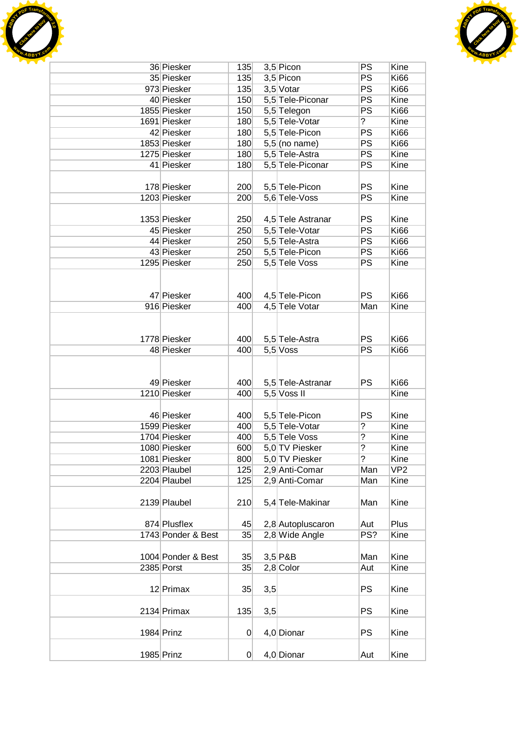



| 36 Piesker         | 135            |     | $3,5$ Picon       | PS             | Kine            |
|--------------------|----------------|-----|-------------------|----------------|-----------------|
| 35 Piesker         | 135            |     | $3,5$ Picon       | PS             | <b>Ki66</b>     |
| 973 Piesker        | 135            |     | 3,5 Votar         | PS             | <b>Ki66</b>     |
| 40 Piesker         | 150            |     | 5,5 Tele-Piconar  | PS             | Kine            |
| 1855 Piesker       | 150            |     | 5,5 Telegon       | PS             | <b>Ki66</b>     |
| 1691 Piesker       | 180            |     | 5,5 Tele-Votar    | $\tilde{?}$    | Kine            |
| 42 Piesker         | 180            |     | 5,5 Tele-Picon    | PS             | <b>Ki66</b>     |
| 1853 Piesker       | 180            |     | $5,5$ (no name)   | PS             | <b>Ki66</b>     |
| 1275 Piesker       | 180            |     | 5,5 Tele-Astra    | PS             | Kine            |
| 41 Piesker         | 180            |     | 5,5 Tele-Piconar  | PS             | Kine            |
|                    |                |     |                   |                |                 |
| 178 Piesker        | 200            |     | 5,5 Tele-Picon    | <b>PS</b>      | Kine            |
| 1203 Piesker       | 200            |     | 5,6 Tele-Voss     | PS             | Kine            |
|                    |                |     |                   |                |                 |
| 1353 Piesker       | 250            |     | 4,5 Tele Astranar | PS             | Kine            |
| 45 Piesker         | 250            |     | 5,5 Tele-Votar    | PS             | Ki66            |
| 44 Piesker         | 250            |     | 5,5 Tele-Astra    | PS             | Ki66            |
| 43 Piesker         | 250            |     | 5,5 Tele-Picon    | PS             | <b>Ki66</b>     |
| 1295 Piesker       | 250            |     | 5,5 Tele Voss     | PS             | Kine            |
|                    |                |     |                   |                |                 |
|                    |                |     |                   |                |                 |
| 47 Piesker         | 400            |     | 4,5 Tele-Picon    | <b>PS</b>      | <b>Ki66</b>     |
| 916 Piesker        | 400            |     | 4,5 Tele Votar    | Man            | Kine            |
|                    |                |     |                   |                |                 |
|                    |                |     |                   |                |                 |
| 1778 Piesker       | 400            |     | 5,5 Tele-Astra    | PS             | <b>Ki66</b>     |
| 48 Piesker         | 400            |     | $5,5$ Voss        | <b>PS</b>      | <b>Ki66</b>     |
|                    |                |     |                   |                |                 |
|                    |                |     |                   |                |                 |
| 49 Piesker         | 400            |     | 5,5 Tele-Astranar | <b>PS</b>      | <b>Ki66</b>     |
| 1210 Piesker       | 400            |     | $5,5$ Voss II     |                | Kine            |
|                    |                |     |                   |                |                 |
| 46 Piesker         | 400            |     | 5,5 Tele-Picon    | PS             | Kine            |
| 1599 Piesker       | 400            |     | 5,5 Tele-Votar    | ?              | Kine            |
| 1704 Piesker       | 400            |     | 5,5 Tele Voss     | ?              | Kine            |
| 1080 Piesker       | 600            |     | 5,0 TV Piesker    | $\overline{?}$ | Kine            |
| 1081 Piesker       | 800            |     | 5,0 TV Piesker    | $\overline{?}$ | Kine            |
| 2203 Plaubel       | 125            |     | 2,9 Anti-Comar    | Man            | VP <sub>2</sub> |
| 2204 Plaubel       | 125            |     | 2,9 Anti-Comar    | Man            | Kine            |
|                    |                |     |                   |                |                 |
| 2139 Plaubel       | 210            |     | 5,4 Tele-Makinar  | Man            | Kine            |
|                    |                |     |                   |                |                 |
| 874 Plusflex       | 45             |     | 2,8 Autopluscaron | Aut            | Plus            |
| 1743 Ponder & Best | 35             |     | 2,8 Wide Angle    | PS?            | Kine            |
|                    |                |     |                   |                |                 |
| 1004 Ponder & Best | 35             |     | $3,5$ P&B         | Man            | Kine            |
| 2385 Porst         | 35             |     | $2,8$ Color       | Aut            | Kine            |
|                    |                |     |                   |                |                 |
| 12 Primax          | 35             | 3,5 |                   | <b>PS</b>      | Kine            |
|                    |                |     |                   |                |                 |
| 2134 Primax        | 135            | 3,5 |                   | PS             | Kine            |
|                    |                |     |                   |                |                 |
| 1984 Prinz         | 0              |     | 4,0 Dionar        | <b>PS</b>      | Kine            |
|                    |                |     |                   |                |                 |
| 1985 Prinz         | $\overline{0}$ |     | 4,0 Dionar        | Aut            | Kine            |
|                    |                |     |                   |                |                 |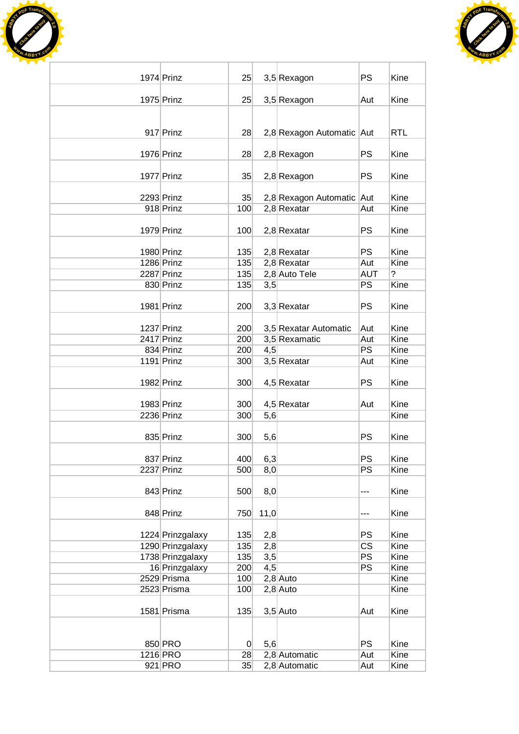



| 1974 Prinz       | 25             |      | 3,5 Rexagon               | <b>PS</b>              | Kine       |
|------------------|----------------|------|---------------------------|------------------------|------------|
| 1975 Prinz       | 25             |      |                           |                        | Kine       |
|                  |                |      | 3,5 Rexagon               | Aut                    |            |
|                  |                |      |                           |                        |            |
| 917 Prinz        | 28             |      | 2,8 Rexagon Automatic Aut |                        | <b>RTL</b> |
|                  |                |      |                           |                        |            |
| 1976 Prinz       | 28             |      | 2,8 Rexagon               | <b>PS</b>              | Kine       |
|                  |                |      |                           |                        |            |
| 1977 Prinz       | 35             |      | 2,8 Rexagon               | <b>PS</b>              | Kine       |
| 2293 Prinz       | 35             |      | 2,8 Rexagon Automatic Aut |                        | Kine       |
| 918 Prinz        | 100            |      | $2,8$ Rexatar             | Aut                    | Kine       |
|                  |                |      |                           |                        |            |
| 1979 Prinz       | 100            |      | $2,8$ Rexatar             | PS                     | Kine       |
|                  |                |      |                           |                        |            |
| 1980 Prinz       | 135            |      | $2,8$ Rexatar             | <b>PS</b>              | Kine       |
| 1286 Prinz       | 135            |      | $2,8$ Rexatar             | Aut                    | Kine       |
| 2287 Prinz       | 135            |      | 2,8 Auto Tele             | <b>AUT</b><br>PS       | ?<br>Kine  |
| 830 Prinz        | 135            | 3,5  |                           |                        |            |
| 1981 Prinz       | 200            |      | 3,3 Rexatar               | <b>PS</b>              | Kine       |
|                  |                |      |                           |                        |            |
| 1237 Prinz       | 200            |      | 3,5 Rexatar Automatic     | Aut                    | Kine       |
| 2417 Prinz       | 200            |      | 3,5 Rexamatic             | Aut                    | Kine       |
| 834 Prinz        | 200            | 4,5  |                           | PS                     | Kine       |
| 1191 Prinz       | 300            |      | 3,5 Rexatar               | Aut                    | Kine       |
|                  |                |      |                           |                        |            |
| 1982 Prinz       | 300            |      | $4,5$ Rexatar             | <b>PS</b>              | Kine       |
| 1983 Prinz       | 300            |      | $4,5$ Rexatar             | Aut                    | Kine       |
| 2236 Prinz       | 300            | 5,6  |                           |                        | Kine       |
|                  |                |      |                           |                        |            |
| 835 Prinz        | 300            | 5,6  |                           | <b>PS</b>              | Kine       |
|                  |                |      |                           |                        |            |
| 837 Prinz        | 400            | 6,3  |                           | PS                     | Kine       |
| $2237$ Prinz     | 500            | 8,0  |                           | PS                     | Kine       |
| 843 Prinz        | 500            | 8,0  |                           | ---                    | Kine       |
|                  |                |      |                           |                        |            |
| 848 Prinz        | 750            | 11,0 |                           | ---                    | Kine       |
|                  |                |      |                           |                        |            |
| 1224 Prinzgalaxy | 135            | 2,8  |                           | <b>PS</b>              | Kine       |
| 1290 Prinzgalaxy | 135            | 2,8  |                           | $\overline{\text{CS}}$ | Kine       |
| 1738 Prinzgalaxy | 135            | 3,5  |                           | PS                     | Kine       |
| 16 Prinzgalaxy   | 200            | 4,5  |                           | PS                     | Kine       |
| 2529 Prisma      | 100            |      | $2,8$ Auto                |                        | Kine       |
| 2523 Prisma      | 100            |      | $2,8$ Auto                |                        | Kine       |
| 1581 Prisma      | 135            |      | $3,5$ Auto                | Aut                    | Kine       |
|                  |                |      |                           |                        |            |
|                  |                |      |                           |                        |            |
| 850 PRO          | $\overline{0}$ | 5,6  |                           | PS                     | Kine       |
| 1216 PRO         | 28             |      | 2,8 Automatic             | Aut                    | Kine       |
| 921 PRO          | 35             |      | 2,8 Automatic             | Aut                    | Kine       |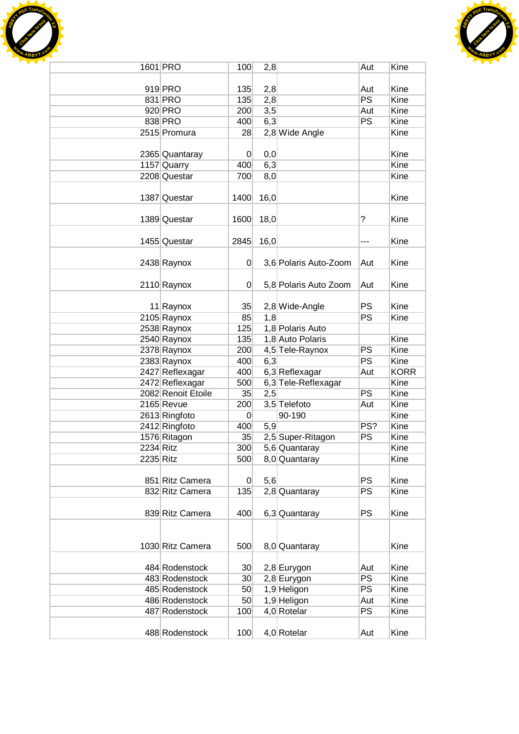



|                  | 1601 PRO           | 100             | 2,8  |                       | Aut                      | Kine        |
|------------------|--------------------|-----------------|------|-----------------------|--------------------------|-------------|
|                  |                    |                 |      |                       |                          |             |
|                  | 919 PRO            | 135             | 2,8  |                       | Aut                      | Kine        |
|                  | 831 PRO            | 135             | 2,8  |                       | PS                       | Kine        |
|                  | 920 PRO            | 200             | 3,5  |                       | Aut                      | Kine        |
|                  | 838 PRO            | 400             | 6,3  |                       | PS                       | Kine        |
|                  | 2515 Promura       | 28              |      | 2,8 Wide Angle        |                          | Kine        |
|                  |                    |                 |      |                       |                          |             |
|                  | 2365 Quantaray     | $\overline{0}$  | 0,0  |                       |                          | Kine        |
|                  | 1157 Quarry        | 400             | 6,3  |                       |                          | Kine        |
|                  | 2208 Questar       | 700             | 8,0  |                       |                          | Kine        |
|                  |                    |                 |      |                       |                          |             |
|                  | 1387 Questar       | 1400            | 16,0 |                       |                          | Kine        |
|                  |                    |                 |      |                       |                          |             |
|                  | 1389 Questar       | 1600            | 18,0 |                       | ?                        | Kine        |
|                  |                    |                 |      |                       |                          |             |
|                  | 1455 Questar       | 2845            | 16,0 |                       | ---                      | Kine        |
|                  |                    |                 |      |                       |                          |             |
|                  | 2438 Raynox        | $\overline{0}$  |      | 3,6 Polaris Auto-Zoom | Aut                      | Kine        |
|                  |                    |                 |      |                       |                          |             |
|                  | 2110 Raynox        | $\overline{0}$  |      | 5,8 Polaris Auto Zoom | Aut                      | Kine        |
|                  |                    |                 |      |                       |                          |             |
|                  | 11 Raynox          | 35              |      | 2,8 Wide-Angle        | <b>PS</b>                | Kine        |
|                  | 2105 Raynox        | 85              | 1,8  |                       | PS                       | Kine        |
|                  | 2538 Raynox        | 125             |      | 1,8 Polaris Auto      |                          |             |
|                  | 2540 Raynox        | 135             |      | 1,8 Auto Polaris      |                          | Kine        |
|                  | 2378 Raynox        | 200             |      | 4,5 Tele-Raynox       | PS                       | Kine        |
|                  | 2383 Raynox        | 400             | 6,3  |                       | PS                       | Kine        |
|                  | 2427 Reflexagar    | 400             |      | 6,3 Reflexagar        | Aut                      | <b>KORR</b> |
|                  | 2472 Reflexagar    | 500             |      | 6,3 Tele-Reflexagar   |                          | Kine        |
|                  | 2082 Renoit Etoile | 35              | 2,5  |                       | PS                       | Kine        |
|                  | 2165 Revue         | 200             |      | 3,5 Telefoto          | Aut                      | Kine        |
|                  | 2613 Ringfoto      | $\overline{0}$  |      | 90-190                |                          | Kine        |
|                  | 2412 Ringfoto      | 400             | 5,9  |                       | PS?                      | Kine        |
|                  | 1576 Ritagon       | 35              |      | 2,5 Super-Ritagon     | PS                       | Kine        |
| <b>2234 Ritz</b> |                    | 300             |      | 5,6 Quantaray         |                          | Kine        |
| 2235 Ritz        |                    | 500             |      | 8,0 Quantaray         |                          | Kine        |
|                  |                    |                 |      |                       |                          |             |
|                  | 851 Ritz Camera    | $\overline{0}$  | 5,6  |                       | <b>PS</b>                | Kine        |
|                  | 832 Ritz Camera    | 135             |      | $2,8$ Quantaray       | PS                       | Kine        |
|                  |                    |                 |      |                       |                          |             |
|                  | 839 Ritz Camera    | 400             |      | 6,3 Quantaray         | PS                       | Kine        |
|                  |                    |                 |      |                       |                          |             |
|                  |                    |                 |      |                       |                          |             |
|                  | 1030 Ritz Camera   | 500             |      | 8,0 Quantaray         |                          | Kine        |
|                  |                    |                 |      |                       |                          |             |
|                  | 484 Rodenstock     | 30 <sup>°</sup> |      | 2,8 Eurygon           | Aut                      | Kine        |
|                  | 483 Rodenstock     | 30 <sup>°</sup> |      | 2,8 Eurygon           | <b>PS</b>                | Kine        |
|                  | 485 Rodenstock     | 50              |      | 1,9 Heligon           | $\overline{\mathsf{PS}}$ | Kine        |
|                  | 486 Rodenstock     | 50              |      | 1,9 Heligon           | Aut                      | Kine        |
|                  | 487 Rodenstock     | 100             |      | 4,0 Rotelar           | PS                       | Kine        |
|                  |                    |                 |      |                       |                          |             |
|                  | 488 Rodenstock     | 100             |      | 4,0 Rotelar           | Aut                      | Kine        |
|                  |                    |                 |      |                       |                          |             |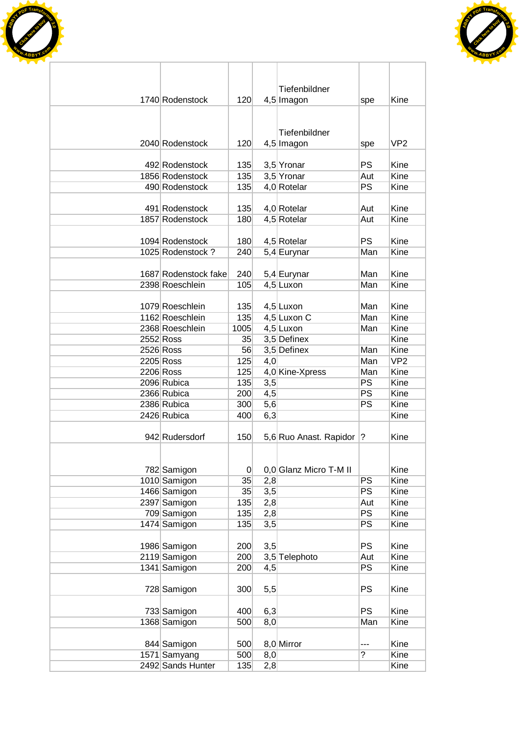



| Tiefenbildner<br>120<br>1740 Rodenstock<br>Kine<br>4,5 Imagon<br>spe<br>Tiefenbildner<br>2040 Rodenstock<br>120<br>VP2<br>4,5 Imagon<br>spe<br>PS<br>Kine<br>492 Rodenstock<br>135<br>3,5 Yronar<br>Kine<br>1856 Rodenstock<br>135<br>3,5 Yronar<br>Aut<br>PS<br>Kine<br>490 Rodenstock<br>135<br>4,0 Rotelar<br>491 Rodenstock<br>Kine<br>135<br>4,0 Rotelar<br>Aut<br>1857 Rodenstock<br>4,5 Rotelar<br>Kine<br>180<br>Aut<br>1094 Rodenstock<br>PS<br>Kine<br>180<br>4,5 Rotelar<br>1025 Rodenstock?<br>Man<br>Kine<br>240<br>5,4 Eurynar<br>1687 Rodenstock fake<br>Man<br>Kine<br>240<br>5,4 Eurynar<br>Kine<br>2398 Roeschlein<br>105<br>4,5 Luxon<br>Man<br>Kine<br>1079 Roeschlein<br>135<br>4,5 Luxon<br>Man<br>Kine<br>1162 Roeschlein<br>135<br>4,5 Luxon C<br>Man<br>4,5 Luxon<br>Kine<br>2368 Roeschlein<br>1005<br>Man<br>3,5 Definex<br>Kine<br>2552 Ross<br>35<br>3,5 Definex<br>Kine<br>2526 Ross<br>56<br>Man<br>VP <sub>2</sub><br>2205 Ross<br>125<br>Man<br>4,0<br>4,0 Kine-Xpress<br>Kine<br>2206 Ross<br>125<br>Man<br>Kine<br>2096 Rubica<br>135<br><b>PS</b><br>3,5<br><b>PS</b><br>Kine<br>200<br>4,5<br>2366 Rubica<br>PS<br>Kine<br>2386 Rubica<br>300<br>5,6<br>6,3<br>Kine<br>2426 Rubica<br>400<br>942 Rudersdorf<br>150<br>Kine<br>5,6 Ruo Anast. Rapidor<br>?<br>0,0 Glanz Micro T-M II<br>Kine<br>782 Samigon<br>0<br>35<br>PS<br>1010 Samigon<br>Kine<br>2,8<br>PS<br>1466 Samigon<br>3,5<br>35<br>Kine<br>2397 Samigon<br>135<br>2,8<br>Aut<br>Kine<br>PS<br>709 Samigon<br>Kine<br>135<br>2,8<br>PS<br>1474 Samigon<br>135<br>Kine<br>3,5<br><b>PS</b><br>Kine<br>1986 Samigon<br>200<br>3,5<br>2119 Samigon<br>Kine<br>200<br>3,5 Telephoto<br>Aut<br>1341 Samigon<br><b>PS</b><br>200<br>4,5<br>Kine<br><b>PS</b><br>Kine<br>728 Samigon<br>300<br>5,5<br><b>PS</b><br>6,3<br>Kine<br>733 Samigon<br>400 |                   |     |     |   |      |
|-------------------------------------------------------------------------------------------------------------------------------------------------------------------------------------------------------------------------------------------------------------------------------------------------------------------------------------------------------------------------------------------------------------------------------------------------------------------------------------------------------------------------------------------------------------------------------------------------------------------------------------------------------------------------------------------------------------------------------------------------------------------------------------------------------------------------------------------------------------------------------------------------------------------------------------------------------------------------------------------------------------------------------------------------------------------------------------------------------------------------------------------------------------------------------------------------------------------------------------------------------------------------------------------------------------------------------------------------------------------------------------------------------------------------------------------------------------------------------------------------------------------------------------------------------------------------------------------------------------------------------------------------------------------------------------------------------------------------------------------------------------------------------------------------------------------------------------------------|-------------------|-----|-----|---|------|
|                                                                                                                                                                                                                                                                                                                                                                                                                                                                                                                                                                                                                                                                                                                                                                                                                                                                                                                                                                                                                                                                                                                                                                                                                                                                                                                                                                                                                                                                                                                                                                                                                                                                                                                                                                                                                                                 |                   |     |     |   |      |
|                                                                                                                                                                                                                                                                                                                                                                                                                                                                                                                                                                                                                                                                                                                                                                                                                                                                                                                                                                                                                                                                                                                                                                                                                                                                                                                                                                                                                                                                                                                                                                                                                                                                                                                                                                                                                                                 |                   |     |     |   |      |
|                                                                                                                                                                                                                                                                                                                                                                                                                                                                                                                                                                                                                                                                                                                                                                                                                                                                                                                                                                                                                                                                                                                                                                                                                                                                                                                                                                                                                                                                                                                                                                                                                                                                                                                                                                                                                                                 |                   |     |     |   |      |
|                                                                                                                                                                                                                                                                                                                                                                                                                                                                                                                                                                                                                                                                                                                                                                                                                                                                                                                                                                                                                                                                                                                                                                                                                                                                                                                                                                                                                                                                                                                                                                                                                                                                                                                                                                                                                                                 |                   |     |     |   |      |
|                                                                                                                                                                                                                                                                                                                                                                                                                                                                                                                                                                                                                                                                                                                                                                                                                                                                                                                                                                                                                                                                                                                                                                                                                                                                                                                                                                                                                                                                                                                                                                                                                                                                                                                                                                                                                                                 |                   |     |     |   |      |
|                                                                                                                                                                                                                                                                                                                                                                                                                                                                                                                                                                                                                                                                                                                                                                                                                                                                                                                                                                                                                                                                                                                                                                                                                                                                                                                                                                                                                                                                                                                                                                                                                                                                                                                                                                                                                                                 |                   |     |     |   |      |
|                                                                                                                                                                                                                                                                                                                                                                                                                                                                                                                                                                                                                                                                                                                                                                                                                                                                                                                                                                                                                                                                                                                                                                                                                                                                                                                                                                                                                                                                                                                                                                                                                                                                                                                                                                                                                                                 |                   |     |     |   |      |
|                                                                                                                                                                                                                                                                                                                                                                                                                                                                                                                                                                                                                                                                                                                                                                                                                                                                                                                                                                                                                                                                                                                                                                                                                                                                                                                                                                                                                                                                                                                                                                                                                                                                                                                                                                                                                                                 |                   |     |     |   |      |
|                                                                                                                                                                                                                                                                                                                                                                                                                                                                                                                                                                                                                                                                                                                                                                                                                                                                                                                                                                                                                                                                                                                                                                                                                                                                                                                                                                                                                                                                                                                                                                                                                                                                                                                                                                                                                                                 |                   |     |     |   |      |
|                                                                                                                                                                                                                                                                                                                                                                                                                                                                                                                                                                                                                                                                                                                                                                                                                                                                                                                                                                                                                                                                                                                                                                                                                                                                                                                                                                                                                                                                                                                                                                                                                                                                                                                                                                                                                                                 |                   |     |     |   |      |
|                                                                                                                                                                                                                                                                                                                                                                                                                                                                                                                                                                                                                                                                                                                                                                                                                                                                                                                                                                                                                                                                                                                                                                                                                                                                                                                                                                                                                                                                                                                                                                                                                                                                                                                                                                                                                                                 |                   |     |     |   |      |
|                                                                                                                                                                                                                                                                                                                                                                                                                                                                                                                                                                                                                                                                                                                                                                                                                                                                                                                                                                                                                                                                                                                                                                                                                                                                                                                                                                                                                                                                                                                                                                                                                                                                                                                                                                                                                                                 |                   |     |     |   |      |
|                                                                                                                                                                                                                                                                                                                                                                                                                                                                                                                                                                                                                                                                                                                                                                                                                                                                                                                                                                                                                                                                                                                                                                                                                                                                                                                                                                                                                                                                                                                                                                                                                                                                                                                                                                                                                                                 |                   |     |     |   |      |
|                                                                                                                                                                                                                                                                                                                                                                                                                                                                                                                                                                                                                                                                                                                                                                                                                                                                                                                                                                                                                                                                                                                                                                                                                                                                                                                                                                                                                                                                                                                                                                                                                                                                                                                                                                                                                                                 |                   |     |     |   |      |
|                                                                                                                                                                                                                                                                                                                                                                                                                                                                                                                                                                                                                                                                                                                                                                                                                                                                                                                                                                                                                                                                                                                                                                                                                                                                                                                                                                                                                                                                                                                                                                                                                                                                                                                                                                                                                                                 |                   |     |     |   |      |
|                                                                                                                                                                                                                                                                                                                                                                                                                                                                                                                                                                                                                                                                                                                                                                                                                                                                                                                                                                                                                                                                                                                                                                                                                                                                                                                                                                                                                                                                                                                                                                                                                                                                                                                                                                                                                                                 |                   |     |     |   |      |
|                                                                                                                                                                                                                                                                                                                                                                                                                                                                                                                                                                                                                                                                                                                                                                                                                                                                                                                                                                                                                                                                                                                                                                                                                                                                                                                                                                                                                                                                                                                                                                                                                                                                                                                                                                                                                                                 |                   |     |     |   |      |
|                                                                                                                                                                                                                                                                                                                                                                                                                                                                                                                                                                                                                                                                                                                                                                                                                                                                                                                                                                                                                                                                                                                                                                                                                                                                                                                                                                                                                                                                                                                                                                                                                                                                                                                                                                                                                                                 |                   |     |     |   |      |
|                                                                                                                                                                                                                                                                                                                                                                                                                                                                                                                                                                                                                                                                                                                                                                                                                                                                                                                                                                                                                                                                                                                                                                                                                                                                                                                                                                                                                                                                                                                                                                                                                                                                                                                                                                                                                                                 |                   |     |     |   |      |
|                                                                                                                                                                                                                                                                                                                                                                                                                                                                                                                                                                                                                                                                                                                                                                                                                                                                                                                                                                                                                                                                                                                                                                                                                                                                                                                                                                                                                                                                                                                                                                                                                                                                                                                                                                                                                                                 |                   |     |     |   |      |
|                                                                                                                                                                                                                                                                                                                                                                                                                                                                                                                                                                                                                                                                                                                                                                                                                                                                                                                                                                                                                                                                                                                                                                                                                                                                                                                                                                                                                                                                                                                                                                                                                                                                                                                                                                                                                                                 |                   |     |     |   |      |
|                                                                                                                                                                                                                                                                                                                                                                                                                                                                                                                                                                                                                                                                                                                                                                                                                                                                                                                                                                                                                                                                                                                                                                                                                                                                                                                                                                                                                                                                                                                                                                                                                                                                                                                                                                                                                                                 |                   |     |     |   |      |
|                                                                                                                                                                                                                                                                                                                                                                                                                                                                                                                                                                                                                                                                                                                                                                                                                                                                                                                                                                                                                                                                                                                                                                                                                                                                                                                                                                                                                                                                                                                                                                                                                                                                                                                                                                                                                                                 |                   |     |     |   |      |
|                                                                                                                                                                                                                                                                                                                                                                                                                                                                                                                                                                                                                                                                                                                                                                                                                                                                                                                                                                                                                                                                                                                                                                                                                                                                                                                                                                                                                                                                                                                                                                                                                                                                                                                                                                                                                                                 |                   |     |     |   |      |
|                                                                                                                                                                                                                                                                                                                                                                                                                                                                                                                                                                                                                                                                                                                                                                                                                                                                                                                                                                                                                                                                                                                                                                                                                                                                                                                                                                                                                                                                                                                                                                                                                                                                                                                                                                                                                                                 |                   |     |     |   |      |
|                                                                                                                                                                                                                                                                                                                                                                                                                                                                                                                                                                                                                                                                                                                                                                                                                                                                                                                                                                                                                                                                                                                                                                                                                                                                                                                                                                                                                                                                                                                                                                                                                                                                                                                                                                                                                                                 |                   |     |     |   |      |
|                                                                                                                                                                                                                                                                                                                                                                                                                                                                                                                                                                                                                                                                                                                                                                                                                                                                                                                                                                                                                                                                                                                                                                                                                                                                                                                                                                                                                                                                                                                                                                                                                                                                                                                                                                                                                                                 |                   |     |     |   |      |
|                                                                                                                                                                                                                                                                                                                                                                                                                                                                                                                                                                                                                                                                                                                                                                                                                                                                                                                                                                                                                                                                                                                                                                                                                                                                                                                                                                                                                                                                                                                                                                                                                                                                                                                                                                                                                                                 |                   |     |     |   |      |
|                                                                                                                                                                                                                                                                                                                                                                                                                                                                                                                                                                                                                                                                                                                                                                                                                                                                                                                                                                                                                                                                                                                                                                                                                                                                                                                                                                                                                                                                                                                                                                                                                                                                                                                                                                                                                                                 |                   |     |     |   |      |
|                                                                                                                                                                                                                                                                                                                                                                                                                                                                                                                                                                                                                                                                                                                                                                                                                                                                                                                                                                                                                                                                                                                                                                                                                                                                                                                                                                                                                                                                                                                                                                                                                                                                                                                                                                                                                                                 |                   |     |     |   |      |
|                                                                                                                                                                                                                                                                                                                                                                                                                                                                                                                                                                                                                                                                                                                                                                                                                                                                                                                                                                                                                                                                                                                                                                                                                                                                                                                                                                                                                                                                                                                                                                                                                                                                                                                                                                                                                                                 |                   |     |     |   |      |
|                                                                                                                                                                                                                                                                                                                                                                                                                                                                                                                                                                                                                                                                                                                                                                                                                                                                                                                                                                                                                                                                                                                                                                                                                                                                                                                                                                                                                                                                                                                                                                                                                                                                                                                                                                                                                                                 |                   |     |     |   |      |
|                                                                                                                                                                                                                                                                                                                                                                                                                                                                                                                                                                                                                                                                                                                                                                                                                                                                                                                                                                                                                                                                                                                                                                                                                                                                                                                                                                                                                                                                                                                                                                                                                                                                                                                                                                                                                                                 |                   |     |     |   |      |
|                                                                                                                                                                                                                                                                                                                                                                                                                                                                                                                                                                                                                                                                                                                                                                                                                                                                                                                                                                                                                                                                                                                                                                                                                                                                                                                                                                                                                                                                                                                                                                                                                                                                                                                                                                                                                                                 |                   |     |     |   |      |
|                                                                                                                                                                                                                                                                                                                                                                                                                                                                                                                                                                                                                                                                                                                                                                                                                                                                                                                                                                                                                                                                                                                                                                                                                                                                                                                                                                                                                                                                                                                                                                                                                                                                                                                                                                                                                                                 |                   |     |     |   |      |
|                                                                                                                                                                                                                                                                                                                                                                                                                                                                                                                                                                                                                                                                                                                                                                                                                                                                                                                                                                                                                                                                                                                                                                                                                                                                                                                                                                                                                                                                                                                                                                                                                                                                                                                                                                                                                                                 |                   |     |     |   |      |
|                                                                                                                                                                                                                                                                                                                                                                                                                                                                                                                                                                                                                                                                                                                                                                                                                                                                                                                                                                                                                                                                                                                                                                                                                                                                                                                                                                                                                                                                                                                                                                                                                                                                                                                                                                                                                                                 |                   |     |     |   |      |
|                                                                                                                                                                                                                                                                                                                                                                                                                                                                                                                                                                                                                                                                                                                                                                                                                                                                                                                                                                                                                                                                                                                                                                                                                                                                                                                                                                                                                                                                                                                                                                                                                                                                                                                                                                                                                                                 |                   |     |     |   |      |
|                                                                                                                                                                                                                                                                                                                                                                                                                                                                                                                                                                                                                                                                                                                                                                                                                                                                                                                                                                                                                                                                                                                                                                                                                                                                                                                                                                                                                                                                                                                                                                                                                                                                                                                                                                                                                                                 |                   |     |     |   |      |
|                                                                                                                                                                                                                                                                                                                                                                                                                                                                                                                                                                                                                                                                                                                                                                                                                                                                                                                                                                                                                                                                                                                                                                                                                                                                                                                                                                                                                                                                                                                                                                                                                                                                                                                                                                                                                                                 |                   |     |     |   |      |
|                                                                                                                                                                                                                                                                                                                                                                                                                                                                                                                                                                                                                                                                                                                                                                                                                                                                                                                                                                                                                                                                                                                                                                                                                                                                                                                                                                                                                                                                                                                                                                                                                                                                                                                                                                                                                                                 |                   |     |     |   |      |
|                                                                                                                                                                                                                                                                                                                                                                                                                                                                                                                                                                                                                                                                                                                                                                                                                                                                                                                                                                                                                                                                                                                                                                                                                                                                                                                                                                                                                                                                                                                                                                                                                                                                                                                                                                                                                                                 |                   |     |     |   |      |
|                                                                                                                                                                                                                                                                                                                                                                                                                                                                                                                                                                                                                                                                                                                                                                                                                                                                                                                                                                                                                                                                                                                                                                                                                                                                                                                                                                                                                                                                                                                                                                                                                                                                                                                                                                                                                                                 |                   |     |     |   |      |
|                                                                                                                                                                                                                                                                                                                                                                                                                                                                                                                                                                                                                                                                                                                                                                                                                                                                                                                                                                                                                                                                                                                                                                                                                                                                                                                                                                                                                                                                                                                                                                                                                                                                                                                                                                                                                                                 |                   |     |     |   |      |
|                                                                                                                                                                                                                                                                                                                                                                                                                                                                                                                                                                                                                                                                                                                                                                                                                                                                                                                                                                                                                                                                                                                                                                                                                                                                                                                                                                                                                                                                                                                                                                                                                                                                                                                                                                                                                                                 |                   |     |     |   |      |
|                                                                                                                                                                                                                                                                                                                                                                                                                                                                                                                                                                                                                                                                                                                                                                                                                                                                                                                                                                                                                                                                                                                                                                                                                                                                                                                                                                                                                                                                                                                                                                                                                                                                                                                                                                                                                                                 |                   |     |     |   |      |
|                                                                                                                                                                                                                                                                                                                                                                                                                                                                                                                                                                                                                                                                                                                                                                                                                                                                                                                                                                                                                                                                                                                                                                                                                                                                                                                                                                                                                                                                                                                                                                                                                                                                                                                                                                                                                                                 |                   |     |     |   |      |
| 1368 Samigon<br>8,0<br>Man<br>Kine<br>500                                                                                                                                                                                                                                                                                                                                                                                                                                                                                                                                                                                                                                                                                                                                                                                                                                                                                                                                                                                                                                                                                                                                                                                                                                                                                                                                                                                                                                                                                                                                                                                                                                                                                                                                                                                                       |                   |     |     |   |      |
|                                                                                                                                                                                                                                                                                                                                                                                                                                                                                                                                                                                                                                                                                                                                                                                                                                                                                                                                                                                                                                                                                                                                                                                                                                                                                                                                                                                                                                                                                                                                                                                                                                                                                                                                                                                                                                                 |                   |     |     |   |      |
| 8,0 Mirror<br>844 Samigon<br>500<br>Kine<br>                                                                                                                                                                                                                                                                                                                                                                                                                                                                                                                                                                                                                                                                                                                                                                                                                                                                                                                                                                                                                                                                                                                                                                                                                                                                                                                                                                                                                                                                                                                                                                                                                                                                                                                                                                                                    |                   |     |     |   |      |
| 1571 Samyang                                                                                                                                                                                                                                                                                                                                                                                                                                                                                                                                                                                                                                                                                                                                                                                                                                                                                                                                                                                                                                                                                                                                                                                                                                                                                                                                                                                                                                                                                                                                                                                                                                                                                                                                                                                                                                    |                   | 500 | 8,0 | ? | Kine |
|                                                                                                                                                                                                                                                                                                                                                                                                                                                                                                                                                                                                                                                                                                                                                                                                                                                                                                                                                                                                                                                                                                                                                                                                                                                                                                                                                                                                                                                                                                                                                                                                                                                                                                                                                                                                                                                 | 2492 Sands Hunter | 135 | 2,8 |   | Kine |
|                                                                                                                                                                                                                                                                                                                                                                                                                                                                                                                                                                                                                                                                                                                                                                                                                                                                                                                                                                                                                                                                                                                                                                                                                                                                                                                                                                                                                                                                                                                                                                                                                                                                                                                                                                                                                                                 |                   |     |     |   |      |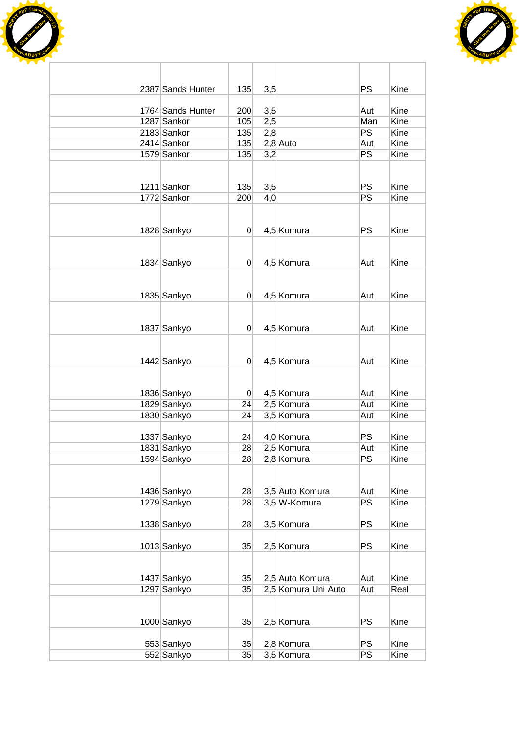



| 2387 Sands Hunter          | 135            | 3,5        |                                 | <b>PS</b>       | Kine         |
|----------------------------|----------------|------------|---------------------------------|-----------------|--------------|
| 1764 Sands Hunter          | 200            |            |                                 | Aut             | Kine         |
| 1287 Sankor                | 105            | 3,5<br>2,5 |                                 | Man             | Kine         |
| 2183 Sankor                | 135            | 2,8        |                                 | <b>PS</b>       | Kine         |
| 2414 Sankor                | 135            |            | $2,8$ Auto                      | Aut             | Kine         |
| 1579 Sankor                | 135            | 3,2        |                                 | $\overline{PS}$ | Kine         |
|                            |                |            |                                 |                 |              |
|                            |                |            |                                 |                 |              |
| 1211 Sankor                | 135            | 3,5        |                                 | <b>PS</b>       | Kine         |
| 1772 Sankor                | 200            | 4,0        |                                 | PS              | Kine         |
|                            |                |            |                                 |                 |              |
|                            |                |            |                                 |                 |              |
| 1828 Sankyo                | 0              |            | 4,5 Komura                      | <b>PS</b>       | Kine         |
|                            |                |            |                                 |                 |              |
|                            |                |            |                                 |                 |              |
| 1834 Sankyo                | $\overline{0}$ |            | 4,5 Komura                      | Aut             | Kine         |
|                            |                |            |                                 |                 |              |
|                            |                |            |                                 |                 |              |
| 1835 Sankyo                | $\mathbf 0$    |            | 4,5 Komura                      | Aut             | Kine         |
|                            |                |            |                                 |                 |              |
| 1837 Sankyo                | $\overline{0}$ |            | 4,5 Komura                      | Aut             | Kine         |
|                            |                |            |                                 |                 |              |
|                            |                |            |                                 |                 |              |
| 1442 Sankyo                | 0              |            | 4,5 Komura                      | Aut             | Kine         |
|                            |                |            |                                 |                 |              |
|                            |                |            |                                 |                 |              |
| 1836 Sankyo                | $\Omega$       |            | 4,5 Komura                      | Aut             | Kine         |
| 1829 Sankyo                | 24             |            | 2,5 Komura                      | Aut             | Kine         |
| 1830 Sankyo                | 24             |            | 3,5 Komura                      | Aut             | Kine         |
|                            |                |            |                                 |                 |              |
| 1337 Sankyo                | 24             |            | 4,0 Komura                      | <b>PS</b>       | Kine         |
| 1831 Sankyo                | 28             |            | 2,5 Komura                      | Aut             | Kine         |
| 1594 Sankyo                | 28             |            | 2,8 Komura                      | PS              | Kine         |
|                            |                |            |                                 |                 |              |
|                            |                |            |                                 |                 |              |
| 1436 Sankyo<br>1279 Sankyo | 28<br>28       |            | 3,5 Auto Komura<br>3,5 W-Komura | Aut<br>PS       | Kine<br>Kine |
|                            |                |            |                                 |                 |              |
| 1338 Sankyo                | 28             |            | 3,5 Komura                      | <b>PS</b>       | Kine         |
|                            |                |            |                                 |                 |              |
| 1013 Sankyo                | 35             |            | 2,5 Komura                      | <b>PS</b>       | Kine         |
|                            |                |            |                                 |                 |              |
|                            |                |            |                                 |                 |              |
| 1437 Sankyo                | 35             |            | 2,5 Auto Komura                 | Aut             | Kine         |
| 1297 Sankyo                | 35             |            | 2,5 Komura Uni Auto             | Aut             | Real         |
|                            |                |            |                                 |                 |              |
|                            |                |            |                                 |                 |              |
| 1000 Sankyo                | 35             |            | 2,5 Komura                      | <b>PS</b>       | Kine         |
|                            |                |            |                                 |                 |              |
| 553 Sankyo                 | 35             |            | 2,8 Komura                      | <b>PS</b>       | Kine         |
| 552 Sankyo                 | 35             |            | 3,5 Komura                      | <b>PS</b>       | Kine         |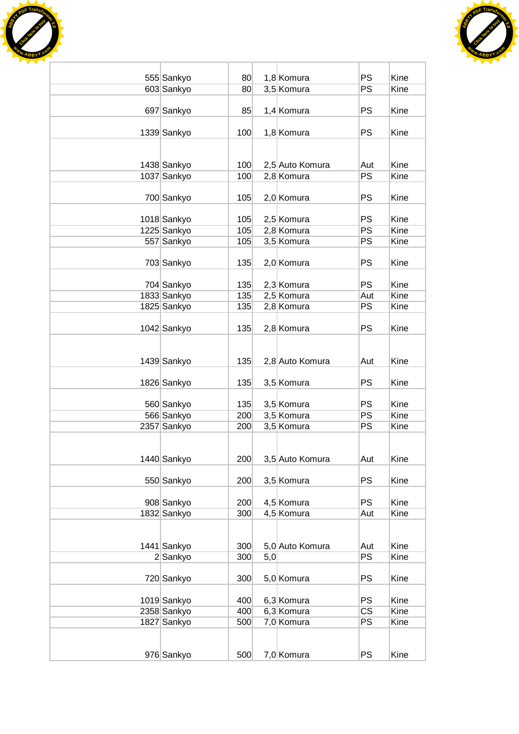



| 555 Sankyo  | 80  |     | 1,8 Komura      | <b>PS</b> | Kine |
|-------------|-----|-----|-----------------|-----------|------|
| 603 Sankyo  | 80  |     | 3,5 Komura      | PS        | Kine |
|             |     |     |                 |           |      |
| 697 Sankyo  | 85  |     | 1,4 Komura      | <b>PS</b> | Kine |
|             |     |     |                 |           |      |
| 1339 Sankyo | 100 |     | 1,8 Komura      | <b>PS</b> | Kine |
|             |     |     |                 |           |      |
|             |     |     |                 |           |      |
| 1438 Sankyo | 100 |     | 2,5 Auto Komura | Aut       | Kine |
| 1037 Sankyo | 100 |     | 2,8 Komura      | <b>PS</b> | Kine |
|             |     |     |                 |           |      |
| 700 Sankyo  | 105 |     | 2,0 Komura      | <b>PS</b> | Kine |
|             |     |     |                 |           |      |
| 1018 Sankyo | 105 |     | 2,5 Komura      | <b>PS</b> | Kine |
| 1225 Sankyo | 105 |     | 2,8 Komura      | <b>PS</b> | Kine |
| 557 Sankyo  | 105 |     | 3,5 Komura      | <b>PS</b> | Kine |
|             |     |     |                 |           |      |
| 703 Sankyo  | 135 |     | 2,0 Komura      | <b>PS</b> | Kine |
|             |     |     |                 |           |      |
| 704 Sankyo  | 135 |     | 2,3 Komura      | <b>PS</b> | Kine |
| 1833 Sankyo | 135 |     | 2,5 Komura      | Aut       | Kine |
| 1825 Sankyo | 135 |     | 2,8 Komura      | <b>PS</b> | Kine |
|             |     |     |                 |           |      |
| 1042 Sankyo | 135 |     | 2,8 Komura      | <b>PS</b> | Kine |
|             |     |     |                 |           |      |
|             |     |     |                 |           |      |
| 1439 Sankyo | 135 |     | 2,8 Auto Komura | Aut       | Kine |
|             |     |     |                 |           |      |
| 1826 Sankyo | 135 |     | 3,5 Komura      | PS        | Kine |
|             |     |     |                 |           |      |
| 560 Sankyo  | 135 |     | 3,5 Komura      | <b>PS</b> | Kine |
| 566 Sankyo  | 200 |     | 3,5 Komura      | PS        | Kine |
| 2357 Sankyo | 200 |     | 3,5 Komura      | PS        | Kine |
|             |     |     |                 |           |      |
|             |     |     |                 |           |      |
| 1440 Sankyo | 200 |     | 3,5 Auto Komura | Aut       | Kine |
| 550 Sankyo  | 200 |     |                 | PS        | Kine |
|             |     |     | 3,5 Komura      |           |      |
| 908 Sankyo  | 200 |     | 4,5 Komura      | <b>PS</b> | Kine |
| 1832 Sankyo | 300 |     | 4,5 Komura      | Aut       | Kine |
|             |     |     |                 |           |      |
|             |     |     |                 |           |      |
| 1441 Sankyo | 300 |     | 5,0 Auto Komura | Aut       | Kine |
| 2 Sankyo    | 300 | 5,0 |                 | PS        | Kine |
|             |     |     |                 |           |      |
| 720 Sankyo  | 300 |     | 5,0 Komura      | PS        | Kine |
|             |     |     |                 |           |      |
| 1019 Sankyo | 400 |     | 6,3 Komura      | PS        | Kine |
| 2358 Sankyo | 400 |     | 6,3 Komura      | <b>CS</b> | Kine |
| 1827 Sankyo | 500 |     | 7,0 Komura      | PS        | Kine |
|             |     |     |                 |           |      |
|             |     |     |                 |           |      |
| 976 Sankyo  | 500 |     | 7,0 Komura      | <b>PS</b> | Kine |
|             |     |     |                 |           |      |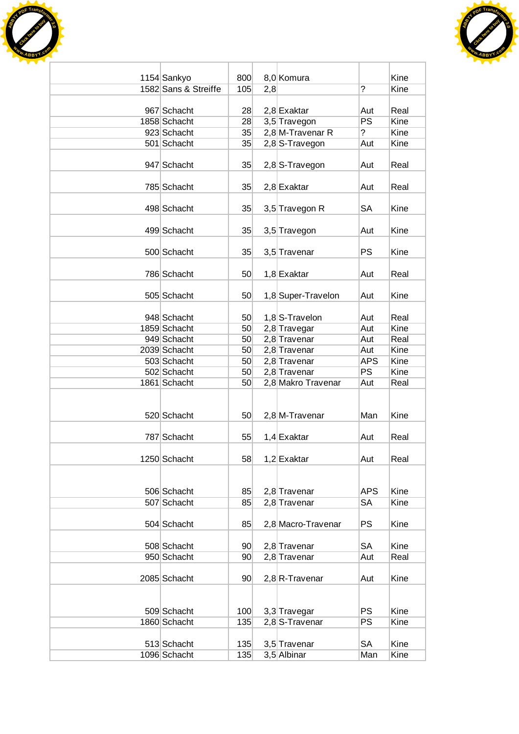



| 1154 Sankyo          | 800             |     | 8,0 Komura         |                | Kine |
|----------------------|-----------------|-----|--------------------|----------------|------|
| 1582 Sans & Streiffe | 105             | 2,8 |                    | $\overline{?}$ | Kine |
|                      |                 |     |                    |                |      |
| 967 Schacht          | 28              |     | 2,8 Exaktar        | Aut            | Real |
| 1858 Schacht         | 28              |     | 3,5 Travegon       | PS             | Kine |
| 923 Schacht          | 35              |     | 2,8 M-Travenar R   | $\overline{?}$ | Kine |
| 501 Schacht          | 35              |     | 2,8 S-Travegon     | Aut            | Kine |
|                      |                 |     |                    |                |      |
| 947 Schacht          | 35              |     | $2,8$ S-Travegon   | Aut            | Real |
|                      |                 |     |                    |                |      |
| 785 Schacht          | 35              |     | $2,8$ Exaktar      | Aut            | Real |
|                      |                 |     |                    |                |      |
| 498 Schacht          | 35              |     | 3,5 Travegon R     | SА             | Kine |
|                      |                 |     |                    |                |      |
| 499 Schacht          | 35              |     | 3,5 Travegon       | Aut            | Kine |
|                      |                 |     |                    |                |      |
| 500 Schacht          | 35              |     | 3,5 Travenar       | <b>PS</b>      | Kine |
|                      |                 |     |                    |                |      |
| 786 Schacht          | 50              |     | 1,8 Exaktar        | Aut            | Real |
|                      |                 |     |                    |                |      |
| 505 Schacht          | 50              |     | 1,8 Super-Travelon | Aut            | Kine |
|                      |                 |     |                    |                |      |
| 948 Schacht          | 50 <sub>1</sub> |     | 1,8 S-Travelon     | Aut            | Real |
| 1859 Schacht         | 50              |     | 2,8 Travegar       | Aut            | Kine |
| 949 Schacht          | 50 <sup>°</sup> |     | 2,8 Travenar       | Aut            | Real |
| 2039 Schacht         | 50 <sup>2</sup> |     | 2,8 Travenar       | Aut            | Kine |
| 503 Schacht          | 50 <sup>2</sup> |     | 2,8 Travenar       | <b>APS</b>     | Kine |
| 502 Schacht          | 50              |     | 2,8 Travenar       | PS             | Kine |
| 1861 Schacht         | 50 <sup>°</sup> |     | 2,8 Makro Travenar | Aut            | Real |
|                      |                 |     |                    |                |      |
| 520 Schacht          | 50              |     | 2,8 M-Travenar     | Man            | Kine |
|                      |                 |     |                    |                |      |
| 787 Schacht          | 55              |     | $1,4$ Exaktar      | Aut            | Real |
|                      |                 |     |                    |                |      |
| 1250 Schacht         | 58              |     | 1,2 Exaktar        | Aut            | Real |
|                      |                 |     |                    |                |      |
|                      |                 |     |                    |                |      |
| 506 Schacht          | 85              |     | 2,8 Travenar       | <b>APS</b>     | Kine |
| 507 Schacht          | 85              |     | 2,8 Travenar       | SA             | Kine |
|                      |                 |     |                    |                |      |
| 504 Schacht          | 85              |     | 2,8 Macro-Travenar | <b>PS</b>      | Kine |
|                      |                 |     |                    |                |      |
| 508 Schacht          | 90 <sub>1</sub> |     | 2,8 Travenar       | SA             | Kine |
| 950 Schacht          | 90 <sup>°</sup> |     | 2,8 Travenar       | Aut            | Real |
|                      |                 |     |                    |                |      |
| 2085 Schacht         | 90 <sup>°</sup> |     | $2,8$ R-Travenar   | Aut            | Kine |
|                      |                 |     |                    |                |      |
|                      |                 |     |                    |                |      |
| 509 Schacht          | 100             |     | 3,3 Travegar       | <b>PS</b>      | Kine |
| 1860 Schacht         | 135             |     | 2,8 S-Travenar     | <b>PS</b>      | Kine |
|                      |                 |     |                    |                |      |
| 513 Schacht          | 135             |     | 3,5 Travenar       | <b>SA</b>      | Kine |
| 1096 Schacht         | 135             |     | 3,5 Albinar        | Man            | Kine |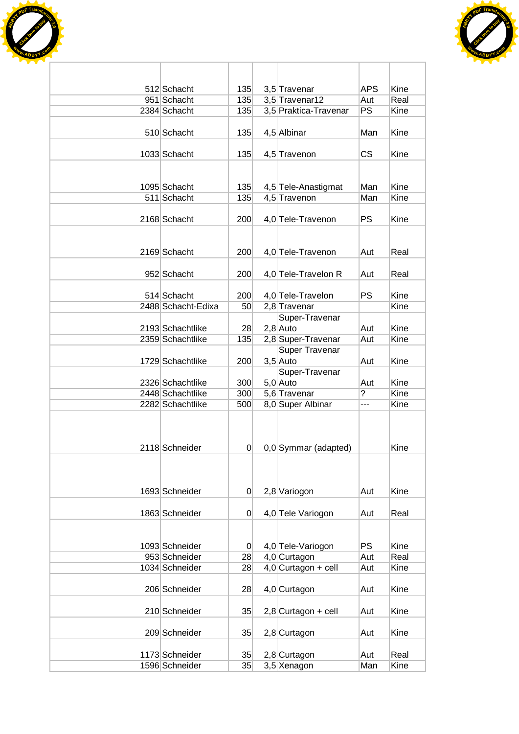



| 512 Schacht                       | 135      | 3,5 Travenar                      | <b>APS</b> | Kine        |
|-----------------------------------|----------|-----------------------------------|------------|-------------|
| 951 Schacht                       | 135      | 3,5 Travenar12                    | Aut        | Real        |
| 2384 Schacht                      | 135      | 3,5 Praktica-Travenar             | PS         | Kine        |
|                                   |          |                                   |            |             |
| 510 Schacht                       | 135      | 4,5 Albinar                       | Man        | Kine        |
|                                   |          |                                   |            |             |
| 1033 Schacht                      | 135      | 4,5 Travenon                      | CS         | Kine        |
|                                   |          |                                   |            |             |
|                                   |          |                                   |            |             |
| 1095 Schacht                      | 135      | 4,5 Tele-Anastigmat               | Man        | Kine        |
| 511 Schacht                       | 135      | 4,5 Travenon                      | Man        | <b>Kine</b> |
|                                   |          |                                   |            |             |
| 2168 Schacht                      | 200      | 4,0 Tele-Travenon                 | <b>PS</b>  | Kine        |
|                                   |          |                                   |            |             |
|                                   |          |                                   |            |             |
| 2169 Schacht                      | 200      | 4,0 Tele-Travenon                 | Aut        | Real        |
|                                   |          |                                   |            |             |
| 952 Schacht                       | 200      | 4,0 Tele-Travelon R               | Aut        | Real        |
|                                   |          |                                   | <b>PS</b>  | Kine        |
| 514 Schacht<br>2488 Schacht-Edixa | 200      | 4,0 Tele-Travelon<br>2,8 Travenar |            | Kine        |
|                                   | 50       |                                   |            |             |
| 2193 Schachtlike                  | 28       | Super-Travenar<br>$2,8$ Auto      | Aut        | Kine        |
| 2359 Schachtlike                  | 135      | 2,8 Super-Travenar                | Aut        | Kine        |
|                                   |          | <b>Super Travenar</b>             |            |             |
| 1729 Schachtlike                  | 200      | $3,5$ Auto                        | Aut        | Kine        |
|                                   |          | Super-Travenar                    |            |             |
| 2326 Schachtlike                  | 300      | $5,0$ Auto                        | Aut        | Kine        |
| 2448 Schachtlike                  | 300      | 5,6 Travenar                      | ?          | Kine        |
| 2282 Schachtlike                  | 500      | 8,0 Super Albinar                 | ---        | Kine        |
|                                   |          |                                   |            |             |
|                                   |          |                                   |            |             |
|                                   |          |                                   |            |             |
| 2118 Schneider                    | $\Omega$ | 0,0 Symmar (adapted)              |            | Kine        |
|                                   |          |                                   |            |             |
|                                   |          |                                   |            |             |
|                                   |          |                                   |            |             |
| 1693 Schneider                    | 0        | 2,8 Variogon                      | Aut        | Kine        |
|                                   |          |                                   |            |             |
| 1863 Schneider                    | $\Omega$ | 4,0 Tele Variogon                 | Aut        | Real        |
|                                   |          |                                   |            |             |
|                                   |          |                                   |            |             |
| 1093 Schneider                    | $\Omega$ | 4,0 Tele-Variogon                 | <b>PS</b>  | Kine        |
| 953 Schneider                     | 28       | 4,0 Curtagon                      | Aut        | Real        |
| 1034 Schneider                    | 28       | $4,0$ Curtagon + cell             | Aut        | Kine        |
|                                   |          |                                   |            |             |
| 206 Schneider                     | 28       | 4,0 Curtagon                      | Aut        | Kine        |
|                                   |          |                                   |            |             |
| 210 Schneider                     | 35       | $2,8$ Curtagon + cell             | Aut        | Kine        |
|                                   |          |                                   |            |             |
| 209 Schneider                     | 35       | 2,8 Curtagon                      | Aut        | Kine        |
|                                   |          |                                   |            |             |
| 1173 Schneider                    | 35       | 2,8 Curtagon                      | Aut        | Real        |
| 1596 Schneider                    | 35       | 3,5 Xenagon                       | Man        | Kine        |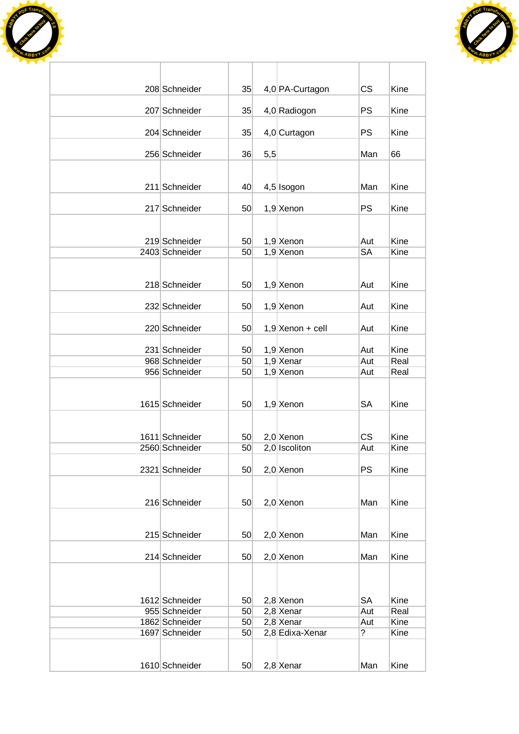



| 208 Schneider                    | 35       |     |                                | <b>CS</b> | Kine         |
|----------------------------------|----------|-----|--------------------------------|-----------|--------------|
|                                  |          |     | 4,0 PA-Curtagon                |           |              |
| 207 Schneider                    | 35       |     | 4,0 Radiogon                   | PS        | Kine         |
|                                  |          |     |                                |           |              |
| 204 Schneider                    | 35       |     | 4,0 Curtagon                   | PS        | Kine         |
| 256 Schneider                    | 36       | 5,5 |                                | Man       | 66           |
|                                  |          |     |                                |           |              |
|                                  |          |     |                                |           |              |
| 211 Schneider                    | 40       |     | 4,5 Isogon                     | Man       | Kine         |
| 217 Schneider                    | 50       |     | $1,9$ Xenon                    | <b>PS</b> | Kine         |
|                                  |          |     |                                |           |              |
|                                  |          |     |                                |           |              |
| 219 Schneider<br>2403 Schneider  | 50<br>50 |     | $1,9$ Xenon<br>$1,9$ Xenon     | Aut<br>SA | Kine<br>Kine |
|                                  |          |     |                                |           |              |
|                                  |          |     |                                |           |              |
| 218 Schneider                    | 50       |     | $1,9$ Xenon                    | Aut       | Kine         |
|                                  |          |     |                                |           |              |
| 232 Schneider                    | 50       |     | $1,9$ Xenon                    | Aut       | Kine         |
| 220 Schneider                    | 50       |     | $1,9$ Xenon + cell             | Aut       | Kine         |
|                                  |          |     |                                |           |              |
| 231 Schneider                    | 50       |     | $1,9$ Xenon                    | Aut       | Kine         |
| 968 Schneider                    | 50       |     | $1,9$ Xenar                    | Aut       | Real         |
| 956 Schneider                    | 50       |     | $1,9$ Xenon                    | Aut       | Real         |
|                                  |          |     |                                |           |              |
| 1615 Schneider                   | 50       |     | $1,9$ Xenon                    | <b>SA</b> | Kine         |
|                                  |          |     |                                |           |              |
|                                  |          |     |                                |           |              |
| 1611 Schneider                   | 50       |     | $2,0$ Xenon                    | CS        | Kine         |
| 2560 Schneider                   | 50       |     | 2,0 Iscoliton                  | Aut       | Kine         |
|                                  |          |     |                                |           |              |
| 2321 Schneider                   | 50       |     | $2,0$ Xenon                    | <b>PS</b> | Kine         |
|                                  |          |     |                                |           |              |
| 216 Schneider                    | 50       |     | $2,0$ Xenon                    | Man       | Kine         |
|                                  |          |     |                                |           |              |
|                                  |          |     |                                |           |              |
| 215 Schneider                    | 50       |     | $2,0$ Xenon                    | Man       | Kine         |
| 214 Schneider                    | 50       |     | $2,0$ Xenon                    | Man       | Kine         |
|                                  |          |     |                                |           |              |
|                                  |          |     |                                |           |              |
|                                  |          |     |                                |           |              |
| 1612 Schneider                   | 50       |     | $2,8$ Xenon                    | <b>SA</b> | Kine         |
| 955 Schneider                    | 50       |     | $2,8$ Xenar                    | Aut       | Real         |
| 1862 Schneider<br>1697 Schneider | 50<br>50 |     | $2,8$ Xenar<br>2,8 Edixa-Xenar | Aut<br>?  | Kine<br>Kine |
|                                  |          |     |                                |           |              |
|                                  |          |     |                                |           |              |
| 1610 Schneider                   | 50       |     | $2,8$ Xenar                    | Man       | Kine         |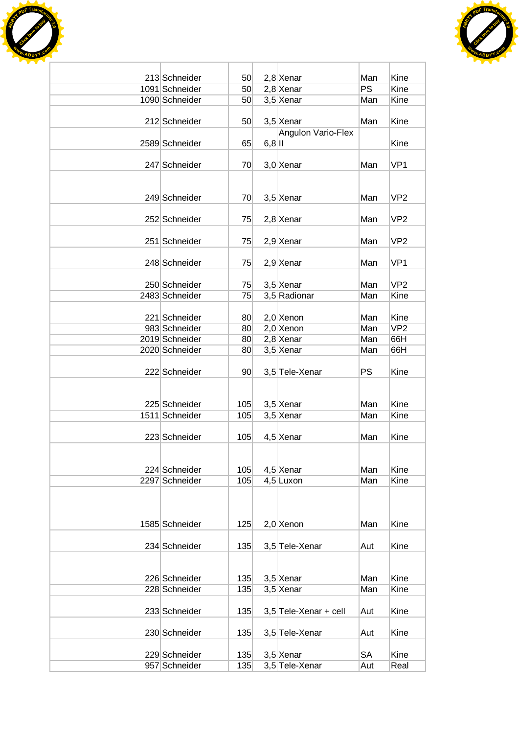



| 213 Schneider                   | 50              |           | $2,8$ Xenar                | Man        | Kine                    |
|---------------------------------|-----------------|-----------|----------------------------|------------|-------------------------|
| 1091 Schneider                  | 50              |           | $2,8$ Xenar                | <b>PS</b>  | Kine                    |
| 1090 Schneider                  | 50              |           | $3,5$ Xenar                | Man        | Kine                    |
|                                 |                 |           |                            |            |                         |
| 212 Schneider                   | 50              |           | 3,5 Xenar                  | Man        | Kine                    |
|                                 |                 |           | Angulon Vario-Flex         |            |                         |
| 2589 Schneider                  | 65              | $6,8$  II |                            |            | Kine                    |
|                                 |                 |           |                            |            |                         |
| 247 Schneider                   | 70              |           | $3,0$ Xenar                | Man        | VP <sub>1</sub>         |
|                                 |                 |           |                            |            |                         |
|                                 |                 |           |                            |            |                         |
| 249 Schneider                   | 70              |           | $3,5$ Xenar                | Man        | VP <sub>2</sub>         |
|                                 |                 |           |                            |            |                         |
| 252 Schneider                   | 75              |           | $2,8$ Xenar                | Man        | VP <sub>2</sub>         |
|                                 |                 |           |                            |            |                         |
| 251 Schneider                   | 75              |           | $2,9$ Xenar                | Man        | VP <sub>2</sub>         |
|                                 |                 |           |                            |            |                         |
| 248 Schneider                   | 75              |           | $2,9$ Xenar                | Man        | VP <sub>1</sub>         |
|                                 |                 |           |                            |            | VP <sub>2</sub>         |
| 250 Schneider                   | 75              |           | $3,5$ Xenar                | Man        |                         |
| 2483 Schneider                  | 75              |           | 3,5 Radionar               | Man        | Kine                    |
|                                 |                 |           |                            |            |                         |
| 221 Schneider                   | 80              |           | $2,0$ Xenon                | Man        | Kine<br>VP <sub>2</sub> |
| 983 Schneider<br>2019 Schneider | 80<br>80        |           | $2,0$ Xenon<br>$2,8$ Xenar | Man<br>Man | 66H                     |
| 2020 Schneider                  |                 |           |                            |            | 66H                     |
|                                 | 80              |           | $3,5$ Xenar                | Man        |                         |
| 222 Schneider                   | 90 <sup>°</sup> |           | 3,5 Tele-Xenar             | <b>PS</b>  | Kine                    |
|                                 |                 |           |                            |            |                         |
|                                 |                 |           |                            |            |                         |
| 225 Schneider                   | 105             |           | 3,5 Xenar                  | Man        | Kine                    |
| 1511 Schneider                  | 105             |           | $3,5$ Xenar                | Man        | Kine                    |
|                                 |                 |           |                            |            |                         |
| 223 Schneider                   | 105             |           | 4,5 Xenar                  | Man        | Kine                    |
|                                 |                 |           |                            |            |                         |
|                                 |                 |           |                            |            |                         |
| 224 Schneider                   | 105             |           | $4,5$ Xenar                | Man        | Kine                    |
| 2297 Schneider                  | 105             |           | 4,5 Luxon                  | Man        | Kine                    |
|                                 |                 |           |                            |            |                         |
|                                 |                 |           |                            |            |                         |
|                                 |                 |           |                            |            |                         |
| 1585 Schneider                  | 125             |           | $2,0$ Xenon                | Man        | Kine                    |
|                                 |                 |           |                            |            |                         |
| 234 Schneider                   | 135             |           | 3,5 Tele-Xenar             | Aut        | Kine                    |
|                                 |                 |           |                            |            |                         |
|                                 |                 |           |                            |            |                         |
| 226 Schneider                   | 135             |           | $3,5$ Xenar                | Man        | Kine                    |
| 228 Schneider                   | 135             |           | 3,5 Xenar                  | Man        | Kine                    |
|                                 |                 |           |                            |            |                         |
| 233 Schneider                   | 135             |           | $3,5$ Tele-Xenar + cell    | Aut        | Kine                    |
|                                 |                 |           |                            |            |                         |
| 230 Schneider                   | 135             |           | 3,5 Tele-Xenar             | Aut        | Kine                    |
|                                 |                 |           |                            |            |                         |
| 229 Schneider                   | 135             |           | $3,5$ Xenar                | SA         | Kine                    |
| 957 Schneider                   | 135             |           | 3,5 Tele-Xenar             | Aut        | Real                    |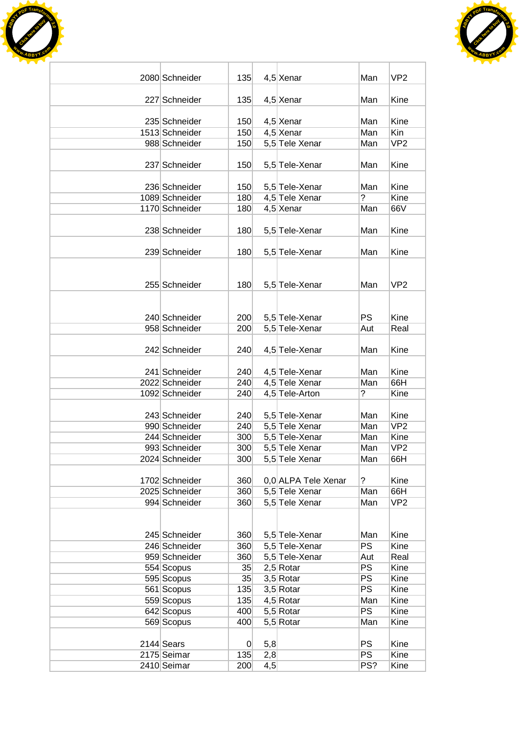



| 2080 Schneider | 135 |     | $4,5$ Xenar         | Man              | VP <sub>2</sub> |
|----------------|-----|-----|---------------------|------------------|-----------------|
|                |     |     |                     |                  |                 |
| 227 Schneider  | 135 |     | $4,5$ Xenar         | Man              | Kine            |
|                |     |     |                     |                  |                 |
| 235 Schneider  | 150 |     | $4,5$ Xenar         | Man              | Kine            |
| 1513 Schneider | 150 |     | $4,5$ Xenar         | Man              | Kin             |
| 988 Schneider  | 150 |     | 5,5 Tele Xenar      | Man              | VP <sub>2</sub> |
|                |     |     |                     |                  |                 |
| 237 Schneider  | 150 |     | 5,5 Tele-Xenar      | Man              | Kine            |
|                |     |     |                     |                  |                 |
| 236 Schneider  | 150 |     | 5,5 Tele-Xenar      | Man              | Kine            |
| 1089 Schneider | 180 |     | 4,5 Tele Xenar      | ?                | Kine            |
| 1170 Schneider | 180 |     | 4,5 Xenar           | Man              | 66V             |
|                |     |     |                     |                  |                 |
| 238 Schneider  | 180 |     | 5,5 Tele-Xenar      | Man              | Kine            |
|                |     |     |                     |                  |                 |
| 239 Schneider  | 180 |     | 5,5 Tele-Xenar      | Man              | Kine            |
|                |     |     |                     |                  |                 |
|                |     |     |                     |                  |                 |
| 255 Schneider  | 180 |     | 5,5 Tele-Xenar      | Man              | VP <sub>2</sub> |
|                |     |     |                     |                  |                 |
|                |     |     |                     |                  |                 |
| 240 Schneider  | 200 |     | 5,5 Tele-Xenar      | PS               | Kine            |
| 958 Schneider  | 200 |     | 5,5 Tele-Xenar      | Aut              | Real            |
|                |     |     |                     |                  |                 |
| 242 Schneider  | 240 |     | 4,5 Tele-Xenar      | Man              | Kine            |
|                |     |     |                     |                  |                 |
| 241 Schneider  | 240 |     | 4,5 Tele-Xenar      | Man              | Kine            |
| 2022 Schneider | 240 |     | 4,5 Tele Xenar      | Man              | 66H             |
| 1092 Schneider | 240 |     | 4,5 Tele-Arton      | ?                | Kine            |
|                |     |     |                     |                  |                 |
| 243 Schneider  | 240 |     | 5,5 Tele-Xenar      | Man              | Kine            |
| 990 Schneider  | 240 |     | 5,5 Tele Xenar      | Man              | VP <sub>2</sub> |
| 244 Schneider  | 300 |     | 5,5 Tele-Xenar      | Man              | Kine            |
| 993 Schneider  | 300 |     | 5,5 Tele Xenar      | Man              | VP <sub>2</sub> |
| 2024 Schneider | 300 |     | 5,5 Tele Xenar      | Man              | 66H             |
|                |     |     |                     |                  |                 |
| 1702 Schneider | 360 |     | 0,0 ALPA Tele Xenar | ?                | Kine            |
| 2025 Schneider | 360 |     | 5,5 Tele Xenar      | Man              | 66H             |
| 994 Schneider  | 360 |     | 5,5 Tele Xenar      | Man              | VP <sub>2</sub> |
|                |     |     |                     |                  |                 |
|                |     |     |                     |                  |                 |
| 245 Schneider  |     |     | 5,5 Tele-Xenar      |                  |                 |
| 246 Schneider  | 360 |     |                     | Man<br><b>PS</b> | Kine<br>Kine    |
| 959 Schneider  | 360 |     | 5,5 Tele-Xenar      |                  | Real            |
|                | 360 |     | 5,5 Tele-Xenar      | Aut              |                 |
| 554 Scopus     | 35  |     | $2,5$ Rotar         | <b>PS</b>        | Kine            |
| 595 Scopus     | 35  |     | $3,5$ Rotar         | <b>PS</b>        | Kine            |
| 561 Scopus     | 135 |     | $3,5$ Rotar         | PS               | Kine            |
| 559 Scopus     | 135 |     | $4,5$ Rotar         | Man              | Kine            |
| 642 Scopus     | 400 |     | 5,5 Rotar           | <b>PS</b>        | Kine            |
| 569 Scopus     | 400 |     | 5,5 Rotar           | Man              | Kine            |
|                |     |     |                     |                  |                 |
| 2144 Sears     | 0   | 5,8 |                     | <b>PS</b>        | Kine            |
| 2175 Seimar    | 135 | 2,8 |                     | <b>PS</b>        | Kine            |
| 2410 Seimar    | 200 | 4,5 |                     | PS?              | Kine            |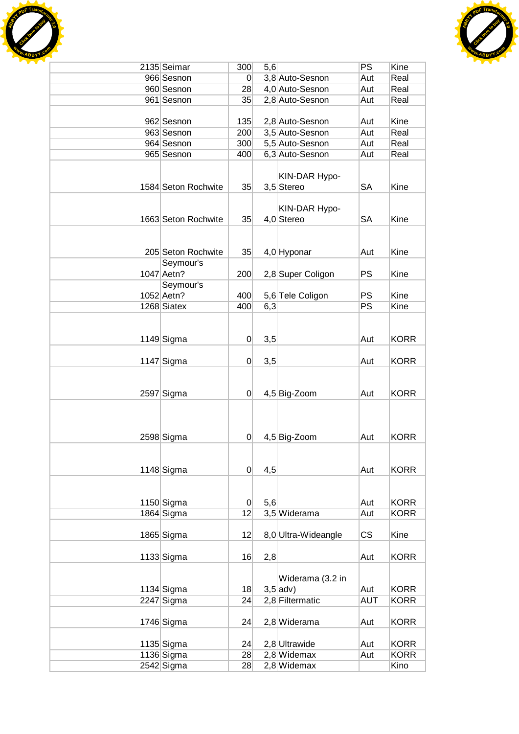



| 2135 Seimar         | 300            | 5,6 |                     | PS         | Kine        |
|---------------------|----------------|-----|---------------------|------------|-------------|
| 966 Sesnon          | 0              |     | 3,8 Auto-Sesnon     | Aut        | Real        |
| 960 Sesnon          | 28             |     | 4,0 Auto-Sesnon     | Aut        | Real        |
| 961 Sesnon          | 35             |     | 2,8 Auto-Sesnon     | Aut        | Real        |
|                     |                |     |                     |            |             |
| 962 Sesnon          | 135            |     | 2,8 Auto-Sesnon     | Aut        | Kine        |
| 963 Sesnon          | 200            |     | 3,5 Auto-Sesnon     | Aut        | Real        |
| 964 Sesnon          | 300            |     | 5,5 Auto-Sesnon     | Aut        | Real        |
| 965 Sesnon          | 400            |     | 6,3 Auto-Sesnon     | Aut        | Real        |
|                     |                |     |                     |            |             |
|                     |                |     |                     |            |             |
|                     |                |     | KIN-DAR Hypo-       |            |             |
| 1584 Seton Rochwite | 35             |     | 3,5 Stereo          | <b>SA</b>  | Kine        |
|                     |                |     |                     |            |             |
|                     |                |     | KIN-DAR Hypo-       |            |             |
| 1663 Seton Rochwite | 35             |     | 4,0 Stereo          | <b>SA</b>  | Kine        |
|                     |                |     |                     |            |             |
|                     |                |     |                     |            |             |
| 205 Seton Rochwite  | 35             |     | 4,0 Hyponar         | Aut        | Kine        |
| Seymour's           |                |     |                     |            |             |
| 1047 Aetn?          | 200            |     | 2,8 Super Coligon   | <b>PS</b>  | Kine        |
| Seymour's           |                |     |                     |            |             |
| 1052 Aetn?          | 400            |     | 5,6 Tele Coligon    | <b>PS</b>  | Kine        |
| 1268 Siatex         | 400            | 6,3 |                     | PS         | Kine        |
|                     |                |     |                     |            |             |
|                     |                |     |                     |            |             |
|                     | $\overline{0}$ | 3,5 |                     | Aut        | <b>KORR</b> |
| $1149$ Sigma        |                |     |                     |            |             |
|                     |                |     |                     |            |             |
| $1147$ Sigma        | $\overline{0}$ | 3,5 |                     | Aut        | <b>KORR</b> |
|                     |                |     |                     |            |             |
|                     |                |     |                     |            |             |
| 2597 Sigma          | $\overline{0}$ |     | 4,5 Big-Zoom        | Aut        | <b>KORR</b> |
|                     |                |     |                     |            |             |
|                     |                |     |                     |            |             |
|                     |                |     |                     |            |             |
| 2598 Sigma          | $\overline{0}$ |     | 4,5 Big-Zoom        | Aut        | <b>KORR</b> |
|                     |                |     |                     |            |             |
|                     |                |     |                     |            |             |
| $1148$ Sigma        | $\overline{0}$ | 4,5 |                     | Aut        | <b>KORR</b> |
|                     |                |     |                     |            |             |
|                     |                |     |                     |            |             |
| $1150$ Sigma        | $\overline{0}$ | 5,6 |                     | Aut        | <b>KORR</b> |
| 1864 Sigma          | 12             |     | 3,5 Widerama        | Aut        | <b>KORR</b> |
|                     |                |     |                     |            |             |
|                     |                |     |                     |            |             |
| 1865 Sigma          | 12             |     | 8,0 Ultra-Wideangle | <b>CS</b>  | Kine        |
|                     |                |     |                     |            |             |
| $1133$ Sigma        | 16             | 2,8 |                     | Aut        | <b>KORR</b> |
|                     |                |     |                     |            |             |
|                     |                |     | Widerama (3.2 in    |            |             |
| $1134$ Sigma        | 18             |     | $3,5$ adv)          | Aut        | <b>KORR</b> |
| 2247 Sigma          | 24             |     | 2,8 Filtermatic     | <b>AUT</b> | <b>KORR</b> |
|                     |                |     |                     |            |             |
| $1746$ Sigma        | 24             |     | 2,8 Widerama        | Aut        | <b>KORR</b> |
|                     |                |     |                     |            |             |
| $1135$ Sigma        | 24             |     | 2,8 Ultrawide       | Aut        | <b>KORR</b> |
| $1136$ Sigma        | 28             |     | 2,8 Widemax         | Aut        | <b>KORR</b> |
| 2542 Sigma          | 28             |     | 2,8 Widemax         |            | Kino        |
|                     |                |     |                     |            |             |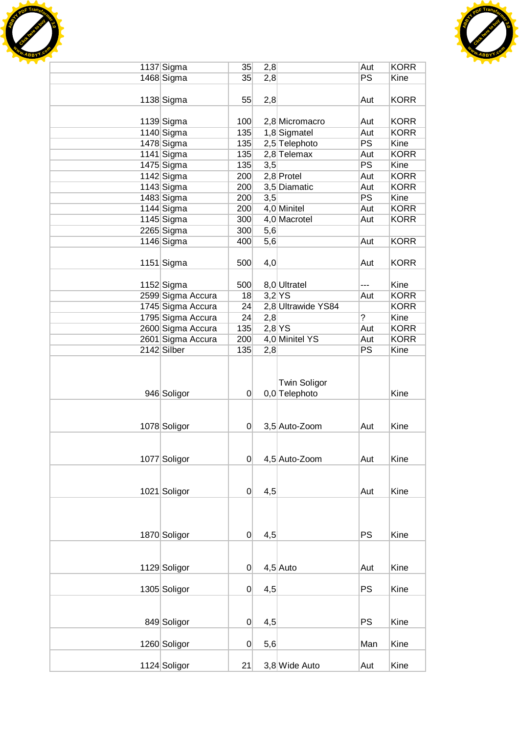



| 1137 Sigma        | 35             | 2,8      |                                      | Aut            | <b>KORR</b> |
|-------------------|----------------|----------|--------------------------------------|----------------|-------------|
| 1468 Sigma        | 35             | 2,8      |                                      | PS             | Kine        |
|                   |                |          |                                      |                |             |
| 1138 Sigma        | 55             | 2,8      |                                      | Aut            | <b>KORR</b> |
|                   |                |          |                                      |                |             |
| 1139 Sigma        | 100            |          | 2,8 Micromacro                       | Aut            | <b>KORR</b> |
| $1140$ Sigma      | 135            |          | 1,8 Sigmatel                         | Aut            | <b>KORR</b> |
| 1478 Sigma        | 135            |          | 2,5 Telephoto                        | PS             | Kine        |
| 1141 Sigma        | 135            |          | $2,8$ Telemax                        | Aut            | <b>KORR</b> |
|                   |                |          |                                      |                |             |
| 1475 Sigma        | 135            | 3,5      |                                      | <b>PS</b>      | Kine        |
| 1142 Sigma        | 200            |          | 2,8 Protel                           | Aut            | <b>KORR</b> |
| 1143 Sigma        | 200            |          | 3,5 Diamatic                         | Aut            | <b>KORR</b> |
| 1483 Sigma        | 200            | 3,5      |                                      | <b>PS</b>      | Kine        |
| $1144$ Sigma      | 200            |          | 4,0 Minitel                          | Aut            | <b>KORR</b> |
| 1145 Sigma        | 300            |          | 4,0 Macrotel                         | Aut            | <b>KORR</b> |
| 2265 Sigma        | 300            | 5,6      |                                      |                |             |
| 1146 Sigma        | 400            | 5,6      |                                      | Aut            | <b>KORR</b> |
|                   |                |          |                                      |                |             |
| $1151$ Sigma      | 500            | 4,0      |                                      | Aut            | <b>KORR</b> |
|                   |                |          |                                      |                |             |
| $1152$ Sigma      | 500            |          | 8,0 Ultratel                         | ---            | Kine        |
| 2599 Sigma Accura | 18             |          | $3,2$ YS                             | Aut            | <b>KORR</b> |
| 1745 Sigma Accura | 24             |          | 2,8 Ultrawide YS84                   |                | <b>KORR</b> |
| 1795 Sigma Accura | 24             | 2,8      |                                      | $\overline{?}$ | Kine        |
| 2600 Sigma Accura | 135            | $2,8$ YS |                                      | Aut            | <b>KORR</b> |
| 2601 Sigma Accura | 200            |          | 4,0 Minitel YS                       | Aut            | <b>KORR</b> |
|                   |                |          |                                      | PS             |             |
| 2142 Silber       | 135            | 2,8      |                                      |                | Kine        |
| 946 Soligor       | $\overline{0}$ |          | <b>Twin Soligor</b><br>0,0 Telephoto |                | Kine        |
| 1078 Soligor      | $\overline{0}$ |          | 3,5 Auto-Zoom                        | Aut            | Kine        |
|                   |                |          |                                      |                |             |
| 1077 Soligor      | $\overline{0}$ |          | 4,5 Auto-Zoom                        | Aut            | Kine        |
|                   |                |          |                                      |                |             |
| 1021 Soligor      | 0              | 4,5      |                                      | Aut            | Kine        |
| 1870 Soligor      | $\overline{0}$ | 4,5      |                                      | <b>PS</b>      | Kine        |
|                   |                |          |                                      |                |             |
| 1129 Soligor      | 0              |          | $4,5$ Auto                           | Aut            | Kine        |
|                   |                |          |                                      |                |             |
| 1305 Soligor      | $\overline{0}$ | 4,5      |                                      | <b>PS</b>      | Kine        |
|                   |                |          |                                      |                |             |
| 849 Soligor       | 0              | 4,5      |                                      | <b>PS</b>      | Kine        |
| 1260 Soligor      | 0              | 5,6      |                                      | Man            | Kine        |
| 1124 Soligor      | 21             |          | 3,8 Wide Auto                        | Aut            | Kine        |
|                   |                |          |                                      |                |             |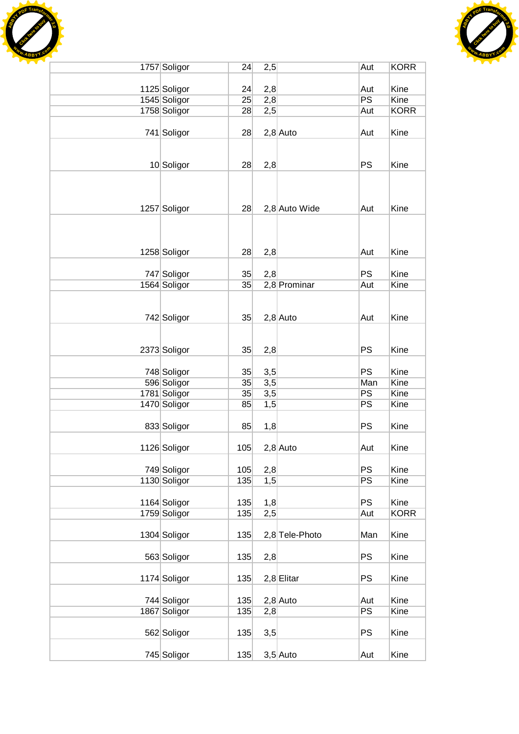



| 1757 Soligor | 24  | 2,5 |                | Aut       | <b>KORR</b> |
|--------------|-----|-----|----------------|-----------|-------------|
|              |     |     |                |           |             |
| 1125 Soligor | 24  | 2,8 |                | Aut       | Kine        |
| 1545 Soligor | 25  | 2,8 |                | PS        | Kine        |
| 1758 Soligor | 28  | 2,5 |                | Aut       | <b>KORR</b> |
| 741 Soligor  | 28  |     | $2,8$ Auto     | Aut       | Kine        |
|              |     |     |                |           |             |
| 10 Soligor   | 28  | 2,8 |                | <b>PS</b> | Kine        |
|              |     |     |                |           |             |
| 1257 Soligor | 28  |     | 2,8 Auto Wide  | Aut       | Kine        |
|              |     |     |                |           |             |
| 1258 Soligor | 28  | 2,8 |                | Aut       | Kine        |
| 747 Soligor  | 35  | 2,8 |                | <b>PS</b> | Kine        |
| 1564 Soligor | 35  |     | 2,8 Prominar   | Aut       | Kine        |
|              |     |     |                |           |             |
|              |     |     |                |           |             |
| 742 Soligor  | 35  |     | $2,8$ Auto     | Aut       | Kine        |
|              |     |     |                |           |             |
|              |     |     |                |           |             |
| 2373 Soligor | 35  | 2,8 |                | <b>PS</b> | Kine        |
| 748 Soligor  | 35  | 3,5 |                | PS        | Kine        |
| 596 Soligor  | 35  | 3,5 |                | Man       | Kine        |
| 1781 Soligor | 35  | 3,5 |                | PS        | Kine        |
| 1470 Soligor | 85  | 1,5 |                | PS        | Kine        |
|              |     |     |                |           |             |
| 833 Soligor  | 85  | 1,8 |                | PS        | Kine        |
| 1126 Soligor | 105 |     | $2,8$ Auto     | Aut       | Kine        |
|              |     |     |                |           |             |
| 749 Soligor  | 105 | 2,8 |                | <b>PS</b> | Kine        |
| 1130 Soligor | 135 | 1,5 |                | PS        | Kine        |
|              |     |     |                |           |             |
| 1164 Soligor | 135 | 1,8 |                | <b>PS</b> | Kine        |
| 1759 Soligor | 135 | 2,5 |                | Aut       | <b>KORR</b> |
| 1304 Soligor | 135 |     | 2,8 Tele-Photo | Man       | Kine        |
| 563 Soligor  | 135 | 2,8 |                | <b>PS</b> | Kine        |
| 1174 Soligor | 135 |     | $2,8$ Elitar   | <b>PS</b> | Kine        |
|              |     |     |                |           |             |
| 744 Soligor  | 135 |     | $2,8$ Auto     | Aut       | Kine        |
| 1867 Soligor | 135 | 2,8 |                | PS        | Kine        |
| 562 Soligor  | 135 | 3,5 |                | <b>PS</b> | Kine        |
| 745 Soligor  | 135 |     | $3,5$ Auto     | Aut       | Kine        |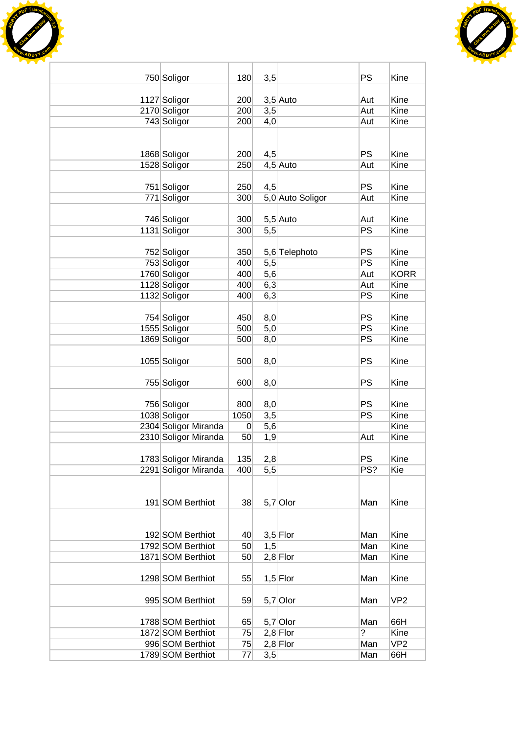



| 750 Soligor                           | 180            | 3,5 |                  | <b>PS</b>             | Kine                |
|---------------------------------------|----------------|-----|------------------|-----------------------|---------------------|
|                                       |                |     |                  |                       |                     |
| 1127 Soligor                          | 200            |     | $3,5$ Auto       | Aut                   | Kine                |
| 2170 Soligor                          | 200            | 3,5 |                  | Aut                   | Kine                |
| 743 Soligor                           | 200            | 4,0 |                  | Aut                   | Kine                |
|                                       |                |     |                  |                       |                     |
|                                       |                |     |                  |                       |                     |
| 1868 Soligor                          | 200            | 4,5 |                  | <b>PS</b>             | Kine                |
| 1528 Soligor                          | 250            |     | $4,5$ Auto       | Aut                   | Kine                |
|                                       |                |     |                  |                       |                     |
| 751 Soligor                           | 250            | 4,5 |                  | <b>PS</b>             | Kine                |
| 771 Soligor                           | 300            |     | 5,0 Auto Soligor | Aut                   | Kine                |
|                                       |                |     |                  |                       |                     |
| 746 Soligor                           | 300            |     | $5,5$ Auto       | Aut                   | Kine                |
| 1131 Soligor                          | 300            | 5,5 |                  | PS                    | Kine                |
|                                       |                |     |                  |                       |                     |
| 752 Soligor                           | 350            |     | 5,6 Telephoto    | <b>PS</b>             | Kine                |
| 753 Soligor                           | 400            | 5,5 |                  | PS                    | Kine                |
| 1760 Soligor                          | 400            | 5,6 |                  | Aut                   | <b>KORR</b><br>Kine |
| 1128 Soligor                          | 400            | 6,3 |                  | Aut<br>PS             | Kine                |
| 1132 Soligor                          | 400            | 6,3 |                  |                       |                     |
| 754 Soligor                           | 450            | 8,0 |                  | <b>PS</b>             | Kine                |
| 1555 Soligor                          | 500            | 5,0 |                  | PS                    | Kine                |
| 1869 Soligor                          | 500            | 8,0 |                  | PS                    | Kine                |
|                                       |                |     |                  |                       |                     |
| 1055 Soligor                          | 500            | 8,0 |                  | <b>PS</b>             | Kine                |
|                                       |                |     |                  |                       |                     |
| 755 Soligor                           | 600            | 8,0 |                  | <b>PS</b>             | Kine                |
|                                       |                |     |                  |                       |                     |
| 756 Soligor                           | 800            | 8,0 |                  | <b>PS</b>             | Kine                |
| 1038 Soligor                          | 1050           | 3,5 |                  | <b>PS</b>             | Kine                |
| 2304 Soligor Miranda                  | $\overline{0}$ | 5,6 |                  |                       | Kine                |
| 2310 Soligor Miranda                  | 50             | 1,9 |                  | Aut                   | Kine                |
|                                       |                |     |                  |                       |                     |
| 1783 Soligor Miranda                  | 135            | 2,8 |                  | <b>PS</b>             | Kine                |
| 2291 Soligor Miranda                  | 400            | 5,5 |                  | PS?                   | Kie                 |
|                                       |                |     |                  |                       |                     |
|                                       |                |     |                  |                       |                     |
| 191 SOM Berthiot                      | 38             |     | $5,7$ Olor       | Man                   | Kine                |
|                                       |                |     |                  |                       |                     |
|                                       |                |     |                  |                       |                     |
| 192 SOM Berthiot                      | 40             |     | $3,5$ Flor       | Man                   | Kine                |
| 1792 SOM Berthiot                     | 50             | 1,5 |                  | Man                   | Kine                |
| 1871 SOM Berthiot                     | 50             |     | $2,8$ Flor       | Man                   | Kine                |
|                                       |                |     |                  |                       |                     |
| 1298 SOM Berthiot                     | 55             |     | $1,5$ Flor       | Man                   | Kine                |
|                                       |                |     |                  |                       |                     |
| 995 SOM Berthiot                      | 59             |     | $5,7$ Olor       | Man                   | VP <sub>2</sub>     |
|                                       |                |     |                  |                       |                     |
| 1788 SOM Berthiot                     | 65             |     | $5,7$ Olor       | Man<br>$\overline{?}$ | 66H                 |
| 1872 SOM Berthiot<br>996 SOM Berthiot | 75             |     | $2,8$ Flor       |                       | Kine                |
| 1789 SOM Berthiot                     | 75             |     | $2,8$ Flor       | Man                   | VP <sub>2</sub>     |
|                                       | 77             | 3,5 |                  | Man                   | 66H                 |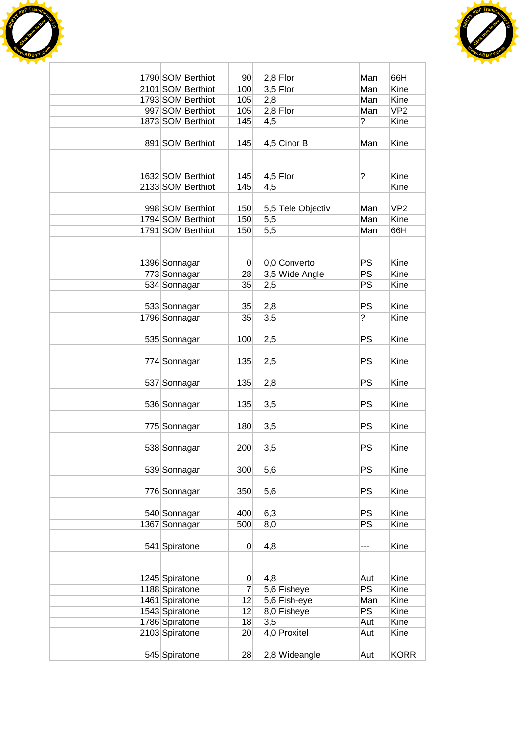



| 1790 SOM Berthiot | 90 <sup>°</sup> |     |                          |                | 66H             |
|-------------------|-----------------|-----|--------------------------|----------------|-----------------|
| 2101 SOM Berthiot | 100             |     | $2,8$ Flor<br>$3,5$ Flor | Man<br>Man     | Kine            |
| 1793 SOM Berthiot | 105             | 2,8 |                          | Man            | Kine            |
| 997 SOM Berthiot  | 105             |     | $2,8$ Flor               | Man            | VP <sub>2</sub> |
| 1873 SOM Berthiot | 145             | 4,5 |                          | $\overline{?}$ | Kine            |
|                   |                 |     |                          |                |                 |
| 891 SOM Berthiot  | 145             |     | 4,5 Cinor B              | Man            | Kine            |
|                   |                 |     |                          |                |                 |
|                   |                 |     |                          |                |                 |
| 1632 SOM Berthiot | 145             |     | $4,5$ Flor               | ?              | Kine            |
| 2133 SOM Berthiot | 145             | 4,5 |                          |                | Kine            |
|                   |                 |     |                          |                |                 |
| 998 SOM Berthiot  | 150             |     | 5,5 Tele Objectiv        | Man            | VP <sub>2</sub> |
| 1794 SOM Berthiot | 150             | 5,5 |                          | Man            | Kine            |
| 1791 SOM Berthiot | 150             | 5,5 |                          | Man            | 66H             |
|                   |                 |     |                          |                |                 |
|                   |                 |     |                          |                |                 |
| 1396 Sonnagar     | $\vert 0 \vert$ |     | 0,0 Converto             | <b>PS</b>      | Kine            |
| 773 Sonnagar      | 28              |     | 3,5 Wide Angle           | PS             | Kine<br>Kine    |
| 534 Sonnagar      | 35              | 2,5 |                          | PS             |                 |
| 533 Sonnagar      | 35              | 2,8 |                          | <b>PS</b>      | Kine            |
| 1796 Sonnagar     | 35              | 3,5 |                          | $\overline{?}$ | Kine            |
|                   |                 |     |                          |                |                 |
| 535 Sonnagar      | 100             | 2,5 |                          | <b>PS</b>      | Kine            |
|                   |                 |     |                          |                |                 |
| 774 Sonnagar      | 135             | 2,5 |                          | PS             | Kine            |
|                   |                 |     |                          |                |                 |
| 537 Sonnagar      | 135             | 2,8 |                          | <b>PS</b>      | Kine            |
|                   |                 |     |                          |                |                 |
| 536 Sonnagar      | 135             | 3,5 |                          | <b>PS</b>      | Kine            |
|                   |                 |     |                          |                |                 |
| 775 Sonnagar      | 180             | 3,5 |                          | <b>PS</b>      | Kine            |
|                   |                 |     |                          |                |                 |
| 538 Sonnagar      | 200             | 3,5 |                          | PS             | Kine            |
|                   |                 |     |                          |                |                 |
| 539 Sonnagar      | 300             | 5,6 |                          | <b>PS</b>      | Kine            |
|                   |                 |     |                          |                |                 |
| 776 Sonnagar      | 350             | 5,6 |                          | <b>PS</b>      | Kine            |
| 540 Sonnagar      | 400             | 6,3 |                          | PS             | Kine            |
| 1367 Sonnagar     | 500             | 8,0 |                          | PS             | Kine            |
|                   |                 |     |                          |                |                 |
| 541 Spiratone     | $\overline{0}$  | 4,8 |                          | ---            | Kine            |
|                   |                 |     |                          |                |                 |
|                   |                 |     |                          |                |                 |
| 1245 Spiratone    | $\overline{0}$  | 4,8 |                          | Aut            | Kine            |
| 1188 Spiratone    | $\overline{7}$  |     | 5,6 Fisheye              | PS             | Kine            |
| 1461 Spiratone    | 12              |     | 5,6 Fish-eye             | Man            | Kine            |
| 1543 Spiratone    | 12              |     | 8,0 Fisheye              | PS             | Kine            |
| 1786 Spiratone    | 18              | 3,5 |                          | Aut            | Kine            |
| 2103 Spiratone    | 20 <sub>l</sub> |     | 4,0 Proxitel             | Aut            | Kine            |
|                   |                 |     |                          |                |                 |
| 545 Spiratone     | 28              |     | 2,8 Wideangle            | Aut            | <b>KORR</b>     |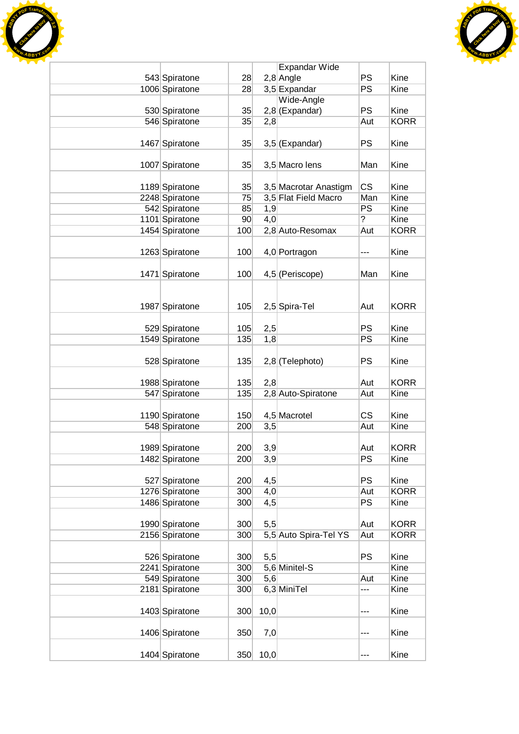



|                |                 |      | Expandar Wide         |                |              |
|----------------|-----------------|------|-----------------------|----------------|--------------|
| 543 Spiratone  | 28              |      | $2,8$ Angle           | <b>PS</b>      | Kine         |
| 1006 Spiratone | 28              |      | 3,5 Expandar          | <b>PS</b>      | Kine         |
|                |                 |      | Wide-Angle            |                |              |
| 530 Spiratone  | 35              |      | $2,8$ (Expandar)      | <b>PS</b>      | Kine         |
| 546 Spiratone  | 35              | 2,8  |                       | Aut            | <b>KORR</b>  |
|                |                 |      |                       |                |              |
| 1467 Spiratone | 35              |      | $3,5$ (Expandar)      | <b>PS</b>      | Kine         |
|                |                 |      |                       |                |              |
| 1007 Spiratone | 35              |      | 3,5 Macro lens        | Man            | Kine         |
|                |                 |      |                       |                |              |
| 1189 Spiratone | 35              |      | 3,5 Macrotar Anastigm | CS             | Kine         |
| 2248 Spiratone | 75              |      | 3,5 Flat Field Macro  | Man            | Kine         |
| 542 Spiratone  | 85              | 1,9  |                       | <b>PS</b>      | Kine         |
| 1101 Spiratone | 90 <sup>°</sup> | 4,0  |                       | $\overline{?}$ | Kine         |
| 1454 Spiratone | 100             |      | 2,8 Auto-Resomax      | Aut            | <b>KORR</b>  |
|                |                 |      |                       |                |              |
| 1263 Spiratone | 100             |      | 4,0 Portragon         | ---            | Kine         |
|                |                 |      |                       |                |              |
| 1471 Spiratone | 100             |      | 4,5 (Periscope)       | Man            | Kine         |
|                |                 |      |                       |                |              |
|                |                 |      |                       |                |              |
| 1987 Spiratone | 105             |      | 2,5 Spira-Tel         | Aut            | <b>KORR</b>  |
|                |                 |      |                       |                |              |
| 529 Spiratone  | 105             | 2,5  |                       | <b>PS</b>      | Kine         |
| 1549 Spiratone | 135             | 1,8  |                       | PS             | Kine         |
|                |                 |      |                       |                |              |
| 528 Spiratone  | 135             |      | 2,8 (Telephoto)       | PS             | Kine         |
|                |                 |      |                       |                |              |
| 1988 Spiratone | 135             | 2,8  |                       | Aut            | <b>KORR</b>  |
| 547 Spiratone  | 135             |      | 2,8 Auto-Spiratone    | Aut            | Kine         |
|                |                 |      |                       |                |              |
| 1190 Spiratone | 150             |      | 4,5 Macrotel          | <b>CS</b>      | Kine         |
| 548 Spiratone  | 200             | 3,5  |                       | Aut            | Kine         |
|                |                 |      |                       |                |              |
| 1989 Spiratone | 200             | 3,9  |                       | Aut            | <b>KORR</b>  |
| 1482 Spiratone | 200             | 3,9  |                       | PS             | Kine         |
|                |                 |      |                       |                |              |
| 527 Spiratone  | 200             | 4,5  |                       | <b>PS</b>      | Kine         |
| 1276 Spiratone | 300             | 4,0  |                       | Aut            | <b>KORR</b>  |
| 1486 Spiratone | 300             | 4,5  |                       | <b>PS</b>      | Kine         |
|                |                 |      |                       |                |              |
| 1990 Spiratone | 300             | 5,5  |                       | Aut            | <b>KORR</b>  |
| 2156 Spiratone | 300             |      | 5,5 Auto Spira-Tel YS | Aut            | <b>KORR</b>  |
|                |                 |      |                       | <b>PS</b>      |              |
| 526 Spiratone  | 300             | 5,5  |                       |                | Kine<br>Kine |
| 2241 Spiratone | 300             |      | 5,6 Minitel-S         |                | Kine         |
| 549 Spiratone  | 300<br>300      | 5,6  | 6,3 MiniTel           | Aut            | Kine         |
| 2181 Spiratone |                 |      |                       | ---            |              |
|                |                 |      |                       |                | Kine         |
| 1403 Spiratone | 300             | 10,0 |                       | ---            |              |
|                | 350             |      |                       |                | Kine         |
| 1406 Spiratone |                 | 7,0  |                       | ---            |              |
| 1404 Spiratone | 350             | 10,0 |                       | ---            | Kine         |
|                |                 |      |                       |                |              |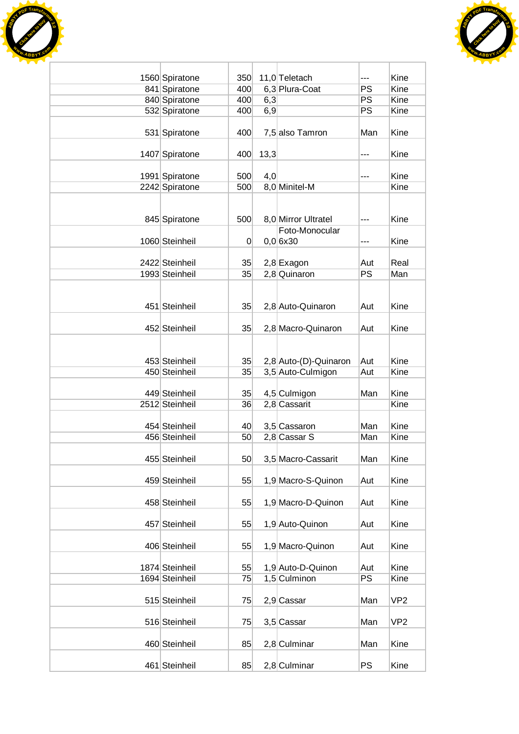



| 1560 Spiratone<br>841 Spiratone | 350<br>400 |      | 11,0 Teletach<br>6,3 Plura-Coat | ---<br>PS | Kine<br>Kine    |
|---------------------------------|------------|------|---------------------------------|-----------|-----------------|
| 840 Spiratone                   | 400        | 6,3  |                                 | PS        | Kine            |
| 532 Spiratone                   | 400        | 6,9  |                                 | PS        | Kine            |
|                                 |            |      |                                 |           |                 |
| 531 Spiratone                   | 400        |      | 7,5 also Tamron                 | Man       | Kine            |
| 1407 Spiratone                  | 400        | 13,3 |                                 | ---       | Kine            |
| 1991 Spiratone                  | 500        | 4,0  |                                 | ---       | Kine            |
| 2242 Spiratone                  | 500        |      | 8,0 Minitel-M                   |           | Kine            |
|                                 |            |      |                                 |           |                 |
|                                 |            |      |                                 |           |                 |
| 845 Spiratone                   | 500        |      | 8,0 Mirror Ultratel             | ---       | Kine            |
|                                 |            |      | Foto-Monocular                  |           |                 |
| 1060 Steinheil                  | 0          |      | 0,0 6x30                        | ---       | Kine            |
| 2422 Steinheil                  | 35         |      | 2,8 Exagon                      | Aut       | Real            |
| 1993 Steinheil                  | 35         |      | 2,8 Quinaron                    | <b>PS</b> | Man             |
|                                 |            |      |                                 |           |                 |
|                                 |            |      |                                 |           |                 |
| 451 Steinheil                   | 35         |      | 2,8 Auto-Quinaron               | Aut       | Kine            |
|                                 |            |      |                                 |           |                 |
| 452 Steinheil                   | 35         |      | 2,8 Macro-Quinaron              | Aut       | Kine            |
|                                 |            |      |                                 |           |                 |
|                                 |            |      |                                 |           |                 |
| 453 Steinheil                   | 35         |      | 2,8 Auto-(D)-Quinaron           | Aut       | Kine            |
| 450 Steinheil                   | 35         |      | 3,5 Auto-Culmigon               | Aut       | Kine            |
|                                 |            |      |                                 |           |                 |
| 449 Steinheil                   | 35         |      | 4,5 Culmigon                    | Man       | Kine            |
| 2512 Steinheil                  | 36         |      | 2,8 Cassarit                    |           | Kine            |
|                                 |            |      |                                 |           |                 |
| 454 Steinheil                   | 40         |      | 3,5 Cassaron                    | Man       | Kine            |
| 456 Steinheil                   | 50         |      | 2,8 Cassar S                    | Man       | Kine            |
|                                 |            |      |                                 |           |                 |
| 455 Steinheil                   | 50         |      | 3,5 Macro-Cassarit              | Man       | Kine            |
| 459 Steinheil                   | 55         |      | 1,9 Macro-S-Quinon              | Aut       | Kine            |
|                                 |            |      |                                 |           |                 |
| 458 Steinheil                   | 55         |      | 1,9 Macro-D-Quinon              | Aut       | Kine            |
|                                 |            |      |                                 |           |                 |
| 457 Steinheil                   | 55         |      | 1,9 Auto-Quinon                 | Aut       | Kine            |
|                                 |            |      |                                 |           |                 |
| 406 Steinheil                   | 55         |      | 1,9 Macro-Quinon                | Aut       | Kine            |
|                                 |            |      |                                 |           |                 |
| 1874 Steinheil                  | 55         |      | 1,9 Auto-D-Quinon               | Aut       | Kine            |
| 1694 Steinheil                  | 75         |      | 1,5 Culminon                    | PS        | Kine            |
|                                 |            |      |                                 |           |                 |
| 515 Steinheil                   | 75         |      | 2,9 Cassar                      | Man       | VP <sub>2</sub> |
|                                 |            |      |                                 |           |                 |
| 516 Steinheil                   | 75         |      | 3,5 Cassar                      | Man       | VP <sub>2</sub> |
|                                 |            |      |                                 |           |                 |
| 460 Steinheil                   | 85         |      | 2,8 Culminar                    | Man       | Kine            |
| 461 Steinheil                   | 85         |      | 2,8 Culminar                    | PS        | Kine            |
|                                 |            |      |                                 |           |                 |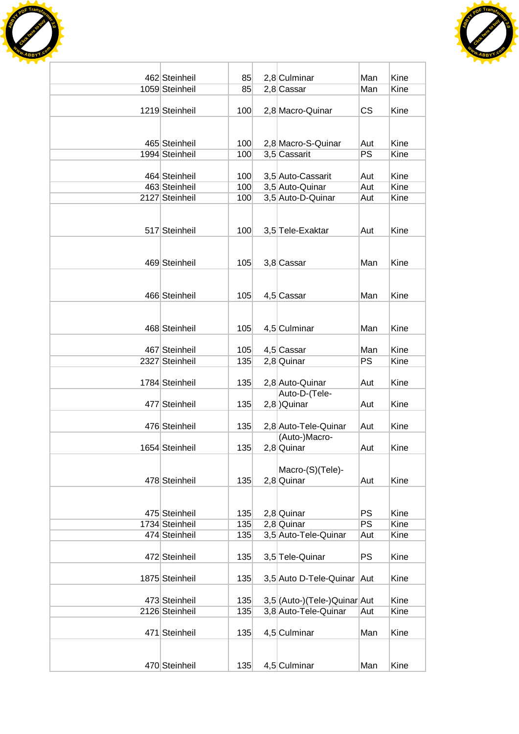



| 462 Steinheil  | 85  | 2,8 Culminar                   | Man        | Kine |
|----------------|-----|--------------------------------|------------|------|
| 1059 Steinheil | 85  | $2,8$ Cassar                   | Man        | Kine |
|                |     |                                |            |      |
| 1219 Steinheil | 100 | 2,8 Macro-Quinar               | <b>CS</b>  | Kine |
|                |     |                                |            |      |
|                |     |                                |            |      |
| 465 Steinheil  | 100 | 2,8 Macro-S-Quinar             | Aut        | Kine |
| 1994 Steinheil | 100 | 3,5 Cassarit                   | PS         | Kine |
| 464 Steinheil  | 100 | 3,5 Auto-Cassarit              |            | Kine |
| 463 Steinheil  | 100 | 3,5 Auto-Quinar                | Aut<br>Aut | Kine |
| 2127 Steinheil | 100 | 3,5 Auto-D-Quinar              | Aut        | Kine |
|                |     |                                |            |      |
|                |     |                                |            |      |
| 517 Steinheil  | 100 | 3,5 Tele-Exaktar               | Aut        | Kine |
|                |     |                                |            |      |
|                |     |                                |            |      |
| 469 Steinheil  | 105 | 3,8 Cassar                     | Man        | Kine |
|                |     |                                |            |      |
|                |     |                                |            |      |
| 466 Steinheil  | 105 | 4,5 Cassar                     | Man        | Kine |
|                |     |                                |            |      |
|                |     |                                |            |      |
| 468 Steinheil  | 105 | 4,5 Culminar                   | Man        | Kine |
|                |     |                                |            |      |
| 467 Steinheil  | 105 | 4,5 Cassar                     | Man        | Kine |
| 2327 Steinheil | 135 | $2,8$ Quinar                   | PS         | Kine |
|                |     |                                |            |      |
| 1784 Steinheil | 135 | 2,8 Auto-Quinar                | Aut        | Kine |
|                |     | Auto-D-(Tele-                  |            |      |
| 477 Steinheil  | 135 | $2,8$ ) Quinar                 | Aut        | Kine |
|                |     |                                |            |      |
| 476 Steinheil  | 135 | 2,8 Auto-Tele-Quinar           | Aut        | Kine |
|                |     | (Auto-)Macro-                  |            |      |
| 1654 Steinheil | 135 | 2,8 Quinar                     | Aut        | Kine |
|                |     |                                |            |      |
|                |     | Macro-(S)(Tele)-               |            |      |
| 478 Steinheil  | 135 | 2,8 Quinar                     | Aut        | Kine |
|                |     |                                |            |      |
|                |     |                                |            |      |
| 475 Steinheil  | 135 | $2,8$ Quinar                   | <b>PS</b>  | Kine |
| 1734 Steinheil | 135 | $2,8$ Quinar                   | PS         | Kine |
| 474 Steinheil  | 135 | 3,5 Auto-Tele-Quinar           | Aut        | Kine |
| 472 Steinheil  |     | 3,5 Tele-Quinar                | PS         | Kine |
|                | 135 |                                |            |      |
| 1875 Steinheil | 135 | 3,5 Auto D-Tele-Quinar         | Aut        | Kine |
|                |     |                                |            |      |
| 473 Steinheil  | 135 | 3,5 (Auto-) (Tele-) Quinar Aut |            | Kine |
| 2126 Steinheil | 135 | 3,8 Auto-Tele-Quinar           | Aut        | Kine |
|                |     |                                |            |      |
| 471 Steinheil  | 135 | 4,5 Culminar                   | Man        | Kine |
|                |     |                                |            |      |
|                |     |                                |            |      |
| 470 Steinheil  | 135 | 4,5 Culminar                   | Man        | Kine |
|                |     |                                |            |      |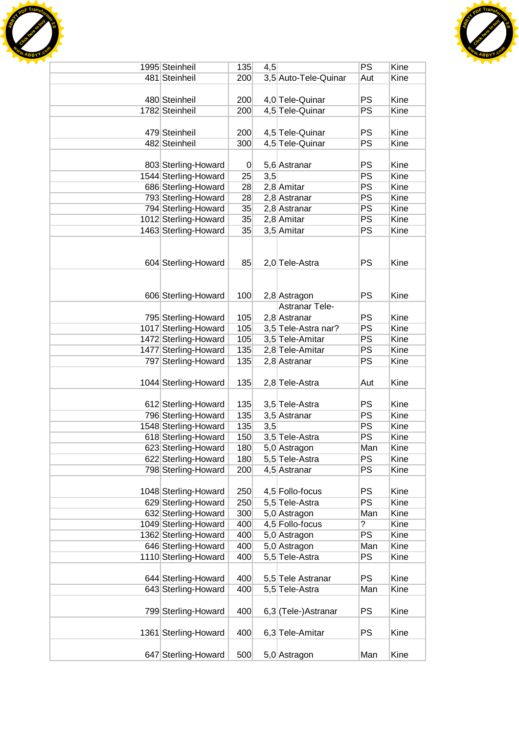



| 1995 Steinheil       | 135              | 4,5 |                       | PS             | Kine |
|----------------------|------------------|-----|-----------------------|----------------|------|
| 481 Steinheil        | 200              |     | 3,5 Auto-Tele-Quinar  | Aut            | Kine |
|                      |                  |     |                       |                |      |
| 480 Steinheil        | 200              |     | 4,0 Tele-Quinar       | PS             | Kine |
| 1782 Steinheil       | 200              |     | 4,5 Tele-Quinar       | PS             | Kine |
|                      |                  |     |                       |                |      |
| 479 Steinheil        | 200              |     | 4,5 Tele-Quinar       | PS             | Kine |
| 482 Steinheil        | 300              |     | 4,5 Tele-Quinar       | PS             | Kine |
|                      |                  |     |                       |                |      |
| 803 Sterling-Howard  | $\boldsymbol{0}$ |     | 5,6 Astranar          | PS             | Kine |
| 1544 Sterling-Howard | 25               | 3,5 |                       | PS             | Kine |
| 686 Sterling-Howard  | 28               |     | 2,8 Amitar            | PS             | Kine |
| 793 Sterling-Howard  | 28               |     | 2,8 Astranar          | PS             | Kine |
| 794 Sterling-Howard  | 35               |     | 2,8 Astranar          | PS             | Kine |
| 1012 Sterling-Howard | 35               |     | $2,8$ Amitar          | PS             | Kine |
| 1463 Sterling-Howard | 35               |     | 3,5 Amitar            | <b>PS</b>      | Kine |
|                      |                  |     |                       |                |      |
|                      |                  |     |                       |                |      |
| 604 Sterling-Howard  | 85               |     | 2,0 Tele-Astra        | PS             | Kine |
|                      |                  |     |                       |                |      |
|                      |                  |     |                       |                |      |
| 606 Sterling-Howard  | 100              |     | 2,8 Astragon          | PS             | Kine |
|                      |                  |     | <b>Astranar Tele-</b> |                |      |
| 795 Sterling-Howard  | 105              |     | 2,8 Astranar          | PS             | Kine |
| 1017 Sterling-Howard | 105              |     | 3,5 Tele-Astra nar?   | PS             | Kine |
| 1472 Sterling-Howard |                  |     |                       | PS             | Kine |
|                      | 105              |     | 3,5 Tele-Amitar       |                |      |
| 1477 Sterling-Howard | 135              |     | 2,8 Tele-Amitar       | PS             | Kine |
| 797 Sterling-Howard  | 135              |     | 2,8 Astranar          | PS             | Kine |
|                      |                  |     |                       |                |      |
| 1044 Sterling-Howard | 135              |     | 2,8 Tele-Astra        | Aut            | Kine |
|                      |                  |     |                       |                |      |
| 612 Sterling-Howard  | 135              |     | 3,5 Tele-Astra        | PS             | Kine |
| 796 Sterling-Howard  | 135              |     | 3,5 Astranar          | PS             | Kine |
| 1548 Sterling-Howard | 135              | 3,5 |                       | PS             | Kine |
| 618 Sterling-Howard  | 150              |     | 3,5 Tele-Astra        | PS             | Kine |
| 623 Sterling-Howard  | 180              |     | 5,0 Astragon          | Man            | Kine |
| 622 Sterling-Howard  | 180              |     | 5,5 Tele-Astra        | PS             | Kine |
| 798 Sterling-Howard  | 200              |     | 4,5 Astranar          | PS             | Kine |
|                      |                  |     |                       |                |      |
| 1048 Sterling-Howard | 250              |     | 4,5 Follo-focus       | PS             | Kine |
| 629 Sterling-Howard  | 250              |     | 5,5 Tele-Astra        | PS             | Kine |
| 632 Sterling-Howard  | 300              |     | 5,0 Astragon          | Man            | Kine |
| 1049 Sterling-Howard | 400              |     | 4,5 Follo-focus       | $\overline{?}$ | Kine |
| 1362 Sterling-Howard | 400              |     | 5,0 Astragon          | <b>PS</b>      | Kine |
| 646 Sterling-Howard  | 400              |     | 5,0 Astragon          | Man            | Kine |
| 1110 Sterling-Howard | 400              |     | 5,5 Tele-Astra        | PS             | Kine |
|                      |                  |     |                       |                |      |
| 644 Sterling-Howard  | 400              |     | 5,5 Tele Astranar     | PS             | Kine |
| 643 Sterling-Howard  | 400              |     | 5,5 Tele-Astra        | Man            | Kine |
|                      |                  |     |                       |                |      |
| 799 Sterling-Howard  | 400              |     | 6,3 (Tele-)Astranar   | PS             | Kine |
|                      |                  |     |                       |                |      |
| 1361 Sterling-Howard | 400              |     | 6,3 Tele-Amitar       | PS             | Kine |
|                      |                  |     |                       |                |      |
| 647 Sterling-Howard  | 500              |     | 5,0 Astragon          | Man            | Kine |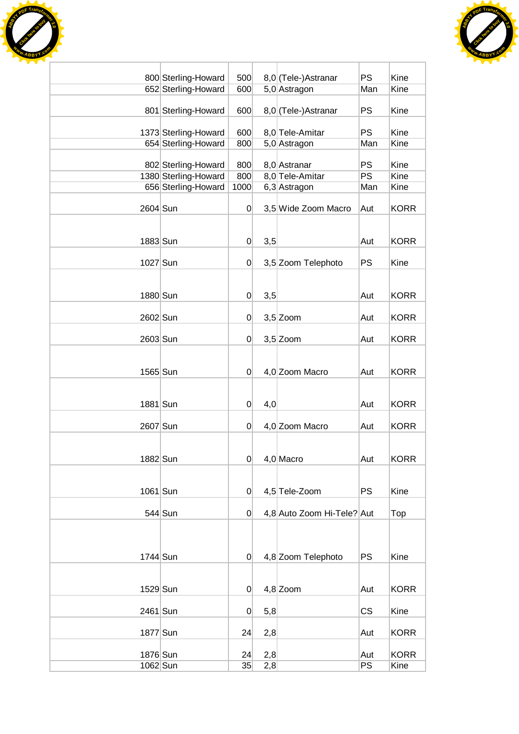



|          | 800 Sterling-Howard  | 500            |     | 8,0 (Tele-)Astranar        | <b>PS</b>       | Kine        |
|----------|----------------------|----------------|-----|----------------------------|-----------------|-------------|
|          | 652 Sterling-Howard  | 600            |     | 5,0 Astragon               | Man             | Kine        |
|          | 801 Sterling-Howard  | 600            |     | 8,0 (Tele-)Astranar        | <b>PS</b>       | Kine        |
|          | 1373 Sterling-Howard | 600            |     | 8,0 Tele-Amitar            | <b>PS</b>       | Kine        |
|          | 654 Sterling-Howard  | 800            |     | 5,0 Astragon               | Man             | Kine        |
|          |                      |                |     |                            |                 |             |
|          | 802 Sterling-Howard  | 800            |     | 8,0 Astranar               | <b>PS</b>       | Kine        |
|          | 1380 Sterling-Howard | 800            |     | 8,0 Tele-Amitar            | $\overline{PS}$ | Kine        |
|          | 656 Sterling-Howard  | 1000           |     | 6,3 Astragon               | Man             | Kine        |
| 2604 Sun |                      | $\overline{0}$ |     | 3,5 Wide Zoom Macro        | Aut             | <b>KORR</b> |
| 1883 Sun |                      | 0              | 3,5 |                            | Aut             | <b>KORR</b> |
|          |                      |                |     |                            |                 |             |
| 1027 Sun |                      | $\overline{0}$ |     | 3,5 Zoom Telephoto         | <b>PS</b>       | Kine        |
|          |                      |                |     |                            |                 |             |
| 1880 Sun |                      | $\overline{0}$ | 3,5 |                            | Aut             | <b>KORR</b> |
|          |                      |                |     |                            |                 |             |
| 2602 Sun |                      | $\overline{0}$ |     | $3,5$ Zoom                 | Aut             | <b>KORR</b> |
| 2603 Sun |                      | $\overline{0}$ |     | $3,5$ Zoom                 | Aut             | <b>KORR</b> |
|          |                      |                |     |                            |                 |             |
| 1565 Sun |                      | $\overline{0}$ |     | 4,0 Zoom Macro             | Aut             | <b>KORR</b> |
| 1881 Sun |                      | $\overline{0}$ |     |                            | Aut             | <b>KORR</b> |
|          |                      |                | 4,0 |                            |                 |             |
| 2607 Sun |                      | $\overline{0}$ |     | 4,0 Zoom Macro             | Aut             | <b>KORR</b> |
| 1882 Sun |                      | $\overline{0}$ |     | $4,0$ Macro                | Aut             | <b>KORR</b> |
|          |                      |                |     |                            |                 |             |
| 1061 Sun |                      | $\overline{0}$ |     | 4,5 Tele-Zoom              | PS              | Kine        |
|          |                      |                |     |                            |                 |             |
|          | $544$ Sun            | $\overline{0}$ |     | 4,8 Auto Zoom Hi-Tele? Aut |                 | Top         |
|          |                      |                |     |                            |                 |             |
| 1744 Sun |                      | $\Omega$       |     | 4,8 Zoom Telephoto         | <b>PS</b>       | Kine        |
|          |                      |                |     |                            |                 |             |
| 1529 Sun |                      | $\overline{0}$ |     | $4,8$ Zoom                 | Aut             | <b>KORR</b> |
| 2461 Sun |                      | $\overline{0}$ | 5,8 |                            | CS              | Kine        |
| 1877 Sun |                      | 24             | 2,8 |                            | Aut             | <b>KORR</b> |
|          |                      |                |     |                            |                 |             |
| 1876 Sun |                      | 24             | 2,8 |                            | Aut<br>PS       | <b>KORR</b> |
| 1062 Sun |                      | 35             | 2,8 |                            |                 | Kine        |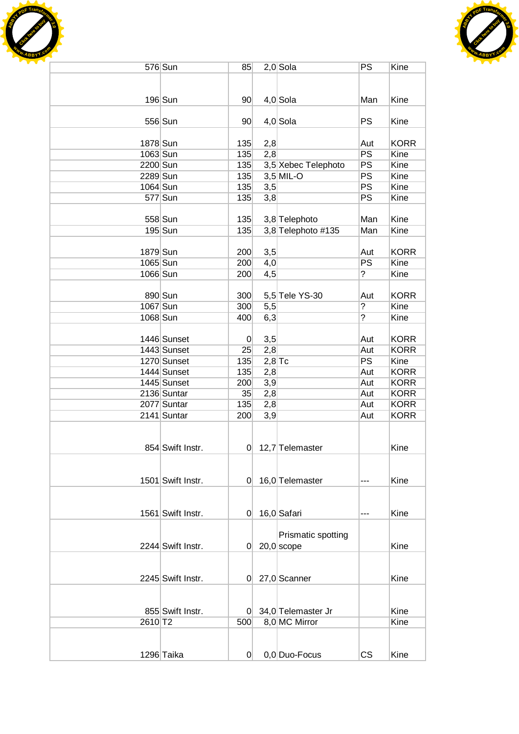



|          | 576 Sun           | 85              |          | $2,0$ Sola          | PS             | Kine        |
|----------|-------------------|-----------------|----------|---------------------|----------------|-------------|
|          |                   |                 |          |                     |                |             |
|          |                   |                 |          |                     |                |             |
|          | $196$ Sun         | 90 <sup>°</sup> |          | $4,0$ Sola          | Man            | Kine        |
|          |                   |                 |          |                     |                |             |
|          | 556 Sun           | 90 <sup>°</sup> |          |                     | PS             | Kine        |
|          |                   |                 |          | $4,0$ Sola          |                |             |
|          |                   |                 |          |                     |                |             |
| 1878 Sun |                   | 135             | 2,8      |                     | Aut            | <b>KORR</b> |
| 1063 Sun |                   | 135             | 2,8      |                     | PS             | Kine        |
| 2200 Sun |                   | 135             |          | 3,5 Xebec Telephoto | <b>PS</b>      | Kine        |
| 2289 Sun |                   | 135             |          | $3,5$ MIL-O         | <b>PS</b>      | Kine        |
| 1064 Sun |                   | 135             | 3,5      |                     | PS             | Kine        |
|          | 577 Sun           | 135             | 3,8      |                     | <b>PS</b>      | Kine        |
|          |                   |                 |          |                     |                |             |
|          | 558 Sun           | 135             |          | 3,8 Telephoto       | Man            | Kine        |
|          | 195 Sun           | 135             |          | 3,8 Telephoto #135  | Man            | Kine        |
|          |                   |                 |          |                     |                |             |
| 1879 Sun |                   | 200             | 3,5      |                     | Aut            | <b>KORR</b> |
| 1065 Sun |                   | 200             | 4,0      |                     | PS             | Kine        |
| 1066 Sun |                   | 200             | 4,5      |                     | $\overline{?}$ | Kine        |
|          |                   |                 |          |                     |                |             |
|          | 890 Sun           | 300             |          | 5,5 Tele YS-30      | Aut            | <b>KORR</b> |
| 1067 Sun |                   | 300             | 5,5      |                     | $\overline{?}$ | Kine        |
| 1068 Sun |                   | 400             | 6,3      |                     | $\overline{?}$ | Kine        |
|          |                   |                 |          |                     |                |             |
|          |                   |                 |          |                     |                |             |
|          | 1446 Sunset       | $\overline{0}$  | 3,5      |                     | Aut            | <b>KORR</b> |
|          | 1443 Sunset       | 25              | 2,8      |                     | Aut            | <b>KORR</b> |
|          | 1270 Sunset       | 135             | $2,8$ Tc |                     | PS             | Kine        |
|          | 1444 Sunset       | 135             | 2,8      |                     | Aut            | <b>KORR</b> |
|          | 1445 Sunset       | 200             | 3,9      |                     | Aut            | <b>KORR</b> |
|          | 2136 Suntar       | 35              | 2,8      |                     | Aut            | <b>KORR</b> |
|          | 2077 Suntar       | 135             | 2,8      |                     | Aut            | <b>KORR</b> |
|          | 2141 Suntar       | 200             | 3,9      |                     | Aut            | <b>KORR</b> |
|          |                   |                 |          |                     |                |             |
|          |                   |                 |          |                     |                |             |
|          | 854 Swift Instr.  |                 |          | $0$ 12,7 Telemaster |                | Kine        |
|          |                   |                 |          |                     |                |             |
|          |                   |                 |          |                     |                |             |
|          | 1501 Swift Instr. | 0               |          | 16,0 Telemaster     | ---            | Kine        |
|          |                   |                 |          |                     |                |             |
|          |                   |                 |          |                     |                |             |
|          | 1561 Swift Instr. | 0               |          | 16,0 Safari         | ---            | Kine        |
|          |                   |                 |          |                     |                |             |
|          |                   |                 |          | Prismatic spotting  |                |             |
|          | 2244 Swift Instr. | 01.             |          | $20,0$ scope        |                | Kine        |
|          |                   |                 |          |                     |                |             |
|          |                   |                 |          |                     |                |             |
|          |                   |                 |          |                     |                |             |
|          | 2245 Swift Instr. | 0               |          | 27,0 Scanner        |                | Kine        |
|          |                   |                 |          |                     |                |             |
|          |                   |                 |          |                     |                |             |
|          | 855 Swift Instr.  | 01              |          | 34,0 Telemaster Jr  |                | Kine        |
| 2610 T2  |                   | 500             |          | 8,0 MC Mirror       |                | Kine        |
|          |                   |                 |          |                     |                |             |
|          |                   |                 |          |                     |                |             |
|          | 1296 Taika        | 0               |          | 0,0 Duo-Focus       | <b>CS</b>      | Kine        |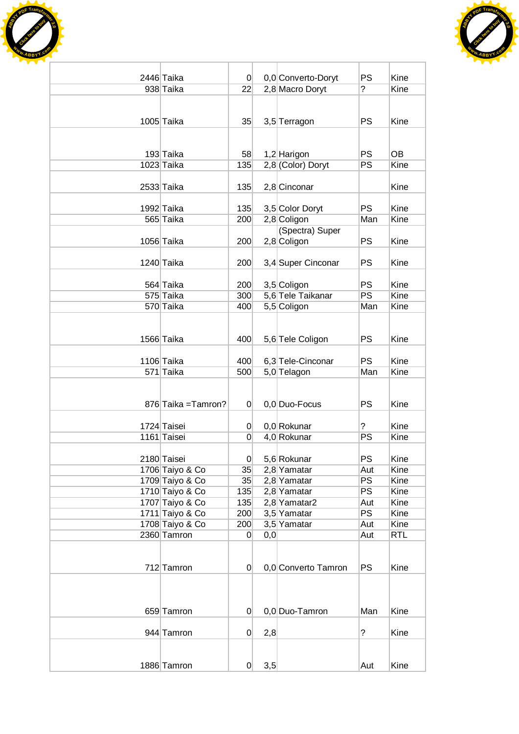



| 2446 Taika                         | $\vert 0 \vert$ |     | 0,0 Converto-Doryt          | <b>PS</b>        | Kine         |
|------------------------------------|-----------------|-----|-----------------------------|------------------|--------------|
| 938 Taika                          | 22              |     | 2,8 Macro Doryt             | $\overline{?}$   | Kine         |
|                                    |                 |     |                             |                  |              |
|                                    |                 |     |                             |                  |              |
| 1005 Taika                         | 35              |     | 3,5 Terragon                | <b>PS</b>        | Kine         |
|                                    |                 |     |                             |                  |              |
| 193 Taika                          | 58              |     | 1,2 Harigon                 | <b>PS</b>        | <b>OB</b>    |
| 1023 Taika                         | 135             |     | 2,8 (Color) Doryt           | <b>PS</b>        | Kine         |
|                                    |                 |     |                             |                  |              |
| 2533 Taika                         | 135             |     | 2,8 Cinconar                |                  | Kine         |
| 1992 Taika                         | 135             |     | 3,5 Color Doryt             | <b>PS</b>        | Kine         |
| 565 Taika                          | 200             |     | 2,8 Coligon                 | Man              | Kine         |
|                                    |                 |     | (Spectra) Super             |                  |              |
| 1056 Taika                         | 200             |     | 2,8 Coligon                 | <b>PS</b>        | Kine         |
|                                    |                 |     |                             |                  |              |
| 1240 Taika                         | 200             |     | 3,4 Super Cinconar          | <b>PS</b>        | Kine         |
| 564 Taika                          | 200             |     | 3,5 Coligon                 | <b>PS</b>        | Kine         |
| 575 Taika                          | 300             |     | 5,6 Tele Taikanar           | PS               | Kine         |
| 570 Taika                          | 400             |     | 5,5 Coligon                 | Man              | Kine         |
|                                    |                 |     |                             |                  |              |
|                                    |                 |     |                             |                  |              |
| 1566 Taika                         | 400             |     | 5,6 Tele Coligon            | <b>PS</b>        | Kine         |
| 1106 Taika                         | 400             |     | 6,3 Tele-Cinconar           | <b>PS</b>        | Kine         |
| 571 Taika                          | 500             |     | 5,0 Telagon                 | Man              | Kine         |
|                                    |                 |     |                             |                  |              |
|                                    |                 |     |                             |                  |              |
| 876 Taika = Tamron?                | $\Omega$        |     | 0,0 Duo-Focus               | <b>PS</b>        | Kine         |
| 1724 Taisei                        | $\overline{0}$  |     | 0,0 Rokunar                 | ?                | Kine         |
| 1161 Taisei                        | $\Omega$        |     | 4,0 Rokunar                 | PS               | Kine         |
|                                    |                 |     |                             |                  |              |
| 2180 Taisei                        | $\overline{0}$  |     | 5,6 Rokunar                 | <b>PS</b>        | Kine         |
| 1706 Taiyo & Co                    | 35              |     | 2,8 Yamatar                 | Aut              | Kine         |
| 1709 Taiyo & Co                    | 35              |     | 2,8 Yamatar                 | PS               | Kine         |
| 1710 Taiyo & Co                    | 135             |     | 2,8 Yamatar                 | <b>PS</b>        | Kine         |
| 1707 Taiyo & Co<br>1711 Taiyo & Co | 135<br>200      |     | 2,8 Yamatar2<br>3,5 Yamatar | Aut<br><b>PS</b> | Kine<br>Kine |
| 1708 Taiyo & Co                    | 200             |     | 3,5 Yamatar                 | Aut              | Kine         |
| 2360 Tamron                        | 0               | 0,0 |                             | Aut              | <b>RTL</b>   |
|                                    |                 |     |                             |                  |              |
|                                    |                 |     |                             |                  |              |
| 712 Tamron                         | $\overline{0}$  |     | 0,0 Converto Tamron         | <b>PS</b>        | Kine         |
|                                    |                 |     |                             |                  |              |
|                                    |                 |     |                             |                  |              |
| 659 Tamron                         | $\overline{0}$  |     | 0,0 Duo-Tamron              | Man              | Kine         |
|                                    |                 |     |                             |                  |              |
| 944 Tamron                         | $\overline{0}$  | 2,8 |                             | $\tilde{?}$      | Kine         |
|                                    |                 |     |                             |                  |              |
|                                    |                 | 3,5 |                             |                  | Kine         |
| 1886 Tamron                        | $\overline{0}$  |     |                             | Aut              |              |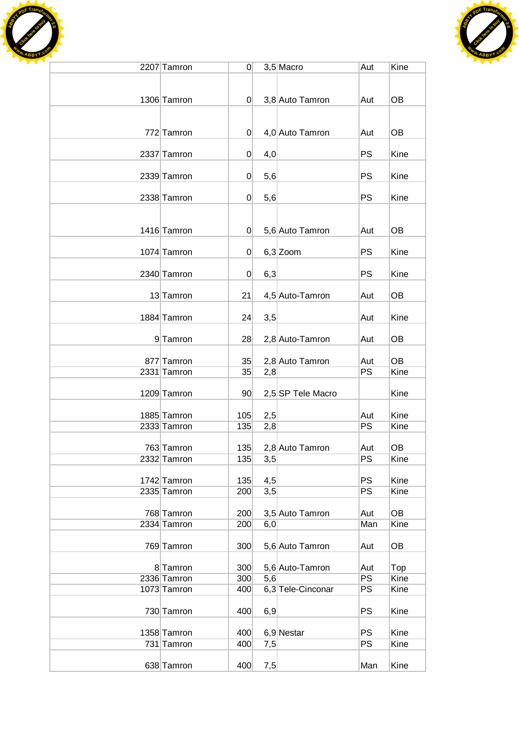



| 2207 Tamron | 0              |     | $3,5$ Macro       | Aut       | Kine      |
|-------------|----------------|-----|-------------------|-----------|-----------|
|             |                |     |                   |           |           |
|             |                |     |                   |           |           |
| 1306 Tamron | $\overline{0}$ |     | 3,8 Auto Tamron   | Aut       | OB        |
|             |                |     |                   |           |           |
| 772 Tamron  | $\Omega$       |     | 4,0 Auto Tamron   | Aut       | OB        |
|             |                |     |                   |           |           |
| 2337 Tamron | 0              | 4,0 |                   | PS        | Kine      |
|             |                |     |                   |           |           |
| 2339 Tamron | 0              | 5,6 |                   | <b>PS</b> | Kine      |
|             |                |     |                   |           |           |
| 2338 Tamron | 0              | 5,6 |                   | PS        | Kine      |
|             |                |     |                   |           |           |
| 1416 Tamron | 0              |     |                   |           | OB        |
|             |                |     | 5,6 Auto Tamron   | Aut       |           |
| 1074 Tamron | 0              |     | $6,3$ Zoom        | PS        | Kine      |
|             |                |     |                   |           |           |
| 2340 Tamron | 0              | 6,3 |                   | PS        | Kine      |
|             |                |     |                   |           |           |
| 13 Tamron   | 21             |     | 4,5 Auto-Tamron   | Aut       | OB        |
|             |                |     |                   |           |           |
| 1884 Tamron | 24             | 3,5 |                   | Aut       | Kine      |
|             |                |     |                   |           |           |
| 9 Tamron    | 28             |     | 2,8 Auto-Tamron   | Aut       | <b>OB</b> |
| 877 Tamron  | 35             |     | 2,8 Auto Tamron   | Aut       | OB        |
| 2331 Tamron | 35             | 2,8 |                   | PS        | Kine      |
|             |                |     |                   |           |           |
| 1209 Tamron | 90             |     | 2,5 SP Tele Macro |           | Kine      |
|             |                |     |                   |           |           |
| 1885 Tamron | 105            | 2,5 |                   | Aut       | Kine      |
| 2333 Tamron | 135            | 2,8 |                   | PS        | Kine      |
| 763 Tamron  |                |     |                   |           | OB        |
| 2332 Tamron | 135<br>135     | 3,5 | 2,8 Auto Tamron   | Aut<br>PS | Kine      |
|             |                |     |                   |           |           |
| 1742 Tamron | 135            | 4,5 |                   | PS        | Kine      |
| 2335 Tamron | 200            | 3,5 |                   | PS        | Kine      |
|             |                |     |                   |           |           |
| 768 Tamron  | 200            |     | 3,5 Auto Tamron   | Aut       | OB        |
| 2334 Tamron | 200            | 6,0 |                   | Man       | Kine      |
|             |                |     |                   |           |           |
| 769 Tamron  | 300            |     | 5,6 Auto Tamron   | Aut       | OB        |
| 8 Tamron    | 300            |     | 5,6 Auto-Tamron   | Aut       | Top       |
| 2336 Tamron | 300            | 5,6 |                   | <b>PS</b> | Kine      |
| 1073 Tamron | 400            |     | 6,3 Tele-Cinconar | PS        | Kine      |
|             |                |     |                   |           |           |
| 730 Tamron  | 400            | 6,9 |                   | PS        | Kine      |
|             |                |     |                   |           |           |
| 1358 Tamron | 400            |     | 6,9 Nestar        | <b>PS</b> | Kine      |
| 731 Tamron  | 400            | 7,5 |                   | PS        | Kine      |
| 638 Tamron  | 400            | 7,5 |                   | Man       | Kine      |
|             |                |     |                   |           |           |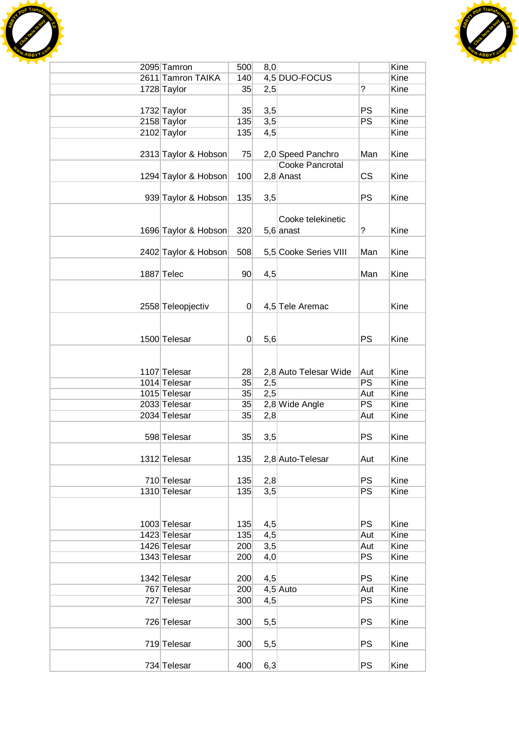



| 2095 Tamron          | 500             | 8,0 |                        |                | Kine |
|----------------------|-----------------|-----|------------------------|----------------|------|
| 2611 Tamron TAIKA    | 140             |     | 4,5 DUO-FOCUS          |                | Kine |
| 1728 Taylor          | 35              | 2,5 |                        | $\overline{?}$ | Kine |
|                      |                 |     |                        |                |      |
| 1732 Taylor          | 35              | 3,5 |                        | <b>PS</b>      | Kine |
| 2158 Taylor          | 135             | 3,5 |                        | <b>PS</b>      | Kine |
| 2102 Taylor          | 135             | 4,5 |                        |                | Kine |
|                      |                 |     |                        |                |      |
| 2313 Taylor & Hobson | 75              |     | 2,0 Speed Panchro      | Man            | Kine |
|                      |                 |     | <b>Cooke Pancrotal</b> |                |      |
| 1294 Taylor & Hobson | 100             |     | $2,8$ Anast            | <b>CS</b>      | Kine |
|                      |                 |     |                        |                |      |
| 939 Taylor & Hobson  | 135             | 3,5 |                        | <b>PS</b>      | Kine |
|                      |                 |     |                        |                |      |
|                      |                 |     | Cooke telekinetic      |                |      |
| 1696 Taylor & Hobson | 320             |     | $5,6$ anast            | ?              | Kine |
|                      |                 |     |                        |                |      |
| 2402 Taylor & Hobson | 508             |     | 5,5 Cooke Series VIII  | Man            | Kine |
|                      |                 |     |                        |                |      |
| 1887 Telec           | 90 <sub>o</sub> | 4,5 |                        | Man            | Kine |
|                      |                 |     |                        |                |      |
|                      |                 |     |                        |                |      |
| 2558 Teleopjectiv    | 0               |     | 4,5 Tele Aremac        |                | Kine |
|                      |                 |     |                        |                |      |
|                      |                 |     |                        |                |      |
| 1500 Telesar         | 0               | 5,6 |                        | <b>PS</b>      | Kine |
|                      |                 |     |                        |                |      |
|                      |                 |     |                        |                |      |
| 1107 Telesar         | 28              |     | 2,8 Auto Telesar Wide  | Aut            | Kine |
| 1014 Telesar         | 35              | 2,5 |                        | PS             | Kine |
| 1015 Telesar         | 35              | 2,5 |                        | Aut            | Kine |
| 2033 Telesar         | 35              |     | 2,8 Wide Angle         | <b>PS</b>      | Kine |
| 2034 Telesar         | 35              | 2,8 |                        | Aut            | Kine |
|                      |                 |     |                        |                |      |
| 598 Telesar          | 35              | 3,5 |                        | <b>PS</b>      | Kine |
|                      |                 |     |                        |                |      |
| 1312 Telesar         | 135             |     | 2,8 Auto-Telesar       | Aut            | Kine |
|                      |                 |     |                        |                |      |
| 710 Telesar          | 135             | 2,8 |                        | <b>PS</b>      | Kine |
| 1310 Telesar         | 135             | 3,5 |                        | PS             | Kine |
|                      |                 |     |                        |                |      |
|                      |                 |     |                        |                |      |
| 1003 Telesar         | 135             | 4,5 |                        | <b>PS</b>      | Kine |
| 1423 Telesar         | 135             | 4,5 |                        | Aut            | Kine |
| 1426 Telesar         | 200             | 3,5 |                        | Aut            | Kine |
| 1343 Telesar         | 200             | 4,0 |                        | PS             | Kine |
|                      |                 |     |                        |                |      |
| 1342 Telesar         | 200             | 4,5 |                        | <b>PS</b>      | Kine |
| 767 Telesar          | 200             |     | $4,5$ Auto             | Aut            | Kine |
| 727 Telesar          | 300             | 4,5 |                        | PS             | Kine |
|                      |                 |     |                        |                |      |
| 726 Telesar          | 300             | 5,5 |                        | <b>PS</b>      | Kine |
|                      |                 |     |                        |                |      |
| 719 Telesar          |                 |     |                        | <b>PS</b>      | Kine |
|                      | 300             | 5,5 |                        |                |      |
| 734 Telesar          | 400             |     |                        | <b>PS</b>      | Kine |
|                      |                 | 6,3 |                        |                |      |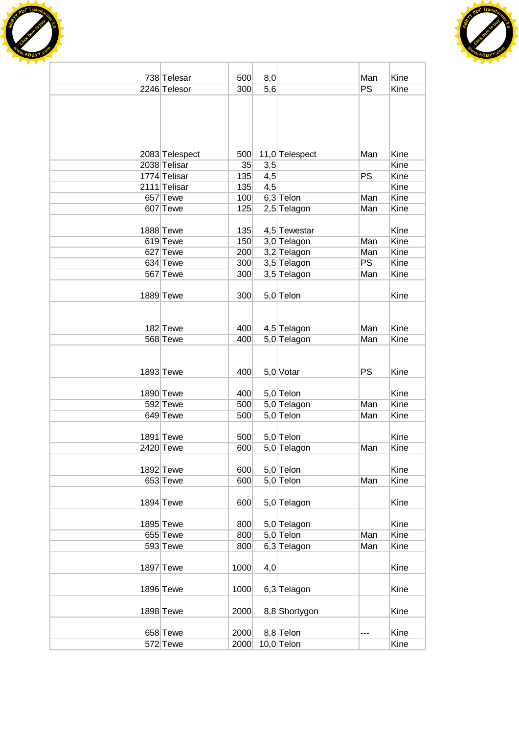



| 738 Telesar    | 500  | 8,0 |                | Man       | Kine |
|----------------|------|-----|----------------|-----------|------|
| 2246 Telesor   | 300  | 5,6 |                | <b>PS</b> | Kine |
|                |      |     |                |           |      |
|                |      |     |                |           |      |
|                |      |     |                |           |      |
|                |      |     |                |           |      |
|                |      |     |                |           |      |
| 2083 Telespect | 500  |     | 11,0 Telespect | Man       | Kine |
| 2038 Telisar   | 35   | 3,5 |                |           | Kine |
| 1774 Telisar   | 135  | 4,5 |                | PS        | Kine |
| 2111 Telisar   | 135  | 4,5 |                |           | Kine |
| 657 Tewe       | 100  |     | $6,3$ Telon    | Man       | Kine |
| 607 Tewe       | 125  |     | $2,5$ Telagon  | Man       | Kine |
|                |      |     |                |           |      |
| 1888 Tewe      | 135  |     | 4,5 Tewestar   |           | Kine |
| 619 Tewe       | 150  |     | 3,0 Telagon    | Man       | Kine |
| 627 Tewe       | 200  |     | 3,2 Telagon    | Man       | Kine |
| 634 Tewe       | 300  |     | 3,5 Telagon    | PS        | Kine |
| 567 Tewe       | 300  |     | 3,5 Telagon    | Man       | Kine |
|                |      |     |                |           |      |
| 1889 Tewe      | 300  |     | 5,0 Telon      |           | Kine |
|                |      |     |                |           |      |
|                |      |     |                |           |      |
| 182 Tewe       | 400  |     | 4,5 Telagon    | Man       | Kine |
| 568 Tewe       | 400  |     | 5,0 Telagon    | Man       | Kine |
|                |      |     |                |           |      |
|                |      |     |                |           |      |
| 1893 Tewe      | 400  |     | $5,0$ Votar    | <b>PS</b> | Kine |
|                |      |     |                |           |      |
| 1890 Tewe      | 400  |     | 5,0 Telon      |           | Kine |
| 592 Tewe       | 500  |     | 5,0 Telagon    | Man       | Kine |
| 649 Tewe       | 500  |     | $5,0$ Telon    | Man       | Kine |
|                |      |     |                |           |      |
| 1891 Tewe      | 500  |     | 5,0 Telon      |           | Kine |
| 2420 Tewe      | 600  |     | 5,0 Telagon    | Man       | Kine |
|                |      |     |                |           |      |
| 1892 Tewe      | 600  |     | 5,0 Telon      |           | Kine |
| 653 Tewe       | 600  |     | 5,0 Telon      | Man       | Kine |
|                |      |     |                |           |      |
| $1894$ Tewe    | 600  |     | 5,0 Telagon    |           | Kine |
|                |      |     |                |           |      |
| 1895 Tewe      | 800  |     | 5,0 Telagon    |           | Kine |
| 655 Tewe       | 800  |     | $5,0$ Telon    | Man       | Kine |
| 593 Tewe       | 800  |     | 6,3 Telagon    | Man       | Kine |
|                |      |     |                |           |      |
| 1897 Tewe      | 1000 | 4,0 |                |           | Kine |
|                |      |     |                |           |      |
| 1896 Tewe      | 1000 |     | 6,3 Telagon    |           | Kine |
|                |      |     |                |           |      |
| 1898 Tewe      | 2000 |     | 8,8 Shortygon  |           | Kine |
|                |      |     |                |           |      |
| 658 Tewe       | 2000 |     | 8,8 Telon      |           | Kine |
| 572 Tewe       | 2000 |     | $10,0$ Telon   |           | Kine |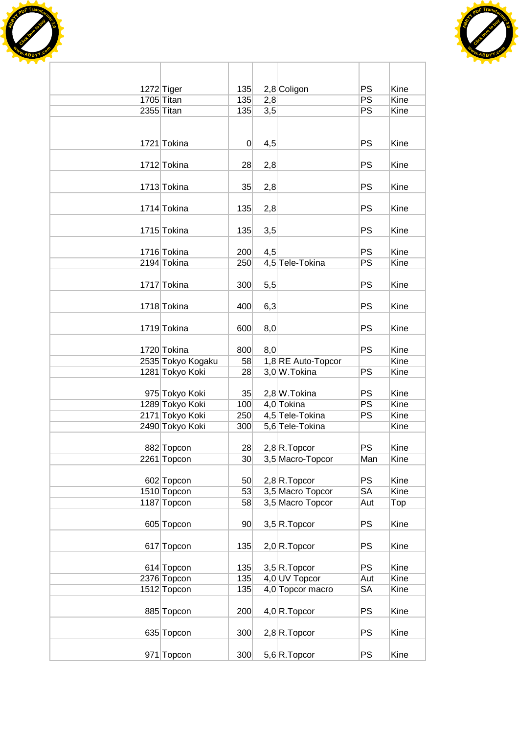



| 1272 Tiger        | 135             |                  | 2,8 Coligon        | <b>PS</b> | Kine |
|-------------------|-----------------|------------------|--------------------|-----------|------|
| 1705 Titan        | 135             | 2,8              |                    | PS        | Kine |
| 2355 Titan        | 135             | $\overline{3,5}$ |                    | PS        | Kine |
|                   |                 |                  |                    |           |      |
| 1721 Tokina       | $\overline{0}$  | 4,5              |                    | <b>PS</b> | Kine |
|                   |                 |                  |                    |           |      |
| 1712 Tokina       | 28              | 2,8              |                    | <b>PS</b> | Kine |
| 1713 Tokina       | 35              | 2,8              |                    | PS        | Kine |
| 1714 Tokina       | 135             | 2,8              |                    | <b>PS</b> | Kine |
| 1715 Tokina       | 135             | 3,5              |                    | PS        | Kine |
| 1716 Tokina       | 200             | 4,5              |                    | <b>PS</b> | Kine |
| 2194 Tokina       | 250             |                  | 4,5 Tele-Tokina    | PS        | Kine |
| 1717 Tokina       | 300             | 5,5              |                    | <b>PS</b> | Kine |
| 1718 Tokina       | 400             | 6,3              |                    | <b>PS</b> | Kine |
| 1719 Tokina       | 600             | 8,0              |                    | PS        | Kine |
| 1720 Tokina       | 800             | 8,0              |                    | PS        | Kine |
| 2535 Tokyo Kogaku | 58              |                  | 1,8 RE Auto-Topcor |           | Kine |
| 1281 Tokyo Koki   | 28              |                  | 3,0 W.Tokina       | PS        | Kine |
|                   |                 |                  |                    |           |      |
| 975 Tokyo Koki    | 35              |                  | 2,8 W. Tokina      | <b>PS</b> | Kine |
| 1289 Tokyo Koki   | 100             |                  | 4,0 Tokina         | PS        | Kine |
| 2171 Tokyo Koki   | 250             |                  | 4,5 Tele-Tokina    | PS        | Kine |
| 2490 Tokyo Koki   | 300             |                  | 5,6 Tele-Tokina    |           | Kine |
| 882 Topcon        | 28              |                  | $2,8 R$ . Topcor   | <b>PS</b> | Kine |
|                   |                 |                  |                    |           |      |
| 2261 Topcon       | 30 <sup>°</sup> |                  | 3,5 Macro-Topcor   | Man       | Kine |
| 602 Topcon        | 50              |                  | $2,8$ R. Topcor    | <b>PS</b> | Kine |
| 1510 Topcon       | 53              |                  | 3,5 Macro Topcor   | <b>SA</b> | Kine |
| 1187 Topcon       | 58              |                  | 3,5 Macro Topcor   | Aut       | Top  |
| 605 Topcon        | 90              |                  | $3,5 R$ . Topcor   | <b>PS</b> | Kine |
| 617 Topcon        | 135             |                  | $2,0$ R. Topcor    | <b>PS</b> | Kine |
| 614 Topcon        | 135             |                  | $3,5 R$ . Topcor   | <b>PS</b> | Kine |
| 2376 Topcon       | 135             |                  | 4,0 UV Topcor      | Aut       | Kine |
| 1512 Topcon       | 135             |                  | 4,0 Topcor macro   | SA        | Kine |
|                   |                 |                  |                    |           |      |
| 885 Topcon        | 200             |                  | $4,0 R$ . Topcor   | PS        | Kine |
| 635 Topcon        | 300             |                  | $2,8 R$ . Topcor   | PS        | Kine |
| 971 Topcon        | 300             |                  | $5,6 R$ . Topcor   | <b>PS</b> | Kine |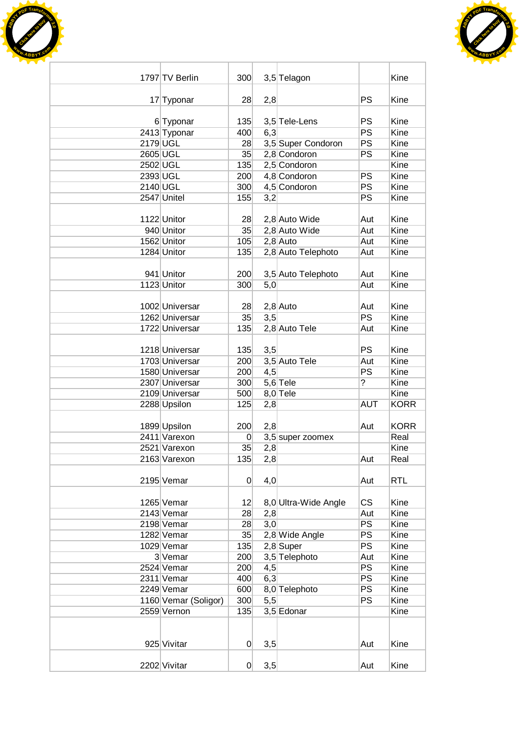



|          | 1797 TV Berlin            | 300            |     | 3,5 Telagon          |            | Kine         |
|----------|---------------------------|----------------|-----|----------------------|------------|--------------|
|          |                           |                |     |                      |            |              |
|          | 17 Typonar                | 28             | 2,8 |                      | <b>PS</b>  | Kine         |
|          |                           |                |     |                      | <b>PS</b>  |              |
|          | 6 Typonar<br>2413 Typonar | 135<br>400     | 6,3 | 3,5 Tele-Lens        | PS         | Kine<br>Kine |
| 2179 UGL |                           | 28             |     | 3,5 Super Condoron   | PS         | Kine         |
| 2605 UGL |                           | 35             |     | 2,8 Condoron         | PS         | Kine         |
| 2502 UGL |                           | 135            |     | 2,5 Condoron         |            | Kine         |
| 2393 UGL |                           | 200            |     | 4,8 Condoron         | PS         | Kine         |
| 2140 UGL |                           | 300            |     | 4,5 Condoron         | PS         | Kine         |
|          | 2547 Unitel               | 155            | 3,2 |                      | PS         | Kine         |
|          |                           |                |     |                      |            |              |
|          | 1122 Unitor               | 28             |     | 2,8 Auto Wide        | Aut        | Kine         |
|          | 940 Unitor                | 35             |     | 2,8 Auto Wide        | Aut        | Kine         |
|          | 1562 Unitor               | 105            |     | $2,8$ Auto           | Aut        | Kine         |
|          | 1284 Unitor               | 135            |     | 2,8 Auto Telephoto   | Aut        | Kine         |
|          |                           |                |     |                      |            |              |
|          | 941 Unitor                | 200            |     | 3,5 Auto Telephoto   | Aut        | Kine         |
|          | 1123 Unitor               | 300            | 5,0 |                      | Aut        | <b>Kine</b>  |
|          |                           |                |     |                      |            |              |
|          | 1002 Universar            | 28             |     | $2,8$ Auto           | Aut        | Kine         |
|          | 1262 Universar            | 35             | 3,5 |                      | <b>PS</b>  | Kine         |
|          | 1722 Universar            | 135            |     | 2,8 Auto Tele        | Aut        | Kine         |
|          |                           |                |     |                      |            |              |
|          | 1218 Universar            | 135            | 3,5 |                      | <b>PS</b>  | Kine         |
|          | 1703 Universar            | 200            |     | 3,5 Auto Tele        | Aut        | Kine         |
|          | 1580 Universar            | 200            | 4,5 |                      | PS         | Kine         |
|          | 2307 Universar            | 300            |     | $5,6$ Tele           | ?          | Kine         |
|          | 2109 Universar            | 500            |     | $8,0$ Tele           |            | Kine         |
|          | 2288 Upsilon              | 125            | 2,8 |                      | <b>AUT</b> | <b>KORR</b>  |
|          | 1899 Upsilon              | 200            | 2,8 |                      | Aut        | <b>KORR</b>  |
|          | 2411 Varexon              | 0              |     | 3,5 super zoomex     |            | Real         |
|          | 2521 Varexon              | 35             | 2,8 |                      |            | Kine         |
|          | 2163 Varexon              | 135            | 2,8 |                      | Aut        | Real         |
|          |                           |                |     |                      |            |              |
|          | 2195 Vemar                | $\overline{0}$ | 4,0 |                      | Aut        | <b>RTL</b>   |
|          |                           |                |     |                      |            |              |
|          | 1265 Vemar                | 12             |     | 8,0 Ultra-Wide Angle | <b>CS</b>  | Kine         |
|          | 2143 Vemar                | 28             | 2,8 |                      | Aut        | Kine         |
|          | 2198 Vemar                | 28             | 3,0 |                      | PS         | Kine         |
|          | 1282 Vemar                | 35             |     | 2,8 Wide Angle       | PS         | Kine         |
|          | 1029 Vemar                | 135            |     | $2,8$ Super          | <b>PS</b>  | Kine         |
|          | 3 Vemar                   | 200            |     | 3,5 Telephoto        | Aut        | Kine         |
|          | 2524 Vemar                | 200            | 4,5 |                      | <b>PS</b>  | Kine         |
|          | 2311 Vemar                | 400            | 6,3 |                      | <b>PS</b>  | Kine         |
|          | 2249 Vemar                | 600            |     | 8,0 Telephoto        | PS         | Kine         |
|          | 1160 Vemar (Soligor)      | 300            | 5,5 |                      | PS         | Kine         |
|          | 2559 Vernon               | 135            |     | 3,5 Edonar           |            | Kine         |
|          |                           |                |     |                      |            |              |
|          |                           |                |     |                      |            |              |
|          | 925 Vivitar               | $\overline{0}$ | 3,5 |                      | Aut        | Kine         |
|          |                           |                |     |                      |            |              |
|          | 2202 Vivitar              | 0              | 3,5 |                      | Aut        | Kine         |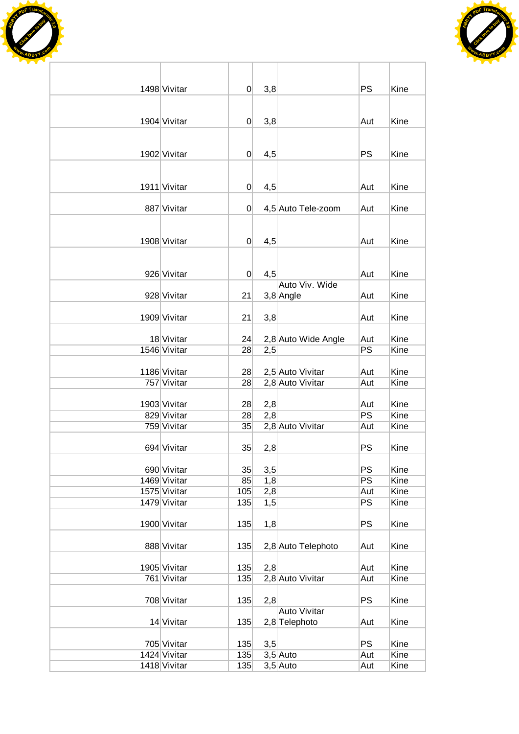



| 1498 Vivitar | 0              | 3,8 |                     | <b>PS</b> | Kine |
|--------------|----------------|-----|---------------------|-----------|------|
|              |                |     |                     |           |      |
|              |                |     |                     |           |      |
| 1904 Vivitar | $\overline{0}$ | 3,8 |                     | Aut       | Kine |
|              |                |     |                     |           |      |
|              |                |     |                     |           |      |
| 1902 Vivitar | 0              | 4,5 |                     | PS        | Kine |
|              |                |     |                     |           |      |
|              |                |     |                     |           |      |
| 1911 Vivitar | 0              | 4,5 |                     | Aut       | Kine |
|              |                |     |                     |           |      |
| 887 Vivitar  | 0              |     | 4,5 Auto Tele-zoom  | Aut       | Kine |
|              |                |     |                     |           |      |
| 1908 Vivitar | 0              | 4,5 |                     | Aut       | Kine |
|              |                |     |                     |           |      |
|              |                |     |                     |           |      |
| 926 Vivitar  | $\overline{0}$ | 4,5 |                     | Aut       | Kine |
|              |                |     | Auto Viv. Wide      |           |      |
| 928 Vivitar  | 21             |     | 3,8 Angle           | Aut       | Kine |
|              |                |     |                     |           |      |
| 1909 Vivitar | 21             | 3,8 |                     | Aut       | Kine |
|              |                |     |                     |           |      |
| 18 Vivitar   | 24             |     | 2,8 Auto Wide Angle | Aut       | Kine |
| 1546 Vivitar | 28             | 2,5 |                     | PS        | Kine |
|              |                |     |                     |           |      |
| 1186 Vivitar | 28             |     | 2,5 Auto Vivitar    | Aut       | Kine |
| 757 Vivitar  | 28             |     | 2,8 Auto Vivitar    | Aut       | Kine |
|              |                |     |                     |           |      |
| 1903 Vivitar | 28             | 2,8 |                     | Aut       | Kine |
| 829 Vivitar  | 28             | 2,8 |                     | PS        | Kine |
| 759 Vivitar  | 35             |     | 2,8 Auto Vivitar    | Aut       | Kine |
|              |                |     |                     |           |      |
| 694 Vivitar  | 35             | 2,8 |                     | PS        | Kine |
| 690 Vivitar  | 35             | 3,5 |                     | PS        | Kine |
| 1469 Vivitar | 85             | 1,8 |                     | PS        | Kine |
| 1575 Vivitar | 105            | 2,8 |                     | Aut       | Kine |
| 1479 Vivitar | 135            | 1,5 |                     | PS        | Kine |
|              |                |     |                     |           |      |
| 1900 Vivitar | 135            | 1,8 |                     | <b>PS</b> | Kine |
|              |                |     |                     |           |      |
| 888 Vivitar  | 135            |     | 2,8 Auto Telephoto  | Aut       | Kine |
|              |                |     |                     |           |      |
| 1905 Vivitar | 135            | 2,8 |                     | Aut       | Kine |
| 761 Vivitar  | 135            |     | 2,8 Auto Vivitar    | Aut       | Kine |
|              |                |     |                     |           |      |
| 708 Vivitar  | 135            | 2,8 |                     | PS        | Kine |
|              |                |     | <b>Auto Vivitar</b> |           |      |
| 14 Vivitar   | 135            |     | 2,8 Telephoto       | Aut       | Kine |
|              |                |     |                     |           |      |
| 705 Vivitar  | 135            | 3,5 |                     | <b>PS</b> | Kine |
| 1424 Vivitar | 135            |     | $3,5$ Auto          | Aut       | Kine |
| 1418 Vivitar | 135            |     | $3,5$ Auto          | Aut       | Kine |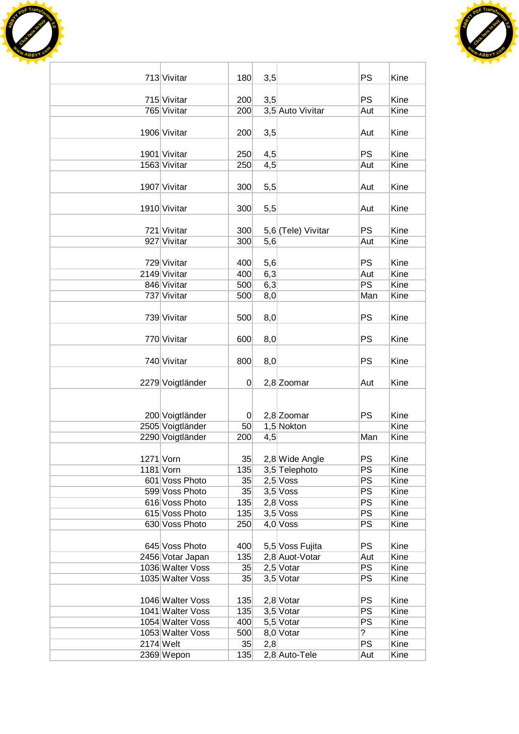



| 713 Vivitar                      | 180            | 3,5 |                          | <b>PS</b>       | Kine         |
|----------------------------------|----------------|-----|--------------------------|-----------------|--------------|
| 715 Vivitar                      | 200            | 3,5 |                          | <b>PS</b>       | Kine         |
| 765 Vivitar                      | 200            |     | 3,5 Auto Vivitar         | Aut             | Kine         |
|                                  |                |     |                          |                 |              |
| 1906 Vivitar                     | 200            | 3,5 |                          | Aut             | Kine         |
| 1901 Vivitar                     | 250            | 4,5 |                          | <b>PS</b>       | Kine         |
| 1563 Vivitar                     | 250            | 4,5 |                          | Aut             | Kine         |
|                                  |                |     |                          |                 |              |
| 1907 Vivitar                     | 300            | 5,5 |                          | Aut             | Kine         |
|                                  |                |     |                          |                 |              |
| 1910 Vivitar                     | 300            | 5,5 |                          | Aut             | Kine         |
|                                  |                |     |                          |                 |              |
| 721 Vivitar                      | 300            |     | 5,6 (Tele) Vivitar       | <b>PS</b>       | Kine         |
| 927 Vivitar                      | 300            | 5,6 |                          | Aut             | Kine         |
| 729 Vivitar                      | 400            | 5,6 |                          | <b>PS</b>       | Kine         |
| 2149 Vivitar                     | 400            | 6,3 |                          | Aut             | Kine         |
| 846 Vivitar                      | 500            | 6,3 |                          | PS              | Kine         |
| 737 Vivitar                      | 500            | 8,0 |                          | Man             | Kine         |
|                                  |                |     |                          |                 |              |
| 739 Vivitar                      | 500            | 8,0 |                          | <b>PS</b>       | Kine         |
|                                  |                |     |                          |                 |              |
| 770 Vivitar                      | 600            | 8,0 |                          | <b>PS</b>       | Kine         |
|                                  |                |     |                          |                 |              |
| 740 Vivitar                      | 800            | 8,0 |                          | <b>PS</b>       | Kine         |
|                                  | $\Omega$       |     | 2,8 Zoomar               | Aut             | Kine         |
| 2279 Voigtländer                 |                |     |                          |                 |              |
|                                  |                |     |                          |                 |              |
| 200 Voigtländer                  | $\overline{0}$ |     | 2,8 Zoomar               | <b>PS</b>       | Kine         |
| 2505 Voigtländer                 | 50             |     | 1,5 Nokton               |                 | Kine         |
| 2290 Voigtländer                 | 200            | 4,5 |                          | Man             | Kine         |
|                                  |                |     |                          |                 |              |
| 1271 Vorn                        | 35             |     | 2,8 Wide Angle           | <b>PS</b>       | Kine         |
| 1181 Vorn                        | 135            |     | 3,5 Telephoto            | <b>PS</b>       | Kine         |
| 601 Voss Photo                   | 35             |     | $2,5$ Voss               | PS              | Kine         |
| 599 Voss Photo                   | 35             |     | $3,5$ Voss               | $\overline{PS}$ | Kine<br>Kine |
| 616 Voss Photo<br>615 Voss Photo | 135<br>135     |     | $2,8$ Voss<br>$3,5$ Voss | <b>PS</b><br>PS | Kine         |
| 630 Voss Photo                   | 250            |     | $4,0$ Voss               | PS              | Kine         |
|                                  |                |     |                          |                 |              |
| 645 Voss Photo                   | 400            |     | 5,5 Voss Fujita          | <b>PS</b>       | Kine         |
| 2456 Votar Japan                 | 135            |     | 2,8 Auot-Votar           | Aut             | Kine         |
| 1036 Walter Voss                 | 35             |     | $2,5$ Votar              | <b>PS</b>       | Kine         |
| 1035 Walter Voss                 | 35             |     | 3,5 Votar                | <b>PS</b>       | Kine         |
|                                  |                |     |                          |                 |              |
| 1046 Walter Voss                 | 135            |     | $2,8$ Votar              | PS              | Kine         |
| 1041 Walter Voss                 | 135            |     | 3,5 Votar                | <b>PS</b>       | Kine         |
| 1054 Walter Voss                 | 400            |     | 5,5 Votar                | PS              | Kine         |
| 1053 Walter Voss                 | 500            |     | 8,0 Votar                | $\overline{?}$  | Kine         |
| $2174$ Welt<br>2369 Wepon        | 35<br>135      | 2,8 | 2,8 Auto-Tele            | <b>PS</b>       | Kine<br>Kine |
|                                  |                |     |                          | Aut             |              |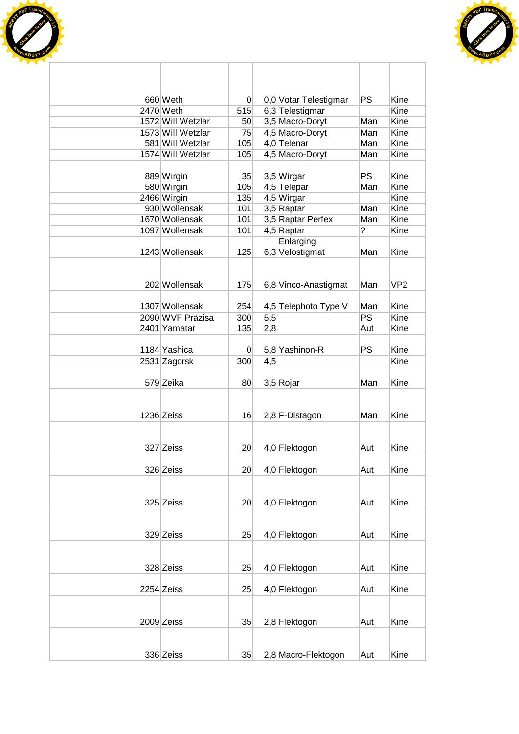



| 660 Weth                              | $\overline{0}$  |     | 0,0 Votar Telestigmar          | <b>PS</b> | Kine            |
|---------------------------------------|-----------------|-----|--------------------------------|-----------|-----------------|
| 2470 Weth                             | 515             |     | 6,3 Telestigmar                |           | Kine            |
| 1572 Will Wetzlar                     | 50              |     | 3,5 Macro-Doryt                | Man       | Kine            |
| 1573 Will Wetzlar                     | 75              |     | 4,5 Macro-Doryt                | Man       | Kine            |
| 581 Will Wetzlar<br>1574 Will Wetzlar | 105             |     | 4,0 Telenar<br>4,5 Macro-Doryt | Man       | Kine<br>Kine    |
|                                       | 105             |     |                                | Man       |                 |
| 889 Wirgin                            | 35              |     | 3,5 Wirgar                     | <b>PS</b> | Kine            |
| 580 Wirgin                            | 105             |     | 4,5 Telepar                    | Man       | Kine            |
| 2466 Wirgin                           | 135             |     | 4,5 Wirgar                     |           | Kine            |
| 930 Wollensak                         | 101             |     | 3,5 Raptar                     | Man       | Kine            |
| 1670 Wollensak                        | 101             |     | 3,5 Raptar Perfex              | Man       | Kine            |
| 1097 Wollensak                        | 101             |     | 4,5 Raptar                     | ?         | Kine            |
|                                       |                 |     | Enlarging                      |           |                 |
| 1243 Wollensak                        | 125             |     | 6,3 Velostigmat                | Man       | Kine            |
|                                       |                 |     |                                |           |                 |
|                                       |                 |     |                                |           |                 |
| 202 Wollensak                         | 175             |     | 6,8 Vinco-Anastigmat           | Man       | VP <sub>2</sub> |
|                                       |                 |     |                                |           |                 |
| 1307 Wollensak                        | 254             |     | 4,5 Telephoto Type V           | Man       | Kine            |
| 2090 WVF Präzisa                      | 300             | 5,5 |                                | <b>PS</b> | Kine            |
| 2401 Yamatar                          | 135             | 2,8 |                                | Aut       | Kine            |
|                                       |                 |     |                                |           |                 |
| 1184 Yashica                          | $\mathbf 0$     |     | 5,8 Yashinon-R                 | <b>PS</b> | Kine            |
| 2531 Zagorsk                          | 300             | 4,5 |                                |           | Kine            |
|                                       |                 |     |                                |           |                 |
| 579 Zeika                             | 80              |     | 3,5 Rojar                      | Man       | Kine            |
|                                       |                 |     |                                |           |                 |
|                                       |                 |     |                                |           |                 |
| 1236 Zeiss                            | 16              |     | 2,8 F-Distagon                 | Man       | Kine            |
|                                       |                 |     |                                |           |                 |
|                                       |                 |     |                                |           |                 |
| 327 Zeiss                             | 20 <sup>°</sup> |     | 4,0 Flektogon                  | Aut       | Kine            |
|                                       |                 |     |                                |           |                 |
| 326 Zeiss                             | 20 <sup>°</sup> |     | 4,0 Flektogon                  | Aut       | Kine            |
|                                       |                 |     |                                |           |                 |
| 325 Zeiss                             | 20 <sup>°</sup> |     | 4,0 Flektogon                  | Aut       | Kine            |
|                                       |                 |     |                                |           |                 |
|                                       |                 |     |                                |           |                 |
| 329 Zeiss                             | 25              |     | 4,0 Flektogon                  | Aut       | Kine            |
|                                       |                 |     |                                |           |                 |
|                                       |                 |     |                                |           |                 |
| 328 Zeiss                             | 25              |     | 4,0 Flektogon                  | Aut       | Kine            |
|                                       |                 |     |                                |           |                 |
| 2254 Zeiss                            | 25              |     | 4,0 Flektogon                  | Aut       | Kine            |
|                                       |                 |     |                                |           |                 |
|                                       |                 |     |                                |           |                 |
| 2009 Zeiss                            | 35              |     | 2,8 Flektogon                  | Aut       | Kine            |
|                                       |                 |     |                                |           |                 |
|                                       |                 |     |                                |           |                 |
| 336 Zeiss                             | 35              |     | 2,8 Macro-Flektogon            | Aut       | Kine            |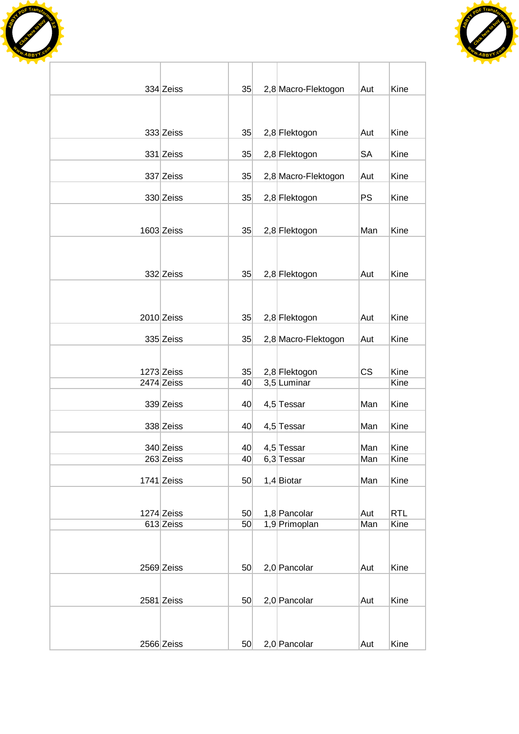



| 334 Zeiss                | 35       | 2,8 Macro-Flektogon          | Aut        | Kine         |
|--------------------------|----------|------------------------------|------------|--------------|
|                          |          |                              |            |              |
|                          |          |                              |            |              |
| 333 Zeiss                | 35       | 2,8 Flektogon                | Aut        | Kine         |
|                          |          |                              |            | Kine         |
| 331 Zeiss                | 35       | 2,8 Flektogon                | SA         |              |
| 337 Zeiss                | 35       | 2,8 Macro-Flektogon          | Aut        | Kine         |
| 330 Zeiss                | 35       | 2,8 Flektogon                | <b>PS</b>  | Kine         |
|                          |          |                              |            |              |
| 1603 Zeiss               | 35       | 2,8 Flektogon                | Man        | Kine         |
|                          |          |                              |            |              |
|                          |          |                              |            |              |
| 332 Zeiss                | 35       | 2,8 Flektogon                | Aut        | Kine         |
|                          |          |                              |            |              |
|                          |          |                              |            |              |
| 2010 Zeiss               | 35       | 2,8 Flektogon                | Aut        | Kine         |
| 335 Zeiss                | 35       |                              |            | Kine         |
|                          |          | 2,8 Macro-Flektogon          | Aut        |              |
|                          |          |                              |            |              |
| 1273 Zeiss<br>2474 Zeiss | 35<br>40 | 2,8 Flektogon<br>3,5 Luminar | <b>CS</b>  | Kine<br>Kine |
|                          |          |                              |            |              |
| 339 Zeiss                | 40       | 4,5 Tessar                   | Man        | Kine         |
| 338 Zeiss                | 40       | 4,5 Tessar                   | Man        | Kine         |
|                          |          |                              |            |              |
| 340 Zeiss<br>263 Zeiss   | 40<br>40 | 4,5 Tessar<br>6,3 Tessar     | Man<br>Man | Kine<br>Kine |
|                          |          |                              |            |              |
| $1741$ Zeiss             | 50       | $1,4$ Biotar                 | Man        | Kine         |
|                          |          |                              |            |              |
| 1274 Zeiss               | 50       | 1,8 Pancolar                 | Aut        | <b>RTL</b>   |
| 613 Zeiss                | 50       | 1,9 Primoplan                | Man        | Kine         |
|                          |          |                              |            |              |
| 2569 Zeiss               | 50       | 2,0 Pancolar                 | Aut        | Kine         |
|                          |          |                              |            |              |
|                          |          |                              |            |              |
| 2581 Zeiss               | 50       | 2,0 Pancolar                 | Aut        | Kine         |
|                          |          |                              |            |              |
| 2566 Zeiss               | 50       | 2,0 Pancolar                 | Aut        | Kine         |
|                          |          |                              |            |              |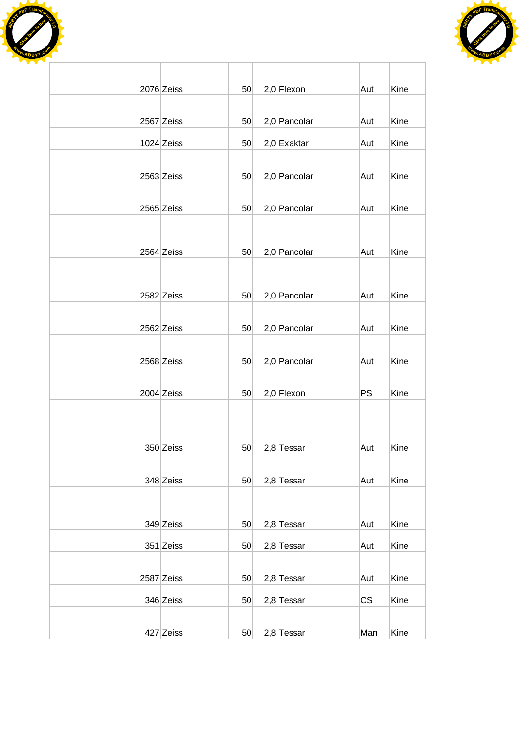



| 2076 Zeiss   | 50 | $2,0$ Flexon   | Aut       | Kine |
|--------------|----|----------------|-----------|------|
|              |    |                |           |      |
| 2567 Zeiss   | 50 | 2,0 Pancolar   | Aut       | Kine |
| $1024$ Zeiss | 50 | $2,0$ Exaktar  | Aut       | Kine |
|              |    |                |           |      |
| 2563 Zeiss   | 50 | 2,0 Pancolar   | Aut       | Kine |
|              |    |                |           |      |
| 2565 Zeiss   | 50 | 2,0 Pancolar   | Aut       | Kine |
|              |    |                |           |      |
| 2564 Zeiss   | 50 | 2,0 Pancolar   | Aut       | Kine |
|              |    |                |           |      |
| 2582 Zeiss   | 50 | $2,0$ Pancolar | Aut       | Kine |
|              |    |                |           |      |
| 2562 Zeiss   | 50 | $2,0$ Pancolar | Aut       | Kine |
|              |    |                |           |      |
| 2568 Zeiss   | 50 | 2,0 Pancolar   | Aut       | Kine |
|              |    |                |           |      |
| 2004 Zeiss   | 50 | $2,0$ Flexon   | <b>PS</b> | Kine |
|              |    |                |           |      |
|              |    |                |           |      |
| 350 Zeiss    | 50 | 2,8 Tessar     | Aut       | Kine |
|              |    |                |           |      |
| 348 Zeiss    | 50 | $2,8$ Tessar   | Aut       | Kine |
|              |    |                |           |      |
| 349 Zeiss    | 50 | $2,8$ Tessar   | Aut       | Kine |
| 351 Zeiss    | 50 | $2,8$ Tessar   | Aut       | Kine |
|              |    |                |           |      |
| 2587 Zeiss   | 50 | $2,8$ Tessar   | Aut       | Kine |
| 346 Zeiss    | 50 | $2,8$ Tessar   | CS        | Kine |
|              |    |                |           |      |
| 427 Zeiss    | 50 | $2,8$ Tessar   | Man       | Kine |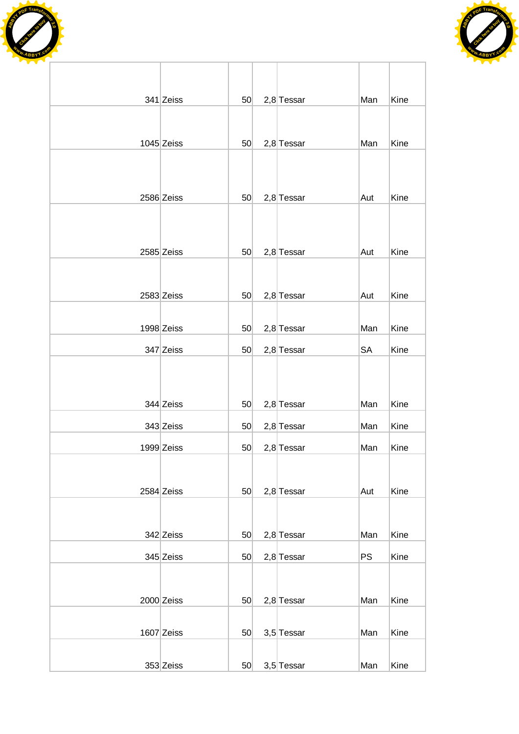



| 341 Zeiss    | 50              | $2,8$ Tessar | Man       | Kine |
|--------------|-----------------|--------------|-----------|------|
|              |                 |              |           |      |
| $1045$ Zeiss | 50              | $2,8$ Tessar | Man       | Kine |
|              |                 |              |           |      |
|              |                 |              |           |      |
| 2586 Zeiss   | 50              | $2,8$ Tessar | Aut       | Kine |
|              |                 |              |           |      |
|              |                 |              |           |      |
| 2585 Zeiss   | 50              | $2,8$ Tessar | Aut       | Kine |
|              |                 |              |           |      |
| 2583 Zeiss   | 50              | $2,8$ Tessar | Aut       | Kine |
|              |                 |              |           |      |
| 1998 Zeiss   | 50              | $2,8$ Tessar | Man       | Kine |
| 347 Zeiss    | 50              | $2,8$ Tessar | <b>SA</b> | Kine |
|              |                 |              |           |      |
|              |                 |              |           |      |
| 344 Zeiss    | 50              | $2,8$ Tessar | Man       | Kine |
| 343 Zeiss    | 50              | $2,8$ Tessar | Man       | Kine |
| 1999 Zeiss   | 50              | $2,8$ Tessar | Man       | Kine |
|              |                 |              |           |      |
| 2584 Zeiss   | 50 <sub>1</sub> | $2,8$ Tessar | Aut       | Kine |
|              |                 |              |           |      |
| 342 Zeiss    | 50 <sub>1</sub> | $2,8$ Tessar | Man       | Kine |
| 345 Zeiss    | 50 <sub>1</sub> | $2,8$ Tessar | <b>PS</b> | Kine |
|              |                 |              |           |      |
|              |                 |              |           |      |
| 2000 Zeiss   | 50              | $2,8$ Tessar | Man       | Kine |
| $1607$ Zeiss | 50              | 3,5 Tessar   | Man       | Kine |
|              |                 |              |           |      |
| 353 Zeiss    | 50 <sub>1</sub> | 3,5 Tessar   | Man       | Kine |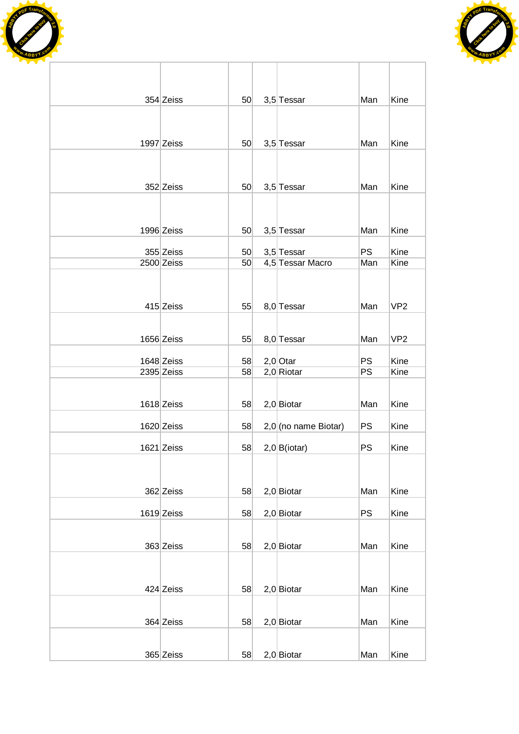



| 354 Zeiss    | 50 <sub>1</sub> | 3,5 Tessar           | Man       | Kine            |
|--------------|-----------------|----------------------|-----------|-----------------|
|              |                 |                      |           |                 |
|              |                 |                      |           |                 |
| 1997 Zeiss   | 50              | 3,5 Tessar           | Man       | Kine            |
|              |                 |                      |           |                 |
| 352 Zeiss    | 50              | 3,5 Tessar           | Man       | Kine            |
|              |                 |                      |           |                 |
|              |                 |                      |           |                 |
| 1996 Zeiss   | 50              | 3,5 Tessar           | Man       | Kine            |
| 355 Zeiss    | 50              | 3,5 Tessar           | <b>PS</b> | Kine            |
| 2500 Zeiss   | 50              | 4,5 Tessar Macro     | Man       | Kine            |
|              |                 |                      |           |                 |
| 415 Zeiss    | 55              | 8,0 Tessar           | Man       | VP <sub>2</sub> |
|              |                 |                      |           |                 |
| 1656 Zeiss   | 55              | 8,0 Tessar           | Man       | VP <sub>2</sub> |
| 1648 Zeiss   | 58              | $2,0$ Otar           | <b>PS</b> | Kine            |
| 2395 Zeiss   | 58              | $2,0$ Riotar         | PS        | Kine            |
|              |                 |                      |           |                 |
| 1618 Zeiss   | 58              | $2,0$ Biotar         | Man       | Kine            |
| 1620 Zeiss   | 58              | 2,0 (no name Biotar) | <b>PS</b> | Kine            |
| $1621$ Zeiss | 58              | 2,0 B(iotar)         | <b>PS</b> | Kine            |
|              |                 |                      |           |                 |
|              |                 |                      |           |                 |
| 362 Zeiss    | 58              | $2,0$ Biotar         | Man       | Kine            |
| $1619$ Zeiss | 58              | $2,0$ Biotar         | <b>PS</b> | Kine            |
|              |                 |                      |           |                 |
| 363 Zeiss    | 58              | $2,0$ Biotar         | Man       | Kine            |
|              |                 |                      |           |                 |
| 424 Zeiss    | 58              | $2,0$ Biotar         | Man       | Kine            |
|              |                 |                      |           |                 |
| 364 Zeiss    | 58              | $2,0$ Biotar         | Man       | Kine            |
|              |                 |                      |           |                 |
| 365 Zeiss    | 58              | $2,0$ Biotar         | Man       | Kine            |

Ī.

ī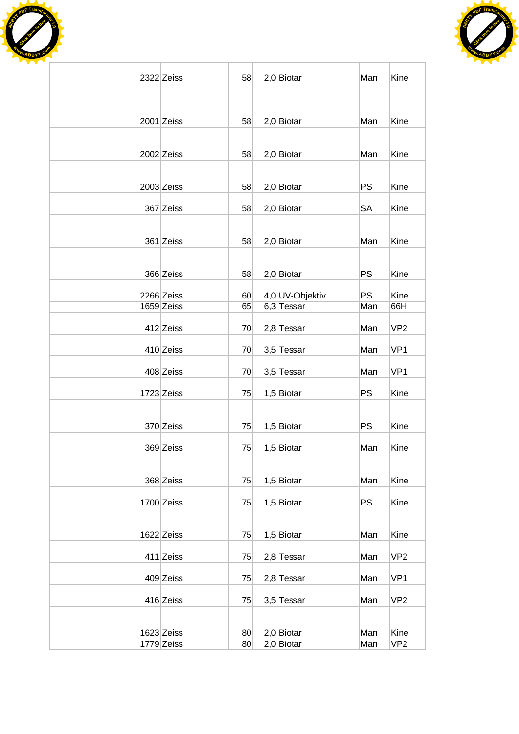



| 2322 Zeiss | 58 | $2,0$ Biotar    | Man       | Kine            |
|------------|----|-----------------|-----------|-----------------|
|            |    |                 |           |                 |
|            |    |                 |           |                 |
| 2001 Zeiss | 58 | $2,0$ Biotar    | Man       | Kine            |
|            |    |                 |           |                 |
| 2002 Zeiss | 58 | $2,0$ Biotar    | Man       | Kine            |
|            |    |                 |           |                 |
| 2003 Zeiss | 58 | $2,0$ Biotar    | <b>PS</b> | Kine            |
| 367 Zeiss  | 58 | $2,0$ Biotar    | SA        | Kine            |
|            |    |                 |           |                 |
| 361 Zeiss  | 58 | $2,0$ Biotar    | Man       | Kine            |
|            |    |                 |           |                 |
|            |    |                 |           |                 |
| 366 Zeiss  | 58 | $2,0$ Biotar    | PS        | Kine            |
| 2266 Zeiss | 60 | 4,0 UV-Objektiv | <b>PS</b> | Kine            |
| 1659 Zeiss | 65 | $6,3$ Tessar    | Man       | 66H             |
| 412 Zeiss  | 70 | $2,8$ Tessar    | Man       | VP <sub>2</sub> |
| 410 Zeiss  | 70 | 3,5 Tessar      | Man       | VP <sub>1</sub> |
| 408 Zeiss  | 70 | 3,5 Tessar      | Man       | VP <sub>1</sub> |
|            |    |                 |           |                 |
| 1723 Zeiss | 75 | $1,5$ Biotar    | PS        | Kine            |
|            |    |                 |           |                 |
| 370 Zeiss  | 75 | $1,5$ Biotar    | <b>PS</b> | Kine            |
| 369 Zeiss  | 75 | $1,5$ Biotar    | Man       | Kine            |
|            |    |                 |           |                 |
| 368 Zeiss  | 75 | $1,5$ Biotar    | Man       | Kine            |
|            |    |                 |           |                 |
| 1700 Zeiss | 75 | $1,5$ Biotar    | <b>PS</b> | Kine            |
|            |    |                 |           |                 |
| 1622 Zeiss | 75 | $1,5$ Biotar    | Man       | Kine            |
| 411 Zeiss  | 75 | $2,8$ Tessar    | Man       | VP <sub>2</sub> |
| 409 Zeiss  | 75 | $2,8$ Tessar    | Man       | VP <sub>1</sub> |
|            |    |                 |           |                 |
| 416 Zeiss  | 75 | 3,5 Tessar      | Man       | VP <sub>2</sub> |
|            |    |                 |           |                 |
| 1623 Zeiss | 80 | $2,0$ Biotar    | Man       | Kine            |
| 1779 Zeiss | 80 | $2,0$ Biotar    | Man       | VP <sub>2</sub> |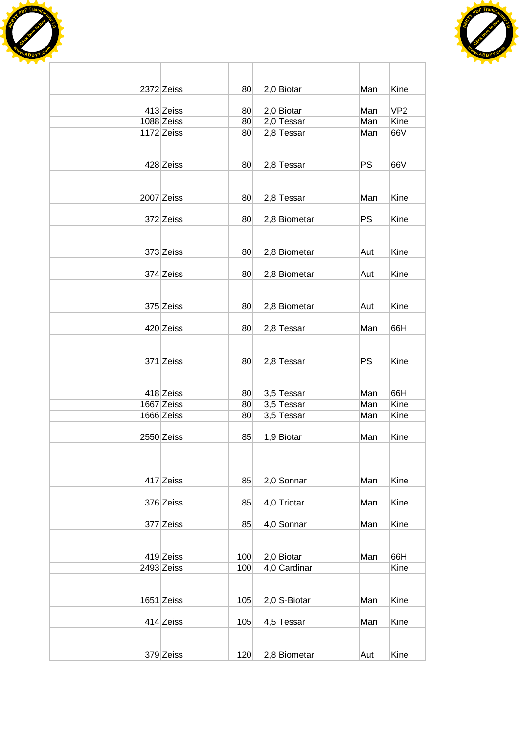



| 2372 Zeiss<br>80<br>$2,0$ Biotar<br>Kine<br>Man<br>VP <sub>2</sub><br>413 Zeiss<br>$2,0$ Biotar<br>Man<br>80 <sub>1</sub><br>1088 Zeiss<br>$2,0$ Tessar<br>Man<br>Kine<br>80<br>1172 Zeiss<br>66V<br>$2,8$ Tessar<br>80<br>Man<br><b>PS</b><br>428 Zeiss<br>2,8 Tessar<br>66V<br>80<br>2007 Zeiss<br>$2,8$ Tessar<br>80<br>Man<br>Kine<br>372 Zeiss<br>2,8 Biometar<br><b>PS</b><br>Kine<br>80<br>373 Zeiss<br>2,8 Biometar<br>80<br>Aut<br>Kine<br>374 Zeiss<br>2,8 Biometar<br>Kine<br>80<br>Aut<br>375 Zeiss<br>2,8 Biometar<br>Kine<br>Aut<br>80<br>420 Zeiss<br>$2,8$ Tessar<br>66H<br>80<br>Man<br>371 Zeiss<br><b>PS</b><br>80<br>$2,8$ Tessar<br>Kine<br>3,5 Tessar<br>418 Zeiss<br>66H<br>80<br>Man<br>1667 Zeiss<br>3,5 Tessar<br>Kine<br>Man<br>80 <sub>1</sub><br>1666 Zeiss<br>3,5 Tessar<br>Kine<br>80<br>Man<br>Kine<br>2550 Zeiss<br>1,9 Biotar<br>Man<br>85<br>417 Zeiss<br>$2,0$ Sonnar<br>Kine<br>85<br>Man<br>376 Zeiss<br>85<br>4,0 Triotar<br>Kine<br>Man<br>377 Zeiss<br>4,0 Sonnar<br>Kine<br>85<br>Man<br>419 Zeiss<br>$2,0$ Biotar<br>100<br>66H<br>Man<br>Kine<br>2493 Zeiss<br>4,0 Cardinar<br>100<br>$1651$ Zeiss<br>$2,0$ S-Biotar<br>105<br>Man<br>Kine<br>414 Zeiss<br>105<br>4,5 Tessar<br>Kine<br>Man<br>379 Zeiss<br>120<br>2,8 Biometar<br>Kine<br>Aut |  |  |  |  |
|--------------------------------------------------------------------------------------------------------------------------------------------------------------------------------------------------------------------------------------------------------------------------------------------------------------------------------------------------------------------------------------------------------------------------------------------------------------------------------------------------------------------------------------------------------------------------------------------------------------------------------------------------------------------------------------------------------------------------------------------------------------------------------------------------------------------------------------------------------------------------------------------------------------------------------------------------------------------------------------------------------------------------------------------------------------------------------------------------------------------------------------------------------------------------------------------------------------------------------------------------------------------------------------------|--|--|--|--|
|                                                                                                                                                                                                                                                                                                                                                                                                                                                                                                                                                                                                                                                                                                                                                                                                                                                                                                                                                                                                                                                                                                                                                                                                                                                                                            |  |  |  |  |
|                                                                                                                                                                                                                                                                                                                                                                                                                                                                                                                                                                                                                                                                                                                                                                                                                                                                                                                                                                                                                                                                                                                                                                                                                                                                                            |  |  |  |  |
|                                                                                                                                                                                                                                                                                                                                                                                                                                                                                                                                                                                                                                                                                                                                                                                                                                                                                                                                                                                                                                                                                                                                                                                                                                                                                            |  |  |  |  |
|                                                                                                                                                                                                                                                                                                                                                                                                                                                                                                                                                                                                                                                                                                                                                                                                                                                                                                                                                                                                                                                                                                                                                                                                                                                                                            |  |  |  |  |
|                                                                                                                                                                                                                                                                                                                                                                                                                                                                                                                                                                                                                                                                                                                                                                                                                                                                                                                                                                                                                                                                                                                                                                                                                                                                                            |  |  |  |  |
|                                                                                                                                                                                                                                                                                                                                                                                                                                                                                                                                                                                                                                                                                                                                                                                                                                                                                                                                                                                                                                                                                                                                                                                                                                                                                            |  |  |  |  |
|                                                                                                                                                                                                                                                                                                                                                                                                                                                                                                                                                                                                                                                                                                                                                                                                                                                                                                                                                                                                                                                                                                                                                                                                                                                                                            |  |  |  |  |
|                                                                                                                                                                                                                                                                                                                                                                                                                                                                                                                                                                                                                                                                                                                                                                                                                                                                                                                                                                                                                                                                                                                                                                                                                                                                                            |  |  |  |  |
|                                                                                                                                                                                                                                                                                                                                                                                                                                                                                                                                                                                                                                                                                                                                                                                                                                                                                                                                                                                                                                                                                                                                                                                                                                                                                            |  |  |  |  |
|                                                                                                                                                                                                                                                                                                                                                                                                                                                                                                                                                                                                                                                                                                                                                                                                                                                                                                                                                                                                                                                                                                                                                                                                                                                                                            |  |  |  |  |
|                                                                                                                                                                                                                                                                                                                                                                                                                                                                                                                                                                                                                                                                                                                                                                                                                                                                                                                                                                                                                                                                                                                                                                                                                                                                                            |  |  |  |  |
|                                                                                                                                                                                                                                                                                                                                                                                                                                                                                                                                                                                                                                                                                                                                                                                                                                                                                                                                                                                                                                                                                                                                                                                                                                                                                            |  |  |  |  |
|                                                                                                                                                                                                                                                                                                                                                                                                                                                                                                                                                                                                                                                                                                                                                                                                                                                                                                                                                                                                                                                                                                                                                                                                                                                                                            |  |  |  |  |
|                                                                                                                                                                                                                                                                                                                                                                                                                                                                                                                                                                                                                                                                                                                                                                                                                                                                                                                                                                                                                                                                                                                                                                                                                                                                                            |  |  |  |  |
|                                                                                                                                                                                                                                                                                                                                                                                                                                                                                                                                                                                                                                                                                                                                                                                                                                                                                                                                                                                                                                                                                                                                                                                                                                                                                            |  |  |  |  |
|                                                                                                                                                                                                                                                                                                                                                                                                                                                                                                                                                                                                                                                                                                                                                                                                                                                                                                                                                                                                                                                                                                                                                                                                                                                                                            |  |  |  |  |
|                                                                                                                                                                                                                                                                                                                                                                                                                                                                                                                                                                                                                                                                                                                                                                                                                                                                                                                                                                                                                                                                                                                                                                                                                                                                                            |  |  |  |  |
|                                                                                                                                                                                                                                                                                                                                                                                                                                                                                                                                                                                                                                                                                                                                                                                                                                                                                                                                                                                                                                                                                                                                                                                                                                                                                            |  |  |  |  |
|                                                                                                                                                                                                                                                                                                                                                                                                                                                                                                                                                                                                                                                                                                                                                                                                                                                                                                                                                                                                                                                                                                                                                                                                                                                                                            |  |  |  |  |
|                                                                                                                                                                                                                                                                                                                                                                                                                                                                                                                                                                                                                                                                                                                                                                                                                                                                                                                                                                                                                                                                                                                                                                                                                                                                                            |  |  |  |  |
|                                                                                                                                                                                                                                                                                                                                                                                                                                                                                                                                                                                                                                                                                                                                                                                                                                                                                                                                                                                                                                                                                                                                                                                                                                                                                            |  |  |  |  |
|                                                                                                                                                                                                                                                                                                                                                                                                                                                                                                                                                                                                                                                                                                                                                                                                                                                                                                                                                                                                                                                                                                                                                                                                                                                                                            |  |  |  |  |
|                                                                                                                                                                                                                                                                                                                                                                                                                                                                                                                                                                                                                                                                                                                                                                                                                                                                                                                                                                                                                                                                                                                                                                                                                                                                                            |  |  |  |  |
|                                                                                                                                                                                                                                                                                                                                                                                                                                                                                                                                                                                                                                                                                                                                                                                                                                                                                                                                                                                                                                                                                                                                                                                                                                                                                            |  |  |  |  |
|                                                                                                                                                                                                                                                                                                                                                                                                                                                                                                                                                                                                                                                                                                                                                                                                                                                                                                                                                                                                                                                                                                                                                                                                                                                                                            |  |  |  |  |
|                                                                                                                                                                                                                                                                                                                                                                                                                                                                                                                                                                                                                                                                                                                                                                                                                                                                                                                                                                                                                                                                                                                                                                                                                                                                                            |  |  |  |  |
|                                                                                                                                                                                                                                                                                                                                                                                                                                                                                                                                                                                                                                                                                                                                                                                                                                                                                                                                                                                                                                                                                                                                                                                                                                                                                            |  |  |  |  |
|                                                                                                                                                                                                                                                                                                                                                                                                                                                                                                                                                                                                                                                                                                                                                                                                                                                                                                                                                                                                                                                                                                                                                                                                                                                                                            |  |  |  |  |
|                                                                                                                                                                                                                                                                                                                                                                                                                                                                                                                                                                                                                                                                                                                                                                                                                                                                                                                                                                                                                                                                                                                                                                                                                                                                                            |  |  |  |  |
|                                                                                                                                                                                                                                                                                                                                                                                                                                                                                                                                                                                                                                                                                                                                                                                                                                                                                                                                                                                                                                                                                                                                                                                                                                                                                            |  |  |  |  |
|                                                                                                                                                                                                                                                                                                                                                                                                                                                                                                                                                                                                                                                                                                                                                                                                                                                                                                                                                                                                                                                                                                                                                                                                                                                                                            |  |  |  |  |
|                                                                                                                                                                                                                                                                                                                                                                                                                                                                                                                                                                                                                                                                                                                                                                                                                                                                                                                                                                                                                                                                                                                                                                                                                                                                                            |  |  |  |  |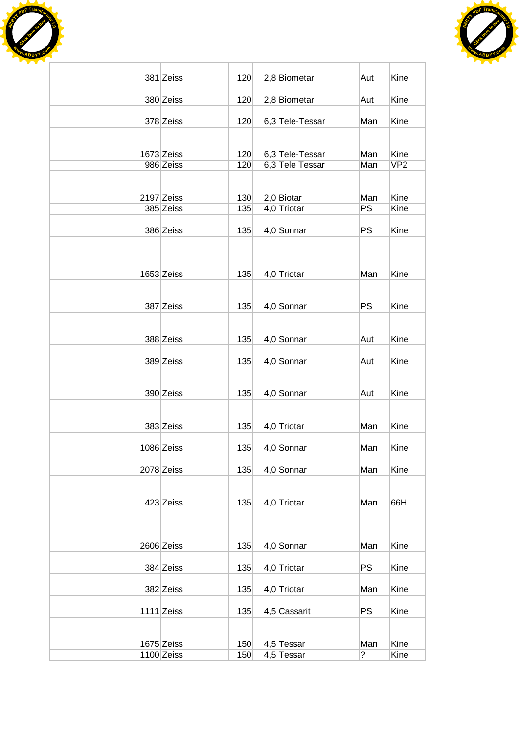



| 381 Zeiss    | 120 | 2,8 Biometar    | Aut                      | Kine            |
|--------------|-----|-----------------|--------------------------|-----------------|
| 380 Zeiss    | 120 | 2,8 Biometar    | Aut                      | Kine            |
| 378 Zeiss    | 120 | 6,3 Tele-Tessar | Man                      | Kine            |
|              |     |                 |                          |                 |
| 1673 Zeiss   | 120 | 6,3 Tele-Tessar | Man                      | Kine            |
| 986 Zeiss    | 120 | 6,3 Tele Tessar | Man                      | VP <sub>2</sub> |
| 2197 Zeiss   | 130 | $2,0$ Biotar    | Man                      | Kine            |
| 385 Zeiss    | 135 | 4,0 Triotar     | PS                       | Kine            |
| 386 Zeiss    | 135 | $4,0$ Sonnar    | <b>PS</b>                | Kine            |
|              |     |                 |                          |                 |
| 1653 Zeiss   | 135 | 4,0 Triotar     | Man                      | Kine            |
|              |     |                 |                          |                 |
| 387 Zeiss    | 135 | 4,0 Sonnar      | <b>PS</b>                | Kine            |
|              |     |                 |                          |                 |
| 388 Zeiss    | 135 | 4,0 Sonnar      | Aut                      | Kine            |
| 389 Zeiss    | 135 | 4,0 Sonnar      | Aut                      | Kine            |
|              |     |                 |                          |                 |
| 390 Zeiss    | 135 | 4,0 Sonnar      | Aut                      | Kine            |
| 383 Zeiss    | 135 | 4,0 Triotar     | Man                      | Kine            |
|              |     |                 |                          |                 |
| 1086 Zeiss   | 135 | $4,0$ Sonnar    | Man                      | Kine            |
| 2078 Zeiss   | 135 | 4,0 Sonnar      | Man                      | Kine            |
| 423 Zeiss    | 135 | 4,0 Triotar     | Man                      | 66H             |
|              |     |                 |                          |                 |
| 2606 Zeiss   | 135 | 4,0 Sonnar      | Man                      | Kine            |
| 384 Zeiss    | 135 | 4,0 Triotar     | <b>PS</b>                | Kine            |
| 382 Zeiss    | 135 | 4,0 Triotar     | Man                      | Kine            |
| $1111$ Zeiss | 135 | 4,5 Cassarit    | <b>PS</b>                | Kine            |
|              |     |                 |                          |                 |
| $1675$ Zeiss | 150 | 4,5 Tessar      | Man                      | Kine            |
| $1100$ Zeiss | 150 | 4,5 Tessar      | $\overline{\mathcal{C}}$ | Kine            |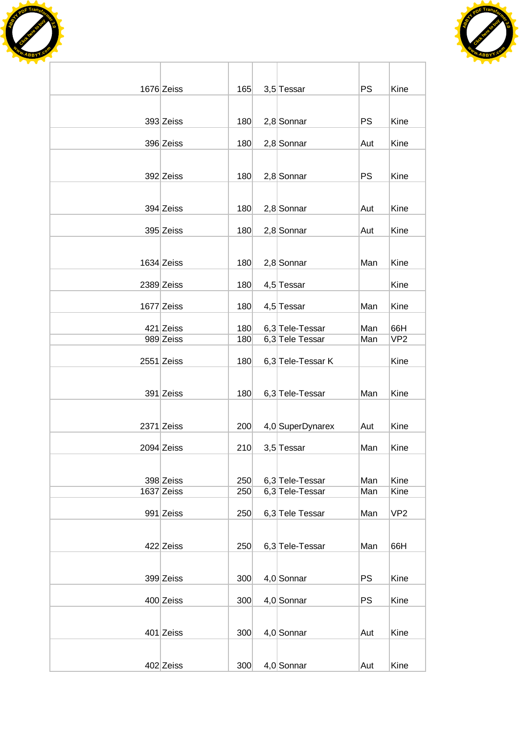



| 1676 Zeiss | 165 | 3,5 Tessar        | <b>PS</b> | Kine            |
|------------|-----|-------------------|-----------|-----------------|
|            |     |                   |           |                 |
| 393 Zeiss  | 180 | $2,8$ Sonnar      | PS        | Kine            |
| 396 Zeiss  | 180 | 2,8 Sonnar        | Aut       | Kine            |
|            |     |                   |           |                 |
| 392 Zeiss  | 180 | $2,8$ Sonnar      | <b>PS</b> | Kine            |
|            |     |                   |           |                 |
| 394 Zeiss  | 180 | $2,8$ Sonnar      | Aut       | Kine            |
| 395 Zeiss  | 180 | $2,8$ Sonnar      | Aut       | Kine            |
|            |     |                   |           |                 |
| 1634 Zeiss | 180 | $2,8$ Sonnar      | Man       | Kine            |
| 2389 Zeiss | 180 | 4,5 Tessar        |           | Kine            |
|            |     |                   |           |                 |
| 1677 Zeiss | 180 | 4,5 Tessar        | Man       | Kine            |
| 421 Zeiss  | 180 | 6,3 Tele-Tessar   | Man       | 66H             |
| 989 Zeiss  | 180 | 6,3 Tele Tessar   | Man       | VP <sub>2</sub> |
| 2551 Zeiss | 180 | 6,3 Tele-Tessar K |           | Kine            |
|            |     |                   |           |                 |
| 391 Zeiss  | 180 | 6,3 Tele-Tessar   | Man       | Kine            |
|            |     |                   |           |                 |
| 2371 Zeiss | 200 | 4,0 SuperDynarex  | Aut       | Kine            |
| 2094 Zeiss | 210 | 3,5 Tessar        | Man       | Kine            |
|            |     |                   |           |                 |
| 398 Zeiss  | 250 | 6,3 Tele-Tessar   | Man       | Kine            |
| 1637 Zeiss | 250 | 6,3 Tele-Tessar   | Man       | Kine            |
| 991 Zeiss  | 250 | 6,3 Tele Tessar   | Man       | VP <sub>2</sub> |
|            |     |                   |           |                 |
| 422 Zeiss  | 250 | 6,3 Tele-Tessar   | Man       | 66H             |
|            |     |                   |           |                 |
| 399 Zeiss  | 300 | 4,0 Sonnar        | <b>PS</b> | Kine            |
| 400 Zeiss  | 300 | 4,0 Sonnar        | PS        | Kine            |
|            |     |                   |           |                 |
| 401 Zeiss  | 300 | 4,0 Sonnar        | Aut       | Kine            |
|            |     |                   |           |                 |
| 402 Zeiss  | 300 | 4,0 Sonnar        | Aut       | Kine            |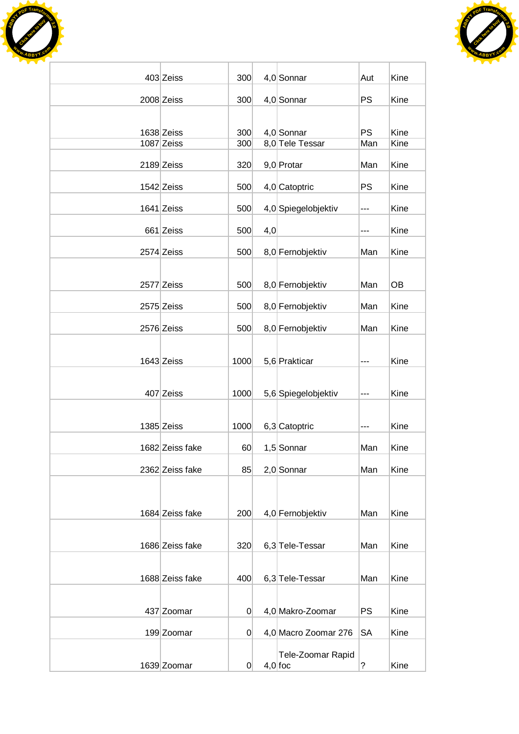



| 403 Zeiss       | 300            |     | 4,0 Sonnar           | Aut                  | Kine |
|-----------------|----------------|-----|----------------------|----------------------|------|
| 2008 Zeiss      | 300            |     | 4,0 Sonnar           | PS                   | Kine |
|                 |                |     |                      |                      |      |
| 1638 Zeiss      | 300            |     | 4,0 Sonnar           | <b>PS</b>            | Kine |
| 1087 Zeiss      | 300            |     | 8,0 Tele Tessar      | Man                  | Kine |
| 2189 Zeiss      | 320            |     | 9,0 Protar           | Man                  | Kine |
| 1542 Zeiss      | 500            |     | 4,0 Catoptric        | <b>PS</b>            | Kine |
| $1641$ Zeiss    | 500            |     | 4,0 Spiegelobjektiv  | ---                  | Kine |
| 661 Zeiss       | 500            | 4,0 |                      | ---                  | Kine |
| 2574 Zeiss      | 500            |     | 8,0 Fernobjektiv     | Man                  | Kine |
|                 |                |     |                      |                      |      |
| 2577 Zeiss      | 500            |     | 8,0 Fernobjektiv     | Man                  | OB   |
| 2575 Zeiss      | 500            |     | 8,0 Fernobjektiv     | Man                  | Kine |
| 2576 Zeiss      | 500            |     | 8,0 Fernobjektiv     | Man                  | Kine |
|                 |                |     |                      |                      |      |
| 1643 Zeiss      | 1000           |     | 5,6 Prakticar        | ---                  | Kine |
|                 |                |     |                      |                      |      |
| 407 Zeiss       | 1000           |     | 5,6 Spiegelobjektiv  | ---                  | Kine |
| 1385 Zeiss      | 1000           |     | 6,3 Catoptric        | ---                  | Kine |
| 1682 Zeiss fake | 60             |     | 1,5 Sonnar           | Man                  | Kine |
| 2362 Zeiss fake | 85             |     | $2,0$ Sonnar         | Man                  | Kine |
|                 |                |     |                      |                      |      |
|                 |                |     |                      |                      |      |
| 1684 Zeiss fake | 200            |     | 4,0 Fernobjektiv     | Man                  | Kine |
| 1686 Zeiss fake | 320            |     | 6,3 Tele-Tessar      | Man                  | Kine |
|                 |                |     |                      |                      |      |
| 1688 Zeiss fake | 400            |     | 6,3 Tele-Tessar      | Man                  | Kine |
|                 |                |     |                      |                      |      |
| 437 Zoomar      | 0              |     | 4,0 Makro-Zoomar     | PS                   | Kine |
| 199 Zoomar      | $\overline{0}$ |     | 4,0 Macro Zoomar 276 | <b>SA</b>            | Kine |
|                 |                |     | Tele-Zoomar Rapid    |                      |      |
| 1639 Zoomar     | 0              |     | $4,0$ foc            | $\ddot{\phantom{0}}$ | Kine |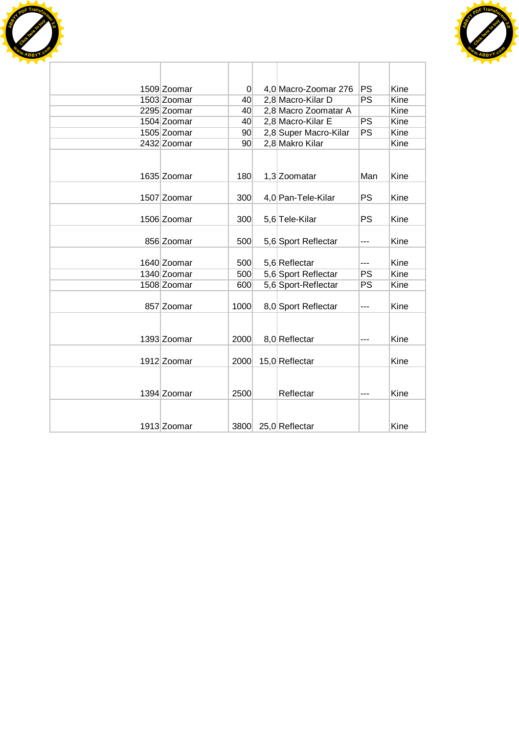



|  | 1509 Zoomar | 0               | 4,0 Macro-Zoomar 276  | PS        | Kine |
|--|-------------|-----------------|-----------------------|-----------|------|
|  | 1503 Zoomar | 40              | 2,8 Macro-Kilar D     | PS        | Kine |
|  | 2295 Zoomar | 40              | 2,8 Macro Zoomatar A  |           | Kine |
|  | 1504 Zoomar | 40              | 2,8 Macro-Kilar E     | PS        | Kine |
|  | 1505 Zoomar | 90 <sup>°</sup> | 2,8 Super Macro-Kilar | PS        | Kine |
|  | 2432 Zoomar | 90 <sup>°</sup> | 2,8 Makro Kilar       |           | Kine |
|  | 1635 Zoomar | 180             | 1,3 Zoomatar          | Man       | Kine |
|  | 1507 Zoomar | 300             | 4,0 Pan-Tele-Kilar    | PS        | Kine |
|  | 1506 Zoomar | 300             | 5,6 Tele-Kilar        | PS        | Kine |
|  | 856 Zoomar  | 500             | 5,6 Sport Reflectar   | ---       | Kine |
|  | 1640 Zoomar | 500             | 5,6 Reflectar         | ---       | Kine |
|  | 1340 Zoomar | 500             | 5,6 Sport Reflectar   | <b>PS</b> | Kine |
|  | 1508 Zoomar | 600             | 5,6 Sport-Reflectar   | PS        | Kine |
|  | 857 Zoomar  | 1000            | 8,0 Sport Reflectar   | ---       | Kine |
|  | 1393 Zoomar | 2000            | 8,0 Reflectar         | ---       | Kine |
|  | 1912 Zoomar | 2000            | 15,0 Reflectar        |           | Kine |
|  | 1394 Zoomar | 2500            | Reflectar             | ---       | Kine |
|  | 1913 Zoomar | 3800            | 25,0 Reflectar        |           | Kine |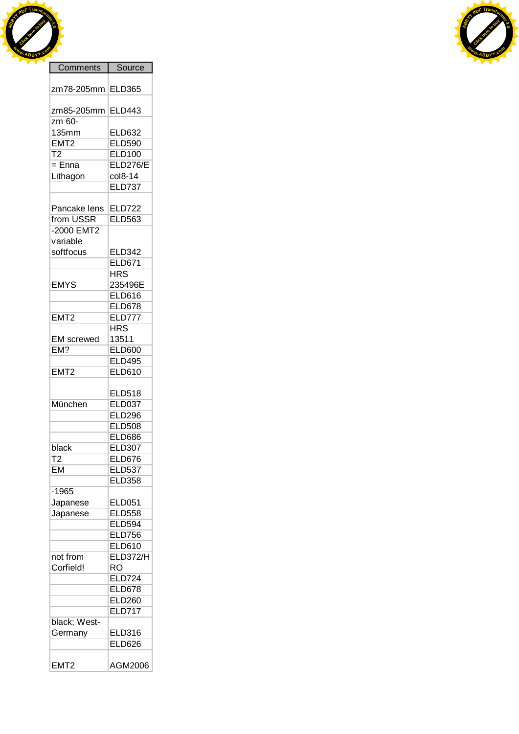



| COLLILICITIO      | onnne           |
|-------------------|-----------------|
| zm78-205mm        | ELD365          |
| zm85-205mm        | <b>ELD443</b>   |
| zm 60-            |                 |
| <b>135mm</b>      | <b>ELD632</b>   |
| EMT <sub>2</sub>  | <b>ELD590</b>   |
| $\overline{12}$   | <b>ELD100</b>   |
| $=$ Enna          | <b>ELD276/E</b> |
| Lithagon          | col8-14         |
|                   | <b>ELD737</b>   |
|                   |                 |
|                   |                 |
| Pancake lens      | <b>ELD722</b>   |
| from USSR         | <b>ELD563</b>   |
| -2000 EMT2        |                 |
| variable          |                 |
| softfocus         | <b>ELD342</b>   |
|                   | <b>ELD671</b>   |
|                   | <b>HRS</b>      |
| <b>EMYS</b>       | 235496E         |
|                   | <b>ELD616</b>   |
|                   |                 |
|                   | <b>ELD678</b>   |
| EMT <sub>2</sub>  | <b>ELD777</b>   |
|                   | <b>HRS</b>      |
| <b>EM</b> screwed | 13511           |
| EM?               | <b>ELD600</b>   |
|                   | <b>ELD495</b>   |
| EMT2              | <b>ELD610</b>   |
|                   |                 |
|                   | <b>ELD518</b>   |
| München           |                 |
|                   | <b>ELD037</b>   |
|                   | <b>ELD296</b>   |
|                   | <b>ELD508</b>   |
|                   | <b>ELD686</b>   |
| black             | <b>ELD307</b>   |
| $\overline{12}$   | <b>ELD676</b>   |
| <b>EM</b>         | <b>ELD537</b>   |
|                   | <b>ELD358</b>   |
| $-1965$           |                 |
|                   | <b>ELD051</b>   |
| Japanese          |                 |
| Japanese          | <b>ELD558</b>   |
|                   | <b>ELD594</b>   |
|                   | <b>ELD756</b>   |
|                   | <b>ELD610</b>   |
| not from          | ELD372/H        |
| Corfield!         | RO              |
|                   | <b>ELD724</b>   |
|                   | <b>ELD678</b>   |
|                   | <b>ELD260</b>   |
|                   |                 |
|                   | <b>ELD717</b>   |
| black; West-      |                 |
| Germany           | <b>ELD316</b>   |
|                   | <b>ELD626</b>   |
|                   |                 |
| EMT <sub>2</sub>  | AGM2006         |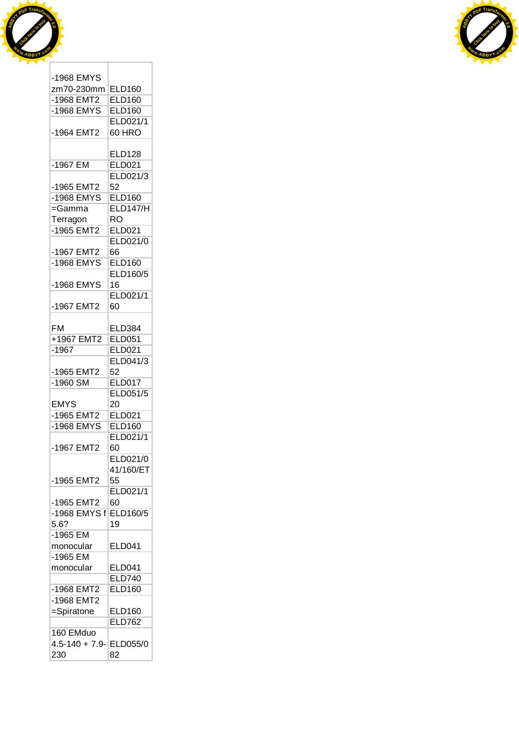



| -1968 EMYS        |                 |
|-------------------|-----------------|
| zm70-230mm        | <b>ELD160</b>   |
| $-1968$ EMT2      | <b>ELD160</b>   |
| -1968 EMYS        | <b>ELD160</b>   |
|                   | ELD021/1        |
| -1964 EMT2        | 60 HRO          |
|                   |                 |
|                   | <b>ELD128</b>   |
| -1967 EM          | <b>ELD021</b>   |
|                   | ELD021/3        |
| -1965 EMT2        | 52              |
| -1968 EMYS        | <b>ELD160</b>   |
|                   |                 |
| =Gamma            | <b>ELD147/H</b> |
| Terragon          | <b>RO</b>       |
| -1965 EMT2        | <b>ELD021</b>   |
|                   | ELD021/0        |
| -1967 EMT2        | 66              |
| -1968 EMYS        | <b>ELD160</b>   |
|                   | ELD160/5        |
| -1968 EMYS        | 16              |
|                   | ELD021/1        |
| -1967 EMT2        | 60              |
|                   |                 |
| <b>FM</b>         | <b>ELD384</b>   |
| +1967 EMT2        | <b>ELD051</b>   |
| $-1967$           | ELD021          |
|                   |                 |
|                   | ELD041/3        |
| -1965 EMT2        | 52              |
| -1960 SM          | <b>ELD017</b>   |
|                   | ELD051/5        |
| <b>EMYS</b>       | 20              |
| -1965 EMT2        | <b>ELD021</b>   |
| -1968 EMYS        | <b>ELD160</b>   |
|                   | ELD021/1        |
| -1967 EMT2        | 60              |
|                   | ELD021/0        |
|                   | 41/160/ET       |
| -1965 EMT2        | 55              |
|                   | ELD021/1        |
| -1965 EMT2        | 60              |
| -1968 EMYS f      | <b>ELD160/5</b> |
| 5.6?              |                 |
|                   | 19              |
| -1965 EM          |                 |
| monocular         | <b>ELD041</b>   |
| $-1965$ EM        |                 |
| monocular         | <b>ELD041</b>   |
|                   | <b>ELD740</b>   |
| -1968 EMT2        | <b>ELD160</b>   |
| -1968 EMT2        |                 |
| =Spiratone        | <b>ELD160</b>   |
|                   | <b>ELD762</b>   |
| 160 EMduo         |                 |
| $4.5 - 140 + 7.9$ | <b>ELD055/0</b> |
| 230               | 82              |
|                   |                 |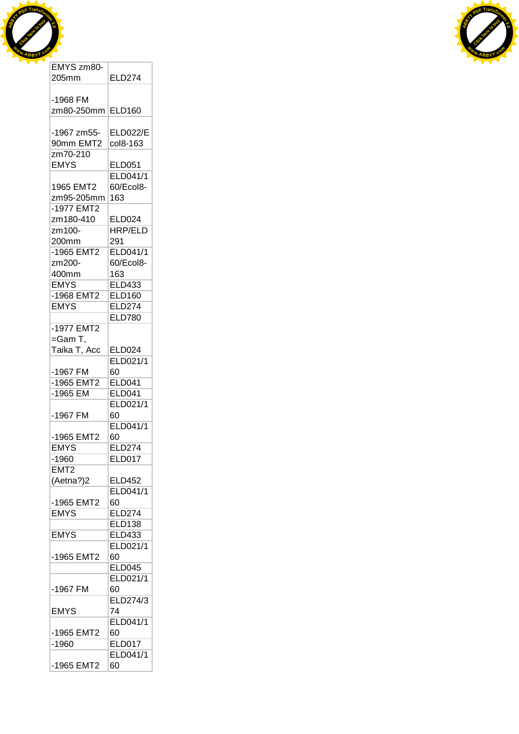



| 205mm             | <b>ELD274</b>   |
|-------------------|-----------------|
|                   |                 |
| -1968 FM          |                 |
| zm80-250mm ELD160 |                 |
| -1967 zm55-       | <b>ELD022/E</b> |
| 90mm EMT2         | col8-163        |
| zm70-210          |                 |
| <b>EMYS</b>       | <b>ELD051</b>   |
|                   | ELD041/1        |
|                   |                 |
| 1965 EMT2         | 60/Ecol8-       |
| zm95-205mm        | 163             |
| -1977 EMT2        |                 |
| zm180-410         | ELD024          |
| zm100-            | <b>HRP/ELD</b>  |
| 200mm             | 291             |
| -1965 EMT2        | <b>ELD041/1</b> |
| zm200-            | 60/Ecol8-       |
| 400mm             | 163             |
| <b>EMYS</b>       | <b>ELD433</b>   |
| -1968 EMT2        | <b>ELD160</b>   |
| <b>EMYS</b>       | <b>ELD274</b>   |
|                   | <b>ELD780</b>   |
| -1977 EMT2        |                 |
|                   |                 |
| =Gam T,           |                 |
| Taika T, Acc      | <b>ELD024</b>   |
|                   | ELD021/1        |
| -1967 FM          | 60              |
| -1965 EMT2        | <b>ELD041</b>   |
| -1965 EM          | <b>ELD041</b>   |
|                   | ELD021/1        |
| -1967 FM          | 60              |
|                   | ELD041/1        |
| -1965 EMT2        | 60              |
| <b>EMYS</b>       | <b>ELD274</b>   |
| $-1960$           | <b>ELD017</b>   |
| EMT2              |                 |
| (Aetna?)2         | ELD452          |
|                   | ELD041/1        |
| -1965 EMT2        | 60              |
| <b>EMYS</b>       |                 |
|                   | <b>ELD274</b>   |
|                   | <b>ELD138</b>   |
| <b>EMYS</b>       | <b>ELD433</b>   |
|                   | ELD021/1        |
| -1965 EMT2        | 60              |
|                   | ELD045          |
|                   | ELD021/1        |
| -1967 FM          | 60              |
|                   | ELD274/3        |
| <b>EMYS</b>       | 74              |
|                   | ELD041/1        |
| -1965 EMT2        | 60              |
| $-1960$           | <b>ELD017</b>   |
|                   | ELD041/1        |
|                   |                 |
| -1965 EMT2        | 60              |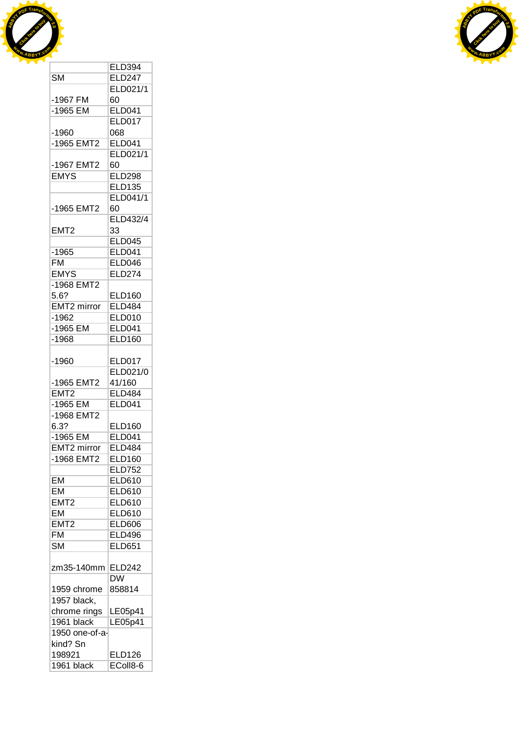



|                          | <b>ELD394</b>                  |
|--------------------------|--------------------------------|
| $\overline{\text{SM}}$   | <b>ELD247</b>                  |
|                          | ELD021/1                       |
| -1967 FM                 | 60                             |
| -1965 EM                 | <b>ELD041</b>                  |
|                          | <b>ELD017</b>                  |
|                          | 068                            |
| -1960                    |                                |
| -1965 EMT2               | <b>ELD041</b>                  |
|                          | ELD021/1                       |
| -1967 EMT2               | 60                             |
| <b>EMYS</b>              | <b>ELD298</b>                  |
|                          | <b>ELD135</b>                  |
|                          | ELD041/1                       |
| -1965 EMT2               | 60                             |
|                          | <b>ELD432/4</b>                |
| EMT <sub>2</sub>         | 33                             |
|                          | <b>ELD045</b>                  |
| $-1965$                  | <b>ELD041</b>                  |
| FM                       | <b>ELD046</b>                  |
| <b>EMYS</b>              | <b>ELD274</b>                  |
| -1968 EMT2               |                                |
|                          |                                |
| 5.6?                     | <b>ELD160</b><br><b>ELD484</b> |
| EMT2 mirror              |                                |
| -1962                    | <b>ELD010</b>                  |
| -1965 EM                 | <b>ELD041</b>                  |
| $-1968$                  | <b>ELD160</b>                  |
|                          |                                |
| -1960                    | <b>ELD017</b>                  |
|                          | ELD021/0                       |
| -1965 EMT2               | 41/160                         |
| EMT <sub>2</sub>         | <b>ELD484</b>                  |
| $-1965$ EM               | <b>ELD041</b>                  |
| -1968 EMT2               |                                |
| 6.3?                     | <b>ELD160</b>                  |
| $-1965$ EM               | <b>ELD041</b>                  |
|                          | <b>ELD484</b>                  |
| EMT2 mirror              |                                |
| -1968 EMT2               | <b>ELD160</b>                  |
|                          | <b>ELD752</b>                  |
| <b>EM</b>                | <b>ELD610</b>                  |
| <b>EM</b>                | <b>ELD610</b>                  |
| EMT <sub>2</sub>         | <b>ELD610</b>                  |
| <b>EM</b>                | <b>ELD610</b>                  |
| EMT2                     | <b>ELD606</b>                  |
| $\overline{\mathsf{FM}}$ | <b>ELD496</b>                  |
| <b>SM</b>                | <b>ELD651</b>                  |
|                          |                                |
|                          |                                |
| zm35-140mm               | <b>ELD242</b>                  |
|                          | DW                             |
| 1959 chrome              | 858814                         |
| 1957 black,              |                                |
| chrome rings             | LE05p41                        |
| 1961 black               | LE05p41                        |
| 1950 one-of-a-           |                                |
| kind? Sn                 |                                |
| 198921                   | <b>ELD126</b>                  |
| 1961 black               | EColl8-6                       |
|                          |                                |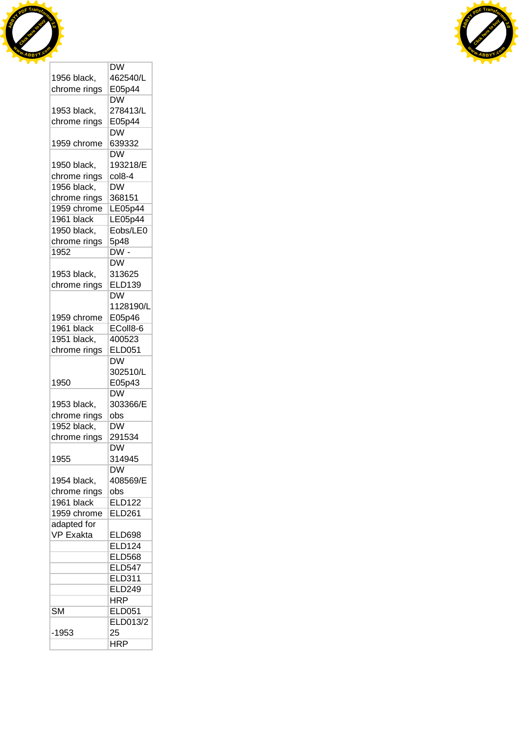



|                             | DW                                           |
|-----------------------------|----------------------------------------------|
| 1956 black,                 | 462540/L                                     |
| chrome rings                | E05p44                                       |
|                             | <b>DW</b>                                    |
| 1953 black,                 | 278413/L                                     |
| chrome rings                | E05p44                                       |
|                             | DŴ                                           |
| 1959 chrome                 | 639332                                       |
|                             | <b>DW</b>                                    |
| 1950 black,                 | 193218/E                                     |
| chrome rings                | col8-4                                       |
| 1956 black,                 | $\overline{\text{DW}}$                       |
|                             | 368151                                       |
| chrome rings<br>1959 chrome |                                              |
|                             | LE05p44                                      |
| 1961 black                  | LE05p44                                      |
| 1950 black,                 | Eobs/LE0                                     |
| chrome rings                | 5p48                                         |
| 1952                        | $\overline{\mathsf{DW}}$ -                   |
|                             | $\overline{\text{DW}}$                       |
| 1953 black,                 | 313625                                       |
| chrome rings                | <b>ELD139</b>                                |
|                             | $\overline{\mathsf{D}}\overline{\mathsf{W}}$ |
|                             | 1128190/L                                    |
| 1959 chrome                 | E05p46                                       |
| 1961 black                  | EColl8-6                                     |
| 1951 black,                 | 400523                                       |
| chrome rings                | <b>ELD051</b>                                |
|                             | DW                                           |
|                             | 302510/L                                     |
| 1950                        | E05p43                                       |
|                             | DW                                           |
| 1953 black,                 | 303366/E                                     |
| chrome rings                | obs                                          |
| 1952 black,                 | $\overline{\mathsf{D}}\mathsf{W}$            |
| chrome rings                | 291534                                       |
|                             | $\overline{\mathsf{D}}\mathsf{W}$            |
| 1955                        | 314945                                       |
|                             | DW                                           |
| 1954 black,                 | 408569/E                                     |
|                             | obs                                          |
| chrome rings<br>1961 black  | <b>ELD122</b>                                |
| 1959 chrome                 | <b>ELD261</b>                                |
|                             |                                              |
| adapted for                 |                                              |
| <b>VP Exakta</b>            | <b>ELD698</b>                                |
|                             | <b>ELD124</b>                                |
|                             | <b>ELD568</b>                                |
|                             | <b>ELD547</b>                                |
|                             | ELD311                                       |
|                             | <b>ELD249</b>                                |
|                             | <b>HRP</b>                                   |
| <b>SM</b>                   | <b>ELD051</b>                                |
|                             |                                              |
|                             | <b>ELD013/2</b>                              |
| $-1953$                     | 25                                           |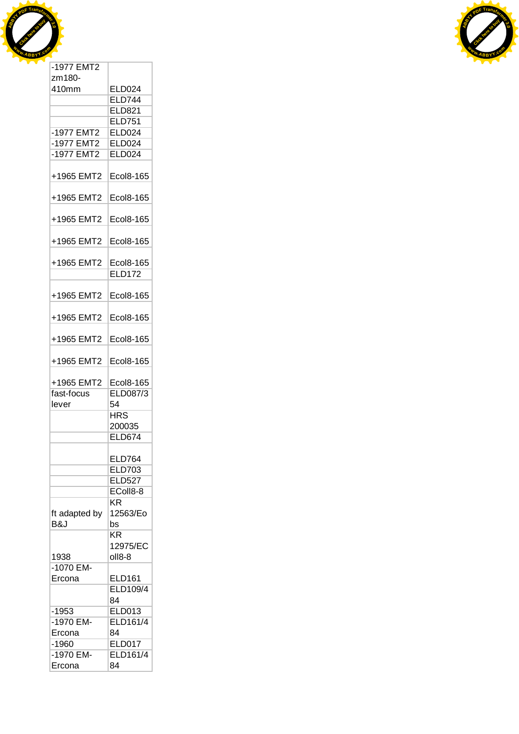



| בווטום <i>ו</i> ופו <sup>.</sup> |                            |
|----------------------------------|----------------------------|
| zm180-                           |                            |
| 410mm                            | <b>ELD024</b>              |
|                                  | <b>ELD744</b>              |
|                                  | ELD821                     |
|                                  | <b>ELD751</b>              |
| -1977 EMT2                       | ELD024                     |
| -1977 EMT2                       | <b>ELD024</b>              |
| -1977 EMT2                       | <b>ELD024</b>              |
| +1965 EMT2                       | Ecol8-165                  |
| +1965 EMT2                       | Ecol8-165                  |
|                                  |                            |
| +1965 EMT2                       | Ecol8-165                  |
| +1965 EMT2                       | Ecol8-165                  |
| +1965 EMT2                       | Ecol8-165<br><b>ELD172</b> |
| +1965 EMT2                       | Ecol8-165                  |
| +1965 EMT2                       | Ecol8-165                  |
| +1965 EMT2                       | Ecol8-165                  |
| +1965 EMT2                       | Ecol8-165                  |
| +1965 EMT2                       | Ecol8-165                  |
| fast-focus                       | ELD087/3                   |
| lever                            | 54                         |
|                                  | <b>HRS</b>                 |
|                                  | 200035                     |
|                                  | <b>ELD674</b>              |
|                                  |                            |
|                                  | <b>ELD764</b>              |
|                                  | <b>ELD703</b>              |
|                                  | <b>ELD527</b>              |
|                                  | EColl8-8                   |
|                                  | ΚR                         |
| ft adapted by                    | 12563/Eo                   |
| B&J                              | bs                         |
|                                  | KR                         |
|                                  | 12975/EC                   |
| 1938                             | oll8-8                     |
| $-1070$ EM-                      |                            |
| Ercona                           | <b>ELD161</b>              |
|                                  | ELD109/4                   |
|                                  | 84                         |
| $-1953$                          | <b>ELD013</b>              |
| -1970 EM-                        | <b>ELD161/4</b>            |
| Ercona                           | 84                         |
| $-1960$                          | <b>ELD017</b>              |
| -1970 EM-                        | ELD161/4                   |
| Ercona                           | 84                         |
|                                  |                            |

 $\overline{\phantom{0}}$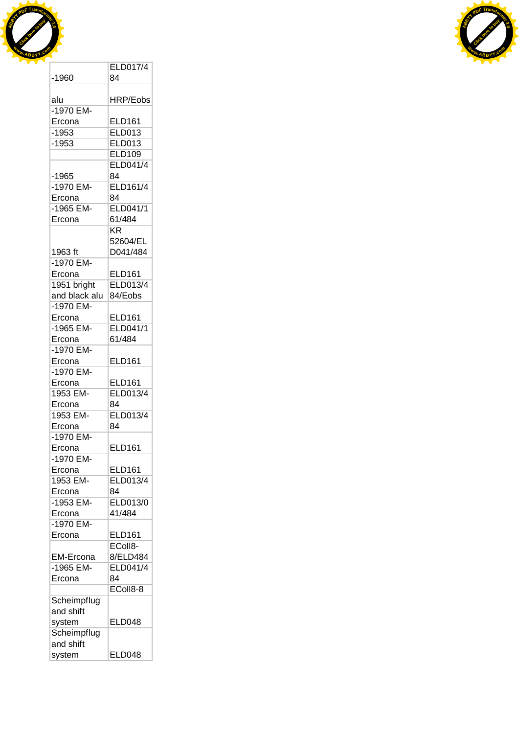



|               | <b>ELD017/4</b> |
|---------------|-----------------|
| $-1960$       | 84              |
|               |                 |
| alu           | HRP/Eobs        |
| -1970 EM-     |                 |
| Ercona        | <b>ELD161</b>   |
| -1953         | <b>ELD013</b>   |
|               |                 |
| $-1953$       | <b>ELD013</b>   |
|               | <b>ELD109</b>   |
|               | ELD041/4        |
| $-1965$       | 84              |
| -1970 EM-     | <b>ELD161/4</b> |
| Ercona        | 84              |
| -1965 EM-     | ELD041/1        |
| Ercona        | 61/484          |
|               | KR.             |
|               | 52604/EL        |
| 1963 ft       | D041/484        |
| -1970 EM-     |                 |
|               |                 |
| Ercona        | <b>ELD161</b>   |
| 1951 bright   | ELD013/4        |
| and black alu | 84/Eobs         |
| -1970 EM-     |                 |
| Ercona        | <b>ELD161</b>   |
| -1965 EM-     | <b>ELD041/1</b> |
| Ercona        | 61/484          |
| -1970 EM-     |                 |
| Ercona        | <b>ELD161</b>   |
| -1970 EM-     |                 |
| Ercona        | <b>ELD161</b>   |
|               | <b>ELD013/4</b> |
| 1953 EM-      |                 |
| Ercona        | 84              |
| 1953 EM-      | <b>ELD013/4</b> |
| Ercona        | 84              |
| -1970 EM-     |                 |
| Ercona        | <b>ELD161</b>   |
| -1970 EM-     |                 |
| Ercona        | <b>ELD161</b>   |
| 1953 EM-      | ELD013/4        |
| Ercona        | 84              |
| -1953 EM-     | ELD013/0        |
|               | 41/484          |
| Ercona        |                 |
| -1970 EM-     |                 |
| Ercona        | ELD161          |
|               | EColl8-         |
| EM-Ercona     | 8/ELD484        |
| -1965 EM-     | ELD041/4        |
| Ercona        | 84              |
|               | EColl8-8        |
| Scheimpflug   |                 |
| and shift     |                 |
| system        | <b>ELD048</b>   |
| Scheimpflug   |                 |
|               |                 |
| and shift     |                 |
| system        | <b>ELD048</b>   |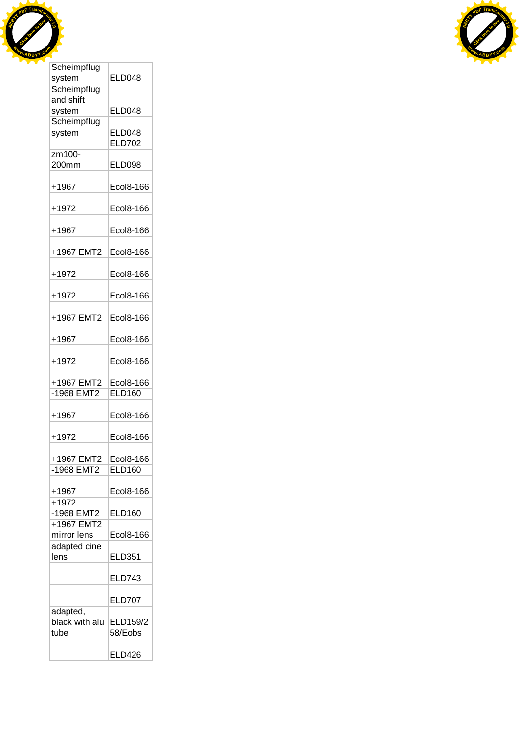



| oonempnag      |                  |
|----------------|------------------|
| system         | <b>ELD048</b>    |
| Scheimpflug    |                  |
| and shift      |                  |
|                |                  |
| system         | <b>ELD048</b>    |
| Scheimpflug    |                  |
| system         | <b>ELD048</b>    |
|                | <b>ELD702</b>    |
| zm100-         |                  |
| 200mm          | <b>ELD098</b>    |
|                |                  |
|                |                  |
| $+1967$        | <b>Ecol8-166</b> |
|                |                  |
| +1972          | Ecol8-166        |
|                |                  |
|                |                  |
| $+1967$        | Ecol8-166        |
|                |                  |
| +1967 EMT2     | Ecol8-166        |
|                |                  |
| $+1972$        | Ecol8-166        |
|                |                  |
|                |                  |
| $+1972$        | Ecol8-166        |
|                |                  |
| +1967 EMT2     | Ecol8-166        |
|                |                  |
| +1967          | Ecol8-166        |
|                |                  |
|                |                  |
| +1972          | Ecol8-166        |
|                |                  |
| +1967 EMT2     | Ecol8-166        |
| -1968 EMT2     | <b>ELD160</b>    |
|                |                  |
|                |                  |
| $+1967$        | Ecol8-166        |
|                |                  |
| $+1972$        | Ecol8-166        |
|                |                  |
| +1967 EMT2     | Ecol8-166        |
| -1968 EMT2     | <b>ELD160</b>    |
|                |                  |
|                |                  |
| $+1967$        | Ecol8-166        |
| $+1972$        |                  |
| -1968 EMT2     | <b>ELD160</b>    |
| +1967 EMT2     |                  |
|                |                  |
| mirror lens    | Ecol8-166        |
| adapted cine   |                  |
| lens           | <b>ELD351</b>    |
|                |                  |
|                | <b>ELD743</b>    |
|                |                  |
|                |                  |
|                | <b>ELD707</b>    |
| adapted,       |                  |
| black with alu | ELD159/2         |
| tube           | 58/Eobs          |
|                |                  |
|                |                  |
|                | <b>ELD426</b>    |

т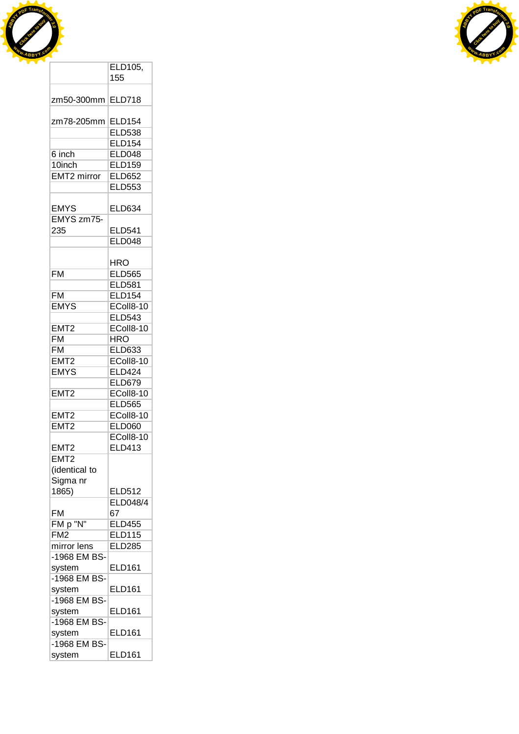



|                               | ELD105,<br>155          |
|-------------------------------|-------------------------|
|                               |                         |
| zm50-300mm                    | <b>ELD718</b>           |
| zm78-205mm                    | <b>ELD154</b>           |
|                               | <b>ELD538</b>           |
|                               | <b>ELD154</b>           |
| 6 inch                        | <b>ELD048</b>           |
| 10inch                        | <b>ELD159</b>           |
| EMT2 mirror                   | <b>ELD652</b>           |
|                               | <b>ELD553</b>           |
| <b>EMYS</b>                   | <b>ELD634</b>           |
| EMYS zm75-                    |                         |
| 235                           | <b>ELD541</b>           |
|                               | <b>ELD048</b>           |
|                               |                         |
|                               | <b>HRO</b>              |
| <b>FM</b>                     | <b>ELD565</b>           |
|                               | <b>ELD581</b>           |
| <b>FM</b>                     | <b>ELD154</b>           |
| <b>EMYS</b>                   | EColl8-10               |
|                               | <b>ELD543</b>           |
| EMT <sub>2</sub><br><b>FM</b> | EColl8-10<br><b>HRO</b> |
| <b>FM</b>                     | ELD633                  |
| EMT2                          | EColl8-10               |
| <b>EMYS</b>                   | <b>ELD424</b>           |
|                               | <b>ELD679</b>           |
| EMT <sub>2</sub>              | EColl8-10               |
|                               | <b>ELD565</b>           |
| EMT <sub>2</sub>              | EColl8-10               |
| EMT <sub>2</sub>              | <b>ELD060</b>           |
|                               | EColl8-10               |
| EMT2<br>EMT <sub>2</sub>      | ELD413                  |
| (identical to                 |                         |
| Sigma nr                      |                         |
| 1865)                         | <b>ELD512</b>           |
|                               | ELD048/4                |
| FM                            | 67                      |
| FM p "N"                      | <b>ELD455</b>           |
| FM <sub>2</sub>               | <b>ELD115</b>           |
| mirror lens                   | <b>ELD285</b>           |
| -1968 EM BS-                  |                         |
| system                        | <b>ELD161</b>           |
| -1968 EM BS-                  | <b>ELD161</b>           |
| system<br>-1968 EM BS-        |                         |
| system                        | <b>ELD161</b>           |
| -1968 EM BS-                  |                         |
| system                        | <b>ELD161</b>           |
| -1968 EM BS-                  |                         |
| system                        | <b>ELD161</b>           |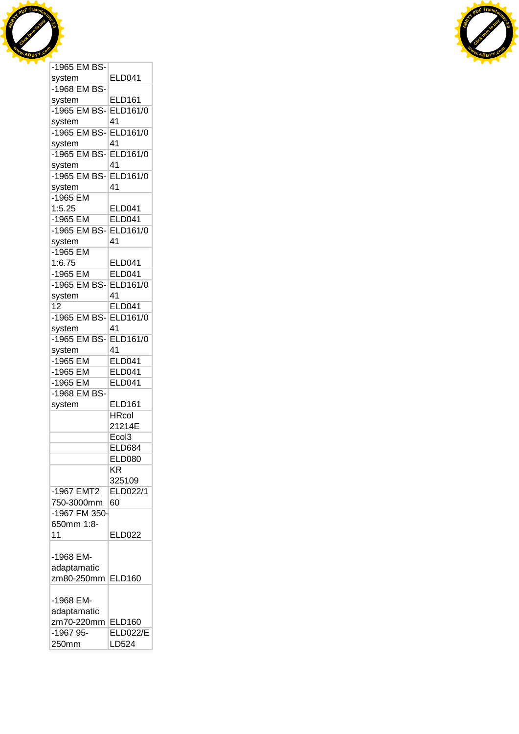



| system                | <b>ELD041</b>     |
|-----------------------|-------------------|
| -1968 EM BS-          |                   |
| system                | <b>ELD161</b>     |
| -1965 EM BS-          | ELD161/0          |
| system                | 41                |
| -1965 EM BS-ELD161/0  |                   |
| system                | 41                |
| -1965 EM BS- ELD161/0 |                   |
| system                | 41                |
| -1965 EM BS-ELD161/0  |                   |
| system                | 41                |
| $-1965$ EM            |                   |
|                       |                   |
| 1:5.25                | <b>ELD041</b>     |
| -1965 EM              | <b>ELD041</b>     |
| -1965 EM BS-ELD161/0  |                   |
| system                | 41                |
| -1965 EM              |                   |
| 1:6.75                | <b>ELD041</b>     |
| $-1965$ EM            | <b>ELD041</b>     |
| -1965 EM BS- ELD161/0 |                   |
| system                | 41                |
| 12                    | <b>ELD041</b>     |
| -1965 EM BS-ELD161/0  |                   |
| system                | 41                |
| -1965 EM BS-          | <b>ELD161/0</b>   |
| system                | 41                |
| -1965 EM              | <b>ELD041</b>     |
| -1965 EM              | <b>ELD041</b>     |
| -1965 EM              | <b>ELD041</b>     |
| -1968 EM BS-          |                   |
|                       |                   |
| system                | <b>ELD161</b>     |
|                       | <b>HRcol</b>      |
|                       | 21214E            |
|                       | Ecol <sub>3</sub> |
|                       | <b>ELD684</b>     |
|                       | <b>ELD080</b>     |
|                       | ΚR                |
|                       | 325109            |
| -1967 EMT2            | ELD022/1          |
| 750-3000mm            | 60                |
| -1967 FM 350-         |                   |
| 650mm 1:8-            |                   |
| 11                    | <b>ELD022</b>     |
|                       |                   |
| -1968 EM-             |                   |
| adaptamatic           |                   |
| zm80-250mm            | <b>ELD160</b>     |
|                       |                   |
| -1968 EM-             |                   |
|                       |                   |
| adaptamatic           |                   |
| zm70-220mm            | <b>ELD160</b>     |
| -1967 95-             | <b>ELD022/E</b>   |
| 250mm                 | LD524             |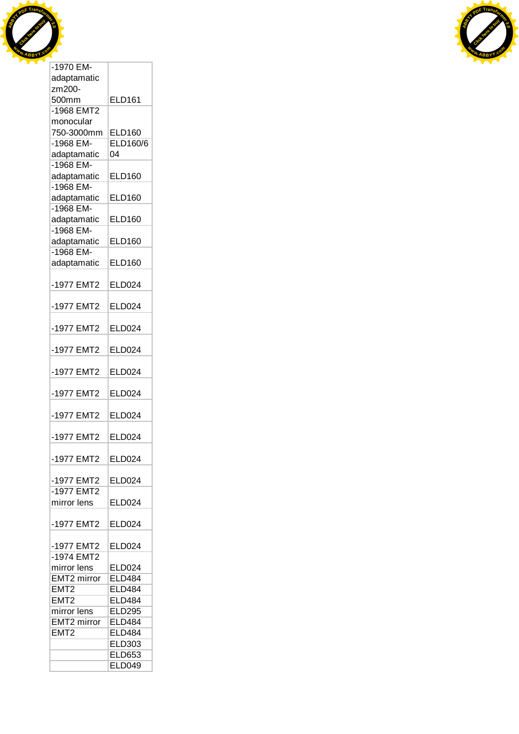



| -1970 EM-                |               |
|--------------------------|---------------|
| adaptamatic              |               |
| zm200-                   |               |
| 500mm                    | <b>ELD161</b> |
| -1968 EMT2               |               |
| monocular                |               |
| 750-3000mm               | <b>ELD160</b> |
| $-1968$ EM-              | ELD160/6      |
| adaptamatic              | 04            |
| -1968 EM-                |               |
|                          | <b>ELD160</b> |
| adaptamatic<br>-1968 EM- |               |
|                          |               |
| adaptamatic              | <b>ELD160</b> |
| -1968 EM-                |               |
| adaptamatic              | <b>ELD160</b> |
| $-1968$ EM-              |               |
| adaptamatic              | <b>ELD160</b> |
| -1968 EM-                |               |
| adaptamatic              | <b>ELD160</b> |
|                          |               |
| -1977 EMT2               | <b>ELD024</b> |
|                          |               |
| -1977 EMT2               | <b>ELD024</b> |
|                          |               |
| -1977 EMT2               | <b>ELD024</b> |
|                          |               |
| -1977 EMT2               | <b>ELD024</b> |
|                          |               |
| -1977 EMT2               | ELD024        |
|                          |               |
| -1977 EMT2               | <b>ELD024</b> |
|                          |               |
| -1977 EMT2               | <b>ELD024</b> |
|                          |               |
| -1977 EMT2               | <b>ELD024</b> |
|                          |               |
|                          |               |
| -1977 EMT2               | <b>ELD024</b> |
|                          |               |
| -1977 EMT2               | <b>ELD024</b> |
| -1977 EMT2               |               |
| mirror lens              | <b>ELD024</b> |
|                          |               |
| -1977 EMT2               | <b>ELD024</b> |
|                          |               |
| -1977 EMT2               | <b>ELD024</b> |
| -1974 EMT2               |               |
| mirror lens              | <b>ELD024</b> |
| <b>EMT2</b> mirror       | <b>ELD484</b> |
| EMT <sub>2</sub>         | <b>ELD484</b> |
| EMT <sub>2</sub>         | <b>ELD484</b> |
| mirror lens              | <b>ELD295</b> |
| EMT <sub>2</sub> mirror  | <b>ELD484</b> |
| EMT <sub>2</sub>         | <b>ELD484</b> |
|                          | <b>ELD303</b> |
|                          | <b>ELD653</b> |
|                          | <b>ELD049</b> |
|                          |               |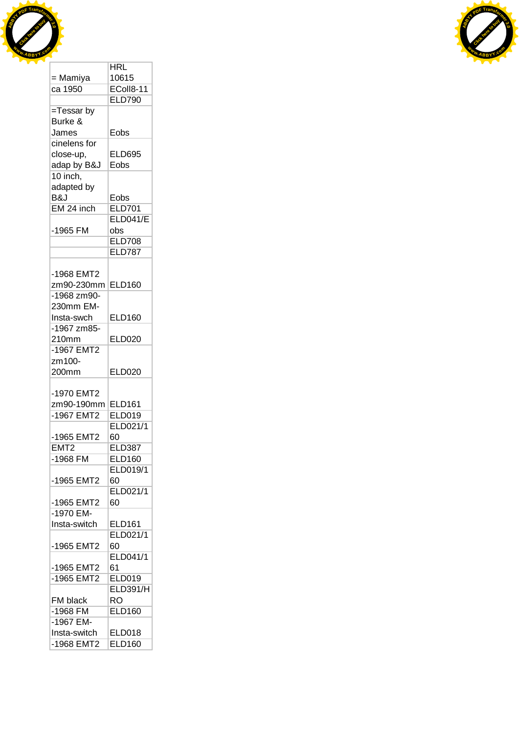



|                  | <b>HRL</b>      |
|------------------|-----------------|
| = Mamiya         | 10615           |
| ca 1950          | EColl8-11       |
|                  | <b>ELD790</b>   |
| =Tessar by       |                 |
| Burke &          |                 |
| James            | Eobs            |
| cinelens for     |                 |
| close-up,        | <b>ELD695</b>   |
| adap by B&J      | Eobs            |
| 10 inch,         |                 |
| adapted by       |                 |
| B&J              |                 |
| EM 24 inch       | Eobs            |
|                  | <b>ELD701</b>   |
|                  | <b>ELD041/E</b> |
| -1965 FM         | obs             |
|                  | <b>ELD708</b>   |
|                  | <b>ELD787</b>   |
|                  |                 |
| -1968 EMT2       |                 |
| zm90-230mm       | <b>ELD160</b>   |
| -1968 zm90-      |                 |
| 230mm EM-        |                 |
| Insta-swch       | <b>ELD160</b>   |
| -1967 zm85-      |                 |
| 210mm            | <b>ELD020</b>   |
| -1967 EMT2       |                 |
| zm100-           |                 |
| 200mm            | <b>ELD020</b>   |
|                  |                 |
| -1970 EMT2       |                 |
| zm90-190mm       | <b>ELD161</b>   |
| -1967 EMT2       | <b>ELD019</b>   |
|                  | ELD021/1        |
| -1965 EMT2       | 60              |
| EMT <sub>2</sub> | <b>ELD387</b>   |
| -1968 FM         | <b>ELD160</b>   |
|                  | ELD019/1        |
| -1965 EMT2       | 60              |
|                  | ELD021/1        |
|                  |                 |
| -1965 EMT2       | 60              |
| -1970 EM-        |                 |
| Insta-switch     | <b>ELD161</b>   |
|                  | ELD021/1        |
| -1965 EMT2       | 60              |
|                  | ELD041/1        |
| -1965 EMT2       | 61              |
| $-1965$ EMT2     | <b>ELD019</b>   |
|                  | <b>ELD391/H</b> |
| FM black         | RO              |
| $-1968$ FM       | <b>ELD160</b>   |
| -1967 EM-        |                 |
| Insta-switch     | <b>ELD018</b>   |
| -1968 EMT2       | <b>ELD160</b>   |
|                  |                 |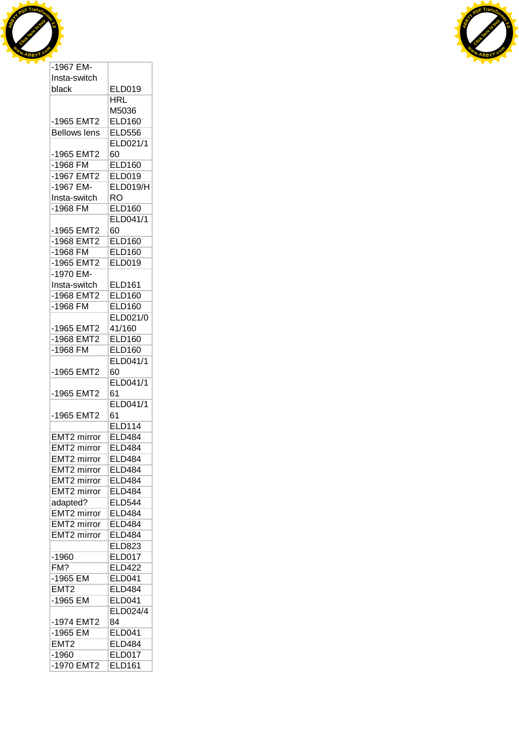



| Insta-switch            |                                |
|-------------------------|--------------------------------|
| black                   | <b>ELD019</b>                  |
|                         | HRL                            |
|                         | M5036                          |
| -1965 EMT2              | <b>ELD160</b>                  |
| <b>Bellows lens</b>     | <b>ELD556</b>                  |
|                         | ELD021/1                       |
| -1965 EMT2              | 60                             |
| $-1968$ FM              | <b>ELD160</b>                  |
| $-1967$ EMT2            | <b>ELD019</b>                  |
| -1967 EM-               | <b>ELD019/H</b>                |
| Insta-switch            | RO                             |
| -1968 FM                | <b>ELD160</b>                  |
|                         | <b>ELD041/1</b>                |
| -1965 EMT2              | 60                             |
| -1968 EMT2              | <b>ELD160</b>                  |
| $-1968$ FM              | <b>ELD160</b>                  |
| -1965 EMT2              | <b>ELD019</b>                  |
| -1970 EM-               |                                |
| Insta-switch            |                                |
| -1968 EMT2              | <b>ELD161</b><br><b>ELD160</b> |
|                         |                                |
| -1968 FM                | <b>ELD160</b>                  |
|                         | ELD021/0                       |
| -1965 EMT2              | 41/160                         |
| -1968 EMT2              | <b>ELD160</b>                  |
| -1968 FM                | <b>ELD160</b>                  |
|                         | ELD041/1                       |
| -1965 EMT2              | 60                             |
|                         | ELD041/1                       |
| -1965 EMT2              | 61                             |
|                         | ELD041/1                       |
| -1965 EMT2              | 61                             |
|                         | <b>ELD114</b>                  |
| EMT <sub>2</sub> mirror | <b>ELD484</b>                  |
| <b>EMT2</b> mirror      | <b>ELD484</b>                  |
| EMT2 mirror             | <b>ELD484</b>                  |
| EMT2 mirror             | <b>ELD484</b>                  |
| <b>EMT2 mirror</b>      | <b>ELD484</b>                  |
| EMT2 mirror             | <b>ELD484</b>                  |
| adapted?                | <b>ELD544</b>                  |
| <b>EMT2 mirror</b>      | <b>ELD484</b>                  |
| <b>EMT2</b> mirror      | <b>ELD484</b>                  |
| <b>EMT2</b> mirror      | <b>ELD484</b>                  |
|                         | <b>ELD823</b>                  |
| $-1960$                 | <b>ELD017</b>                  |
| FM?                     | <b>ELD422</b>                  |
| -1965 EM                | <b>ELD041</b>                  |
| EMT <sub>2</sub>        | <b>ELD484</b>                  |
| -1965 EM                | <b>ELD041</b>                  |
|                         | ELD024/4                       |
| -1974 EMT2              | 84                             |
| $-1965$ EM              |                                |
|                         |                                |
|                         | <b>ELD041</b>                  |
| EMT2                    | <b>ELD484</b>                  |
| $-1960$<br>-1970 EMT2   | <b>ELD017</b><br><b>ELD161</b> |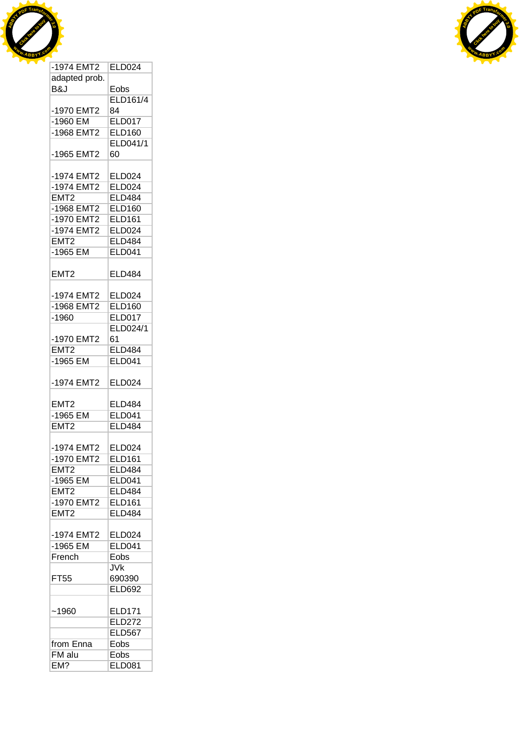



| -1974 EMT2       | <b>ELD024</b>   |
|------------------|-----------------|
| adapted prob.    |                 |
| B&J              |                 |
|                  | Eobs            |
|                  | <b>ELD161/4</b> |
| -1970 EMT2       | 84              |
| $-1960$ EM       | <b>ELD017</b>   |
| -1968 EMT2       | <b>ELD160</b>   |
|                  | <b>ELD041/1</b> |
|                  | 60              |
| -1965 EMT2       |                 |
|                  |                 |
| -1974 EMT2       | <b>ELD024</b>   |
| -1974 EMT2       | <b>ELD024</b>   |
| EMT <sub>2</sub> | <b>ELD484</b>   |
| -1968 EMT2       | <b>ELD160</b>   |
| -1970 EMT2       | <b>ELD161</b>   |
|                  |                 |
| -1974 EMT2       | <b>ELD024</b>   |
| EMT <sub>2</sub> | <b>ELD484</b>   |
| $-1965$ EM       | <b>ELD041</b>   |
|                  |                 |
| EMT <sub>2</sub> | <b>ELD484</b>   |
|                  |                 |
|                  |                 |
| -1974 EMT2       | <b>ELD024</b>   |
| -1968 EMT2       | <b>ELD160</b>   |
| $-1960$          | <b>ELD017</b>   |
|                  | ELD024/1        |
| -1970 EMT2       | 61              |
|                  |                 |
| EMT <sub>2</sub> | <b>ELD484</b>   |
| $-1965$ EM       | <b>ELD041</b>   |
|                  |                 |
| -1974 EMT2       | <b>ELD024</b>   |
|                  |                 |
| EMT <sub>2</sub> | <b>ELD484</b>   |
| $-1965$ EM       | <b>ELD041</b>   |
|                  |                 |
| EMT <sub>2</sub> | <b>ELD484</b>   |
|                  |                 |
| -1974 EMT2       | <b>ELD024</b>   |
| -1970 EMT2       | <b>ELD161</b>   |
| EMT2             | <b>ELD484</b>   |
| -1965 EM         | <b>ELD041</b>   |
|                  |                 |
| EMT <sub>2</sub> | <b>ELD484</b>   |
| -1970 EMT2       | <b>ELD161</b>   |
| EMT <sub>2</sub> | <b>ELD484</b>   |
|                  |                 |
| -1974 EMT2       | <b>ELD024</b>   |
|                  |                 |
| $-1965$ EM       | <b>ELD041</b>   |
| French           | Eobs            |
|                  | <b>JVk</b>      |
| FT55             | 690390          |
|                  | <b>ELD692</b>   |
|                  |                 |
|                  |                 |
| ~1960            | <b>ELD171</b>   |
|                  | <b>ELD272</b>   |
|                  | <b>ELD567</b>   |
| from Enna        | Eobs            |
| FM alu           | Eobs            |
| EM?              | <b>ELD081</b>   |
|                  |                 |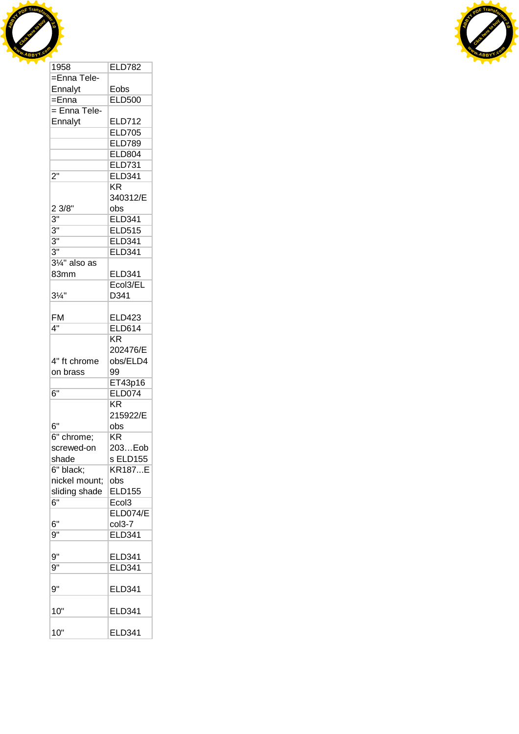



| 1958                     | <b>ELD782</b>          |
|--------------------------|------------------------|
| =Enna Tele-              |                        |
| Ennalyt                  | Eobs                   |
| $=$ Enna                 | <b>ELD500</b>          |
| = Enna Tele-             |                        |
| Ennalyt                  | <b>ELD712</b>          |
|                          | <b>ELD705</b>          |
|                          | <b>ELD789</b>          |
|                          | <b>ELD804</b>          |
|                          | <b>ELD731</b>          |
| $2^{\overline{0}}$       | <b>ELD341</b>          |
|                          | KR                     |
|                          |                        |
|                          | 340312/E               |
| 2 3/8"                   | obs                    |
| $\overline{3}$ "         | <b>ELD341</b>          |
| $\overline{3}$ "         | <b>ELD515</b>          |
| 3"                       | ELD341                 |
| $\overline{3}$ "         | <b>ELD341</b>          |
| $3\frac{1}{4}$ " also as |                        |
| 83mm                     | ELD341                 |
|                          | Ecol3/EL               |
| $3\frac{1}{4}$ "         | D341                   |
|                          |                        |
| FM                       | ELD423                 |
| 4"                       | <b>ELD614</b>          |
|                          | KR                     |
|                          | 202476/E               |
|                          |                        |
| 4" ft chrome             | obs/ELD4               |
| on brass                 | 99                     |
|                          | ET43p16                |
| 6"                       | <b>ELD074</b>          |
|                          | $\overline{\text{KR}}$ |
|                          | 215922/E               |
| 6"                       | obs                    |
| 6" chrome;               | KR                     |
| screwed-on               | 203Eob                 |
| shade                    | s ELD155               |
| 6" black;                | <b>KR187E</b>          |
| nickel mount;            | obs                    |
| sliding shade            | <b>ELD155</b>          |
| $\overline{6}$ "         | Ecol3                  |
|                          | <b>ELD074/E</b>        |
| 6"                       | col3-7                 |
| 9"                       | <b>ELD341</b>          |
|                          |                        |
| 9"                       |                        |
|                          | ELD341                 |
| 9"                       | <b>ELD341</b>          |
| 9"                       | ELD341                 |
| 10"                      | <b>ELD341</b>          |
| 10"                      | <b>ELD341</b>          |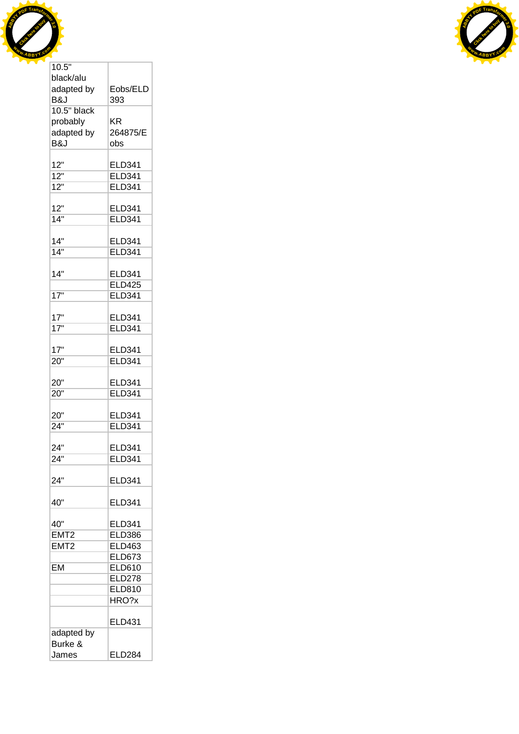



| black/alu        |                                |
|------------------|--------------------------------|
| adapted by       | Eobs/ELD                       |
| B&J              | 393                            |
| 10.5" black      |                                |
| probably         | ΚR                             |
| adapted by       | 264875/E                       |
| B&J              | obs                            |
|                  |                                |
| 12"              | <b>ELD341</b>                  |
| $\overline{12}$  | <b>ELD341</b>                  |
| $\overline{12"}$ | <b>ELD341</b>                  |
| 12"              |                                |
| 14"              | ELD341<br><b>ELD341</b>        |
|                  |                                |
| 14"              | <b>ELD341</b>                  |
| $\overline{14"}$ | <b>ELD341</b>                  |
|                  |                                |
| 14"              | <b>ELD341</b>                  |
|                  | <b>ELD425</b>                  |
| 17"              | <b>ELD341</b>                  |
|                  |                                |
| 17"              | <b>ELD341</b>                  |
| 17"              | <b>ELD341</b>                  |
|                  |                                |
| 17"              | <b>ELD341</b>                  |
| 20"              | <b>ELD341</b>                  |
|                  |                                |
| 20"              | <b>ELD341</b>                  |
| 20"              | <b>ELD341</b>                  |
|                  |                                |
| 20"              | <b>ELD341</b>                  |
| 24"              | <b>ELD341</b>                  |
|                  |                                |
| 24"<br>24"       | <b>ELD341</b><br><b>ELD341</b> |
|                  |                                |
| 24"              | <b>ELD341</b>                  |
|                  |                                |
| 40"              | <b>ELD341</b>                  |
|                  |                                |
| 40"              | <b>ELD341</b>                  |
| EMT <sub>2</sub> | <b>ELD386</b>                  |
| EMT2             | <b>ELD463</b>                  |
|                  | <b>ELD673</b>                  |
| EM               | <b>ELD610</b>                  |
|                  | <b>ELD278</b>                  |
|                  | <b>ELD810</b>                  |
|                  | HRO?x                          |
|                  |                                |
|                  | ELD431                         |
| adapted by       |                                |
| Burke &          |                                |
| James            | <b>ELD284</b>                  |

Т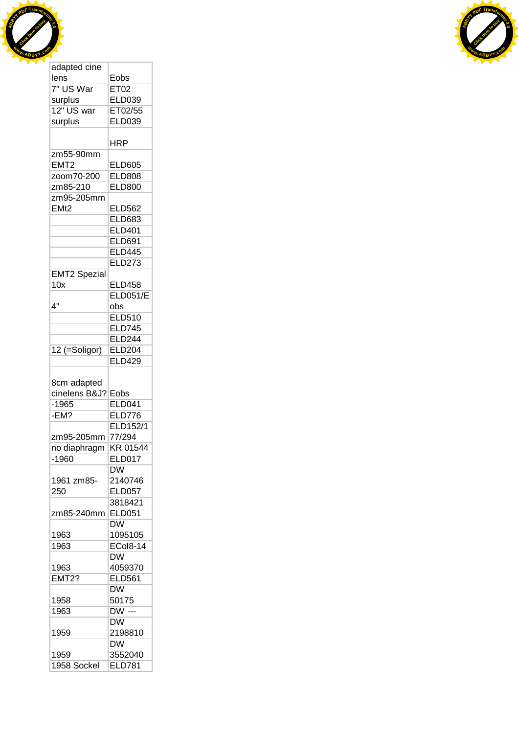



| adapted cine                                      |                                        |
|---------------------------------------------------|----------------------------------------|
| lens                                              | Eobs                                   |
| 7" US War                                         | ET02                                   |
| surplus                                           | <b>ELD039</b>                          |
| 12" US war                                        | ET02/55                                |
| surplus                                           | ELD039                                 |
|                                                   |                                        |
|                                                   | HRP                                    |
| zm55-90mm                                         |                                        |
| EMT <sub>2</sub>                                  | <b>ELD605</b>                          |
| zoom70-200                                        | <b>ELD808</b>                          |
| zm85-210                                          | <b>ELD800</b>                          |
| zm95-205mm                                        |                                        |
| EM <sub>t2</sub>                                  | ELD562                                 |
|                                                   | <b>ELD683</b>                          |
|                                                   | <b>ELD401</b>                          |
|                                                   | <b>ELD691</b>                          |
|                                                   | <b>ELD445</b>                          |
|                                                   | <b>ELD273</b>                          |
| <b>EMT2 Spezial</b>                               |                                        |
| 10x                                               | <b>ELD458</b>                          |
|                                                   | <b>ELD051/E</b>                        |
| 4"                                                | obs                                    |
|                                                   | <b>ELD510</b>                          |
|                                                   | <b>ELD745</b>                          |
|                                                   | <b>ELD244</b>                          |
| 12 (=Soligor)                                     | <b>ELD204</b>                          |
|                                                   | <b>ELD429</b>                          |
|                                                   |                                        |
| 8cm adapted<br>cinelens B&J?<br>$-1965$<br>$-EM?$ | Eobs<br><b>ELD041</b><br><b>ELD776</b> |
|                                                   | <b>ELD152/1</b>                        |
| zm95-205mm                                        | 77/294                                 |
| no diaphragm                                      | KR 01544                               |
| -1960                                             | <b>ELD017</b>                          |
|                                                   | DW                                     |
| 1961 zm85-                                        | 2140746                                |
| 250                                               | <b>ELD057</b>                          |
|                                                   | 3818421                                |
| zm85-240mm                                        | <b>ELD051</b>                          |
|                                                   | DW                                     |
| 1963                                              | 1095105                                |
| 1963                                              | <b>ECol8-14</b>                        |
|                                                   | <b>DW</b>                              |
| 1963                                              | 4059370                                |
| <b>EMT2?</b>                                      | <b>ELD561</b>                          |
|                                                   | <b>DW</b>                              |
| 1958                                              | 50175                                  |
| 1963                                              | DW ---                                 |
|                                                   | <b>DW</b>                              |
| 1959                                              | 2198810                                |
|                                                   | <b>DW</b>                              |
| 1959<br>1958 Sockel                               | 3552040<br><b>ELD781</b>               |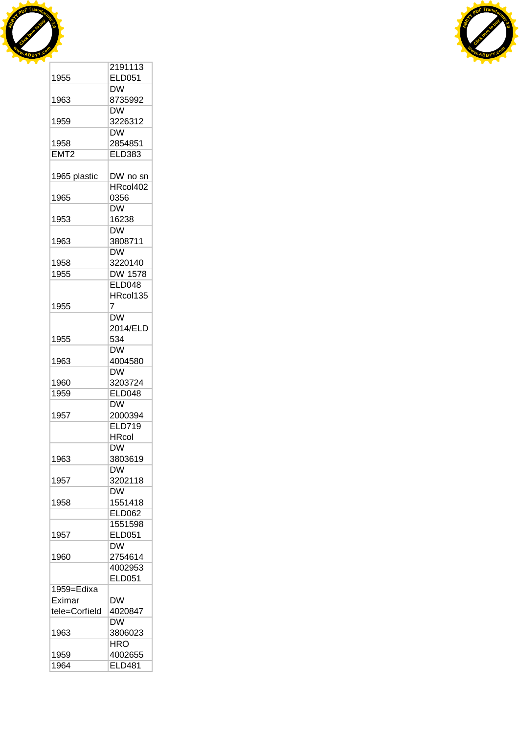



|                  | 2191113        |
|------------------|----------------|
| 1955             | <b>ELD051</b>  |
|                  | <b>DW</b>      |
| 1963             | 8735992        |
|                  | <b>DW</b>      |
| 1959             | 3226312        |
|                  | <b>DW</b>      |
| 1958             | 2854851        |
| EMT <sub>2</sub> | <b>ELD383</b>  |
|                  |                |
| 1965 plastic     | DW no sn       |
|                  | HRcol402       |
| 1965             | 0356           |
|                  | <b>DW</b>      |
| 1953             | 16238          |
|                  | <b>DW</b>      |
| 1963             | 3808711        |
|                  | <b>DW</b>      |
| 1958             | 3220140        |
| 1955             | <b>DW 1578</b> |
|                  | <b>ELD048</b>  |
|                  | HRcol135       |
| 1955             | 7              |
|                  | DW             |
|                  | 2014/ELD       |
| 1955             | 534            |
|                  | <b>DW</b>      |
| 1963             | 4004580        |
|                  | <b>DW</b>      |
| 1960             | 3203724        |
| 1959             | <b>ELD048</b>  |
|                  | <b>DW</b>      |
| 1957             | 2000394        |
|                  | <b>ELD719</b>  |
|                  | <b>HRcol</b>   |
|                  | DW             |
| 1963             | 3803619        |
|                  | <b>DW</b>      |
| 1957             | 3202118        |
|                  | <b>DW</b>      |
| 1958             | 1551418        |
|                  | <b>ELD062</b>  |
|                  | 1551598        |
| 1957             | <b>ELD051</b>  |
|                  | DW             |
| 1960             | 2754614        |
|                  | 4002953        |
|                  | <b>ELD051</b>  |
| 1959=Edixa       |                |
| Eximar           | DW             |
| tele=Corfield    | 4020847        |
|                  | <b>DW</b>      |
| 1963             | 3806023        |
|                  | <b>HRO</b>     |
| 1959             | 4002655        |
| 1964             | <b>ELD481</b>  |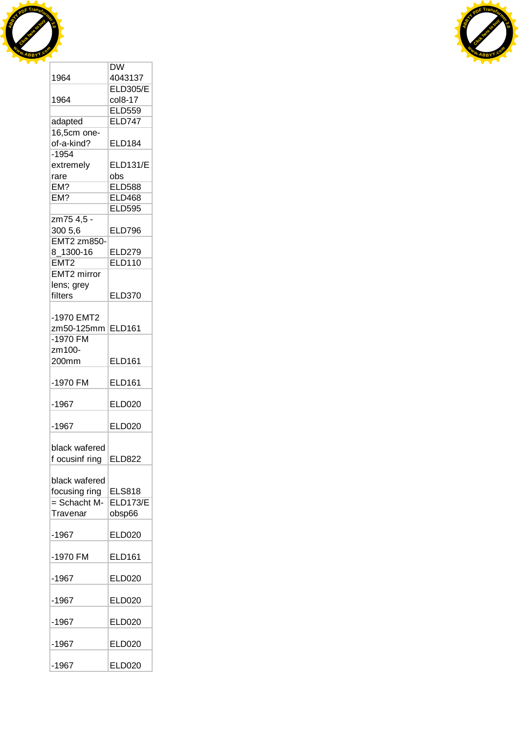



|                    | <b>DW</b>       |
|--------------------|-----------------|
| 1964               | 4043137         |
|                    | <b>ELD305/E</b> |
| 1964               | col8-17         |
|                    | <b>ELD559</b>   |
| adapted            | <b>ELD747</b>   |
| 16,5cm one-        |                 |
| of-a-kind?         | <b>ELD184</b>   |
| $-1954$            |                 |
|                    |                 |
| extremely          | <b>ELD131/E</b> |
| rare               | obs             |
| EM?                | <b>ELD588</b>   |
| EM?                | <b>ELD468</b>   |
|                    | <b>ELD595</b>   |
| zm75 4,5 -         |                 |
| 300 5,6            | <b>ELD796</b>   |
| <b>EMT2 zm850-</b> |                 |
| 8_1300-16          | <b>ELD279</b>   |
| EMT <sub>2</sub>   | <b>ELD110</b>   |
|                    |                 |
| EMT2 mirror        |                 |
| lens; grey         |                 |
| filters            | <b>ELD370</b>   |
|                    |                 |
| -1970 EMT2         |                 |
| zm50-125mm         | <b>ELD161</b>   |
| -1970 FM           |                 |
| zm100-             |                 |
| 200mm              | <b>ELD161</b>   |
|                    |                 |
| -1970 FM           | <b>ELD161</b>   |
|                    |                 |
| $-1967$            | <b>ELD020</b>   |
|                    |                 |
| $-1967$            | <b>ELD020</b>   |
|                    |                 |
| black wafered      |                 |
| f ocusinf ring     | ELD822          |
|                    |                 |
| black wafered      |                 |
|                    |                 |
| focusing ring      | <b>ELS818</b>   |
| $=$ Schacht M-     | <b>ELD173/E</b> |
| Travenar           | obsp66          |
|                    |                 |
| $-1967$            | <b>ELD020</b>   |
|                    |                 |
| -1970 FM           | <b>ELD161</b>   |
|                    |                 |
| $-1967$            | <b>ELD020</b>   |
|                    |                 |
| $-1967$            | <b>ELD020</b>   |
|                    |                 |
| $-1967$            | <b>ELD020</b>   |
|                    |                 |
| $-1967$            | <b>ELD020</b>   |
|                    |                 |
| $-1967$            | <b>ELD020</b>   |
|                    |                 |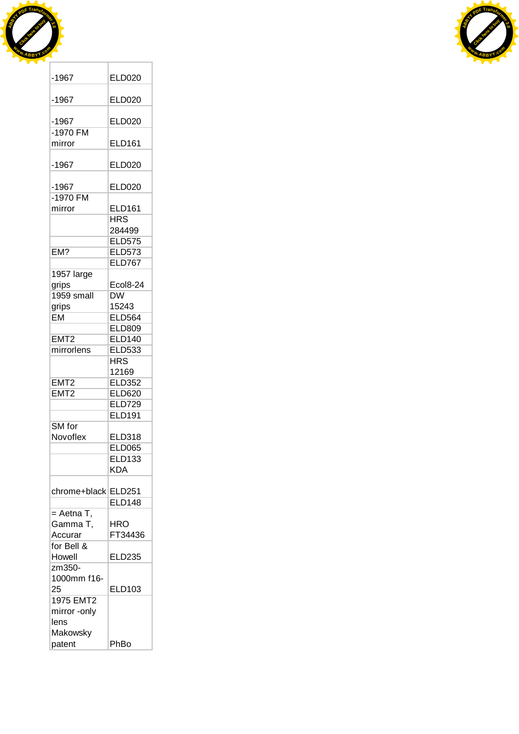



| -1967            | ELD020          |
|------------------|-----------------|
|                  |                 |
| $-1967$          | <b>ELD020</b>   |
| $-1967$          | <b>ELD020</b>   |
| -1970 FM         |                 |
| mirror           | <b>ELD161</b>   |
|                  |                 |
| $-1967$          | <b>ELD020</b>   |
|                  |                 |
| $-1967$          | <b>ELD020</b>   |
| -1970 FM         |                 |
| mirror           | <b>ELD161</b>   |
|                  | <b>HRS</b>      |
|                  | 284499          |
|                  | <b>ELD575</b>   |
| EM?              | <b>ELD573</b>   |
|                  | <b>ELD767</b>   |
| 1957 large       |                 |
| grips            | <b>Ecol8-24</b> |
| 1959 small       | <b>DW</b>       |
| grips            | 15243           |
| EM               | <b>ELD564</b>   |
|                  | <b>ELD809</b>   |
| EMT <sub>2</sub> | <b>ELD140</b>   |
| mirrorlens       | <b>ELD533</b>   |
|                  | <b>HRS</b>      |
|                  | 12169           |
| EMT2             | <b>ELD352</b>   |
| EMT <sub>2</sub> | <b>ELD620</b>   |
|                  | <b>ELD729</b>   |
|                  | <b>ELD191</b>   |
| SM for           |                 |
|                  |                 |
| Novoflex         | <b>ELD318</b>   |
|                  | <b>ELD065</b>   |
|                  | <b>ELD133</b>   |
|                  | <b>KDA</b>      |
| chrome+black     | <b>ELD251</b>   |
|                  | <b>ELD148</b>   |
| $=$ Aetna T,     |                 |
| Gamma T,         | <b>HRO</b>      |
| Accurar          |                 |
|                  | FT34436         |
| for Bell &       |                 |
| Howell           | <b>ELD235</b>   |
| zm350-           |                 |
| 1000mm f16-      |                 |
| 25               | ELD103          |
| 1975 EMT2        |                 |
| mirror -only     |                 |
| lens             |                 |
| Makowsky         |                 |
| patent           | PhBo            |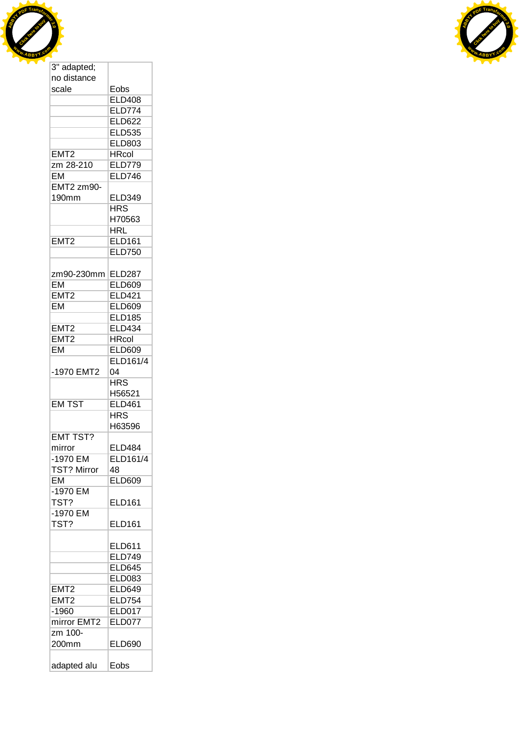



| 3" adapted;      |                 |
|------------------|-----------------|
| no distance      |                 |
| scale            | Eobs            |
|                  | <b>ELD408</b>   |
|                  | <b>ELD774</b>   |
|                  | <b>ELD622</b>   |
|                  | <b>ELD535</b>   |
|                  | <b>ELD803</b>   |
|                  | <b>HRcol</b>    |
| EMT <sub>2</sub> |                 |
| zm 28-210        | <b>ELD779</b>   |
| <b>EM</b>        | <b>ELD746</b>   |
| EMT2 zm90-       |                 |
| 190mm            | <b>ELD349</b>   |
|                  | <b>HRS</b>      |
|                  | H70563          |
|                  | HRL             |
| EMT <sub>2</sub> | <b>ELD161</b>   |
|                  | <b>ELD750</b>   |
|                  |                 |
| zm90-230mm       | <b>ELD287</b>   |
| <b>EM</b>        | <b>ELD609</b>   |
| EMT <sub>2</sub> | <b>ELD421</b>   |
| <b>EM</b>        | <b>ELD609</b>   |
|                  |                 |
|                  | <b>ELD185</b>   |
| EMT <sub>2</sub> | <b>ELD434</b>   |
| EMT <sub>2</sub> | <b>HRcol</b>    |
| EM               | ELD609          |
|                  | <b>ELD161/4</b> |
| -1970 EMT2       | 04              |
|                  | <b>HRS</b>      |
|                  | H56521          |
| <b>EM TST</b>    | <b>ELD461</b>   |
|                  | HRS             |
|                  | H63596          |
| <b>EMT TST?</b>  |                 |
| mirror           | <b>ELD484</b>   |
| -1970 EM         | ELD161/4        |
| TST? Mirror      | 48              |
| <b>EM</b>        |                 |
|                  | <b>ELD609</b>   |
| -1970 EM         |                 |
| TST?             | <b>ELD161</b>   |
| -1970 EM         |                 |
| TST?             | ELD161          |
|                  |                 |
|                  | <b>ELD611</b>   |
|                  | <b>ELD749</b>   |
|                  | <b>ELD645</b>   |
|                  | <b>ELD083</b>   |
| EMT <sub>2</sub> | <b>ELD649</b>   |
| EMT <sub>2</sub> | <b>ELD754</b>   |
|                  |                 |
| $-1960$          | ELD017          |
| mirror EMT2      | <b>ELD077</b>   |
| zm 100-          |                 |
| 200mm            | <b>ELD690</b>   |
| adapted alu      | Eobs            |
|                  |                 |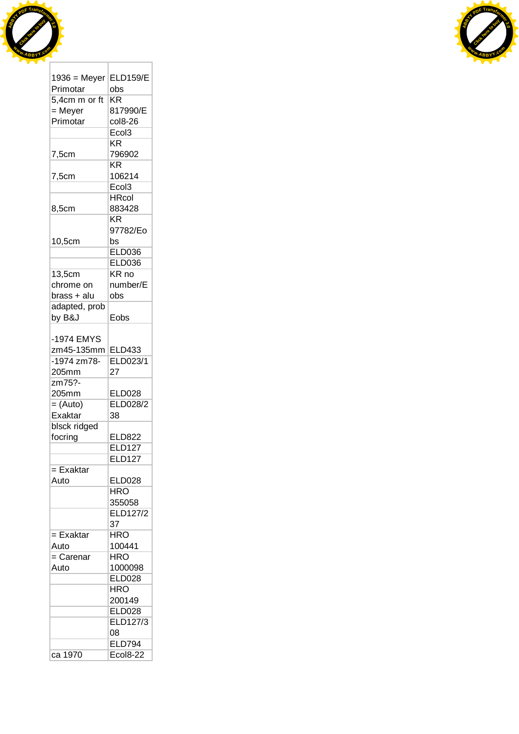



|                | <b>ELD159/E</b>                  |
|----------------|----------------------------------|
| $1936$ = Meyer |                                  |
| Primotar       | obs                              |
| 5,4cm m or ft  | $\overline{\text{KR}}$           |
| = Meyer        | 817990/E                         |
| Primotar       | col8-26                          |
|                | Ecol3                            |
|                | ΚR                               |
| 7,5cm          | 796902                           |
|                | KR                               |
| 7,5cm          | 106214                           |
|                | Ecol <sub>3</sub>                |
|                | <b>HRcol</b>                     |
| 8,5cm          | 883428                           |
|                | <b>KR</b>                        |
|                | 97782/Eo                         |
| 10,5cm         | bs                               |
|                | <b>ELD036</b>                    |
|                | <b>ELD036</b>                    |
| 13,5cm         | KR no                            |
| chrome on      | number/E                         |
| brass + alu    | obs                              |
| adapted, prob  |                                  |
| by B&J         | Eobs                             |
|                |                                  |
| -1974 EMYS     |                                  |
| zm45-135mm     | <b>ELD433</b>                    |
| $-1974$ zm78-  | ELD023/1                         |
| 205mm          | 27                               |
|                |                                  |
| zm75?-         |                                  |
| 205mm          | ELD028                           |
| $=$ (Auto)     | ELD028/2                         |
| Exaktar        | 38                               |
| blsck ridged   |                                  |
|                |                                  |
| focring        | ELD822                           |
|                | <b>ELD127</b>                    |
|                | <b>ELD127</b>                    |
| $=$ Exaktar    |                                  |
| Auto           | <b>ELD028</b>                    |
|                | <b>HRO</b>                       |
|                | 355058                           |
|                | ELD127/2                         |
|                | 37                               |
| = Exaktar      | HRO                              |
| Auto           | 100441                           |
|                | <b>HRO</b>                       |
| $=$ Carenar    |                                  |
| Auto           | 1000098                          |
|                | <b>ELD028</b>                    |
|                | <b>HRO</b>                       |
|                | 200149                           |
|                | <b>ELD028</b>                    |
|                | <b>ELD127/3</b>                  |
|                | 08                               |
| ca 1970        | <b>ELD794</b><br><b>Ecol8-22</b> |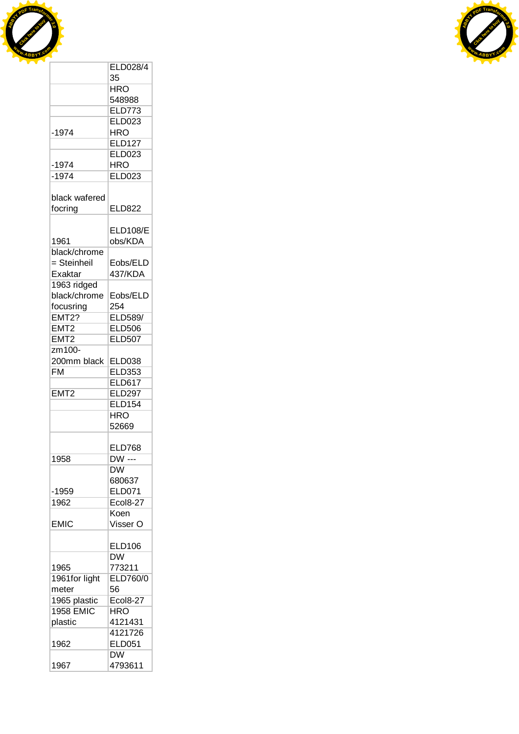



|                  | <b>ELD028/4</b> |
|------------------|-----------------|
|                  | 35              |
|                  | HRO             |
|                  | 548988          |
|                  | <b>ELD773</b>   |
|                  | <b>ELD023</b>   |
| $-1974$          | <b>HRO</b>      |
|                  | <b>ELD127</b>   |
|                  | <b>ELD023</b>   |
|                  |                 |
| -1974            | <b>HRO</b>      |
| $-1974$          | <b>ELD023</b>   |
|                  |                 |
| black wafered    |                 |
| focring          | <b>ELD822</b>   |
|                  |                 |
|                  | <b>ELD108/E</b> |
| 1961             | obs/KDA         |
| black/chrome     |                 |
| = Steinheil      | Eobs/ELD        |
| Exaktar          | 437/KDA         |
| 1963 ridged      |                 |
| black/chrome     | Eobs/ELD        |
| focusring        | 254             |
| <b>EMT2?</b>     | ELD589/         |
| EMT <sub>2</sub> | <b>ELD506</b>   |
| EMT <sub>2</sub> | <b>ELD507</b>   |
|                  |                 |
| zm100-           |                 |
| 200mm black      | <b>ELD038</b>   |
| <b>FM</b>        | <b>ELD353</b>   |
|                  | <b>ELD617</b>   |
| EMT <sub>2</sub> | <b>ELD297</b>   |
|                  | <b>ELD154</b>   |
|                  | <b>HRO</b>      |
|                  | 52669           |
|                  |                 |
|                  | <b>ELD768</b>   |
| 1958             | DW ---          |
|                  | DW              |
|                  | 680637          |
| -1959            | <b>ELD071</b>   |
| 1962             | <b>Ecol8-27</b> |
|                  | Koen            |
| <b>EMIC</b>      | Visser O        |
|                  |                 |
|                  | <b>ELD106</b>   |
|                  | DŴ              |
| 1965             | 773211          |
| 1961for light    | ELD760/0        |
| meter            | 56              |
| 1965 plastic     | <b>Ecol8-27</b> |
| <b>1958 EMIC</b> | <b>HRO</b>      |
| plastic          | 4121431         |
|                  | 4121726         |
|                  | <b>ELD051</b>   |
| 1962             |                 |
|                  | DW              |
| 1967             | 4793611         |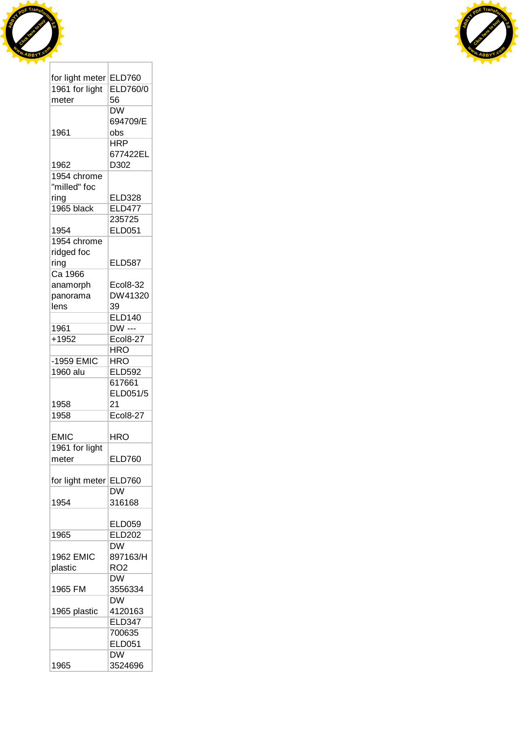



| for light meter  | <b>ELD760</b>                     |
|------------------|-----------------------------------|
| 1961 for light   | <b>ELD760/0</b>                   |
| meter            | 56                                |
|                  | $\overline{\mathsf{D}}\mathsf{W}$ |
|                  | 694709/E                          |
| 1961             | obs                               |
|                  | <b>HRP</b>                        |
|                  | 677422EL                          |
| 1962             | D302                              |
| 1954 chrome      |                                   |
| "milled" foc     |                                   |
| ring             | <b>ELD328</b>                     |
| 1965 black       | <b>ELD477</b>                     |
|                  | 235725                            |
| 1954             | <b>ELD051</b>                     |
| 1954 chrome      |                                   |
| ridged foc       |                                   |
|                  | <b>ELD587</b>                     |
| ring<br>Ca 1966  |                                   |
|                  |                                   |
| anamorph         | <b>Ecol8-32</b>                   |
| panorama         | DW41320                           |
| lens             | 39                                |
|                  | <b>ELD140</b>                     |
| 1961             | DW ---                            |
| $+1952$          | Ecol8-27                          |
|                  | $\overline{\text{HRO}}$           |
| -1959 EMIC       | <b>HRO</b>                        |
| 1960 alu         | <b>ELD592</b>                     |
|                  | 617661                            |
|                  | ELD051/5                          |
| 1958             | 21                                |
| 1958             | <b>Ecol8-27</b>                   |
|                  |                                   |
| <b>EMIC</b>      | HRO                               |
| 1961 for light   |                                   |
| meter            | <b>ELD760</b>                     |
|                  |                                   |
| for light meter  | <b>ELD760</b>                     |
|                  | DW                                |
| 1954             | 316168                            |
|                  |                                   |
|                  | ELD059                            |
| 1965             | <b>ELD202</b>                     |
|                  | DW                                |
| <b>1962 EMIC</b> | 897163/H                          |
| plastic          | RO <sub>2</sub>                   |
|                  | DW                                |
| 1965 FM          | 3556334                           |
|                  | DW                                |
| 1965 plastic     | 4120163                           |
|                  | <b>ELD347</b>                     |
|                  | 700635                            |
|                  | <b>ELD051</b>                     |
|                  | <b>DW</b>                         |
| 1965             | 3524696                           |
|                  |                                   |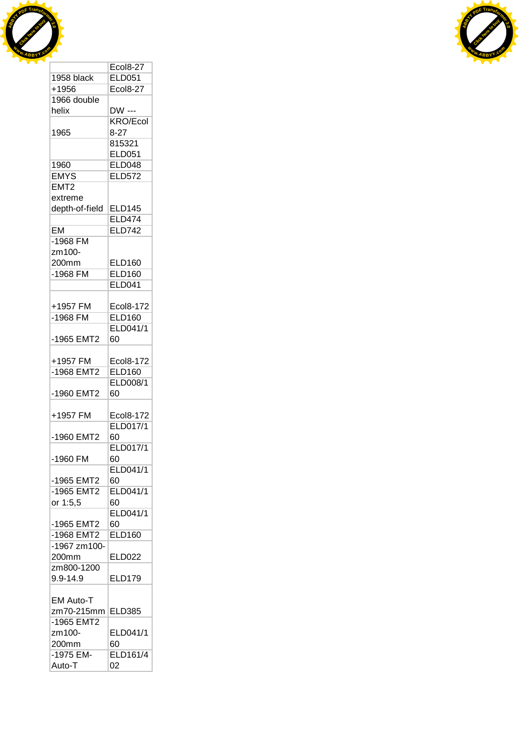



|                  | <b>Ecol8-27</b> |
|------------------|-----------------|
| 1958 black       | <b>ELD051</b>   |
| +1956            | <b>Ecol8-27</b> |
| 1966 double      |                 |
| helix            | DW ---          |
|                  | <b>KRO/Ecol</b> |
| 1965             | $8-27$          |
|                  | 815321          |
|                  | <b>ELD051</b>   |
| 1960             | <b>ELD048</b>   |
| <b>EMYS</b>      | <b>ELD572</b>   |
| EMT <sub>2</sub> |                 |
| extreme          |                 |
| depth-of-field   | <b>ELD145</b>   |
|                  | <b>ELD474</b>   |
| <b>EM</b>        | <b>ELD742</b>   |
| $-1968$ FM       |                 |
| zm100-           |                 |
| 200mm            | <b>ELD160</b>   |
|                  |                 |
| $-1968$ FM       | <b>ELD160</b>   |
|                  | <b>ELD041</b>   |
|                  |                 |
| +1957 FM         | Ecol8-172       |
| -1968 FM         | <b>ELD160</b>   |
|                  | ELD041/1        |
| -1965 EMT2       | 60              |
|                  |                 |
| +1957 FM         | Ecol8-172       |
| -1968 EMT2       | <b>ELD160</b>   |
|                  | <b>ELD008/1</b> |
| -1960 EMT2       | 60              |
|                  |                 |
| +1957 FM         | Ecol8-172       |
|                  | <b>ELD017/1</b> |
| -1960 EMT2       | 60              |
|                  | ELD017/1        |
| -1960 FM         | 60              |
|                  | ELD041/1        |
| -1965 EMT2       | 60              |
| -1965 EMT2       | ELD041/1        |
| or 1:5,5         | 60              |
|                  | ELD041/1        |
| -1965 EMT2       | 60              |
| -1968 EMT2       | <b>ELD160</b>   |
| -1967 zm100-     |                 |
| 200mm            | <b>ELD022</b>   |
| zm800-1200       |                 |
| 9.9-14.9         | ELD179          |
|                  |                 |
| <b>EM Auto-T</b> |                 |
| zm70-215mm       | <b>ELD385</b>   |
| -1965 EMT2       |                 |
| zm100-           | ELD041/1        |
| 200mm            | 60              |
| -1975 EM-        | <b>ELD161/4</b> |
| Auto-T           | 02              |
|                  |                 |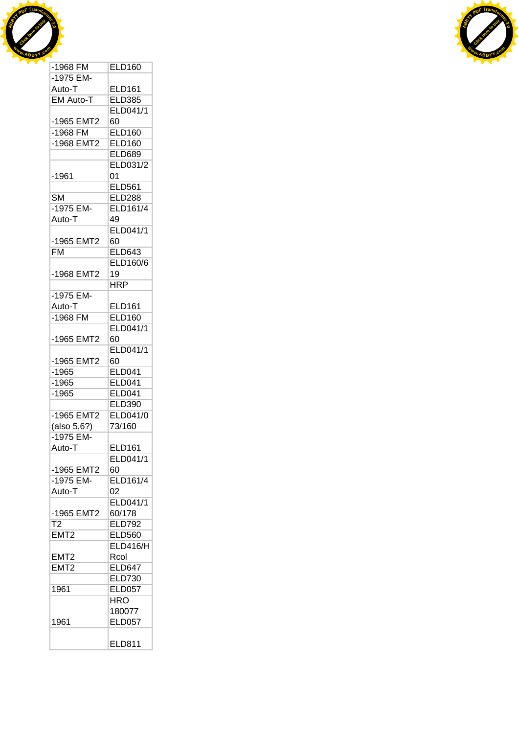



| $-1968$ FM       | <b>ELD160</b>   |
|------------------|-----------------|
| -1975 EM-        |                 |
| Auto-T           | <b>ELD161</b>   |
| <b>EM Auto-T</b> | <b>ELD385</b>   |
|                  | ELD041/1        |
| -1965 EMT2       | 60              |
| $-1968$ FM       | <b>ELD160</b>   |
| -1968 EMT2       | <b>ELD160</b>   |
|                  | <b>ELD689</b>   |
|                  | ELD031/2        |
| -1961            | 01              |
|                  | <b>ELD561</b>   |
| SМ               | <b>ELD288</b>   |
| -1975 EM-        | ELD161/4        |
| Auto-T           | 49              |
|                  | ELD041/1        |
| -1965 EMT2       | 60              |
| <b>FM</b>        | <b>ELD643</b>   |
|                  | ELD160/6        |
| -1968 EMT2       | 19              |
|                  | <b>HRP</b>      |
| -1975 EM-        |                 |
| Auto-T           | <b>ELD161</b>   |
| -1968 FM         | <b>ELD160</b>   |
|                  | ELD041/1        |
| -1965 EMT2       | 60              |
|                  | ELD041/1        |
| -1965 EMT2       | 60              |
| $-1965$          | <b>ELD041</b>   |
| $-1965$          | <b>ELD041</b>   |
| $-1965$          | <b>ELD041</b>   |
|                  | <b>ELD390</b>   |
| -1965 EMT2       | <b>ELD041/0</b> |
| (also 5,6?)      | 73/160          |
| -1975 EM-        |                 |
| Auto-T           | <b>ELD161</b>   |
|                  | ELD041/1        |
| -1965 EMT2       | 60              |
| -1975 EM-        | <b>ELD161/4</b> |
| Auto-T           | 02              |
|                  | ELD041/1        |
| -1965 EMT2       | 60/178          |
| $\overline{12}$  | <b>ELD792</b>   |
| EMT <sub>2</sub> | <b>ELD560</b>   |
|                  | ELD416/H        |
| EMT2             | Rcol            |
| EMT <sub>2</sub> | <b>ELD647</b>   |
|                  | <b>ELD730</b>   |
| 1961             | <b>ELD057</b>   |
|                  | <b>HRO</b>      |
|                  | 180077          |
| 1961             | <b>ELD057</b>   |
|                  |                 |
|                  |                 |
|                  | <b>ELD811</b>   |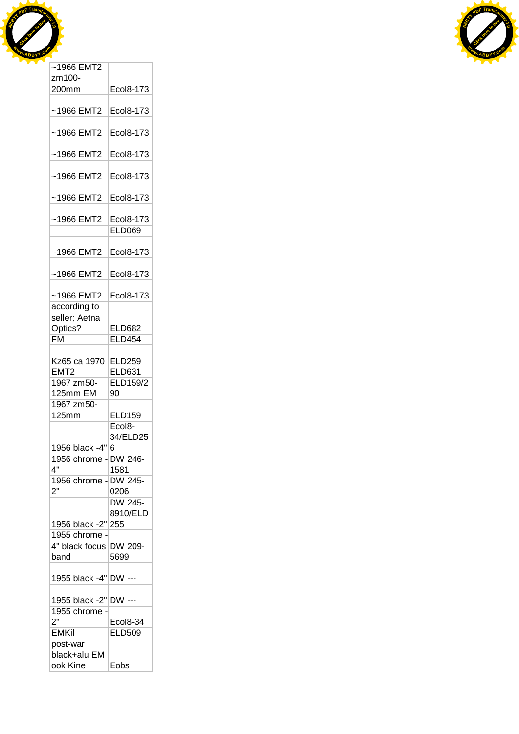



| zm100-                   |                            |
|--------------------------|----------------------------|
| 200mm                    | Ecol8-173                  |
| $~1966$ EMT2             | Ecol8-173                  |
|                          |                            |
| $~1966$ EMT2             | Ecol8-173                  |
| $~1966$ EMT2             | Ecol8-173                  |
| $~1966$ EMT2             | Ecol8-173                  |
| $~1966$ EMT2             | Ecol8-173                  |
| $~1966$ EMT2             | Ecol8-173<br><b>ELD069</b> |
| ~1966 EMT2               | Ecol8-173                  |
| ~1966 EMT2               | Ecol8-173                  |
| ~1966 EMT2               | Ecol8-173                  |
| according to             |                            |
| seller; Aetna            |                            |
| Optics?                  | <b>ELD682</b>              |
| <b>FM</b>                | <b>ELD454</b>              |
|                          |                            |
| Kz65 ca 1970             | <b>ELD259</b>              |
| EMT2                     | <b>ELD631</b>              |
| 1967 zm50-               | <b>ELD159/2</b>            |
| 125mm EM                 | 90                         |
| 1967 zm50-               |                            |
| 125mm                    | <b>ELD159</b>              |
|                          | Ecol8-                     |
|                          |                            |
|                          | 34/ELD25                   |
| 1956 black -4" 6         |                            |
| 1956 chrome - DW 246-    |                            |
| 4"                       | 1581                       |
| 1956 chrome - DW 245-    |                            |
| 2"                       | 0206                       |
|                          | DW 245-                    |
|                          | 8910/ELD                   |
| 1956 black -2"           | 255                        |
| 1955 chrome              |                            |
| 4" black focus           | DW 209-                    |
| band                     | 5699                       |
|                          |                            |
| 1955 black -4" DW ---    |                            |
| 1955 black -2" DW ---    |                            |
| 1955 chrome -            |                            |
| 2"                       | Ecol8-34                   |
| <b>EMKil</b>             | <b>ELD509</b>              |
| post-war                 |                            |
| black+alu EM<br>ook Kine |                            |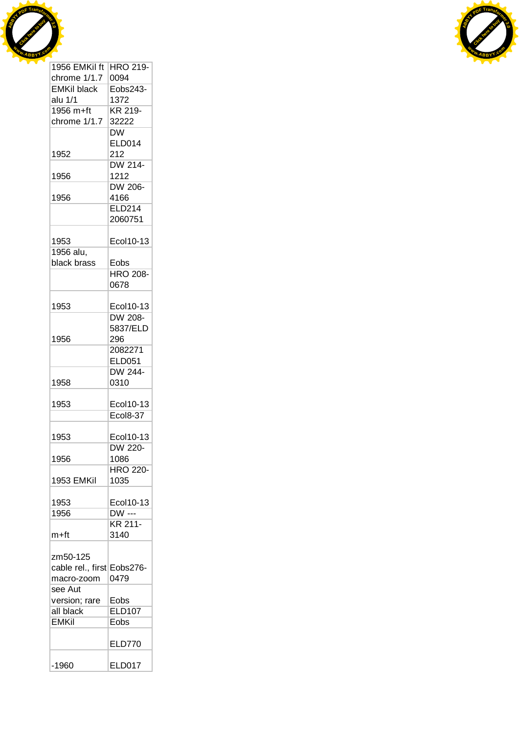



| 1956 EMKil ft              | HRO 219-                |
|----------------------------|-------------------------|
| chrome 1/1.7               | 0094                    |
| <b>EMKil black</b>         | Eobs243-                |
| alu 1/1                    | 1372                    |
| $1956 m + ft$              | KR 219-                 |
| chrome 1/1.7               | 32222                   |
|                            | DW                      |
|                            | ELD014                  |
| 1952                       | 212                     |
|                            | DW 214-                 |
| 1956                       | 1212                    |
|                            | DW 206-                 |
| 1956                       | 4166                    |
|                            | <b>ELD214</b>           |
|                            | 2060751                 |
|                            |                         |
| 1953                       | Ecol10-13               |
| 1956 alu,                  |                         |
| black brass                |                         |
|                            | Eobs<br><b>HRO 208-</b> |
|                            |                         |
|                            | 0678                    |
|                            |                         |
| 1953                       | Ecol10-13               |
|                            | DW 208-                 |
|                            | 5837/ELD                |
| 1956                       | 296                     |
|                            | 2082271                 |
|                            | <b>ELD051</b>           |
|                            | DW 244-                 |
| 1958                       | 0310                    |
|                            |                         |
| 1953                       | Ecol10-13               |
|                            | Ecol8-37                |
|                            |                         |
| 1953                       | Ecol10-13               |
|                            | <b>DW 220-</b>          |
| 1956                       | 1086                    |
|                            | <b>HRO 220-</b>         |
| 1953 EMKil                 | 1035                    |
|                            |                         |
| 1953                       | Ecol10-13               |
| 1956                       | <b>DW</b> ---           |
|                            | KR 211-                 |
| m+ft                       | 3140                    |
|                            |                         |
| zm50-125                   |                         |
| cable rel., first Eobs276- |                         |
| macro-zoom                 | 0479                    |
| see Aut                    |                         |
| version; rare              | Eobs                    |
| all black                  | <b>ELD107</b>           |
| <b>EMKil</b>               | Eobs                    |
|                            |                         |
|                            | <b>ELD770</b>           |
|                            |                         |
| $-1960$                    | <b>ELD017</b>           |
|                            |                         |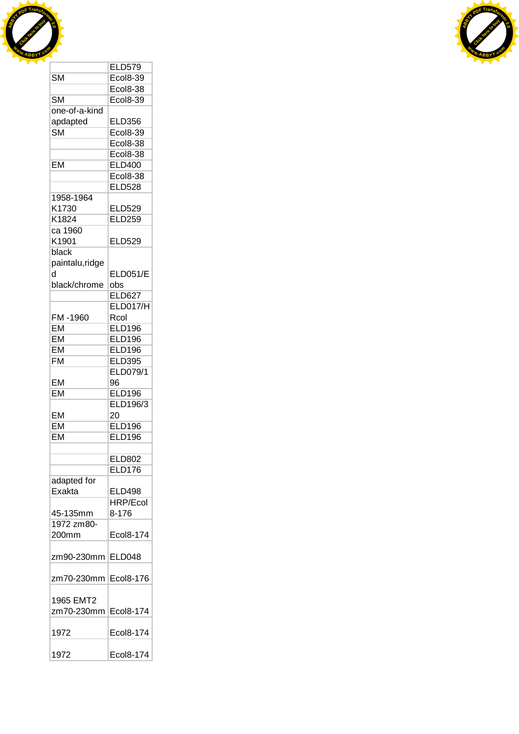



|                        | <b>ELD579</b>                    |
|------------------------|----------------------------------|
| <b>SM</b>              | <b>Ecol8-39</b>                  |
|                        |                                  |
|                        | <b>Ecol8-38</b>                  |
| <b>SM</b>              | <b>Ecol8-39</b>                  |
| one-of-a-kind          |                                  |
| apdapted               | <b>ELD356</b>                    |
| $\overline{\text{SM}}$ | <b>Ecol8-39</b>                  |
|                        | Ecol8-38                         |
|                        | $\overline{\text{col8-38}}$<br>F |
| EM                     |                                  |
|                        | <b>ELD400</b>                    |
|                        | <b>Ecol8-38</b>                  |
|                        | <b>ELD528</b>                    |
| 1958-1964              |                                  |
| K1730                  | <b>ELD529</b>                    |
| K1824                  | <b>ELD259</b>                    |
| ca 1960                |                                  |
| K1901                  | <b>ELD529</b>                    |
| black                  |                                  |
|                        |                                  |
| paintalu, ridge        |                                  |
| h                      | <b>ELD051/E</b>                  |
| black/chrome           | obs                              |
|                        | <b>ELD627</b>                    |
|                        | <b>ELD017/H</b>                  |
| FM-1960                | Rcol                             |
| EM                     | <b>ELD196</b>                    |
| EM                     | <b>ELD196</b>                    |
|                        |                                  |
| EM                     | <b>ELD196</b>                    |
| <b>FM</b>              | <b>ELD395</b>                    |
|                        | <b>ELD079/1</b>                  |
| EM                     | 96                               |
| EM                     | <b>ELD196</b>                    |
|                        | ELD196/3                         |
| EM                     | 20                               |
| EM                     | <b>ELD196</b>                    |
|                        |                                  |
| <b>EM</b>              | <b>ELD196</b>                    |
|                        |                                  |
|                        | ELD802                           |
|                        | <b>ELD176</b>                    |
| adapted for            |                                  |
| Exakta                 | <b>ELD498</b>                    |
|                        | <b>HRP/Ecol</b>                  |
| 45-135mm               | 8-176                            |
|                        |                                  |
| 1972 zm80-             |                                  |
| 200mm                  | Ecol8-174                        |
|                        |                                  |
| zm90-230mm             | <b>ELD048</b>                    |
|                        |                                  |
| zm70-230mm             | Ecol8-176                        |
|                        |                                  |
|                        |                                  |
| 1965 EMT2              |                                  |
| zm70-230mm             | Ecol8-174                        |
|                        |                                  |
| 1972                   | Ecol8-174                        |
|                        |                                  |
| 1972                   | Ecol8-174                        |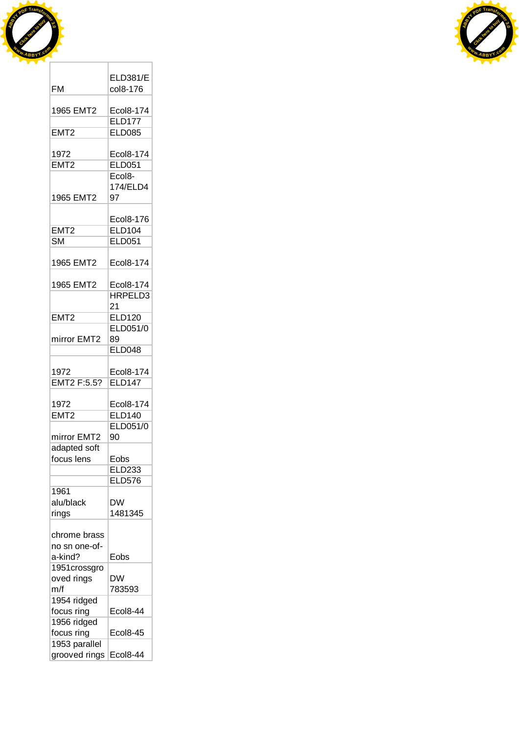



| FM                             | <b>ELD381/E</b><br>col8-176 |
|--------------------------------|-----------------------------|
| 1965 EMT2                      | <b>Ecol8-174</b>            |
|                                | <b>ELD177</b>               |
| EMT <sub>2</sub>               | <b>ELD085</b>               |
| 1972                           | Ecol8-174                   |
| EMT <sub>2</sub>               | <b>ELD051</b>               |
|                                | Ecol <sub>8</sub> -         |
|                                | 174/ELD4                    |
| 1965 EMT2                      | 97                          |
|                                | Ecol8-176                   |
| EMT <sub>2</sub>               | <b>ELD104</b>               |
| <b>SM</b>                      | <b>ELD051</b>               |
|                                |                             |
| 1965 EMT2                      | <b>Ecol8-174</b>            |
| 1965 EMT2                      | Ecol8-174                   |
|                                | HRPELD3                     |
|                                | 21                          |
| EMT <sub>2</sub>               | <b>ELD120</b>               |
|                                | ELD051/0                    |
| mirror EMT2                    | 89                          |
|                                | <b>ELD048</b>               |
|                                |                             |
| 1972                           | Ecol8-174                   |
| EMT2 F:5.5?                    | <b>ELD147</b>               |
| 1972                           | Ecol8-174                   |
| EMT <sub>2</sub>               | <b>ELD140</b>               |
|                                | <b>ELD051/0</b>             |
| mirror EMT2                    | 90                          |
| adapted soft                   |                             |
| focus lens                     | Eobs                        |
|                                | ELD233                      |
|                                | <b>ELD576</b>               |
| 1961                           |                             |
| alu/black                      | <b>DW</b>                   |
| rings                          | 1481345                     |
|                                |                             |
| chrome brass                   |                             |
| no sn one-of-                  |                             |
| a-kind?                        | Eobs                        |
| 1951crossgro                   |                             |
| oved rings                     | DW                          |
| m/f                            | 783593                      |
| 1954 ridged                    |                             |
| focus ring                     | Ecol8-44                    |
| 1956 ridged                    |                             |
| focus ring                     | <b>Ecol8-45</b>             |
| 1953 parallel<br>grooved rings | <b>Ecol8-44</b>             |
|                                |                             |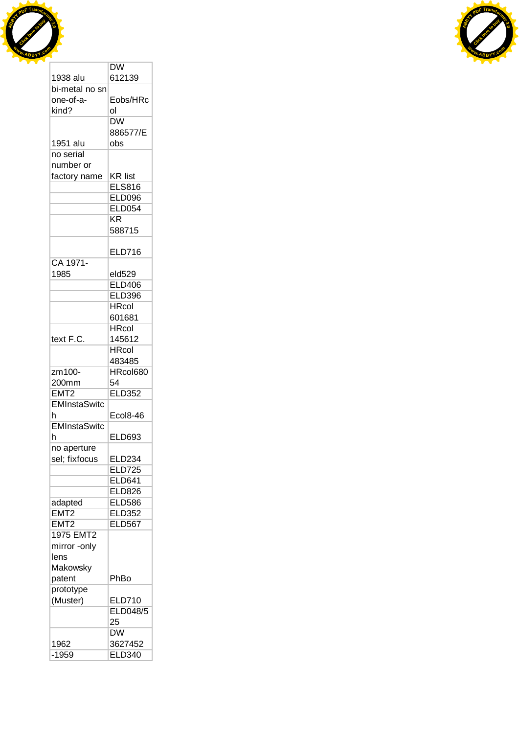



|                     | DW                     |
|---------------------|------------------------|
| 1938 alu            | 612139                 |
| bi-metal no sn      |                        |
| one-of-a-           | Eobs/HRc               |
| kind?               | ol                     |
|                     | $\overline{\text{DW}}$ |
|                     | 886577/E               |
| 1951 alu            | obs                    |
| no serial           |                        |
| number or           |                        |
| factory name        | <b>KR list</b>         |
|                     | <b>ELS816</b>          |
|                     |                        |
|                     | <b>ELD096</b>          |
|                     | <b>ELD054</b>          |
|                     | KR                     |
|                     | 588715                 |
|                     |                        |
|                     | <b>ELD716</b>          |
| CA 1971-            |                        |
| 1985                | eld529                 |
|                     | <b>ELD406</b>          |
|                     | <b>ELD396</b>          |
|                     | <b>HRcol</b>           |
|                     | 601681                 |
|                     | <b>HRcol</b>           |
| text F.C.           | 145612                 |
|                     | <b>HRcol</b>           |
|                     | 483485                 |
| zm100-              | HRcol680               |
| 200mm               | 54                     |
| EMT <sub>2</sub>    | <b>ELD352</b>          |
| <b>EMInstaSwitc</b> |                        |
|                     |                        |
| h                   | <b>Ecol8-46</b>        |
| <b>EMInstaSwitc</b> |                        |
| h                   | ELD693                 |
| no aperture         |                        |
| sel; fixfocus       | ELD234                 |
|                     | <b>ELD725</b>          |
|                     | <b>ELD641</b>          |
|                     | <b>ELD826</b>          |
| adapted             | <b>ELD586</b>          |
| EMT <sub>2</sub>    | <b>ELD352</b>          |
| EMT <sub>2</sub>    | <b>ELD567</b>          |
| 1975 EMT2           |                        |
| mirror -only        |                        |
| lens                |                        |
| Makowsky            |                        |
| patent              | PhBo                   |
| prototype           |                        |
| (Muster)            | ELD710                 |
|                     | ELD048/5               |
|                     | 25                     |
|                     |                        |
|                     | <b>DW</b>              |
| 1962                | 3627452                |
| $-1959$             | <b>ELD340</b>          |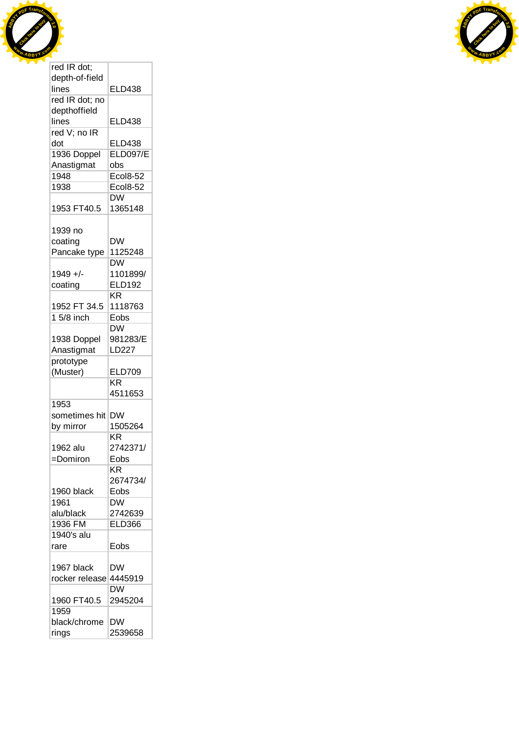



| red IR dot;    |                        |
|----------------|------------------------|
| depth-of-field |                        |
| lines          | <b>ELD438</b>          |
| red IR dot; no |                        |
| depthoffield   |                        |
| lines          | <b>ELD438</b>          |
| red V; no IR   |                        |
| dot            | <b>ELD438</b>          |
| 1936 Doppel    | <b>ELD097/E</b>        |
| Anastigmat     | obs                    |
| 1948           | <b>Ecol8-52</b>        |
| 1938           | <b>Ecol8-52</b>        |
|                |                        |
|                | <b>DW</b>              |
| 1953 FT40.5    | 1365148                |
|                |                        |
| 1939 no        |                        |
| coating        | <b>DW</b>              |
| Pancake type   | 1125248                |
|                | <b>DW</b>              |
| 1949 +/-       | 1101899/               |
| coating        | <b>ELD192</b>          |
|                | $\overline{\text{KR}}$ |
| 1952 FT 34.5   | 1118763                |
| 1 5/8 inch     | Eobs                   |
|                | DW                     |
| 1938 Doppel    | 981283/E               |
| Anastigmat     | LD227                  |
| prototype      |                        |
| (Muster)       | <b>ELD709</b>          |
|                | KR                     |
|                | 4511653                |
| 1953           |                        |
|                |                        |
| sometimes hit  | <b>DW</b>              |
| by mirror      | 1505264                |
|                | <b>KR</b>              |
| 1962 alu       | 2742371/               |
| =Domiron       | Eobs                   |
|                | KR                     |
|                | 2674734/               |
| 1960 black     | Eobs                   |
| 1961           | DW                     |
| alu/black      | 2742639                |
| 1936 FM        | <b>ELD366</b>          |
| 1940's alu     |                        |
| rare           | Eobs                   |
|                |                        |
| 1967 black     | DW                     |
| rocker release | 4445919                |
|                | DW                     |
| 1960 FT40.5    | 2945204                |
| 1959           |                        |
|                |                        |
| black/chrome   | DW                     |
| rings          | 2539658                |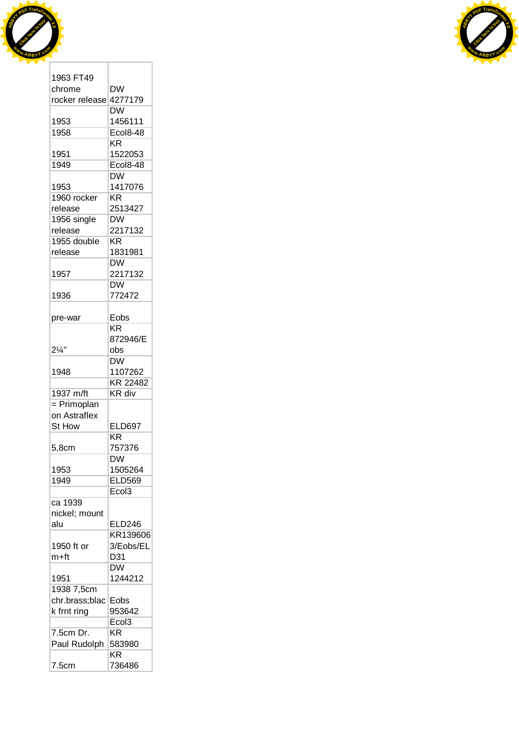



| 1963 FT49              |                        |
|------------------------|------------------------|
| chrome                 | DW                     |
| rocker release 4277179 |                        |
|                        | <b>DW</b>              |
| 1953                   | 1456111                |
| 1958                   | <b>Ecol8-48</b>        |
|                        |                        |
|                        | ΚR                     |
| 1951                   | 1522053                |
| 1949                   | Ecol8-48               |
|                        | <b>DW</b>              |
| 1953                   | 1417076                |
| 1960 rocker            | KR.                    |
| release                | 2513427                |
| 1956 single            | <b>DW</b>              |
|                        |                        |
| release                | 2217132                |
| 1955 double            | KR                     |
| release                | 1831981                |
|                        | <b>DW</b>              |
| 1957                   | 2217132                |
|                        | <b>DW</b>              |
| 1936                   | 772472                 |
|                        |                        |
|                        |                        |
| pre-war                | Eobs                   |
|                        | <b>KR</b>              |
|                        | 872946/E               |
| $2\frac{1}{4}$ "       | obs                    |
|                        | $\overline{\text{DW}}$ |
| 1948                   | 1107262                |
|                        | KR 22482               |
|                        |                        |
| 1937 m/ft              | KR div                 |
| $=$ Primoplan          |                        |
| on Astraflex           |                        |
| St How                 | <b>ELD697</b>          |
|                        | KR                     |
| 5,8cm                  | 757376                 |
|                        | <b>DW</b>              |
| 1953                   | 1505264                |
|                        |                        |
| 1949                   | <b>ELD569</b>          |
|                        | Ecol <sub>3</sub>      |
| ca 1939                |                        |
| nickel; mount          |                        |
| alu                    | <b>ELD246</b>          |
|                        | KR139606               |
| 1950 ft or             | 3/Eobs/EL              |
|                        |                        |
| m+ft                   | D31                    |
|                        | <b>DW</b>              |
| 1951                   | 1244212                |
| 1938 7,5cm             |                        |
| chr.brass;blac         | Eobs                   |
| k frnt ring            | 953642                 |
|                        | Ecol <sub>3</sub>      |
| 7.5cm Dr.              | KR                     |
|                        |                        |
| Paul Rudolph           | 583980                 |
|                        | <b>KR</b>              |
| 7.5cm                  | 736486                 |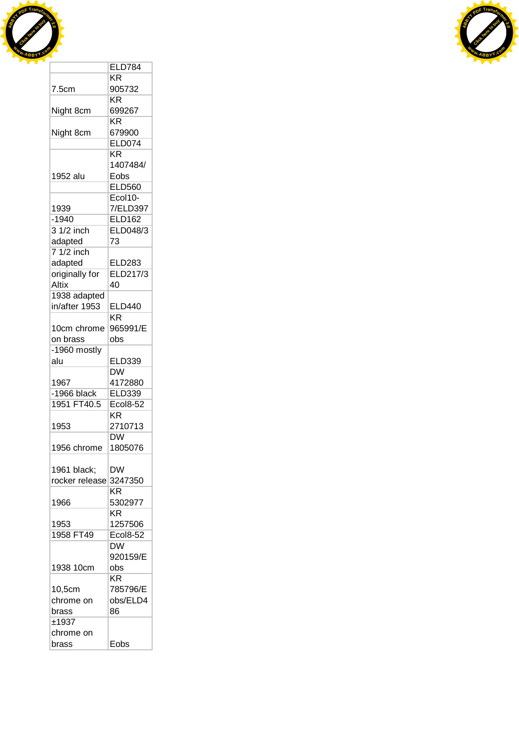



|                | <b>ELD784</b>   |
|----------------|-----------------|
|                | ΚR              |
| 7.5cm          | 905732          |
|                | KR              |
| Night 8cm      | 699267          |
|                | <b>KR</b>       |
| Night 8cm      | 679900          |
|                | <b>ELD074</b>   |
|                | <b>KR</b>       |
|                | 1407484/        |
| 1952 alu       | Eobs            |
|                | <b>ELD560</b>   |
|                | Ecol10-         |
| 1939           | 7/ELD397        |
| $-1940$        | <b>ELD162</b>   |
| 3 1/2 inch     | ELD048/3        |
| adapted        | 73              |
| 7 1/2 inch     |                 |
| adapted        | <b>ELD283</b>   |
| originally for | ELD217/3        |
| Altix          | 40              |
| 1938 adapted   |                 |
| in/after 1953  | <b>ELD440</b>   |
|                | KR              |
| 10cm chrome    | 965991/E        |
| on brass       | obs             |
| -1960 mostly   |                 |
| alu            | <b>ELD339</b>   |
|                | <b>DW</b>       |
| 1967           | 4172880         |
| $-1966$ black  | <b>ELD339</b>   |
| 1951 FT40.5    | <b>Ecol8-52</b> |
|                | KR              |
| 1953           | 2710713         |
|                | <b>DW</b>       |
| 1956 chrome    | 1805076         |
|                |                 |
| 1961 black;    | DW              |
| rocker release | 3247350         |
|                | ΚR              |
| 1966           | 5302977         |
|                | $K\overline{R}$ |
| 1953           | 1257506         |
| 1958 FT49      | <b>Ecol8-52</b> |
|                | <b>DW</b>       |
|                | 920159/E        |
| 1938 10cm      | obs             |
|                | KR              |
| 10,5cm         | 785796/E        |
| chrome on      | obs/ELD4        |
| brass          | 86              |
| ±1937          |                 |
| chrome on      |                 |
| brass          | Eobs            |
|                |                 |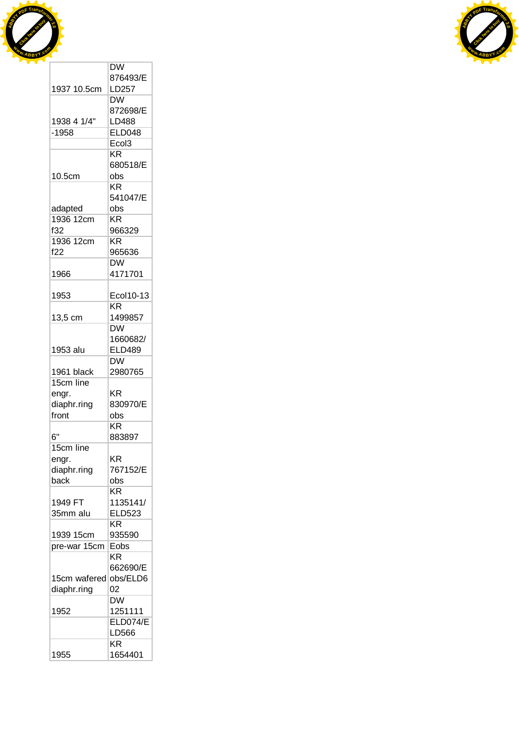



|              | DW                       |
|--------------|--------------------------|
|              | 876493/E                 |
| 1937 10.5cm  | LD257                    |
|              | <b>DW</b>                |
|              | 872698/E                 |
| 1938 4 1/4"  | LD488                    |
| $-1958$      | <b>ELD048</b>            |
|              | Ecol <sub>3</sub>        |
|              | <b>KR</b>                |
|              |                          |
|              | 680518/E                 |
| 10.5cm       | obs                      |
|              | <b>KR</b>                |
|              | 541047/E                 |
| adapted      | obs                      |
| 1936 12cm    | KR                       |
| f32          | 966329                   |
| 1936 12cm    | <b>KR</b>                |
| f22          | 965636                   |
|              | <b>DW</b>                |
| 1966         | 4171701                  |
|              |                          |
| 1953         | Ecol10-13                |
|              | KR                       |
| 13,5 cm      | 1499857                  |
|              | <b>DW</b>                |
|              |                          |
|              | 1660682/                 |
| 1953 alu     | <b>ELD489</b>            |
|              | <b>DW</b>                |
| 1961 black   | 2980765                  |
| 15cm line    |                          |
| engr.        | KR                       |
| diaphr.ring  | 830970/E                 |
| front        | obs                      |
|              | KR                       |
| 6"           | 883897                   |
| 15cm line    |                          |
| engr.        | ΚR                       |
| diaphr.ring  | 767152/E                 |
| back         | obs                      |
|              | ΚR                       |
| 1949 FT      | 1135141/                 |
|              |                          |
| 35mm alu     | <b>ELD523</b>            |
|              | KR                       |
| 1939 15cm    | 935590                   |
| pre-war 15cm | Eobs                     |
|              | KR                       |
|              | 662690/E                 |
| 15cm wafered | obs/ELD6                 |
| diaphr.ring  | 02                       |
|              | $\overline{\mathsf{DW}}$ |
| 1952         | 1251111                  |
|              | ELD074/E                 |
|              | LD566                    |
|              | ΚR                       |
|              |                          |
| 1955         | 1654401                  |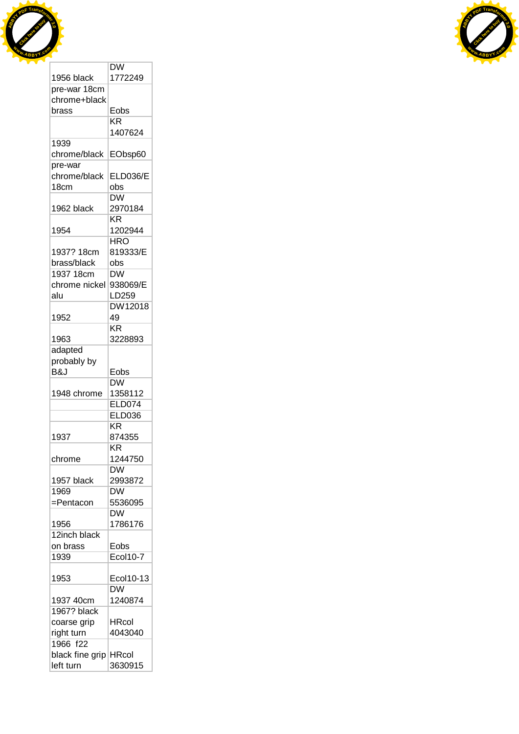



| 1956 black                  | 1772249         |
|-----------------------------|-----------------|
| pre-war 18cm                |                 |
| chrome+black                |                 |
| brass                       | Eobs            |
|                             | KR              |
|                             | 1407624         |
| 1939                        |                 |
| chrome/black                | EObsp60         |
| pre-war                     |                 |
| chrome/black                | <b>ELD036/E</b> |
| 18cm                        | obs             |
|                             | <b>DW</b>       |
| 1962 black                  | 2970184         |
|                             | KR              |
| 1954                        | 1202944         |
|                             | HRO             |
| 1937? 18cm                  | 819333/E        |
| brass/black                 | obs             |
| 1937 18cm                   | DW              |
| chrome nickel               | 938069/E        |
| alu                         | LD259           |
|                             | DW12018         |
| 1952                        | 49              |
|                             | <b>KR</b>       |
| 1963                        | 3228893         |
|                             |                 |
| adapted                     |                 |
| probably by                 |                 |
| B&J                         | Eobs            |
|                             | DW              |
| 1948 chrome                 | 1358112         |
|                             | <b>ELD074</b>   |
|                             | <b>ELD036</b>   |
|                             | KR              |
| 1937                        | 874355          |
|                             | KR              |
| chrome                      | 1244750         |
|                             | DW              |
| 1957 black                  | 2993872         |
| 1969                        | DW              |
| =Pentacon                   | 5536095         |
|                             | DW              |
| 1956                        | 1786176         |
| 12inch black                |                 |
| on brass                    | Eobs            |
| 1939                        | <b>Ecol10-7</b> |
|                             |                 |
| 1953                        | Ecol10-13       |
|                             | <b>DW</b>       |
| 1937 40cm                   | 1240874         |
| 1967? black                 |                 |
| coarse grip                 |                 |
|                             | HRcol           |
|                             | 4043040         |
| right turn                  |                 |
| 1966 f22<br>black fine grip | <b>HRcol</b>    |

DW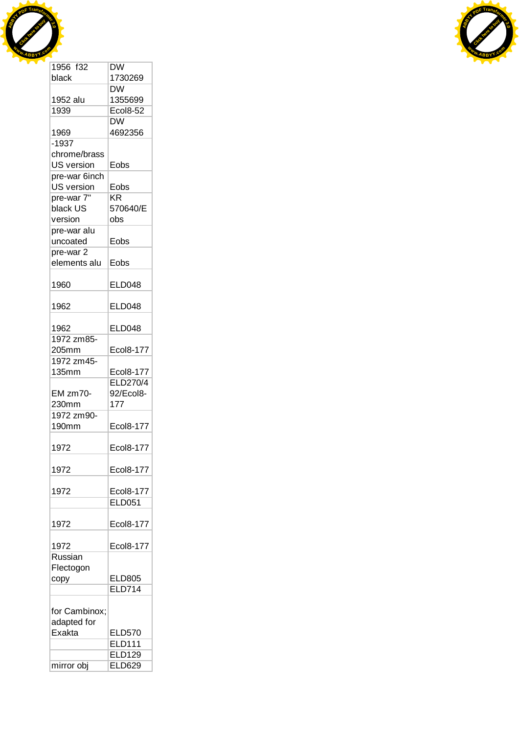



| 1956 f32      | $\overline{\text{DW}}$ |
|---------------|------------------------|
| black         | 1730269                |
|               | <b>DW</b>              |
| 1952 alu      | 1355699                |
| 1939          | <b>Ecol8-52</b>        |
|               | <b>DW</b>              |
| 1969          | 4692356                |
| $-1937$       |                        |
| chrome/brass  |                        |
| US version    | Eobs                   |
| pre-war 6inch |                        |
| US version    | Eobs                   |
| pre-war 7"    | KR                     |
| black US      | 570640/E               |
| version       | obs                    |
| pre-war alu   |                        |
| uncoated      | Eobs                   |
| pre-war 2     |                        |
|               |                        |
| elements alu  | Eobs                   |
| 1960          | <b>ELD048</b>          |
|               |                        |
| 1962          | <b>ELD048</b>          |
|               |                        |
| 1962          | <b>ELD048</b>          |
| 1972 zm85-    |                        |
| 205mm         | Ecol8-177              |
| 1972 zm45-    |                        |
| 135mm         | <b>Ecol8-177</b>       |
|               | ELD270/4               |
| EM zm70-      | 92/Ecol8-              |
| 230mm         | 177                    |
| 1972 zm90-    |                        |
| 190mm         | Ecol8-177              |
|               |                        |
| 1972          | Ecol8-177              |
| 1972          | Ecol8-177              |
|               |                        |
| 1972          | <b>Ecol8-177</b>       |
|               | <b>ELD051</b>          |
|               |                        |
| 1972          | Ecol8-177              |
|               |                        |
| 1972          | Ecol8-177              |
| Russian       |                        |
| Flectogon     |                        |
| copy          | <b>ELD805</b>          |
|               | <b>ELD714</b>          |
|               |                        |
|               |                        |
| for Cambinox; |                        |
| adapted for   |                        |
| Exakta        | <b>ELD570</b>          |
|               | <b>ELD111</b>          |
|               | <b>ELD129</b>          |
| mirror obj    | <b>ELD629</b>          |
|               |                        |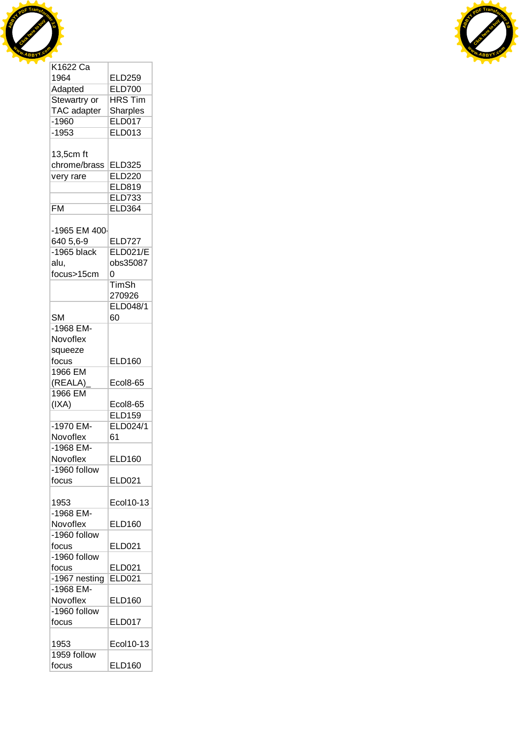



| NTOZZ Ud      |                 |
|---------------|-----------------|
| 1964          | <b>ELD259</b>   |
| Adapted       | <b>ELD700</b>   |
| Stewartry or  | <b>HRS Tim</b>  |
| TAC adapter   | <b>Sharples</b> |
| $-1960$       |                 |
|               | <b>ELD017</b>   |
| $-1953$       | <b>ELD013</b>   |
|               |                 |
| 13,5cm ft     |                 |
| chrome/brass  | <b>ELD325</b>   |
| very rare     | <b>ELD220</b>   |
|               | ELD819          |
|               | <b>ELD733</b>   |
| <b>FM</b>     | <b>ELD364</b>   |
|               |                 |
| -1965 EM 400- |                 |
| 640 5,6-9     | <b>ELD727</b>   |
|               |                 |
| $-1965$ black | <b>ELD021/E</b> |
| alu,          | obs35087        |
| focus>15cm    | Ō               |
|               | <b>TimSh</b>    |
|               | 270926          |
|               | ELD048/1        |
| <b>SM</b>     | 60              |
|               |                 |
| -1968 EM-     |                 |
| Novoflex      |                 |
| squeeze       |                 |
| focus         | <b>ELD160</b>   |
| 1966 EM       |                 |
| (REALA)       | <b>Ecol8-65</b> |
| 1966 EM       |                 |
| (IXA)         | <b>Ecol8-65</b> |
|               | <b>ELD159</b>   |
|               |                 |
| -1970 EM-     | ELD024/1        |
| Novoflex      | 61              |
| -1968 EM-     |                 |
| Novoflex      | <b>ELD160</b>   |
| -1960 follow  |                 |
| focus         | <b>ELD021</b>   |
|               |                 |
| 1953          | Ecol10-13       |
| -1968 EM-     |                 |
| Novoflex      | <b>ELD160</b>   |
| -1960 follow  |                 |
|               |                 |
| focus         | <b>ELD021</b>   |
| -1960 follow  |                 |
| focus         | <b>ELD021</b>   |
| -1967 nesting | <b>ELD021</b>   |
| -1968 EM-     |                 |
| Novoflex      | <b>ELD160</b>   |
| -1960 follow  |                 |
| focus         | <b>ELD017</b>   |
|               |                 |
| 1953          | Ecol10-13       |
| 1959 follow   |                 |
|               |                 |
| focus         | <b>ELD160</b>   |

T.

T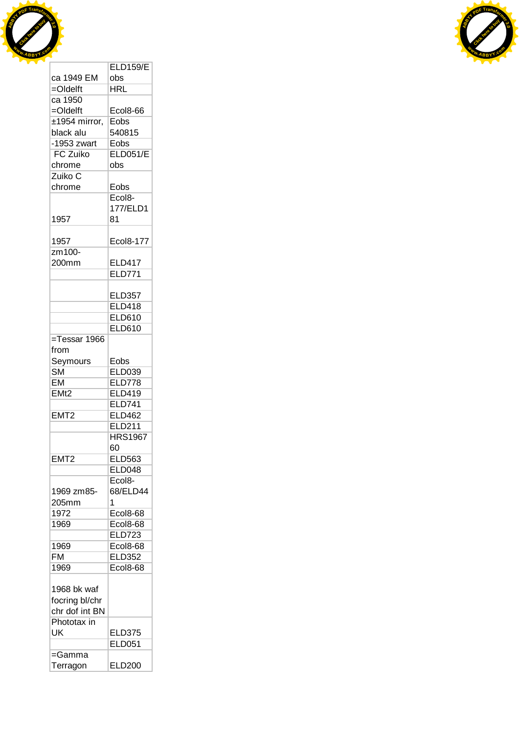



|                        | <b>ELD159/E</b>     |
|------------------------|---------------------|
| ca 1949 EM             | obs                 |
| $=$ Oldelft            | HRL                 |
| ca 1950                |                     |
| $=$ Oldelft            | Ecol8-66            |
| $±1954$ mirror,        | Eobs                |
| black alu              | 540815              |
| $-1953$ zwart          | Eobs                |
| <b>FC Zuiko</b>        | <b>ELD051/E</b>     |
|                        |                     |
| chrome                 | obs                 |
| Zuiko C                |                     |
| chrome                 | Eobs                |
|                        | Ecol <sub>8</sub> - |
|                        | 177/ELD1            |
| 1957                   | 81                  |
|                        |                     |
| 1957                   | Ecol8-177           |
| zm100-                 |                     |
| 200mm                  | <b>ELD417</b>       |
|                        | <b>ELD771</b>       |
|                        |                     |
|                        | <b>ELD357</b>       |
|                        | <b>ELD418</b>       |
|                        |                     |
|                        | ELD610              |
|                        | <b>ELD610</b>       |
| =Tessar 1966           |                     |
| from                   |                     |
| Seymours               | Eobs                |
| $\overline{\text{SM}}$ | <b>ELD039</b>       |
| EM                     | <b>ELD778</b>       |
| EMt2                   | ELD419              |
|                        | <b>ELD741</b>       |
| EMT <sub>2</sub>       | <b>ELD462</b>       |
|                        | <b>ELD211</b>       |
|                        | <b>HRS1967</b>      |
|                        | 60                  |
| EMT <sub>2</sub>       | <b>ELD563</b>       |
|                        | <b>ELD048</b>       |
|                        | Ecol <sub>8</sub> - |
|                        |                     |
| 1969 zm85-             | 68/ELD44            |
| 205mm                  | 1                   |
| 1972                   | Ecol8-68            |
| 1969                   | Ecol8-68            |
|                        | <b>ELD723</b>       |
| 1969                   | <b>Ecol8-68</b>     |
| FM                     | <b>ELD352</b>       |
| 1969                   | <b>Ecol8-68</b>     |
|                        |                     |
| 1968 bk waf            |                     |
| focring bl/chr         |                     |
| chr dof int BN         |                     |
| Phototax in            |                     |
|                        |                     |
| UK                     | <b>ELD375</b>       |
|                        | <b>ELD051</b>       |
| =Gamma                 |                     |
| Terragon               | ELD200              |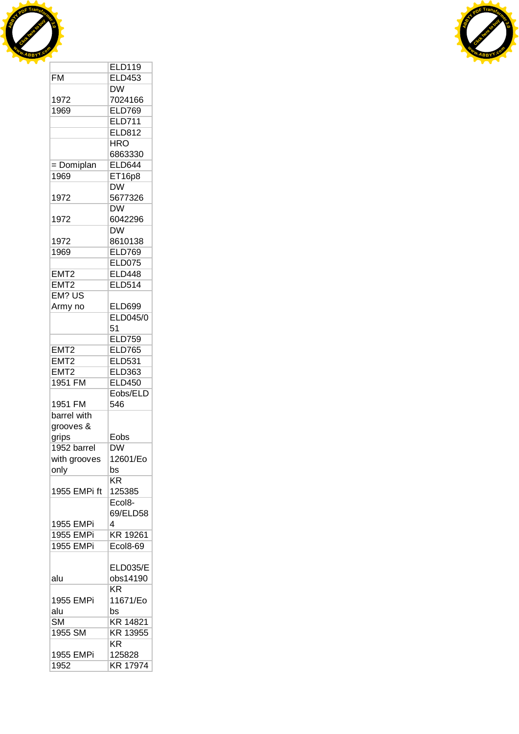



|                        | <b>ELD119</b>       |
|------------------------|---------------------|
|                        |                     |
| <b>FM</b>              | <b>ELD453</b>       |
|                        | DW                  |
| 1972                   | 7024166             |
| 1969                   | <b>ELD769</b>       |
|                        | <b>ELD711</b>       |
|                        | <b>ELD812</b>       |
|                        | <b>HRO</b>          |
|                        | 6863330             |
|                        | <b>ELD644</b>       |
| = Domiplan             |                     |
| 1969                   | ET16p8              |
|                        | <b>DW</b>           |
| 1972                   | 5677326             |
|                        | <b>DW</b>           |
| 1972                   | 6042296             |
|                        | DW                  |
| 1972                   | 8610138             |
| 1969                   | <b>ELD769</b>       |
|                        | <b>ELD075</b>       |
| EMT <sub>2</sub>       | <b>ELD448</b>       |
|                        |                     |
| EMT <sub>2</sub>       | <b>ELD514</b>       |
| EM? US                 |                     |
| Army no                | <b>ELD699</b>       |
|                        | ELD045/0            |
|                        | 51                  |
|                        | <b>ELD759</b>       |
| EMT <sub>2</sub>       | <b>ELD765</b>       |
| EMT <sub>2</sub>       | <b>ELD531</b>       |
| EMT <sub>2</sub>       | <b>ELD363</b>       |
| 1951 FM                | <b>ELD450</b>       |
|                        |                     |
|                        | Eobs/ELD            |
| 1951 FM                | 546                 |
| barrel with            |                     |
| grooves &              |                     |
| grips                  | Eobs                |
| 1952 barrel            | DW                  |
| with grooves           | 12601/Eo            |
| only                   | bs                  |
|                        | KR                  |
| 1955 EMPi ft           |                     |
|                        | 125385              |
|                        | Ecol <sub>8</sub> - |
|                        | 69/ELD58            |
| 1955 EMPi              | 4                   |
| 1955 EMPi              | KR 19261            |
| <b>1955 EMPi</b>       | Ecol8-69            |
|                        |                     |
|                        | <b>ELD035/E</b>     |
| alu                    | obs14190            |
|                        | KR                  |
| 1955 EMPi              | 11671/Eo            |
|                        |                     |
| alu                    | bs                  |
| $\overline{\text{SM}}$ | KR 14821            |
| 1955 SM                | KR 13955            |
|                        | <b>KR</b>           |
| 1955 EMPi              | 125828              |
| 1952                   | KR 17974            |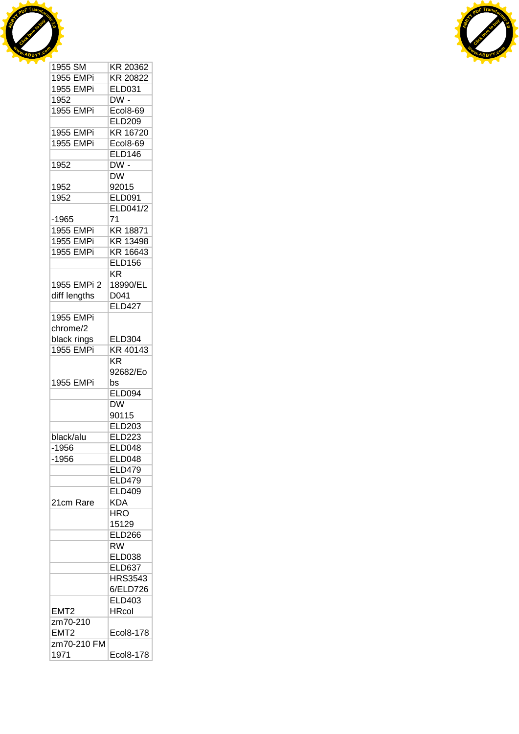



| 1955 SM             | KR 20362                 |
|---------------------|--------------------------|
| <b>1955 EMPi</b>    | KR 20822                 |
| 1955 EMPi           | <b>ELD031</b>            |
| 1952                | $DW -$                   |
| 1955 EMPi           | <b>Ecol8-69</b>          |
|                     | <b>ELD209</b>            |
| 1955 EMPi           | KR 16720                 |
| <b>1955 EMPi</b>    | <b>Ecol8-69</b>          |
|                     | <b>ELD146</b>            |
| 1952                | $DW -$                   |
|                     | $\overline{\mathsf{DW}}$ |
| 1952                | 92015                    |
| 1952                | <b>ELD091</b>            |
|                     | ELD041/2                 |
| -1965               | 71                       |
| 1955 EMPi           | KR 18871                 |
| 1955 EMPi           | KR 13498                 |
| <b>1955 EMPi</b>    | KR 16643                 |
|                     | <b>ELD156</b>            |
|                     | <b>KR</b>                |
| 1955 EMPi 2         | 18990/EL                 |
|                     |                          |
| diff lengths        | D041<br><b>ELD427</b>    |
|                     |                          |
| <b>1955 EMPi</b>    |                          |
| chrome/2            |                          |
| black rings         | <b>ELD304</b>            |
| 1955 EMPi           | KR 40143                 |
|                     | <b>KR</b>                |
|                     | 92682/Eo                 |
| 1955 EMPi           | bs                       |
|                     | <b>ELD094</b>            |
|                     | <b>DW</b>                |
|                     | 90115                    |
|                     | <b>ELD203</b>            |
| black/alu           | <b>ELD223</b>            |
| $-1956$             | <b>ELD048</b>            |
| $-1956$             | <b>ELD048</b>            |
|                     | <b>ELD479</b>            |
|                     | <b>ELD479</b>            |
|                     | <b>ELD409</b>            |
| 21cm Rare           | <b>KDA</b>               |
|                     | HRO                      |
|                     | 15129                    |
|                     | <b>ELD266</b>            |
|                     | $\overline{\text{RW}}$   |
|                     | <b>ELD038</b>            |
|                     | <b>ELD637</b>            |
|                     | <b>HRS3543</b>           |
|                     | 6/ELD726                 |
|                     | ELD403                   |
| EMT2                | <b>HRcol</b>             |
| zm70-210            |                          |
| EMT <sub>2</sub>    |                          |
|                     | Ecol8-178                |
| zm70-210 FM<br>1971 | Ecol8-178                |
|                     |                          |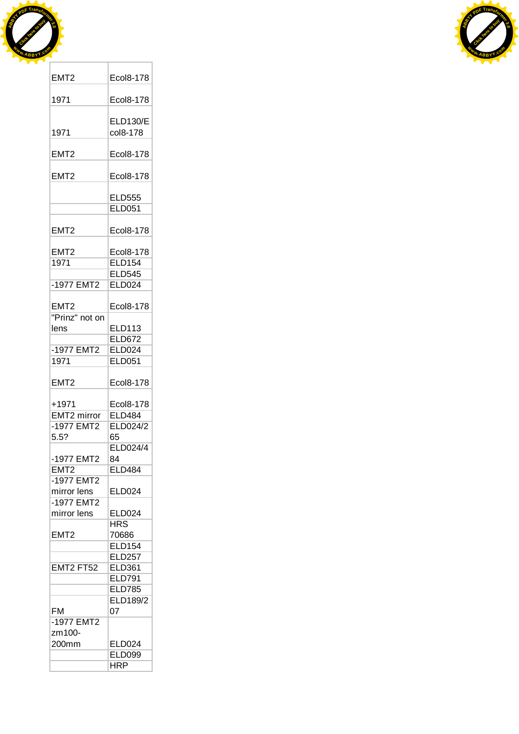



| EMT <sub>2</sub> | Ecol8-178       |
|------------------|-----------------|
| 1971             | Ecol8-178       |
|                  | <b>ELD130/E</b> |
| 1971             | col8-178        |
| EMT <sub>2</sub> | Ecol8-178       |
| EMT2             | Ecol8-178       |
|                  | <b>ELD555</b>   |
|                  | <b>ELD051</b>   |
| EMT2             | Ecol8-178       |
| EMT <sub>2</sub> | Ecol8-178       |
| 1971             | <b>ELD154</b>   |
|                  | <b>ELD545</b>   |
| -1977 EMT2       | <b>ELD024</b>   |
|                  |                 |
| EMT <sub>2</sub> | Ecol8-178       |
| "Prinz" not on   |                 |
| lens             | <b>ELD113</b>   |
|                  | <b>ELD672</b>   |
| -1977 EMT2       | <b>ELD024</b>   |
| 1971             | <b>ELD051</b>   |
| EMT2             | Ecol8-178       |
| +1971            | Ecol8-178       |
| EMT2 mirror      | <b>ELD484</b>   |
| -1977 EMT2       | ELD024/2        |
| 5.5?             | 65              |
|                  | ELD024/4        |
|                  |                 |
| -1977 EMT2       | 84              |
| EMT <sub>2</sub> | ELD484          |
| -1977 EMT2       |                 |
| mirror lens      | <b>ELD024</b>   |
| -1977 EMT2       |                 |
| mirror lens      | <b>ELD024</b>   |
|                  | <b>HRS</b>      |
| EMT <sub>2</sub> | 70686           |
|                  | <b>ELD154</b>   |
|                  | <b>ELD257</b>   |
| EMT2 FT52        | <b>ELD361</b>   |
|                  | <b>ELD791</b>   |
|                  |                 |
|                  | <b>ELD785</b>   |
|                  | <b>ELD189/2</b> |
| <b>FM</b>        | 07              |
| $-1977$ EMT2     |                 |
| zm100-           |                 |
|                  |                 |
| 200mm            | <b>ELD024</b>   |
|                  | <b>ELD099</b>   |
|                  | <b>HRP</b>      |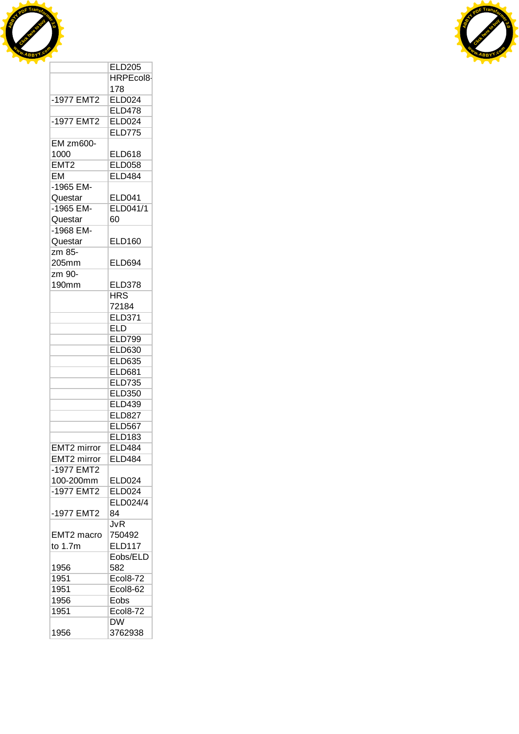

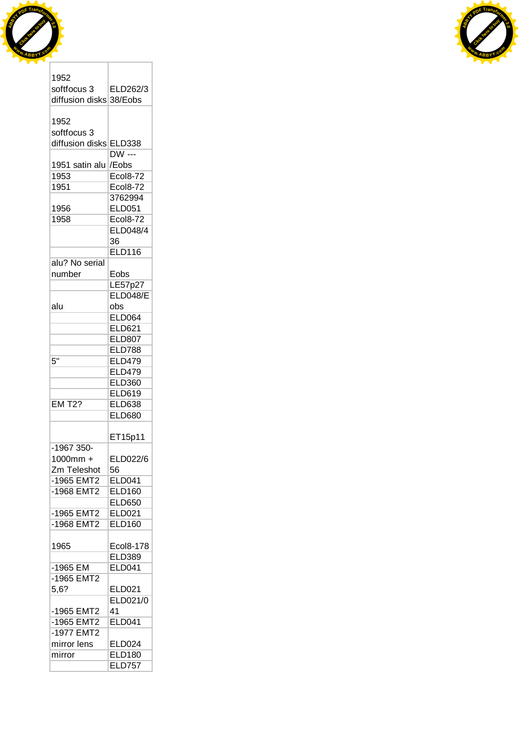



| 1952                    |                 |
|-------------------------|-----------------|
| softfocus 3             | ELD262/3        |
| diffusion disks 38/Eobs |                 |
|                         |                 |
| 1952                    |                 |
| softfocus 3             |                 |
| diffusion disks ELD338  |                 |
|                         | <b>DW</b> ---   |
| 1951 satin alu          | /Eobs           |
| 1953                    | Ecol8-72        |
| 1951                    | <b>Ecol8-72</b> |
|                         |                 |
|                         | 3762994         |
| 1956                    | <b>ELD051</b>   |
| 1958                    | <b>Ecol8-72</b> |
|                         | ELD048/4        |
|                         | 36              |
|                         | <b>ELD116</b>   |
| alu? No serial          |                 |
| number                  | Eobs            |
|                         | LE57p27         |
|                         | ELD048/E        |
| alu                     | obs             |
|                         | <b>ELD064</b>   |
|                         | <b>ELD621</b>   |
|                         | <b>ELD807</b>   |
|                         | <b>ELD788</b>   |
| 5"                      | <b>ELD479</b>   |
|                         | <b>ELD479</b>   |
|                         |                 |
|                         | <b>ELD360</b>   |
|                         | <b>ELD619</b>   |
| <b>EM T2?</b>           | <b>ELD638</b>   |
|                         | <b>ELD680</b>   |
|                         |                 |
|                         | ET15p11         |
| -1967 350-              |                 |
| 1000mm +                | ELD022/6        |
| Zm Teleshot             | 56              |
| -1965 EMT2              | <b>ELD041</b>   |
| -1968 EMT2              | <b>ELD160</b>   |
|                         | <b>ELD650</b>   |
| -1965 EMT2              | <b>ELD021</b>   |
| -1968 EMT2              | <b>ELD160</b>   |
|                         |                 |
| 1965                    | Ecol8-178       |
|                         | <b>ELD389</b>   |
| -1965 EM                | <b>ELD041</b>   |
| -1965 EMT2              |                 |
| 5,6?                    | <b>ELD021</b>   |
|                         | <b>ELD021/0</b> |
| -1965 EMT2              | 41              |
| -1965 EMT2              | <b>ELD041</b>   |
|                         |                 |
| -1977 EMT2              |                 |
| mirror lens             | <b>ELD024</b>   |
| mirror                  | <b>ELD180</b>   |
|                         | <b>ELD757</b>   |

T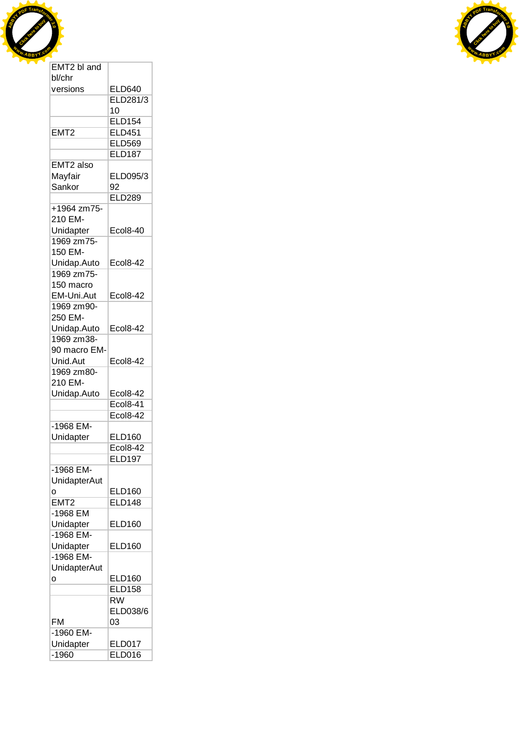



| bl/chr              |                          |
|---------------------|--------------------------|
| versions            | <b>ELD640</b>            |
|                     | ELD281/3                 |
|                     | 10                       |
|                     | <b>ELD154</b>            |
| EMT <sub>2</sub>    | <b>ELD451</b>            |
|                     | <b>ELD569</b>            |
|                     | <b>ELD187</b>            |
|                     |                          |
| EMT2 also           |                          |
| Mayfair             | ELD095/3                 |
| Sankor              | 92                       |
|                     | <b>ELD289</b>            |
| +1964 zm75-         |                          |
| 210 EM-             |                          |
| Unidapter           | <b>Ecol8-40</b>          |
| 1969 zm75-          |                          |
| 150 EM-             |                          |
| Unidap.Auto         | <b>Ecol8-42</b>          |
| 1969 zm75-          |                          |
|                     |                          |
| 150 macro           |                          |
| EM-Uni.Aut          | Ecol8-42                 |
| 1969 zm90-          |                          |
| 250 EM-             |                          |
| Unidap.Auto         | <b>Ecol8-42</b>          |
| 1969 zm38-          |                          |
| 90 macro EM-        |                          |
| Unid.Aut            | <b>Ecol8-42</b>          |
| 1969 zm80-          |                          |
| 210 EM-             |                          |
| Unidap.Auto         | <b>Ecol8-42</b>          |
|                     |                          |
|                     | <b>Ecol8-41</b>          |
|                     | <b>Ecol8-42</b>          |
| $-1968$ EM-         |                          |
| Unidapter           | <b>ELD160</b>            |
|                     | Ecol8-42                 |
|                     | <b>ELD197</b>            |
| -1968 EM-           |                          |
| <b>UnidapterAut</b> |                          |
| о                   | <b>ELD160</b>            |
| EMT <sub>2</sub>    | <b>ELD148</b>            |
| -1968 EM            |                          |
|                     |                          |
| Unidapter           | <b>ELD160</b>            |
| $-1968$ EM-         |                          |
| Unidapter           | <b>ELD160</b>            |
| $-1968$ EM-         |                          |
| <b>UnidapterAut</b> |                          |
| о                   | <b>ELD160</b>            |
|                     | <b>ELD158</b>            |
|                     | $\overline{\mathsf{RW}}$ |
|                     | ELD038/6                 |
|                     |                          |
| FM                  | 03                       |
| -1960 EM-           |                          |
| Unidapter           | <b>ELD017</b>            |
| $-1960$             | <b>ELD016</b>            |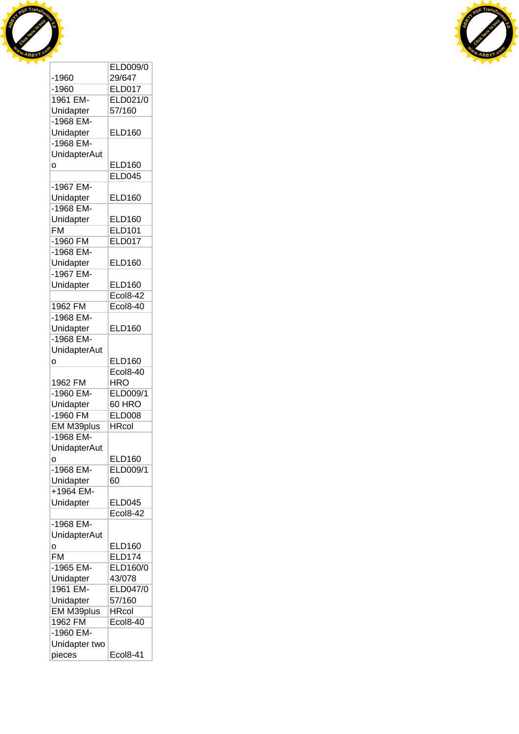



|                          | ELD009/0                    |
|--------------------------|-----------------------------|
| $-1960$                  | 29/647                      |
| $-1960$                  | <b>ELD017</b>               |
| 1961 EM-                 | ELD021/0                    |
|                          |                             |
| Unidapter                | 57/160                      |
| $-1968$ EM-              |                             |
| Unidapter                | <b>ELD160</b>               |
| -1968 EM-                |                             |
| <b>UnidapterAut</b>      |                             |
| Ó                        | <b>ELD160</b>               |
|                          | <b>ELD045</b>               |
| -1967 EM-                |                             |
|                          | <b>ELD160</b>               |
| Unidapter                |                             |
| -1968 EM-                |                             |
| Unidapter                | <b>ELD160</b>               |
| $\overline{\mathsf{FM}}$ | <b>ELD101</b>               |
| $-1960$ FM               | <b>ELD017</b>               |
| -1968 EM-                |                             |
| Unidapter                | ELD160                      |
| -1967 EM-                |                             |
|                          | <b>ELD160</b>               |
| Unidapter                |                             |
|                          | <b>Ecol8-42</b>             |
| 1962 FM                  | Ecol8-40                    |
| -1968 EM-                |                             |
| Unidapter                | <b>ELD160</b>               |
| -1968 EM-                |                             |
| <b>UnidapterAut</b>      |                             |
| 0                        | <b>ELD160</b>               |
|                          | <b>Ecol8-40</b>             |
|                          | <b>HRO</b>                  |
| 1962 FM                  |                             |
| -1960 EM-                | ELD009/1                    |
| Unidapter                | 60 HRO                      |
| -1960 FM                 | <b>ELD008</b>               |
| EM M39plus               | HRcol                       |
| -1968 EM-                |                             |
| UnidapterAut             |                             |
| о                        | <b>ELD160</b>               |
| $-1968$ EM-              | ELD009/1                    |
| Unidapter                | 60                          |
|                          |                             |
| $+1964$ EM-              |                             |
| Unidapter                | <b>ELD045</b>               |
|                          | $\overline{2}$ col8-42<br>E |
| -1968 EM-                |                             |
| <b>UnidapterAut</b>      |                             |
| о                        | ELD160                      |
| <b>FM</b>                | <b>ELD174</b>               |
| -1965 EM-                | <b>ELD160/0</b>             |
|                          |                             |
| Unidapter                | 43/078                      |
| 1961 EM-                 | ELD047/0                    |
| Unidapter                | 57/160                      |
| EM M39plus               | <b>HRcol</b>                |
| 1962 FM                  | <b>Ecol8-40</b>             |
| $-1960$ EM-              |                             |
| Unidapter two            |                             |
|                          | <b>Ecol8-41</b>             |
| pieces                   |                             |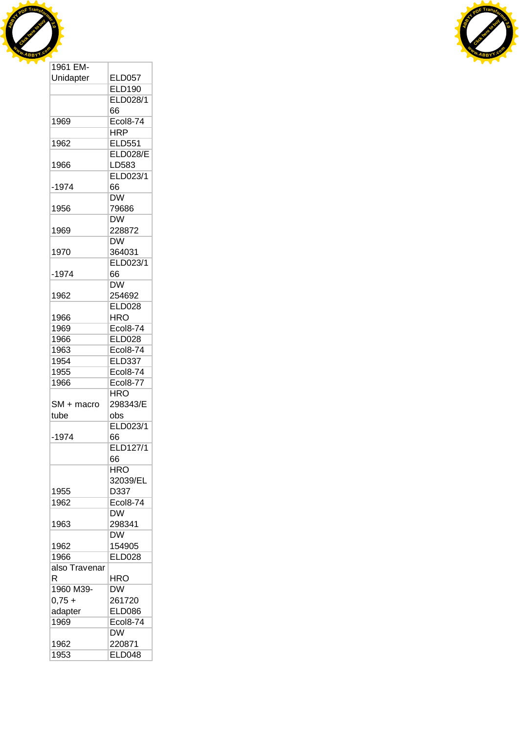



| 1961 EM-      |                        |
|---------------|------------------------|
| Unidapter     | <b>ELD057</b>          |
|               | <b>ELD190</b>          |
|               | ELD028/1               |
|               | 66                     |
| 1969          | <b>Ecol8-74</b>        |
|               | <b>HRP</b>             |
| 1962          | <b>ELD551</b>          |
|               | <b>ELD028/E</b>        |
|               | LD583                  |
| 1966          |                        |
|               | ELD023/1               |
| $-1974$       | 66                     |
|               | <b>DW</b>              |
| 1956          | 79686                  |
|               | <b>DW</b>              |
| 1969          | 228872                 |
|               | <b>DW</b>              |
| 1970          | 364031                 |
|               | ELD023/1               |
| -1974         | 66                     |
|               | $\overline{\text{DW}}$ |
| 1962          | 254692                 |
|               | <b>ELD028</b>          |
| 1966          | <b>HRO</b>             |
| 1969          | <b>Ecol8-74</b>        |
| 1966          | <b>ELD028</b>          |
|               |                        |
| 1963          | <b>Ecol8-74</b>        |
| 1954          | <b>ELD337</b>          |
| 1955          | Ecol8-74               |
| 1966          | <b>Ecol8-77</b>        |
|               | <b>HRO</b>             |
| SM + macro    | 298343/E               |
| tube          | obs                    |
|               | ELD023/1               |
| -1974         | 66                     |
|               | ELD127/1               |
|               | 66                     |
|               | <b>HRO</b>             |
|               | 32039/EL               |
| 1955          | D337                   |
| 1962          | Ecol8-74               |
|               | ĎW                     |
| 1963          | 298341                 |
|               | <b>DW</b>              |
| 1962          | 154905                 |
| 1966          | <b>ELD028</b>          |
|               |                        |
| also Travenar |                        |
| R             | HRO                    |
| 1960 M39-     | <b>DW</b>              |
| $0,75 +$      | 261720                 |
| adapter       | <b>ELD086</b>          |
| 1969          | <b>Ecol8-74</b>        |
|               | <b>DW</b>              |
| 1962          | 220871                 |
| 1953          | <b>ELD048</b>          |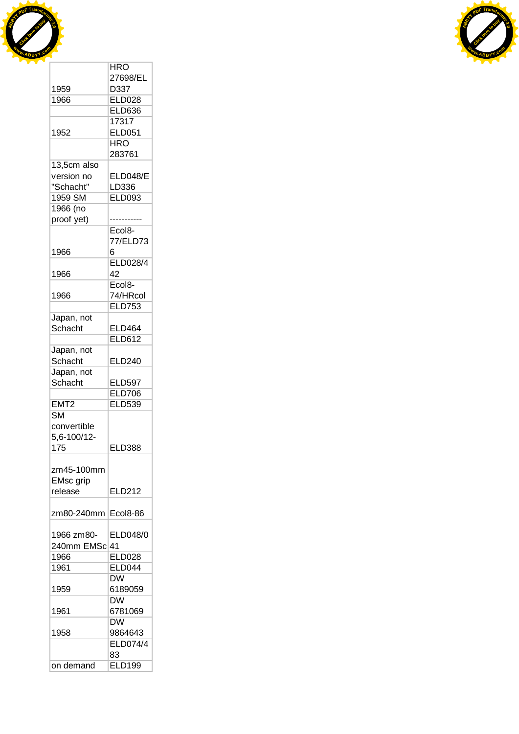



|                        | <b>HRO</b>          |
|------------------------|---------------------|
|                        | 27698/EL            |
| 1959                   | D337                |
| 1966                   | <b>ELD028</b>       |
|                        | <b>ELD636</b>       |
|                        | 17317               |
| 1952                   | <b>ELD051</b>       |
|                        | <b>HRO</b>          |
|                        | 283761              |
| 13,5cm also            |                     |
| version no             | <b>ELD048/E</b>     |
| "Schacht"              | LD336               |
| 1959 SM                | <b>ELD093</b>       |
| 1966 (no               |                     |
| proof yet)             |                     |
|                        | Ecol8-              |
|                        | 77/ELD73            |
| 1966                   | 6                   |
|                        | <b>ELD028/4</b>     |
| 1966                   | 42                  |
|                        | Ecol <sub>8</sub> - |
| 1966                   | 74/HRcol            |
|                        | <b>ELD753</b>       |
| Japan, not             |                     |
| Schacht                | <b>ELD464</b>       |
|                        | <b>ELD612</b>       |
| Japan, not             |                     |
| Schacht                | <b>ELD240</b>       |
| Japan, not             |                     |
| Schacht                | <b>ELD597</b>       |
|                        | <b>ELD706</b>       |
| EMT <sub>2</sub>       | <b>ELD539</b>       |
| $\overline{\text{SM}}$ |                     |
| convertible            |                     |
| 5,6-100/12-            |                     |
| 175                    | <b>ELD388</b>       |
|                        |                     |
| zm45-100mm             |                     |
| <b>EMsc</b> grip       |                     |
| release                | <b>ELD212</b>       |
|                        |                     |
|                        |                     |
| zm80-240mm             | Ecol8-86            |
|                        |                     |
| 1966 zm80-             | ELD048/0            |
| 240mm EMSc 41          |                     |
| 1966                   | <b>ELD028</b>       |
| 1961                   | <b>ELD044</b>       |
|                        | <b>DW</b>           |
| 1959                   | 6189059             |
|                        | <b>DW</b>           |
| 1961                   | 6781069             |
|                        | <b>DW</b>           |
| 1958                   | 9864643             |
|                        | ELD074/4            |
|                        | 83                  |
| on demand              | <b>ELD199</b>       |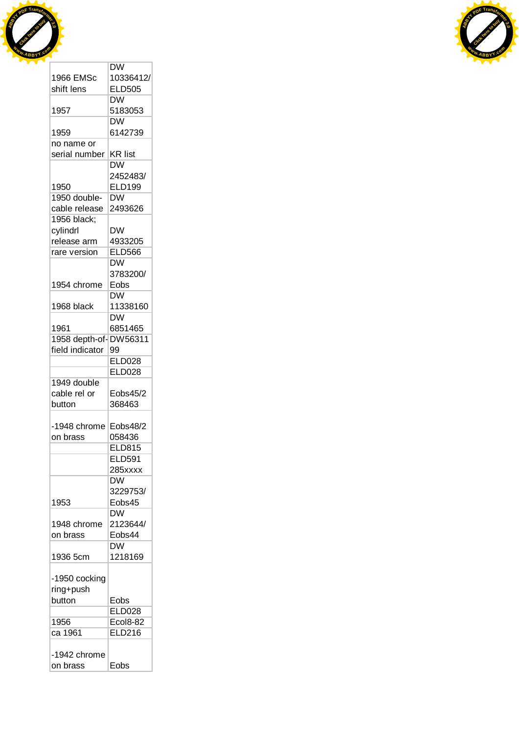



| <b>DW</b>                         |
|-----------------------------------|
| 10336412/                         |
| <b>ELD505</b>                     |
| <b>DW</b>                         |
|                                   |
| 5183053                           |
| <b>DW</b>                         |
| 6142739                           |
|                                   |
| <b>KR list</b>                    |
| $\overline{\mathsf{D}}\mathsf{W}$ |
|                                   |
| 2452483/                          |
| <b>ELD199</b>                     |
| DW                                |
| 2493626                           |
|                                   |
| DW                                |
|                                   |
| 4933205                           |
| <b>ELD566</b>                     |
| <b>DW</b>                         |
| 3783200/                          |
| Eobs                              |
| <b>DW</b>                         |
|                                   |
| 11338160                          |
| <b>DW</b>                         |
| 6851465                           |
| DW56311<br>1958 depth-of-         |
| 99                                |
| <b>ELD028</b>                     |
|                                   |
| <b>ELD028</b>                     |
|                                   |
|                                   |
| Eobs45/2                          |
|                                   |
| 368463                            |
|                                   |
| Eobs48/2                          |
| 058436                            |
| <b>ELD815</b>                     |
| <b>ELD591</b>                     |
| 285xxxx                           |
|                                   |
| <b>DW</b>                         |
| 3229753/                          |
| Eobs45                            |
| <b>DW</b>                         |
| 2123644/                          |
| Eobs44                            |
|                                   |
| <b>DW</b>                         |
| 1218169                           |
|                                   |
|                                   |
|                                   |
|                                   |
| Eobs                              |
| <b>ELD028</b>                     |
| <b>Ecol8-82</b>                   |
| <b>ELD216</b>                     |
|                                   |
|                                   |
|                                   |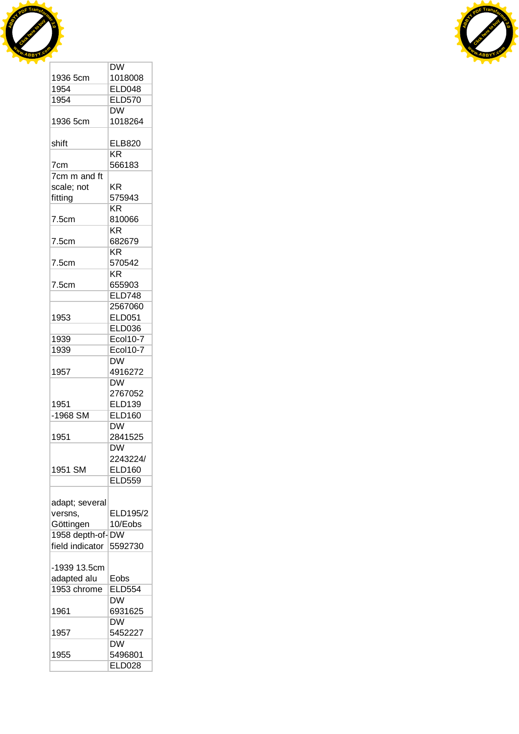



|                 | <b>DW</b>       |
|-----------------|-----------------|
| 1936 5cm        | 1018008         |
| 1954            | <b>ELD048</b>   |
| 1954            | <b>ELD570</b>   |
|                 | DW              |
| 1936 5cm        | 1018264         |
|                 |                 |
| shift           | <b>ELB820</b>   |
|                 | KR              |
| 7cm             | 566183          |
| 7cm m and ft    |                 |
| scale; not      | ΚR              |
| fitting         | 575943          |
|                 | KR              |
| 7.5cm           | 810066          |
|                 | <b>KR</b>       |
| 7.5cm           | 682679          |
|                 | KR              |
| 7.5cm           | 570542          |
|                 | KR.             |
| 7.5cm           | 655903          |
|                 | <b>ELD748</b>   |
|                 | 2567060         |
| 1953            | <b>ELD051</b>   |
|                 |                 |
|                 | <b>ELD036</b>   |
| 1939            | <b>Ecol10-7</b> |
| 1939            | Ecol10-7        |
|                 | <b>DW</b>       |
| 1957            | 4916272         |
|                 | <b>DW</b>       |
|                 | 2767052         |
| 1951            | <b>ELD139</b>   |
| $-1968$ SM      | <b>ELD160</b>   |
|                 | <b>DW</b>       |
| 1951            | 2841525         |
|                 | <b>DW</b>       |
|                 | 2243224/        |
| 1951 SM         | <b>ELD160</b>   |
|                 | <b>ELD559</b>   |
|                 |                 |
|                 |                 |
| adapt; several  | ELD195/2        |
| versns,         |                 |
| Göttingen       | 10/Eobs         |
| 1958 depth-of-  | <b>DW</b>       |
| field indicator | 5592730         |
|                 |                 |
| -1939 13.5cm    |                 |
| adapted alu     | Eobs            |
| 1953 chrome     | <b>ELD554</b>   |
|                 | <b>DW</b>       |
| 1961            | 6931625         |
|                 | <b>DW</b>       |
| 1957            | 5452227         |
|                 | <b>DW</b>       |
| 1955            | 5496801         |
|                 | <b>ELD028</b>   |
|                 |                 |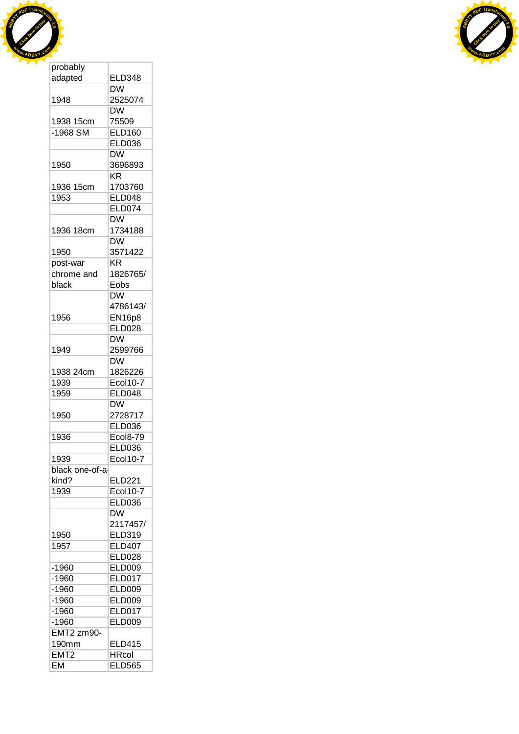



| adapted          | <b>ELD348</b>          |
|------------------|------------------------|
|                  | DW                     |
| 1948             | 2525074                |
|                  | <b>DW</b>              |
| 1938 15cm        | 75509                  |
| $-1968$ SM       | <b>ELD160</b>          |
|                  | <b>ELD036</b>          |
|                  | <b>DW</b>              |
| 1950             | 3696893                |
|                  | $\overline{\text{KR}}$ |
| 1936 15cm        | 1703760                |
|                  |                        |
| 1953             | <b>ELD048</b>          |
|                  | <b>ELD074</b>          |
|                  | <b>DW</b>              |
| 1936 18cm        | 1734188                |
|                  | <b>DW</b>              |
| 1950             | 3571422                |
| post-war         | KR                     |
| chrome and       | 1826765/               |
| black            | Eobs                   |
|                  | <b>DW</b>              |
|                  | 4786143/               |
| 1956             | <b>EN16p8</b>          |
|                  | <b>ELD028</b>          |
|                  | <b>DW</b>              |
| 1949             | 2599766                |
|                  | DW                     |
| 1938 24cm        | 1826226                |
| 1939             | Ecol10-7               |
|                  |                        |
| 1959             | ELD048                 |
|                  | <b>DW</b>              |
| 1950             | 2728717                |
|                  | <b>ELD036</b>          |
| 1936             | <b>Ecol8-79</b>        |
|                  | <b>ELD036</b>          |
| 1939             | <b>Ecol10-7</b>        |
| black one-of-a   |                        |
| kind?            | <b>ELD221</b>          |
| 1939             | <b>Ecol10-7</b>        |
|                  | <b>ELD036</b>          |
|                  | <b>DW</b>              |
|                  | 2117457/               |
| 1950             | <b>ELD319</b>          |
| 1957             | <b>ELD407</b>          |
|                  | <b>ELD028</b>          |
| $-1960$          | <b>ELD009</b>          |
| $-1960$          | <b>ELD017</b>          |
| $-1960$          | <b>ELD009</b>          |
| $-1960$          | <b>ELD009</b>          |
| $-1960$          | <b>ELD017</b>          |
| $-1960$          | <b>ELD009</b>          |
|                  |                        |
| EMT2 zm90-       |                        |
| 190mm            | <b>ELD415</b>          |
| EMT <sub>2</sub> | <b>HRcol</b>           |
| <b>EM</b>        | <b>ELD565</b>          |

 $\mathbb{R}$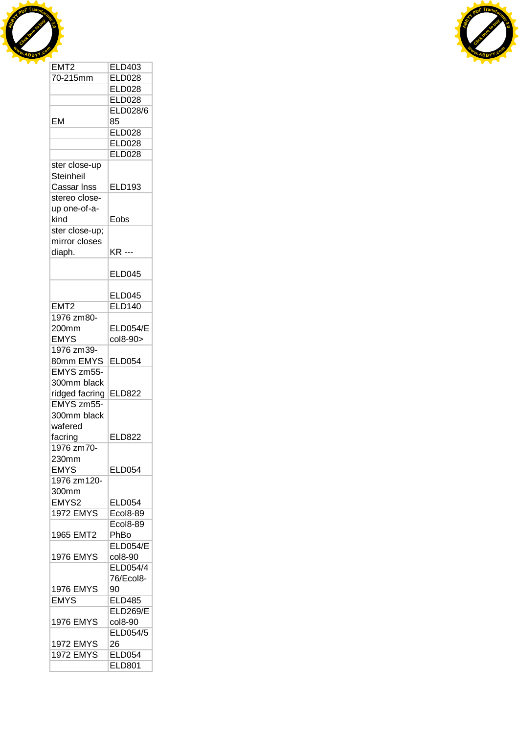



| 70-215mm         | <b>ELD028</b>   |
|------------------|-----------------|
|                  | <b>ELD028</b>   |
|                  | <b>ELD028</b>   |
|                  |                 |
|                  | <b>ELD028/6</b> |
| EM               | 85              |
|                  | <b>ELD028</b>   |
|                  | <b>ELD028</b>   |
|                  | <b>ELD028</b>   |
| ster close-up    |                 |
| <b>Steinheil</b> |                 |
| Cassar Inss      | <b>ELD193</b>   |
|                  |                 |
| stereo close-    |                 |
| up one-of-a-     |                 |
| kind             | Eobs            |
| ster close-up;   |                 |
| mirror closes    |                 |
| diaph.           | <b>KR ---</b>   |
|                  |                 |
|                  | <b>ELD045</b>   |
|                  |                 |
|                  |                 |
|                  | <b>ELD045</b>   |
| EMT <sub>2</sub> | <b>ELD140</b>   |
| 1976 zm80-       |                 |
| 200mm            | <b>ELD054/E</b> |
| <b>EMYS</b>      | col8-90>        |
| 1976 zm39-       |                 |
| 80mm EMYS        | <b>ELD054</b>   |
| EMYS zm55-       |                 |
|                  |                 |
| 300mm black      |                 |
| ridged facring   | <b>ELD822</b>   |
| EMYS zm55-       |                 |
| 300mm black      |                 |
| wafered          |                 |
| facring          | <b>ELD822</b>   |
| 1976 zm70-       |                 |
|                  |                 |
| 230mm            |                 |
| <b>EMYS</b>      | ELD054          |
| 1976 zm120-      |                 |
| 300mm            |                 |
| EMYS2            | <b>ELD054</b>   |
| <b>1972 EMYS</b> | <b>Ecol8-89</b> |
|                  | <b>Ecol8-89</b> |
| 1965 EMT2        | PhBo            |
|                  | <b>ELD054/E</b> |
|                  |                 |
| <b>1976 EMYS</b> | col8-90         |
|                  | ELD054/4        |
|                  | 76/Ecol8-       |
| <b>1976 EMYS</b> | 90              |
| <b>EMYS</b>      | <b>ELD485</b>   |
|                  | <b>ELD269/E</b> |
| <b>1976 EMYS</b> | col8-90         |
|                  |                 |
|                  | ELD054/5        |
| <b>1972 EMYS</b> | 26              |
| <b>1972 EMYS</b> | <b>ELD054</b>   |
|                  | <b>ELD801</b>   |
|                  |                 |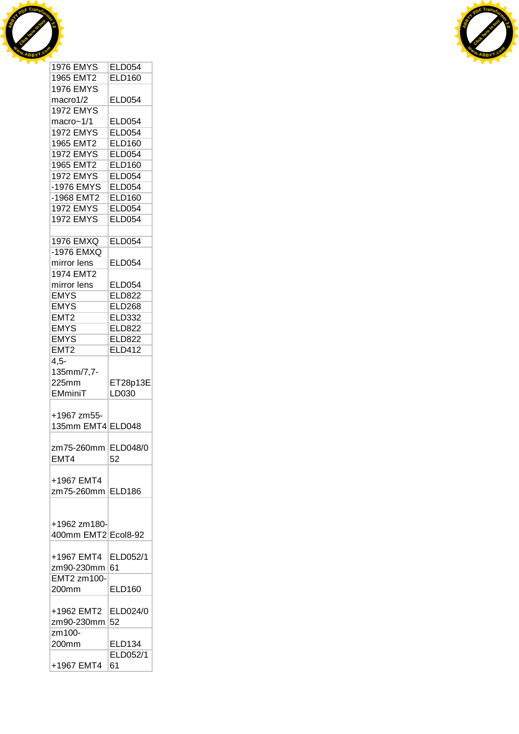



| <b>1976 EMYS</b>     | <b>ELD054</b>  |
|----------------------|----------------|
| 1965 EMT2            | <b>ELD160</b>  |
| <b>1976 EMYS</b>     |                |
| macro1/2             | <b>ELD054</b>  |
| <b>1972 EMYS</b>     |                |
|                      |                |
| macro~1/1            | <b>ELD054</b>  |
| <b>1972 EMYS</b>     | <b>ELD054</b>  |
| 1965 EMT2            | <b>ELD160</b>  |
| <b>1972 EMYS</b>     | <b>ELD054</b>  |
| 1965 EMT2            | <b>ELD160</b>  |
| <b>1972 EMYS</b>     | <b>ELD054</b>  |
| -1976 EMYS           | <b>ELD054</b>  |
| -1968 EMT2           | <b>ELD160</b>  |
|                      |                |
| <b>1972 EMYS</b>     | <b>ELD054</b>  |
| <b>1972 EMYS</b>     | <b>ELD054</b>  |
|                      |                |
| <b>1976 EMXQ</b>     | <b>ELD054</b>  |
| -1976 EMXQ           |                |
| mirror lens          | <b>ELD054</b>  |
| <b>1974 EMT2</b>     |                |
| mirror lens          | <b>ELD054</b>  |
| <b>EMYS</b>          | <b>ELD822</b>  |
| <b>EMYS</b>          | <b>ELD268</b>  |
| EMT2                 | <b>ELD332</b>  |
|                      |                |
| <b>EMYS</b>          | <b>ELD822</b>  |
| <b>EMYS</b>          | <b>ELD822</b>  |
| EMT <sub>2</sub>     | <b>ELD412</b>  |
| $4,5-$               |                |
|                      |                |
|                      |                |
| 135mm/7,7-           |                |
| 225mm                | ET28p13E       |
| EMminiT              | LD030          |
|                      |                |
| +1967 zm55-          |                |
| 135mm EMT4 ELD048    |                |
|                      |                |
| zm75-260mm ELD048/0  |                |
| EMT4                 | 52             |
|                      |                |
| +1967 EMT4           |                |
| zm75-260mm ELD186    |                |
|                      |                |
|                      |                |
| +1962 zm180-         |                |
| 400mm EMT2 Ecol8-92  |                |
|                      |                |
| +1967 EMT4           | ELD052/1       |
| zm90-230mm           | 61             |
|                      |                |
| EMT2 zm100-<br>200mm | <b>ELD160</b>  |
|                      |                |
| +1962 EMT2 ELD024/0  |                |
|                      |                |
| zm90-230mm           | 52             |
| zm100-               |                |
| 200mm                | <b>ELD134</b>  |
| +1967 EMT4           | ELD052/1<br>61 |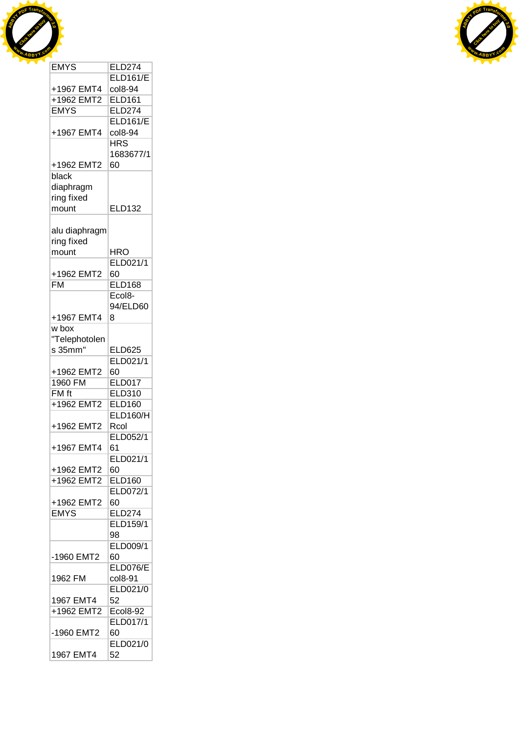



| ᆮตเอ          | <b>CLDZ14</b>   |
|---------------|-----------------|
|               | <b>ELD161/E</b> |
| +1967 EMT4    | col8-94         |
| +1962 EMT2    | <b>ELD161</b>   |
| <b>EMYS</b>   | <b>ELD274</b>   |
|               | <b>ELD161/E</b> |
| +1967 EMT4    |                 |
|               | col8-94         |
|               | <b>HRS</b>      |
|               | 1683677/1       |
| +1962 EMT2    | 60              |
| black         |                 |
| diaphragm     |                 |
| ring fixed    |                 |
| mount         | <b>ELD132</b>   |
|               |                 |
|               |                 |
| alu diaphragm |                 |
| ring fixed    |                 |
| mount         | HRO             |
|               | ELD021/1        |
| +1962 EMT2    | 60              |
| <b>FM</b>     | <b>ELD168</b>   |
|               | Ecol8-          |
|               | 94/ELD60        |
|               |                 |
| +1967 EMT4    | 8               |
| w box         |                 |
| "Telephotolen |                 |
| s 35mm"       | <b>ELD625</b>   |
|               | ELD021/1        |
| +1962 EMT2    | 60              |
| 1960 FM       | <b>ELD017</b>   |
|               | ELD310          |
| FM ft         |                 |
| +1962 EMT2    | <b>ELD160</b>   |
|               | <b>ELD160/H</b> |
| +1962 EMT2    | Rcol            |
|               | ELD052/1        |
| +1967 EMT4    | 61              |
|               | ELD021/1        |
| +1962 EMT2    | 60              |
|               |                 |
| +1962 EMT2    | <b>ELD160</b>   |
|               | ELD072/1        |
| +1962 EMT2    | 60              |
| <b>EMYS</b>   | <b>ELD274</b>   |
|               | ELD159/1        |
|               | 98              |
|               | ELD009/1        |
| -1960 EMT2    | 60              |
|               | <b>ELD076/E</b> |
|               |                 |
| 1962 FM       | col8-91         |
|               | ELD021/0        |
| 1967 EMT4     | 52              |
| +1962 EMT2    | <b>Ecol8-92</b> |
|               | ELD017/1        |
| -1960 EMT2    | 60              |
|               |                 |
|               | ELD021/0        |
| 1967 EMT4     | 52              |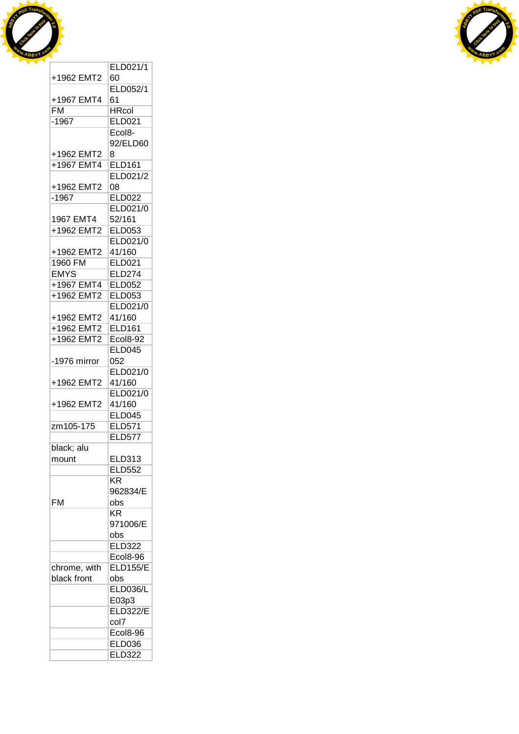



|                             | ELD021/1               |
|-----------------------------|------------------------|
| +1962 EMT2                  | 60                     |
|                             | ELD052/1               |
| +1967 EMT4                  | 61                     |
| FM                          | <b>HRcol</b>           |
| $-1967$                     | <b>ELD021</b>          |
|                             | Ecol8-                 |
|                             | 92/ELD60               |
| +1962 EMT2                  | 8                      |
| +1967 EMT4                  | <b>ELD161</b>          |
|                             | ELD021/2               |
| +1962 EMT2                  | 08                     |
| $-1967$                     | <b>ELD022</b>          |
|                             | ELD021/0               |
| 1967 EMT4                   | 52/161                 |
| +1962 EMT2                  | <b>ELD053</b>          |
|                             | ELD021/0               |
| +1962 EMT2                  | 41/160                 |
| 1960 FM                     | <b>ELD021</b>          |
| <b>EMYS</b>                 | <b>ELD274</b>          |
| +1967 EMT4                  | <b>ELD052</b>          |
| +1962 EMT2                  | <b>ELD053</b>          |
|                             | ELD021/0               |
| +1962 EMT2                  | 41/160                 |
| +1962 EMT2                  | <b>ELD161</b>          |
| +1962 EMT2                  | <b>Ecol8-92</b>        |
|                             | <b>ELD045</b>          |
| -1976 mirror                | 052                    |
|                             | ELD021/0               |
| +1962 EMT2                  | 41/160                 |
|                             | ELD021/0               |
| +1962 EMT2                  | 41/160                 |
|                             | <b>ELD045</b>          |
| zm105-175                   | <b>ELD571</b>          |
|                             | <b>ELD577</b>          |
| black; alu                  |                        |
| mount                       | <b>ELD313</b>          |
|                             | <b>ELD552</b>          |
|                             | KR                     |
|                             | 962834/E               |
| FM                          | obs<br>KR              |
|                             | 971006/E               |
|                             |                        |
|                             | obs<br><b>ELD322</b>   |
|                             | <b>Ecol8-96</b>        |
|                             | <b>ELD155/E</b>        |
| chrome, with<br>black front |                        |
|                             | obs<br><b>ELD036/L</b> |
|                             | E03p3                  |
|                             | <b>ELD322/E</b>        |
|                             | col7                   |
|                             | <b>Ecol8-96</b>        |
|                             | <b>ELD036</b>          |
|                             | <b>ELD322</b>          |
|                             |                        |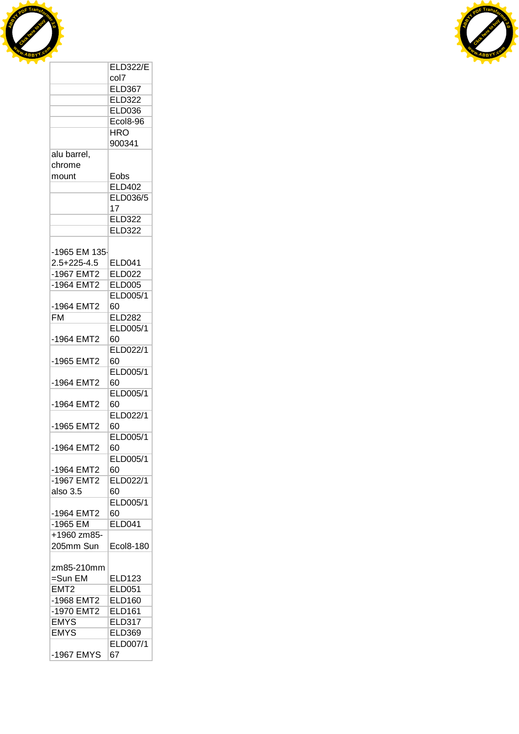



|                          | col7            |
|--------------------------|-----------------|
|                          | <b>ELD367</b>   |
|                          | <b>ELD322</b>   |
|                          | <b>ELD036</b>   |
|                          | Ecol8-96        |
|                          | <b>HRO</b>      |
|                          | 900341          |
|                          |                 |
| alu barrel,              |                 |
| chrome                   |                 |
| mount                    | Eobs            |
|                          | <b>ELD402</b>   |
|                          | ELD036/5        |
|                          | 17              |
|                          | <b>ELD322</b>   |
|                          | <b>ELD322</b>   |
|                          |                 |
| -1965 EM 135-            |                 |
| $2.5 + 225 - 4.5$        | <b>ELD041</b>   |
| -1967 EMT2               | <b>ELD022</b>   |
| -1964 EMT2               | <b>ELD005</b>   |
|                          | <b>ELD005/1</b> |
|                          |                 |
| -1964 EMT2               | 60              |
| $\overline{\mathsf{FM}}$ | <b>ELD282</b>   |
|                          | <b>ELD005/1</b> |
| -1964 EMT2               | 60              |
|                          | ELD022/1        |
| -1965 EMT2               | 60              |
|                          | ELD005/1        |
| -1964 EMT2               | 60              |
|                          | ELD005/1        |
| -1964 EMT2               | 60              |
|                          | ELD022/1        |
| -1965 EMT2               | 60              |
|                          | ELD005/1        |
| -1964 EMT2               | 60              |
|                          | ELD005/1        |
|                          |                 |
| -1964 EMT2               | 60              |
| -1967 EMT2               | ELD022/1        |
| also 3.5                 | 60              |
|                          | ELD005/1        |
| -1964 EMT2               | 60              |
| -1965 EM                 | <b>ELD041</b>   |
| +1960 zm85-              |                 |
| 205mm Sun                | Ecol8-180       |
|                          |                 |
| zm85-210mm               |                 |
| $=$ Sun EM               | <b>ELD123</b>   |
| EMT <sub>2</sub>         | <b>ELD051</b>   |
| -1968 EMT2               | <b>ELD160</b>   |
| -1970 EMT2               | <b>ELD161</b>   |
| <b>EMYS</b>              | <b>ELD317</b>   |
|                          |                 |
| <b>EMYS</b>              | <b>ELD369</b>   |
|                          | ELD007/1        |
| -1967 EMYS               | 67              |

ELD322/E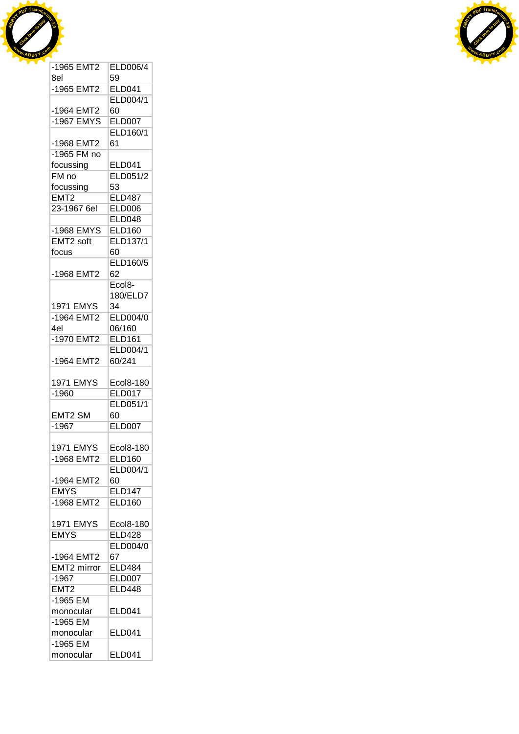



| -1965 EMT2              | ELD006/4            |
|-------------------------|---------------------|
| 8el                     | 59                  |
| -1965 EMT2              | <b>ELD041</b>       |
|                         | <b>ELD004/1</b>     |
| -1964 EMT2              | 60                  |
| -1967 EMYS              | <b>ELD007</b>       |
|                         | ELD160/1            |
| -1968 EMT2              | 61                  |
| -1965 FM no             |                     |
| focussing               | <b>ELD041</b>       |
| $FM$ no                 | ELD051/2            |
| focussing               | 53                  |
| EMT2                    | <b>ELD487</b>       |
| 23-1967 6el             | <b>ELD006</b>       |
|                         | <b>ELD048</b>       |
| -1968 EMYS              | <b>ELD160</b>       |
| EMT2 soft               | <b>ELD137/1</b>     |
| focus                   | 60                  |
|                         | ELD160/5            |
| -1968 EMT2              | 62                  |
|                         | Ecol <sub>8</sub> - |
|                         | 180/ELD7            |
| <b>1971 EMYS</b>        | 34                  |
| -1964 EMT2              | ELD004/0            |
| 4el                     | 06/160              |
| -1970 EMT2              | <b>ELD161</b>       |
|                         | <b>ELD004/1</b>     |
| -1964 EMT2              | 60/241              |
|                         |                     |
| <b>1971 EMYS</b>        | Ecol8-180           |
| $-1960$                 | <b>ELD017</b>       |
|                         | ELD051/1            |
| EMT2 SM                 | 60                  |
| $-1967$                 | <b>ELD007</b>       |
|                         |                     |
| <b>1971 EMYS</b>        | Ecol8-180           |
| -1968 EMT2              | <b>ELD160</b>       |
|                         | ELD004/1            |
| -1964 EMT2              | 60                  |
| <b>EMYS</b>             | <b>ELD147</b>       |
| -1968 EMT2              | <b>ELD160</b>       |
|                         |                     |
| <b>1971 EMYS</b>        | Ecol8-180           |
| <b>EMYS</b>             | <b>ELD428</b>       |
|                         | ELD004/0            |
| -1964 EMT2              | 67                  |
| EMT <sub>2</sub> mirror | <b>ELD484</b>       |
| $-1967$                 | <b>ELD007</b>       |
|                         | <b>ELD448</b>       |
| EMT <sub>2</sub>        |                     |
| -1965 EM                |                     |
|                         |                     |
| monocular               | ELD041              |
| $-1965$ EM              |                     |
| monocular               | ELD041              |
| $-1965$ EM<br>monocular | <b>ELD041</b>       |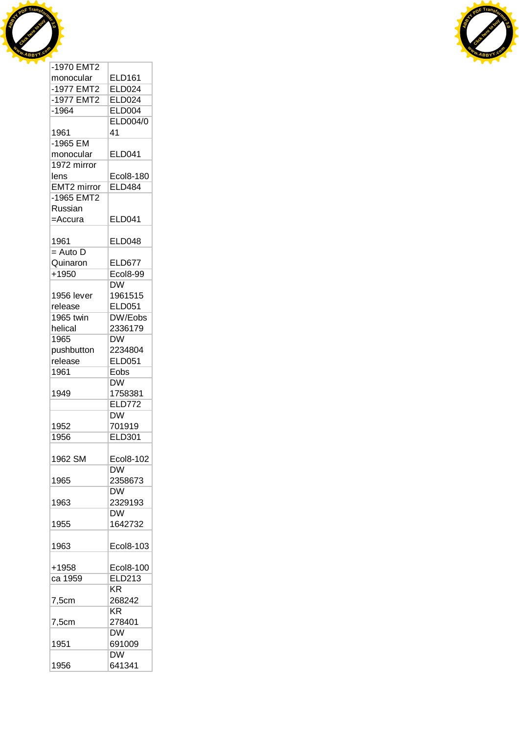



|             | <b>ELD161</b>               |
|-------------|-----------------------------|
| monocular   |                             |
| -1977 EMT2  | <b>ELD024</b>               |
| -1977 EMT2  | <b>ELD024</b>               |
| $-1964$     | <b>ELD004</b>               |
|             | <b>ELD004/0</b>             |
| 1961        | 41                          |
| -1965 EM    |                             |
| monocular   | <b>ELD041</b>               |
| 1972 mirror |                             |
|             |                             |
| lens        | Ecol8-180                   |
| EMT2 mirror | <b>ELD484</b>               |
| -1965 EMT2  |                             |
| Russian     |                             |
| =Accura     | <b>ELD041</b>               |
|             |                             |
| 1961        | <b>ELD048</b>               |
| $=$ Auto D  |                             |
| Quinaron    | <b>ELD677</b>               |
|             |                             |
| $+1950$     | Ecol8-99                    |
|             | $\overline{\mathsf{DW}}$    |
| 1956 lever  | 1961515                     |
| release     | <b>ELD051</b>               |
| 1965 twin   | DW/Eobs                     |
| helical     | 2336179                     |
| 1965        | <b>DW</b>                   |
|             | 2234804                     |
| pushbutton  |                             |
| release     | <b>ELD051</b>               |
| 1961        | $\overline{\mathsf{E}}$ obs |
|             | $\overline{\mathsf{DW}}$    |
|             |                             |
| 1949        | 1758381                     |
|             | <b>ELD772</b>               |
|             |                             |
|             | <b>DW</b>                   |
| 1952        | 701919                      |
| 1956        | <b>ELD301</b>               |
|             |                             |
| 1962 SM     | Ecol8-102                   |
|             | DW.                         |
| 1965        | 2358673                     |
|             | <b>DW</b>                   |
| 1963        | 2329193                     |
|             |                             |
|             | <b>DW</b>                   |
| 1955        | 1642732                     |
|             |                             |
| 1963        | Ecol8-103                   |
|             |                             |
| +1958       | Ecol8-100                   |
| ca 1959     | <b>ELD213</b>               |
|             | ΚR                          |
| 7,5cm       | 268242                      |
|             | <b>KR</b>                   |
|             |                             |
| 7,5cm       | 278401                      |
|             | <b>DW</b>                   |
| 1951        | 691009                      |
| 1956        | <b>DW</b><br>641341         |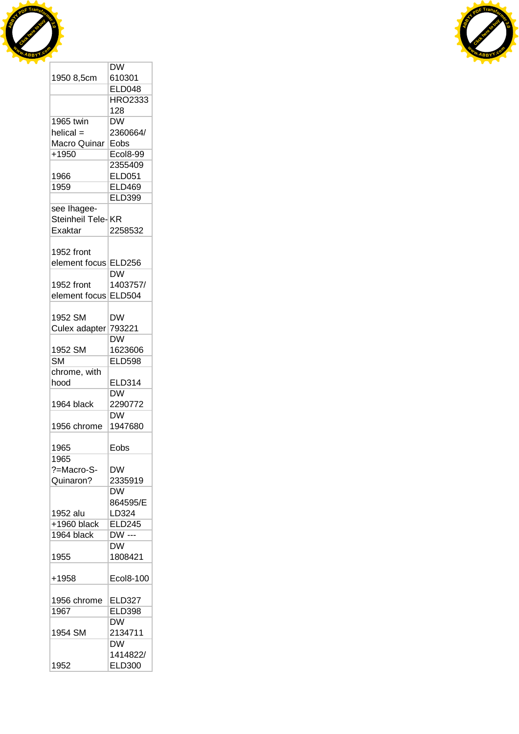



|                        | DW                                |
|------------------------|-----------------------------------|
| 1950 8,5cm             | 610301                            |
|                        | <b>ELD048</b>                     |
|                        | <b>HRO2333</b>                    |
|                        | 128                               |
| 1965 twin              | DW                                |
| $helical =$            | 2360664/                          |
| Macro Quinar           | Eobs                              |
| $+1950$                | Ecol8-99                          |
|                        | 2355409                           |
|                        |                                   |
| 1966                   | <b>ELD051</b>                     |
| 1959                   | <b>ELD469</b>                     |
|                        | <b>ELD399</b>                     |
| see Ihagee-            |                                   |
| Steinheil Tele-KR      |                                   |
| <b>Exaktar</b>         | 2258532                           |
|                        |                                   |
| 1952 front             |                                   |
| element focus ELD256   |                                   |
|                        | $\overline{\mathsf{D}}\mathsf{W}$ |
| 1952 front             | 1403757/                          |
| element focus          | <b>ELD504</b>                     |
|                        |                                   |
| 1952 SM                | DW                                |
|                        |                                   |
| Culex adapter          | 793221                            |
|                        | <b>DW</b>                         |
| 1952 SM                | 1623606                           |
| $\overline{\text{SM}}$ | <b>ELD598</b>                     |
| chrome, with           |                                   |
| hood                   | <b>ELD314</b>                     |
|                        | <b>DW</b>                         |
| 1964 black             | 2290772                           |
|                        | <b>DW</b>                         |
| 1956 chrome            | 1947680                           |
|                        |                                   |
| 1965                   | Eobs                              |
| 1965                   |                                   |
| ?=Macro-S-             | DW                                |
| Quinaron?              | 2335919                           |
|                        | <b>DW</b>                         |
|                        |                                   |
|                        | 864595/E                          |
| 1952 alu               | LD324                             |
| $+1960$ black          | <b>ELD245</b>                     |
| 1964 black             | DW ---                            |
|                        | <b>DW</b>                         |
| 1955                   | 1808421                           |
|                        |                                   |
| +1958                  | Ecol8-100                         |
|                        |                                   |
| 1956 chrome            | <b>ELD327</b>                     |
| 1967                   | <b>ELD398</b>                     |
|                        | DW                                |
| 1954 SM                | 2134711                           |
|                        |                                   |
|                        | <b>DW</b>                         |
|                        | 1414822/                          |
| 1952                   | <b>ELD300</b>                     |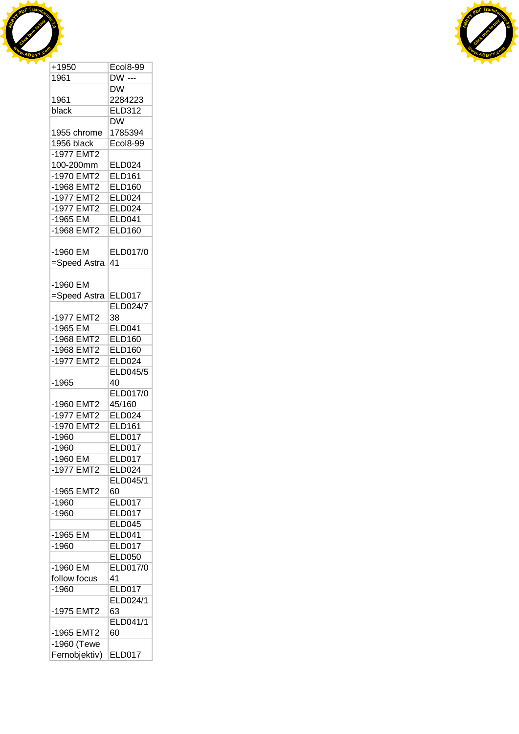



| +1950         | <b>Ecol8-99</b> |
|---------------|-----------------|
| 1961          | <b>DW</b> ---   |
|               | DW.             |
| 1961          | 2284223         |
| black         | ELD312          |
|               | <b>DW</b>       |
| 1955 chrome   | 1785394         |
| 1956 black    | <b>Ecol8-99</b> |
|               |                 |
| -1977 EMT2    |                 |
| 100-200mm     | <b>ELD024</b>   |
| -1970 EMT2    | <b>ELD161</b>   |
| -1968 EMT2    | <b>ELD160</b>   |
| -1977 EMT2    | <b>ELD024</b>   |
| -1977 EMT2    | ELD024          |
| -1965 EM      | <b>ELD041</b>   |
| -1968 EMT2    | <b>ELD160</b>   |
|               |                 |
| -1960 EM      | ELD017/0        |
| =Speed Astra  | 41              |
|               |                 |
|               |                 |
| -1960 EM      |                 |
| =Speed Astra  | <b>ELD017</b>   |
|               | <b>ELD024/7</b> |
| -1977 EMT2    | 38              |
| $-1965$ EM    | <b>ELD041</b>   |
| -1968 EMT2    | <b>ELD160</b>   |
| -1968 EMT2    | <b>ELD160</b>   |
| -1977 EMT2    | <b>ELD024</b>   |
|               | <b>ELD045/5</b> |
| -1965         | 40              |
|               | ELD017/0        |
| -1960 EMT2    | 45/160          |
| -1977 EMT2    | <b>ELD024</b>   |
| -1970 EMT2    | <b>ELD161</b>   |
|               |                 |
| $-1960$       | <b>ELD017</b>   |
| $-1960$       | ELD017          |
| -1960 EM      | <b>ELD017</b>   |
| -1977 EMT2    | <b>ELD024</b>   |
|               | ELD045/1        |
| -1965 EMT2    | 60              |
| $-1960$       | <b>ELD017</b>   |
| $-1960$       | <b>ELD017</b>   |
|               | <b>ELD045</b>   |
| $-1965$ EM    | <b>ELD041</b>   |
| $-1960$       | <b>ELD017</b>   |
|               |                 |
|               | <b>ELD050</b>   |
| -1960 EM      | ELD017/0        |
| follow focus  | 41              |
| $-1960$       | <b>ELD017</b>   |
|               | ELD024/1        |
| -1975 EMT2    | 63              |
|               | ELD041/1        |
| -1965 EMT2    | 60              |
| $-1960$ (Tewe |                 |
|               |                 |
| Fernobjektiv) | <b>ELD017</b>   |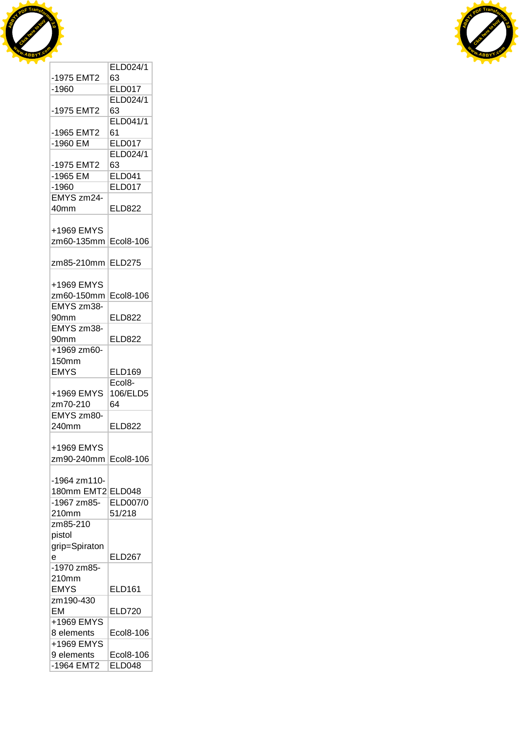



|                   | ELD024/1                   |
|-------------------|----------------------------|
| -1975 EMT2        | 63                         |
| $-1960$           | <b>ELD017</b>              |
|                   | ELD024/1                   |
| -1975 EMT2        | 63                         |
|                   | ELD041/1                   |
| -1965 EMT2        | 61                         |
| -1960 EM          | <b>ELD017</b>              |
|                   |                            |
|                   | ELD024/1                   |
| -1975 EMT2        | 63                         |
| -1965 EM          | <b>ELD041</b>              |
| $-1960$           | <b>ELD017</b>              |
| EMYS zm24-        |                            |
| 40mm              | <b>ELD822</b>              |
|                   |                            |
| +1969 EMYS        |                            |
| zm60-135mm        | Ecol8-106                  |
|                   |                            |
| zm85-210mm        | <b>ELD275</b>              |
|                   |                            |
| +1969 EMYS        |                            |
|                   |                            |
| zm60-150mm        | Ecol8-106                  |
| EMYS zm38-        |                            |
| 90mm              | ELD822                     |
| EMYS zm38-        |                            |
| 90mm              | ELD822                     |
| +1969 zm60-       |                            |
| <b>150mm</b>      |                            |
|                   |                            |
| <b>EMYS</b>       | <b>ELD169</b>              |
|                   |                            |
|                   | Ecol <sub>8</sub> -        |
| +1969 EMYS        | 106/ELD5                   |
| zm70-210          | 64                         |
| EMYS zm80-        |                            |
| 240mm             | <b>ELD822</b>              |
|                   |                            |
| +1969 EMYS        |                            |
| zm90-240mm        | Ecol8-106                  |
|                   |                            |
| -1964 zm110-      |                            |
| 180mm EMT2 ELD048 |                            |
| -1967 zm85-       | <b>ELD007/0</b>            |
| 210mm             | 51/218                     |
| zm85-210          |                            |
| pistol            |                            |
|                   |                            |
| grip=Spiraton     |                            |
| e                 | <b>ELD267</b>              |
| -1970 zm85-       |                            |
| 210mm             |                            |
| <b>EMYS</b>       | ELD161                     |
| zm190-430         |                            |
| EM                | <b>ELD720</b>              |
| +1969 EMYS        |                            |
| 8 elements        | Ecol8-106                  |
| +1969 EMYS        |                            |
| 9 elements        | Ecol8-106<br><b>ELD048</b> |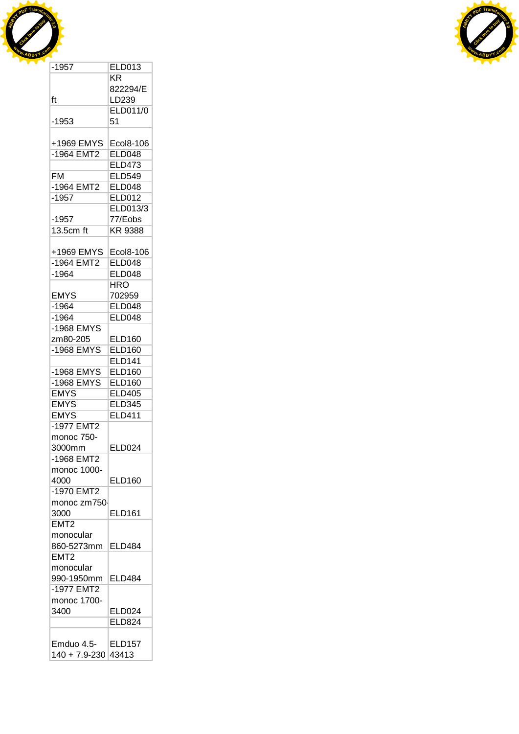



| $-1957$             | <b>ELD013</b>   |
|---------------------|-----------------|
|                     | KR              |
|                     | 822294/E        |
| ft                  | LD239           |
|                     | <b>ELD011/0</b> |
| $-1953$             | 51              |
|                     |                 |
| +1969 EMYS          | Ecol8-106       |
| -1964 EMT2          | <b>ELD048</b>   |
|                     | <b>ELD473</b>   |
|                     |                 |
| FM                  | <b>ELD549</b>   |
| -1964 EMT2          | <b>ELD048</b>   |
| $-1957$             | <b>ELD012</b>   |
|                     | ELD013/3        |
| $-1957$             | 77/Eobs         |
| 13.5cm ft           | <b>KR 9388</b>  |
|                     |                 |
| +1969 EMYS          | Ecol8-106       |
| -1964 EMT2          | <b>ELD048</b>   |
| $-1964$             | <b>ELD048</b>   |
|                     | HRO.            |
| <b>EMYS</b>         | 702959          |
| $-1964$             |                 |
|                     | <b>ELD048</b>   |
| -1964               | ELD048          |
| $-1968$ EMYS        |                 |
| zm80-205            | <b>ELD160</b>   |
| -1968 EMYS          | <b>ELD160</b>   |
|                     | <b>ELD141</b>   |
| -1968 EMYS          | <b>ELD160</b>   |
| -1968 EMYS          | <b>ELD160</b>   |
| <b>EMYS</b>         | <b>ELD405</b>   |
| <b>EMYS</b>         | <b>ELD345</b>   |
| <b>EMYS</b>         | <b>ELD411</b>   |
| -1977 EMT2          |                 |
| monoc 750-          |                 |
| 3000mm              | <b>ELD024</b>   |
|                     |                 |
| -1968 EMT2          |                 |
| monoc 1000-         |                 |
| 4000                | <b>ELD160</b>   |
| -1970 EMT2          |                 |
| monoc zm750         |                 |
| 3000                | ELD161          |
| EMT2                |                 |
| monocular           |                 |
| 860-5273mm          | <b>ELD484</b>   |
| EMT <sub>2</sub>    |                 |
| monocular           |                 |
| 990-1950mm          | <b>ELD484</b>   |
| -1977 EMT2          |                 |
|                     |                 |
| monoc 1700-         |                 |
| 3400                | <b>ELD024</b>   |
|                     | <b>ELD824</b>   |
|                     |                 |
| Emduo 4.5-          | <b>ELD157</b>   |
| 140 + 7.9-230 43413 |                 |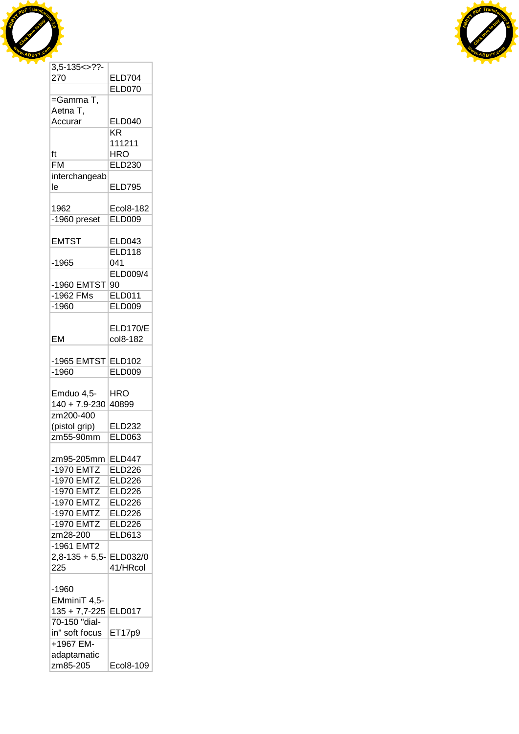



| $3,5-135 < > ??$   |                 |
|--------------------|-----------------|
| 270                | <b>ELD704</b>   |
|                    | <b>ELD070</b>   |
| =Gamma T,          |                 |
| Aetna T,           |                 |
| Accurar            | <b>ELD040</b>   |
|                    | <b>KR</b>       |
|                    | 111211          |
| ft                 | <b>HRO</b>      |
| <b>FM</b>          |                 |
|                    | <b>ELD230</b>   |
| interchangeab      |                 |
| le                 | <b>ELD795</b>   |
|                    |                 |
| 1962               | Ecol8-182       |
| -1960 preset       | <b>ELD009</b>   |
|                    |                 |
| <b>EMTST</b>       | <b>ELD043</b>   |
|                    | <b>ELD118</b>   |
| $-1965$            | 041             |
|                    | <b>ELD009/4</b> |
| -1960 EMTST        | 90              |
| -1962 FMs          | <b>ELD011</b>   |
|                    |                 |
| $-1960$            | <b>ELD009</b>   |
|                    |                 |
|                    | <b>ELD170/E</b> |
| EM                 | col8-182        |
|                    |                 |
| -1965 EMTST ELD102 |                 |
| $-1960$            | <b>ELD009</b>   |
|                    |                 |
| Emduo 4,5-         | HRO             |
| $140 + 7.9 - 230$  | 40899           |
| zm200-400          |                 |
|                    | <b>ELD232</b>   |
|                    |                 |
| (pistol grip)      |                 |
| zm55-90mm          | <b>ELD063</b>   |
|                    |                 |
| zm95-205mm         | <b>ELD447</b>   |
| -1970 EMTZ         | <b>ELD226</b>   |
| $-1970$ EMTZ       | <b>ELD226</b>   |
| -1970 EMTZ         | <b>ELD226</b>   |
| $-1970$ EMTZ       | <b>ELD226</b>   |
| $-1970$ EMTZ       | <b>ELD226</b>   |
| $-1970$ EMTZ       | <b>ELD226</b>   |
| zm28-200           | <b>ELD613</b>   |
| -1961 EMT2         |                 |
|                    |                 |
| $2,8-135+5,5-$     | ELD032/0        |
| 225                | 41/HRcol        |
|                    |                 |
| -1960              |                 |
| EMminiT 4,5-       |                 |
| $135 + 7,7 - 225$  | <b>ELD017</b>   |
| 70-150 "dial-      |                 |
| in" soft focus     | ET17p9          |
| +1967 EM-          |                 |
| adaptamatic        |                 |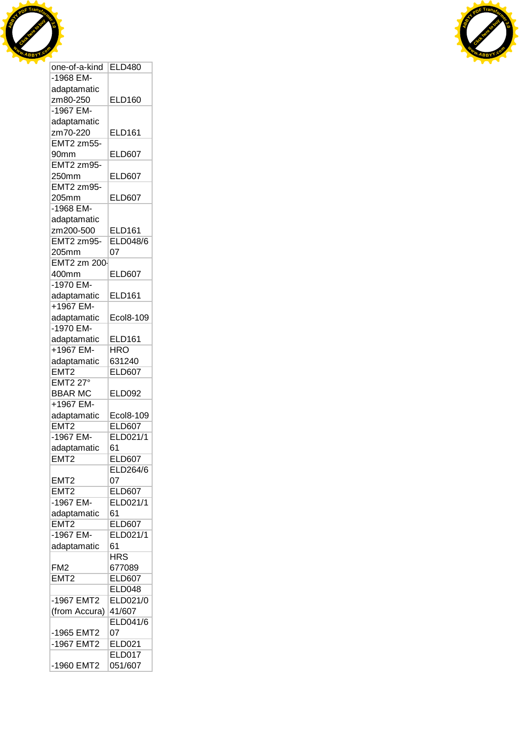



| one-of-a-kind                   | <b>ELD480</b>            |
|---------------------------------|--------------------------|
| -1968 EM-                       |                          |
| adaptamatic                     |                          |
| zm80-250                        | <b>ELD160</b>            |
| -1967 EM-                       |                          |
| adaptamatic                     |                          |
| zm70-220                        | <b>ELD161</b>            |
| <b>EMT2 zm55-</b>               |                          |
| 90mm                            | <b>ELD607</b>            |
| <b>EMT2 zm95-</b>               |                          |
| 250mm                           | <b>ELD607</b>            |
| <b>EMT2 zm95-</b>               |                          |
|                                 |                          |
| 205mm<br>-1968 EM-              | <b>ELD607</b>            |
|                                 |                          |
| adaptamatic                     |                          |
| zm200-500                       | <b>ELD161</b>            |
| EMT2 zm95-                      | <b>ELD048/6</b>          |
| 205mm                           | 07                       |
| EMT2 zm 200-                    |                          |
| 400mm                           | <b>ELD607</b>            |
| -1970 EM-                       |                          |
| adaptamatic                     | <b>ELD161</b>            |
| +1967 EM-                       |                          |
| adaptamatic                     | Ecol8-109                |
| -1970 EM-                       |                          |
| adaptamatic                     | <b>ELD161</b>            |
| +1967 EM-                       | <b>HRO</b>               |
| adaptamatic                     | 631240                   |
| EMT <sub>2</sub>                | <b>ELD607</b>            |
| <b>EMT2 27°</b>                 |                          |
| <b>BBAR MC</b>                  | <b>ELD092</b>            |
| +1967 EM-                       |                          |
| adaptamatic                     | Ecol8-109                |
| EMT <sub>2</sub>                | <b>ELD607</b>            |
| -1967 EM-                       | ELD021/1                 |
| adaptamatic                     | 61                       |
| EMT <sub>2</sub>                | <b>ELD607</b>            |
|                                 | ELD264/6                 |
| EMT <sub>2</sub>                | 07                       |
| EMT <sub>2</sub>                | <b>ELD607</b>            |
| -1967 EM-                       | ELD021/1                 |
|                                 |                          |
| adaptamatic<br>EMT <sub>2</sub> | 61<br><b>ELD607</b>      |
|                                 |                          |
| $-1967$ EM-                     | ELD021/1                 |
| adaptamatic                     | 61                       |
|                                 | <b>HRS</b>               |
| FM <sub>2</sub>                 | 677089                   |
| EMT <sub>2</sub>                | <b>ELD607</b>            |
|                                 | <b>ELD048</b>            |
| -1967 EMT2                      | ELD021/0                 |
| (from Accura)                   | 41/607                   |
|                                 |                          |
|                                 | <b>ELD041/6</b>          |
| -1965 EMT2                      | 07                       |
| -1967 EMT2                      | <b>ELD021</b>            |
|                                 | <b>ELD017</b><br>051/607 |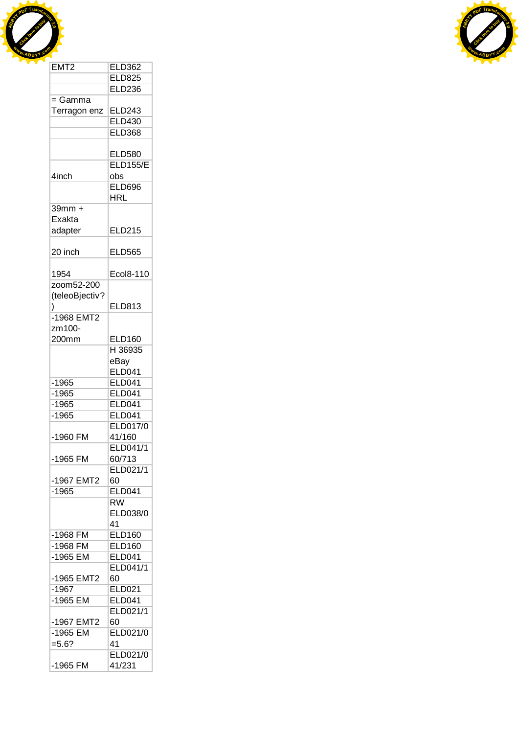



| EMT <sub>2</sub>         | <b>ELD362</b>   |  |
|--------------------------|-----------------|--|
|                          | <b>ELD825</b>   |  |
|                          | <b>ELD236</b>   |  |
| $=$ Gamma                |                 |  |
| Terragon enz             | <b>ELD243</b>   |  |
|                          | <b>ELD430</b>   |  |
|                          | <b>ELD368</b>   |  |
|                          |                 |  |
|                          | <b>ELD580</b>   |  |
|                          | <b>ELD155/E</b> |  |
| 4inch                    | obs             |  |
|                          | <b>ELD696</b>   |  |
|                          | <b>HRL</b>      |  |
| $39mm +$                 |                 |  |
| Exakta                   |                 |  |
| adapter                  | <b>ELD215</b>   |  |
| 20 inch                  | <b>ELD565</b>   |  |
|                          |                 |  |
| 1954                     | Ecol8-110       |  |
| zoom52-200               |                 |  |
| (teleoBjectiv?           |                 |  |
| )                        | ELD813          |  |
| -1968 EMT2               |                 |  |
| zm100-                   |                 |  |
| 200mm                    | <b>ELD160</b>   |  |
|                          | H 36935         |  |
|                          | eBay            |  |
|                          | <b>ELD041</b>   |  |
| $-1965$                  | <b>ELD041</b>   |  |
| $-1965$                  | <b>ELD041</b>   |  |
| $-1965$                  | <b>ELD041</b>   |  |
| $-1965$                  | <b>ELD041</b>   |  |
|                          | <b>ELD017/0</b> |  |
| -1960 FM                 | 41/160          |  |
|                          | ELD041/1        |  |
| -1965 FM                 | 60/713          |  |
|                          | ELD021/1        |  |
| -1967 EMT2               | 60              |  |
| $-1965$                  | <b>ELD041</b>   |  |
|                          | <b>RW</b>       |  |
|                          | ELD038/0        |  |
|                          | 41              |  |
| -1968 FM                 | <b>ELD160</b>   |  |
| -1968 FM                 | <b>ELD160</b>   |  |
| -1965 EM                 | <b>ELD041</b>   |  |
|                          | ELD041/1        |  |
| -1965 EMT2               | 60              |  |
| $-1967$                  | <b>ELD021</b>   |  |
| -1965 EM                 | <b>ELD041</b>   |  |
|                          | ELD021/1<br>60  |  |
| -1967 EMT2<br>$-1965$ EM | ELD021/0        |  |
| $= 5.6?$                 | 41              |  |
|                          | ELD021/0        |  |
| -1965 FM                 |                 |  |
|                          | 41/231          |  |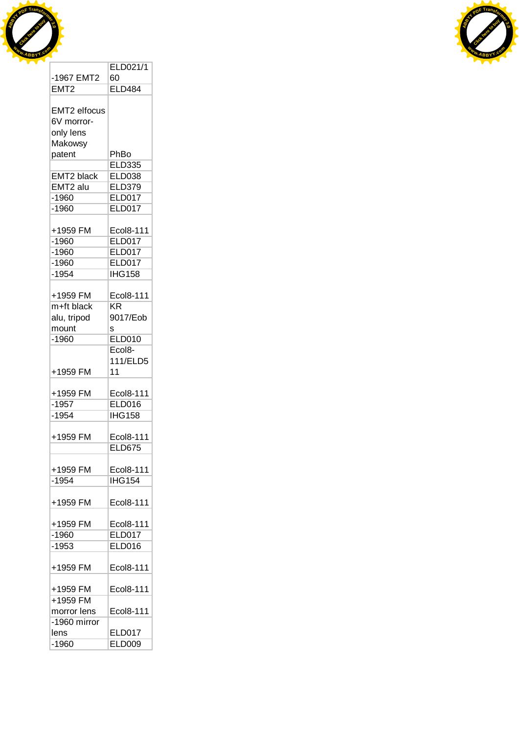



|                      | ELD021/1            |
|----------------------|---------------------|
| -1967 EMT2           | 60                  |
| EMT <sub>2</sub>     | <b>ELD484</b>       |
|                      |                     |
| EMT2 elfocus         |                     |
|                      |                     |
| 6V morror-           |                     |
| only lens            |                     |
| Makowsy              |                     |
| patent               | PhBo                |
|                      | <b>ELD335</b>       |
| <b>EMT2 black</b>    | <b>ELD038</b>       |
| EMT <sub>2</sub> alu | <b>ELD379</b>       |
| $-1960$              | <b>ELD017</b>       |
| $-1960$              | ELD017              |
|                      |                     |
| +1959 FM             | Ecol8-111           |
| $-1960$              | <b>ELD017</b>       |
| $-1960$              | <b>ELD017</b>       |
| $-1960$              | <b>ELD017</b>       |
| $-1954$              | <b>IHG158</b>       |
|                      |                     |
| +1959 FM             | Ecol8-111           |
|                      | KR                  |
| m+ft black           |                     |
| alu, tripod          | 9017/Eob            |
| mount                | s                   |
| $-1960$              | <b>ELD010</b>       |
|                      | Ecol <sub>8</sub> - |
|                      | 111/ELD5            |
| +1959 FM             | 11                  |
|                      |                     |
| +1959 FM             | Ecol8-111           |
| $-1957$              | <b>ELD016</b>       |
| $-1954$              | <b>IHG158</b>       |
|                      |                     |
| +1959 FM             | Ecol8-111           |
|                      | <b>ELD675</b>       |
|                      |                     |
| +1959 FM             | Ecol8-111           |
| $-1954$              | <b>IHG154</b>       |
|                      |                     |
|                      |                     |
| +1959 FM             | Ecol8-111           |
|                      |                     |
| +1959 FM             | Ecol8-111           |
| $-1960$              | <b>ELD017</b>       |
| $-1953$              | <b>ELD016</b>       |
|                      |                     |
| +1959 FM             | Ecol8-111           |
|                      |                     |
| +1959 FM             | Ecol8-111           |
| +1959 FM             |                     |
| morror lens          | Ecol8-111           |
| -1960 mirror         |                     |
| lens                 | ELD017              |
| $-1960$              | <b>ELD009</b>       |
|                      |                     |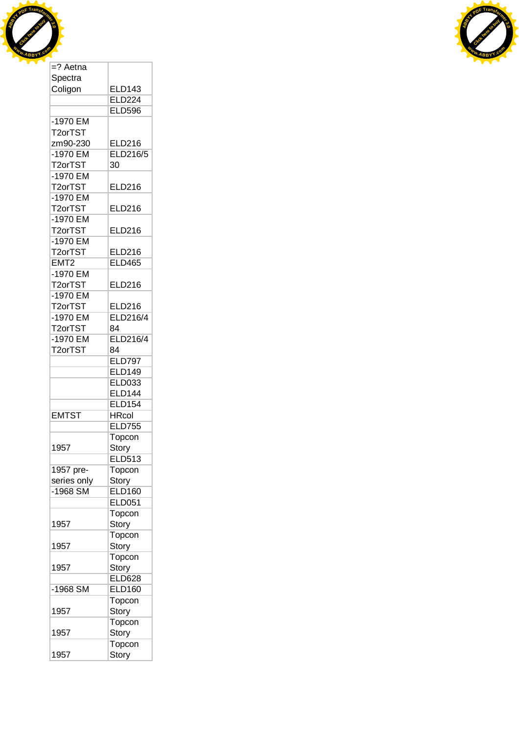



| Spectra              |                 |
|----------------------|-----------------|
| Coligon              | <b>ELD143</b>   |
|                      | <b>ELD224</b>   |
|                      | <b>ELD596</b>   |
| -1970 EM             |                 |
| T2orTST              |                 |
| zm90-230             | <b>ELD216</b>   |
|                      |                 |
| -1970 EM             | ELD216/5        |
| T <sub>2</sub> orTST | 30              |
| -1970 EM             |                 |
| T2orTST              | <b>ELD216</b>   |
| -1970 EM             |                 |
| T2orTST              | ELD216          |
| $-1970$ EM           |                 |
| T2orTST              | <b>ELD216</b>   |
| -1970 EM             |                 |
| T <sub>2</sub> orTST | ELD216          |
| EMT <sub>2</sub>     | <b>ELD465</b>   |
|                      |                 |
| -1970 EM             |                 |
| T2orTST              | <b>ELD216</b>   |
| -1970 EM             |                 |
| T2orTST              | <b>ELD216</b>   |
| -1970 EM             | ELD216/4        |
| T2orTST              | 84              |
| -1970 EM             | <b>ELD216/4</b> |
| T2orTST              | 84              |
|                      | <b>ELD797</b>   |
|                      | <b>ELD149</b>   |
|                      |                 |
|                      | <b>ELD033</b>   |
|                      | <b>ELD144</b>   |
|                      | <b>ELD154</b>   |
| <b>EMTST</b>         | <b>HRcol</b>    |
|                      | <b>ELD755</b>   |
|                      | Topcon          |
| 1957                 | Story           |
|                      | <b>ELD513</b>   |
| 1957 pre-            | Topcon          |
| series only          | Story           |
| $-1968$ SM           | <b>ELD160</b>   |
|                      |                 |
|                      | <b>ELD051</b>   |
|                      | Topcon          |
| 1957                 | Story           |
|                      | Topcon          |
| 1957                 | Story           |
|                      | Topcon          |
| 1957                 | Story           |
|                      | <b>ELD628</b>   |
| -1968 SM             | <b>ELD160</b>   |
|                      |                 |
|                      | Topcon          |
| 1957                 | Story           |
|                      | Topcon          |
| 1957                 | Story           |
|                      | Topcon          |
| 1957                 | Story           |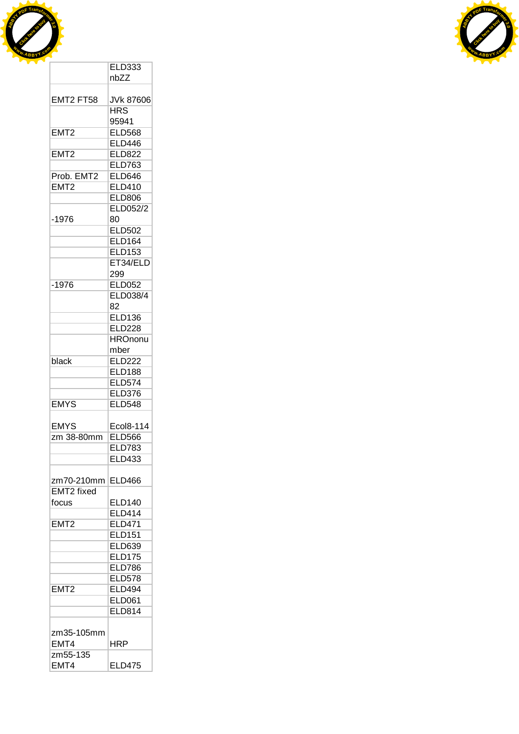



|                   | <b>ELD333</b>    |  |
|-------------------|------------------|--|
|                   | nbZZ             |  |
|                   |                  |  |
| EMT2 FT58         | <b>JVk 87606</b> |  |
|                   | <b>HRS</b>       |  |
|                   |                  |  |
|                   | 95941            |  |
| EMT <sub>2</sub>  | <b>ELD568</b>    |  |
|                   | <b>ELD446</b>    |  |
| EMT <sub>2</sub>  | <b>ELD822</b>    |  |
|                   | <b>ELD763</b>    |  |
| Prob. EMT2        | <b>ELD646</b>    |  |
| EMT <sub>2</sub>  | <b>ELD410</b>    |  |
|                   |                  |  |
|                   | <b>ELD806</b>    |  |
|                   | <b>ELD052/2</b>  |  |
| $-1976$           | 80               |  |
|                   | <b>ELD502</b>    |  |
|                   | <b>ELD164</b>    |  |
|                   | <b>ELD153</b>    |  |
|                   | ET34/ELD         |  |
|                   | 299              |  |
|                   |                  |  |
| $-1976$           | <b>ELD052</b>    |  |
|                   | ELD038/4         |  |
|                   | 82               |  |
|                   | <b>ELD136</b>    |  |
|                   | <b>ELD228</b>    |  |
|                   | <b>HROnonu</b>   |  |
|                   | mber             |  |
| black             | <b>ELD222</b>    |  |
|                   |                  |  |
|                   | <b>ELD188</b>    |  |
|                   | <b>ELD574</b>    |  |
|                   | <b>ELD376</b>    |  |
| <b>EMYS</b>       | <b>ELD548</b>    |  |
|                   |                  |  |
| EMYS              | Ecol8-114        |  |
| zm 38-80mm        | <b>ELD566</b>    |  |
|                   | <b>ELD783</b>    |  |
|                   |                  |  |
|                   | <b>ELD433</b>    |  |
|                   |                  |  |
| zm70-210mm        | <b>ELD466</b>    |  |
| <b>EMT2</b> fixed |                  |  |
| focus             | <b>ELD140</b>    |  |
|                   | <b>ELD414</b>    |  |
| EMT <sub>2</sub>  | <b>ELD471</b>    |  |
|                   | <b>ELD151</b>    |  |
|                   | <b>ELD639</b>    |  |
|                   |                  |  |
|                   | <b>ELD175</b>    |  |
|                   | <b>ELD786</b>    |  |
|                   | <b>ELD578</b>    |  |
| EMT <sub>2</sub>  | <b>ELD494</b>    |  |
|                   | <b>ELD061</b>    |  |
|                   |                  |  |
|                   |                  |  |
|                   |                  |  |
|                   |                  |  |
| EMT4              | HRP              |  |
| zm55-135          |                  |  |
| EMT4              | <b>ELD475</b>    |  |
| zm35-105mm        | <b>ELD814</b>    |  |
|                   |                  |  |
|                   |                  |  |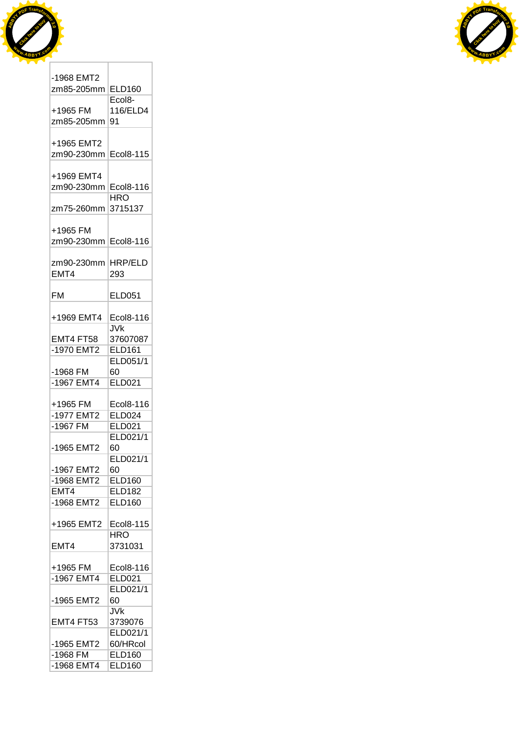



| -1968 EMT2<br>zm85-205mm | <b>ELD160</b>       |
|--------------------------|---------------------|
|                          |                     |
|                          | Ecol <sub>8</sub> - |
| +1965 FM                 | 116/ELD4            |
| zm85-205mm               | 91                  |
|                          |                     |
| +1965 EMT2               |                     |
|                          |                     |
| zm90-230mm               | Ecol8-115           |
|                          |                     |
| +1969 EMT4               |                     |
| zm90-230mm               | Ecol8-116           |
|                          | HRO                 |
|                          |                     |
| zm75-260mm               | 3715137             |
|                          |                     |
| +1965 FM                 |                     |
| zm90-230mm               | Ecol8-116           |
|                          |                     |
|                          |                     |
| zm90-230mm               | HRP/ELD             |
| EMT4                     | 293                 |
|                          |                     |
| <b>FM</b>                | <b>ELD051</b>       |
|                          |                     |
|                          |                     |
| +1969 EMT4               | Ecol8-116           |
|                          | JVk                 |
| EMT4 FT58                | 37607087            |
|                          |                     |
| -1970 EMT2               | <b>ELD161</b>       |
|                          | <b>ELD051/1</b>     |
| -1968 FM                 | 60                  |
| -1967 EMT4               | <b>ELD021</b>       |
|                          |                     |
|                          |                     |
| +1965 FM                 | Ecol8-116           |
| -1977 EMT2               | <b>ELD024</b>       |
| -1967 FM                 | ELD021              |
|                          | ELD021/1            |
|                          |                     |
| -1965 EMT2               | 60                  |
|                          | ELD021/1            |
| -1967 EMT2               | 60                  |
| -1968 EMT2               | <b>ELD160</b>       |
|                          |                     |
| EMT4                     | <b>ELD182</b>       |
| -1968 EMT2               | <b>ELD160</b>       |
|                          |                     |
| +1965 EMT2               | Ecol8-115           |
|                          |                     |
|                          | <b>HRO</b>          |
| EMT4                     | 3731031             |
|                          |                     |
| +1965 FM                 | Ecol8-116           |
|                          |                     |
| $-1967$ EMT4             | <b>ELD021</b>       |
|                          | ELD021/1            |
| -1965 EMT2               | 60                  |
|                          | JVk                 |
|                          |                     |
| EMT4 FT53                | 3739076             |
|                          | ELD021/1            |
| -1965 EMT2               | 60/HRcol            |
| -1968 FM                 | <b>ELD160</b>       |
| $-1968$ EMT4             | <b>ELD160</b>       |
|                          |                     |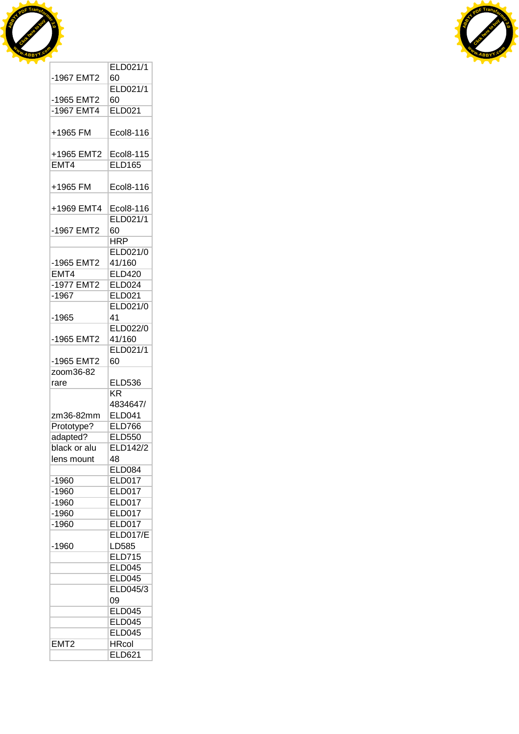



|                  | ELD021/1                      |
|------------------|-------------------------------|
| -1967 EMT2       | 60                            |
|                  | ELD021/1                      |
|                  |                               |
| -1965 EMT2       | 60                            |
| $-1967$ EMT4     | <b>ELD021</b>                 |
|                  |                               |
| +1965 FM         | Ecol8-116                     |
|                  |                               |
| +1965 EMT2       | Ecol8-115                     |
| EMT4             | <b>ELD165</b>                 |
|                  |                               |
| +1965 FM         | Ecol8-116                     |
|                  |                               |
|                  |                               |
| +1969 EMT4       | Ecol8-116                     |
|                  | ELD021/1                      |
| -1967 EMT2       | 60                            |
|                  | <b>HRP</b>                    |
|                  | <b>ELD021/0</b>               |
| -1965 EMT2       | 41/160                        |
| EMT4             | <b>ELD420</b>                 |
| -1977 EMT2       | <b>ELD024</b>                 |
| -1967            | <b>ELD021</b>                 |
|                  |                               |
|                  | ELD021/0                      |
| -1965            | 41                            |
|                  | <b>ELD022/0</b>               |
| -1965 EMT2       | 41/160                        |
|                  | ELD021/1                      |
| -1965 EMT2       | 60                            |
| zoom36-82        |                               |
|                  |                               |
|                  |                               |
| rare             | <b>ELD536</b>                 |
|                  | <b>KR</b>                     |
|                  | 4834647/                      |
| zm36-82mm        | <b>ELD041</b>                 |
| Prototype?       | <b>ELD766</b>                 |
| adapted?         | <b>ELD550</b>                 |
| black or alu     | ELD142/2                      |
| lens mount       | 48                            |
|                  | <b>ELD084</b>                 |
|                  |                               |
| $-1960$          | <b>ELD017</b>                 |
| $-1960$          | ELD017                        |
| $-1960$          | <b>ELD017</b>                 |
| $-1960$          | <b>ELD017</b>                 |
| $-1960$          | <b>ELD017</b>                 |
|                  | <b>ELD017/E</b>               |
| $-1960$          | LD585                         |
|                  | <b>ELD715</b>                 |
|                  | <b>ELD045</b>                 |
|                  | <b>ELD045</b>                 |
|                  |                               |
|                  | ELD045/3                      |
|                  | 09                            |
|                  | <b>ELD045</b>                 |
|                  | <b>ELD045</b>                 |
|                  | <b>ELD045</b>                 |
| EMT <sub>2</sub> | <b>HRcol</b><br><b>ELD621</b> |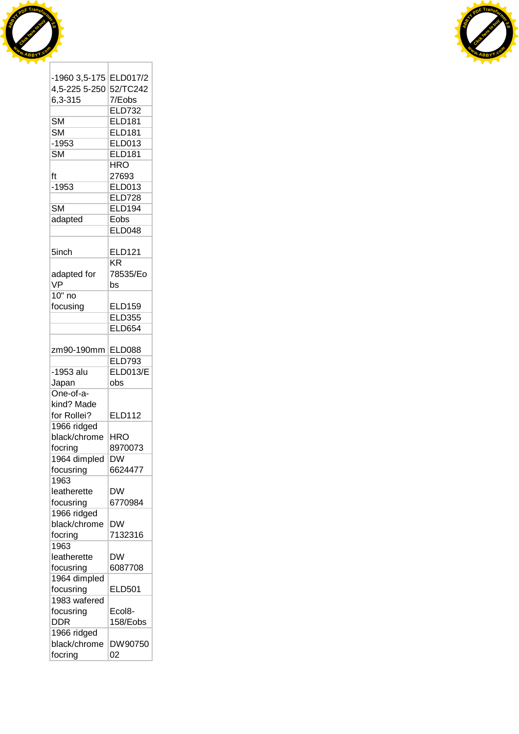



| -1960 3,5-175          | ELD017/2                                |  |
|------------------------|-----------------------------------------|--|
| 4,5-225 5-250          | 52/TC242                                |  |
| 6,3-315                | 7/Eobs                                  |  |
|                        | <b>ELD732</b>                           |  |
| <b>SM</b>              | <b>ELD181</b>                           |  |
| <b>SM</b>              | <b>ELD181</b>                           |  |
| $-1953$                | <b>ELD013</b>                           |  |
| $\overline{\text{SM}}$ | <b>ELD181</b>                           |  |
|                        | <b>HRO</b>                              |  |
| ft                     | 27693                                   |  |
| $-1953$                | <b>ELD013</b>                           |  |
|                        | <b>ELD728</b>                           |  |
| <b>SM</b>              | <b>ELD194</b>                           |  |
| adapted                | Eobs                                    |  |
|                        | ELD048                                  |  |
|                        |                                         |  |
| 5inch                  | <b>ELD121</b><br>$\overline{\text{KR}}$ |  |
| adapted for            | 78535/Eo                                |  |
| VP                     |                                         |  |
|                        | bs                                      |  |
| $10"$ no               |                                         |  |
| focusing               | <b>ELD159</b>                           |  |
|                        | <b>ELD355</b>                           |  |
|                        | <b>ELD654</b>                           |  |
|                        |                                         |  |
| zm90-190mm             | <b>ELD088</b>                           |  |
|                        | <b>ELD793</b>                           |  |
| -1953 alu              | <b>ELD013/E</b>                         |  |
| Japan                  | obs                                     |  |
| One-of-a-              |                                         |  |
| kind? Made             |                                         |  |
| for Rollei?            | <b>ELD112</b>                           |  |
| 1966 ridged            |                                         |  |
| black/chrome           | HRO                                     |  |
| focring                | 8970073                                 |  |
| 1964 dimpled           | $\overline{\mathsf{D}}\mathsf{W}$       |  |
| focusring              | 6624477                                 |  |
| 1963                   |                                         |  |
| leatherette            | <b>DW</b>                               |  |
| focusring              | 6770984                                 |  |
| 1966 ridged            |                                         |  |
| black/chrome           | DW                                      |  |
|                        |                                         |  |
| focring<br>1963        | 7132316                                 |  |
|                        |                                         |  |
| leatherette            | DW                                      |  |
| focusring              | 6087708                                 |  |
| 1964 dimpled           |                                         |  |
| focusring              | <b>ELD501</b>                           |  |
| 1983 wafered           |                                         |  |
| focusring              | Ecol8-                                  |  |
| <b>DDR</b>             | 158/Eobs                                |  |
| 1966 ridged            |                                         |  |
| black/chrome           | DW90750                                 |  |
|                        |                                         |  |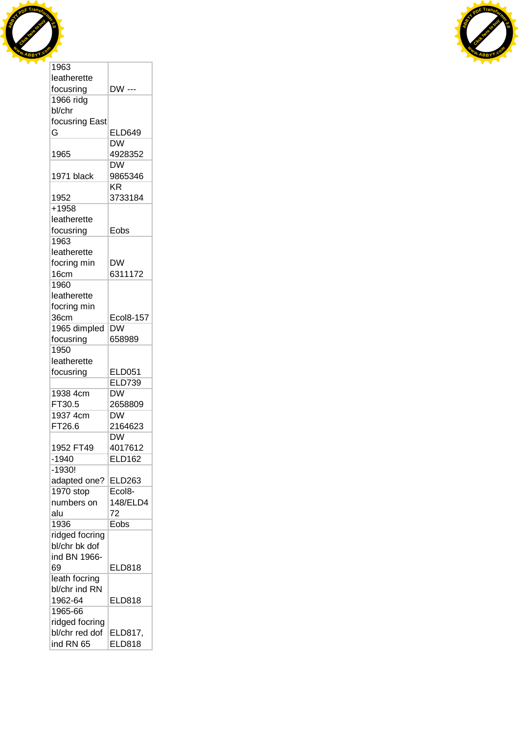



| leatherette    |                          |  |
|----------------|--------------------------|--|
| focusring      | DW ---                   |  |
| 1966 ridg      |                          |  |
| bl/chr         |                          |  |
| focusring East |                          |  |
| G              | <b>ELD649</b>            |  |
|                | DW                       |  |
| 1965           | 4928352                  |  |
|                | DW                       |  |
| 1971 black     | 9865346                  |  |
|                | <b>KR</b>                |  |
|                |                          |  |
| 1952           | 3733184                  |  |
| +1958          |                          |  |
| leatherette    |                          |  |
| focusring      | Eobs                     |  |
| 1963           |                          |  |
| leatherette    |                          |  |
| focring min    | <b>DW</b>                |  |
| 16cm           | 6311172                  |  |
| 1960           |                          |  |
| leatherette    |                          |  |
| focring min    |                          |  |
| 36cm           | Ecol8-157                |  |
| 1965 dimpled   | $\overline{\mathsf{DW}}$ |  |
| focusring      | 658989                   |  |
| 1950           |                          |  |
| leatherette    |                          |  |
| focusring      | <b>ELD051</b>            |  |
|                | <b>ELD739</b>            |  |
| 1938 4cm       | DW                       |  |
| FT30.5         | 2658809                  |  |
| 1937 4cm       | DW                       |  |
| FT26.6         |                          |  |
|                | 2164623                  |  |
|                | DW                       |  |
| 1952 FT49      | 4017612                  |  |
| $-1940$        | <b>ELD162</b>            |  |
| $-1930!$       |                          |  |
| adapted one?   | ELD263                   |  |
| 1970 stop      | Ecol <sub>8</sub> -      |  |
| numbers on     | 148/ELD4                 |  |
| alu            | 72                       |  |
| 1936           | Eobs                     |  |
| ridged focring |                          |  |
| bl/chr bk dof  |                          |  |
| ind BN 1966-   |                          |  |
| 69             | <b>ELD818</b>            |  |
| leath focring  |                          |  |
| bl/chr ind RN  |                          |  |
| 1962-64        | <b>ELD818</b>            |  |
| 1965-66        |                          |  |
| ridged focring |                          |  |
| bl/chr red dof | ELD817,                  |  |
| ind RN 65      | <b>ELD818</b>            |  |
|                |                          |  |

Τ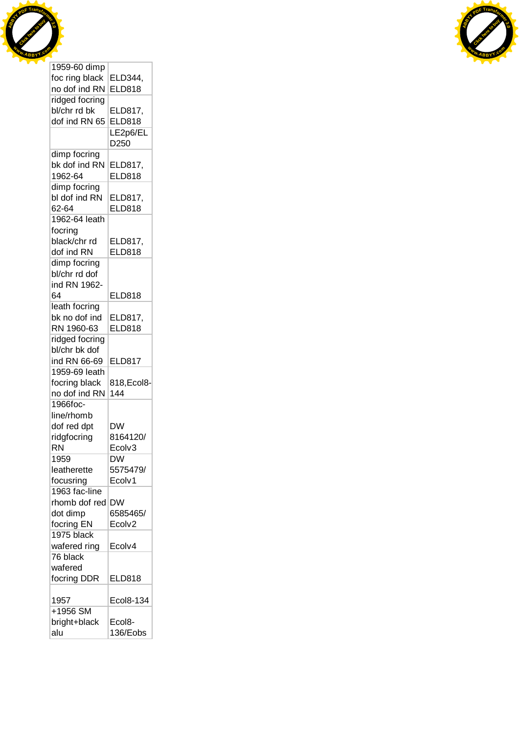



| 1959-60 dimp   |                          |  |
|----------------|--------------------------|--|
| foc ring black | ELD344,                  |  |
| no dof ind RN  | <b>ELD818</b>            |  |
| ridged focring |                          |  |
| bl/chr rd bk   | ELD817,                  |  |
| dof ind RN 65  | <b>ELD818</b>            |  |
|                | LE2p6/EL                 |  |
|                | D250                     |  |
| dimp focring   |                          |  |
| bk dof ind RN  |                          |  |
| 1962-64        | ELD817,<br><b>ELD818</b> |  |
|                |                          |  |
| dimp focring   |                          |  |
| bl dof ind RN  | ELD817,                  |  |
| 62-64          | <b>ELD818</b>            |  |
| 1962-64 leath  |                          |  |
| focring        |                          |  |
| black/chr rd   | ELD817,                  |  |
| dof ind RN     | <b>ELD818</b>            |  |
| dimp focring   |                          |  |
| bl/chr rd dof  |                          |  |
| ind RN 1962-   |                          |  |
| 64             | <b>ELD818</b>            |  |
| leath focring  |                          |  |
| bk no dof ind  | ELD817,                  |  |
| RN 1960-63     | <b>ELD818</b>            |  |
| ridged focring |                          |  |
| bl/chr bk dof  |                          |  |
|                |                          |  |
| ind RN 66-69   | <b>ELD817</b>            |  |
| 1959-69 leath  |                          |  |
| focring black  | 818, Ecol8-              |  |
| no dof ind RN  | 144                      |  |
| 1966foc-       |                          |  |
| line/rhomb     |                          |  |
| dof red dpt    | <b>DW</b>                |  |
| ridgfocring    | 8164120/                 |  |
| <b>RN</b>      | Ecolv3                   |  |
| 1959           | DW                       |  |
| leatherette    | 5575479/                 |  |
| focusring      | Ecolv1                   |  |
| 1963 fac-line  |                          |  |
| rhomb dof red  | <b>DW</b>                |  |
| dot dimp       | 6585465/                 |  |
| focring EN     | Ecolv2                   |  |
| 1975 black     |                          |  |
| wafered ring   | Ecolv4                   |  |
| 76 black       |                          |  |
| wafered        |                          |  |
|                |                          |  |
| focring DDR    | <b>ELD818</b>            |  |
|                |                          |  |
| 1957           | Ecol8-134                |  |
| +1956 SM       |                          |  |
| bright+black   | Ecol8-                   |  |
| alu            | 136/Eobs                 |  |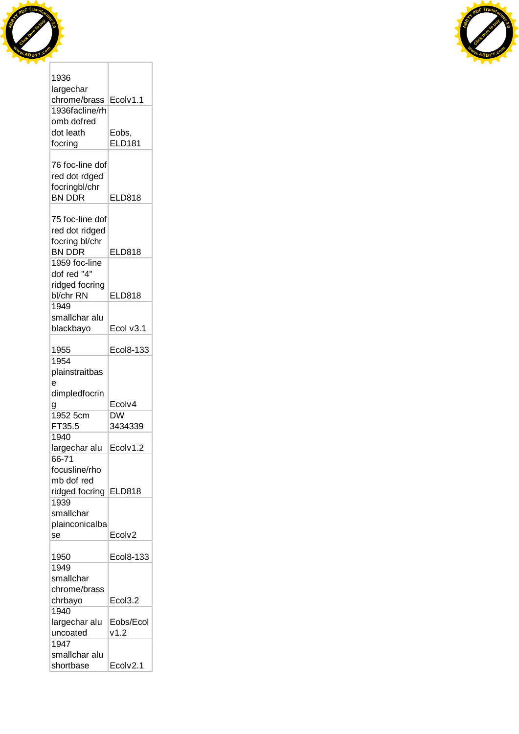



| 1936                       |               |  |
|----------------------------|---------------|--|
| largechar                  |               |  |
| chrome/brass               | Ecolv1.1      |  |
| 1936facline/rh             |               |  |
| omb dofred                 |               |  |
| dot leath                  | Eobs,         |  |
| focring                    | <b>ELD181</b> |  |
|                            |               |  |
| 76 foc-line dof            |               |  |
| red dot rdged              |               |  |
|                            |               |  |
| focringbl/chr              |               |  |
| <b>BN DDR</b>              | <b>ELD818</b> |  |
|                            |               |  |
| 75 foc-line dof            |               |  |
| red dot ridged             |               |  |
| focring bl/chr             |               |  |
| <b>BN DDR</b>              | <b>ELD818</b> |  |
| 1959 foc-line              |               |  |
| dof red "4"                |               |  |
| ridged focring             |               |  |
| bl/chr RN                  | <b>ELD818</b> |  |
| 1949                       |               |  |
| smallchar alu              |               |  |
| blackbayo                  | Ecol v3.1     |  |
|                            |               |  |
| 1955                       | Ecol8-133     |  |
| 1954                       |               |  |
| plainstraitbas             |               |  |
|                            |               |  |
| e                          |               |  |
| dimpledfocrin              |               |  |
| g                          | Ecolv4        |  |
| 1952 5cm                   | <b>DW</b>     |  |
| FT35.5                     | 3434339       |  |
| 1940                       |               |  |
| largechar alu              | Ecolv1.2      |  |
| 66-71                      |               |  |
| focusline/rho              |               |  |
| mb dof red                 |               |  |
| ridged focring             | <b>ELD818</b> |  |
| 1939                       |               |  |
|                            |               |  |
| smallchar                  |               |  |
| plainconicalba             |               |  |
| se                         | Ecolv2        |  |
|                            |               |  |
|                            |               |  |
| 1950                       | Ecol8-133     |  |
| 1949                       |               |  |
| smallchar                  |               |  |
| chrome/brass               |               |  |
| chrbayo                    | Ecol3.2       |  |
| 1940                       |               |  |
| largechar alu              | Eobs/Ecol     |  |
| uncoated                   | v1.2          |  |
| 1947                       |               |  |
| smallchar alu<br>shortbase | Ecolv2.1      |  |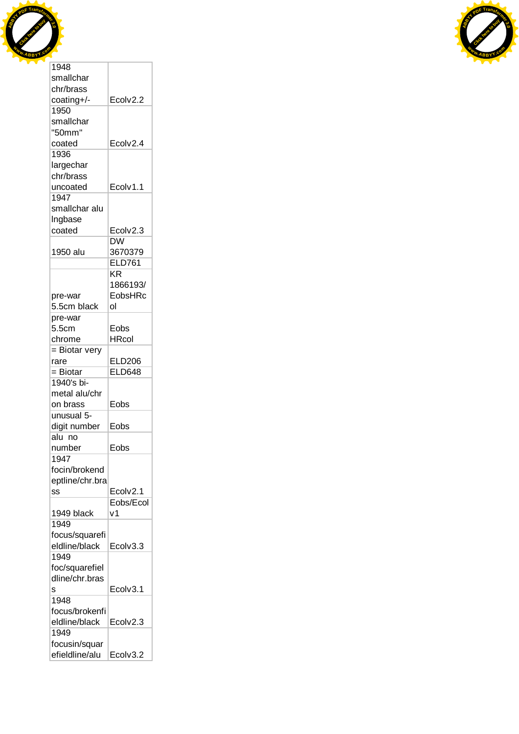

| <b>RDF</b> T  | transfo           |  |
|---------------|-------------------|--|
| <b>READER</b> |                   |  |
|               | ICLESSIC          |  |
|               | <b>MABBYY CON</b> |  |
|               |                   |  |

| smallchar       |               |
|-----------------|---------------|
| chr/brass       |               |
| coating+/-      | Ecolv2.2      |
| 1950            |               |
| smallchar       |               |
| "50mm"          |               |
| coated          | Ecolv2.4      |
| 1936            |               |
| largechar       |               |
| chr/brass       |               |
| uncoated        | Ecolv1.1      |
| 1947            |               |
| smallchar alu   |               |
|                 |               |
| Ingbase         |               |
| coated          | Ecolv2.3      |
|                 | DW            |
| 1950 alu        | 3670379       |
|                 | <b>ELD761</b> |
|                 | ΚR            |
|                 | 1866193/      |
| pre-war         | EobsHRc       |
| 5.5cm black     | ol            |
| pre-war         |               |
| 5.5cm           | Eobs          |
| chrome          | <b>HRcol</b>  |
| = Biotar very   |               |
| rare            | <b>ELD206</b> |
| = Biotar        | <b>ELD648</b> |
| 1940's bi-      |               |
| metal alu/chr   |               |
|                 |               |
| on brass        | Eobs          |
| unusual 5-      |               |
| digit number    | Eobs          |
| alu no          |               |
| number          | Eobs          |
| 1947            |               |
| focin/brokend   |               |
| eptline/chr.bra |               |
| SS              | Ecolv2.1      |
|                 | Eobs/Ecol     |
| 1949 black      | ۷1            |
| 1949            |               |
| focus/squarefi  |               |
| eldline/black   | Ecolv3.3      |
| 1949            |               |
| foc/squarefiel  |               |
| dline/chr.bras  |               |
|                 | Ecolv3.1      |
| s<br>1948       |               |
|                 |               |
| focus/brokenfi  |               |
| eldline/black   | Ecolv2.3      |
| 1949            |               |
| focusin/squar   |               |
| efieldline/alu  | Ecolv3.2      |

T.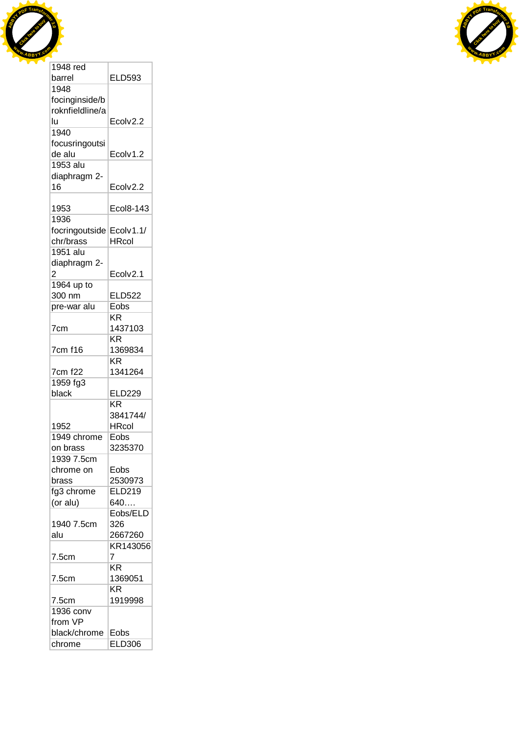



| 1948 red           |                 |
|--------------------|-----------------|
| barrel             | <b>ELD593</b>   |
| 1948               |                 |
| focinginside/b     |                 |
| roknfieldline/a    |                 |
| lu                 | Ecolv2.2        |
| 1940               |                 |
| focusringoutsi     |                 |
| de alu             | Ecolv1.2        |
| 1953 alu           |                 |
|                    |                 |
| diaphragm 2-<br>16 |                 |
|                    | Ecolv2.2        |
|                    |                 |
| 1953               | Ecol8-143       |
| 1936               |                 |
| focringoutside     | Ecolv1.1/       |
| chr/brass          | <b>HRcol</b>    |
| 1951 alu           |                 |
| diaphragm 2-       |                 |
| 2                  | Ecolv2.1        |
| 1964 up to         |                 |
| 300 nm             | <b>ELD522</b>   |
| pre-war alu        | Eobs            |
|                    | KR              |
| 7cm                | 1437103         |
|                    | ΚR              |
| 7cm f16            | 1369834         |
|                    | $K\overline{R}$ |
| 7cm f22            | 1341264         |
| 1959 fg3           |                 |
| black              | <b>ELD229</b>   |
|                    | KR              |
|                    |                 |
|                    | 3841744/        |
| 1952               | <b>HRcol</b>    |
| 1949 chrome        | Eobs            |
| on brass           | 3235370         |
| 1939 7.5cm         |                 |
| chrome on          | Eobs            |
| brass              | 2530973         |
| fg3 chrome         | ELD219          |
| (or alu)           | 640             |
|                    | Eobs/ELD        |
| 1940 7.5cm         | 326             |
| alu                | 2667260         |
|                    | KR143056        |
| 7.5cm              | 7               |
|                    | KR              |
| 7.5cm              | 1369051         |
|                    | KR.             |
|                    | 1919998         |
| 7.5cm              |                 |
| 1936 conv          |                 |
| from VP            |                 |
| black/chrome       | Eobs            |
| chrome             | <b>ELD306</b>   |

٦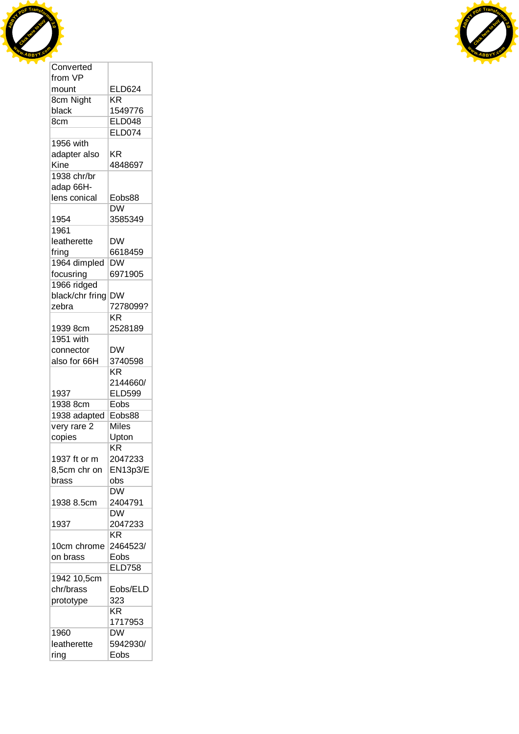



| from VP               |                        |
|-----------------------|------------------------|
| mount                 | <b>ELD624</b>          |
| 8cm Night             | ΚR                     |
| black                 | 1549776                |
| 8cm                   | <b>ELD048</b>          |
|                       | <b>ELD074</b>          |
| 1956 with             |                        |
| adapter also          | ΚR                     |
| Kine                  | 4848697                |
| 1938 chr/br           |                        |
|                       |                        |
| adap 66H-             |                        |
| lens conical          | Eobs88                 |
|                       | <b>DW</b>              |
| 1954                  | 3585349                |
| 1961                  |                        |
| leatherette           | <b>DW</b>              |
| fring                 | 6618459                |
| 1964 dimpled          | <b>DW</b>              |
| focusring             | 6971905                |
| 1966 ridged           |                        |
| black/chr fring       | <b>DW</b>              |
| zebra                 | 7278099?               |
|                       | $K\overline{R}$        |
|                       | 2528189                |
| 1939 8cm<br>1951 with |                        |
|                       |                        |
| connector             | <b>DW</b>              |
| also for 66H          | 3740598                |
|                       |                        |
|                       | ΚR                     |
|                       | 2144660/               |
| 1937                  | <b>ELD599</b>          |
| 1938 8cm              | Eobs                   |
|                       | Eobs88                 |
| 1938 adapted          | Miles                  |
| very rare 2           |                        |
| copies                | Upton<br>ΚR            |
|                       |                        |
| 1937 ft or m          | 2047233                |
| 8,5cm chr on          | <b>EN13p3/E</b>        |
| brass                 | obs                    |
|                       | <b>DW</b>              |
| 1938 8.5cm            | 2404791                |
|                       | <b>DW</b>              |
| 1937                  | 2047233                |
|                       | <b>KR</b>              |
| 10cm chrome           | 2464523/               |
| on brass              | Eobs                   |
|                       | <b>ELD758</b>          |
| 1942 10,5cm           |                        |
|                       |                        |
| chr/brass             | Eobs/ELD               |
| prototype             | 323                    |
|                       | $\overline{\text{KR}}$ |
|                       | 1717953                |
| 1960                  | <b>DW</b>              |
| leatherette<br>ring   | 5942930/<br>Eobs       |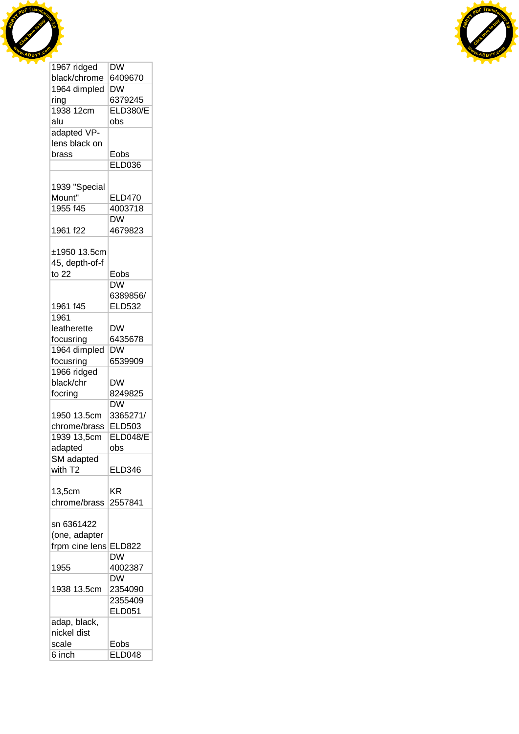



| 1967 ridged    | DW              |
|----------------|-----------------|
| black/chrome   | 6409670         |
| 1964 dimpled   | DW              |
| ring           | 6379245         |
| 1938 12cm      | <b>ELD380/E</b> |
| alu            | obs             |
| adapted VP-    |                 |
| lens black on  |                 |
| brass          | Eobs            |
|                | <b>ELD036</b>   |
|                |                 |
| 1939 "Special  |                 |
|                |                 |
| Mount"         | <b>ELD470</b>   |
| 1955 f45       | 4003718         |
|                | DW              |
| 1961 f22       | 4679823         |
|                |                 |
| ±1950 13.5cm   |                 |
| 45, depth-of-f |                 |
| to $22$        | Eobs            |
|                | DW              |
|                | 6389856/        |
| 1961 f45       | <b>ELD532</b>   |
| 1961           |                 |
| leatherette    | <b>DW</b>       |
| focusring      | 6435678         |
| 1964 dimpled   | <b>DW</b>       |
| focusring      | 6539909         |
| 1966 ridged    |                 |
| black/chr      | <b>DW</b>       |
|                |                 |
| focring        | 8249825         |
|                | <b>DW</b>       |
| 1950 13.5cm    | 3365271/        |
| chrome/brass   | ELD503          |
| 1939 13,5cm    | <b>ELD048/E</b> |
| adapted        | obs             |
| SM adapted     |                 |
| with T2        | <b>ELD346</b>   |
|                |                 |
| 13,5cm         | ΚR              |
| chrome/brass   | 2557841         |
|                |                 |
| sn 6361422     |                 |
| (one, adapter  |                 |
| frpm cine lens | <b>ELD822</b>   |
|                | <b>DW</b>       |
| 1955           | 4002387         |
|                | DW              |
| 1938 13.5cm    | 2354090         |
|                | 2355409         |
|                |                 |
|                | <b>ELD051</b>   |
| adap, black,   |                 |
| nickel dist    |                 |
| scale          | Eobs            |
| 6 inch         | <b>ELD048</b>   |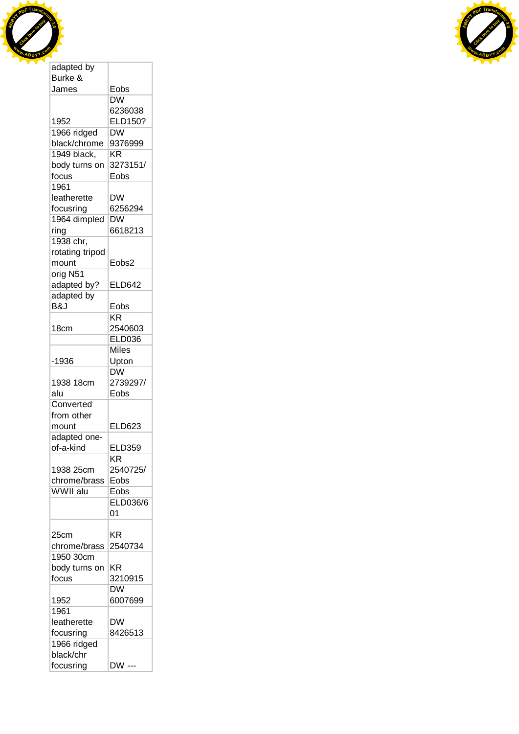



| Burke &         |                                              |
|-----------------|----------------------------------------------|
| James           | Eobs                                         |
|                 | <b>DW</b>                                    |
|                 | 6236038                                      |
| 1952            | ELD150?                                      |
|                 |                                              |
| 1966 ridged     | DW                                           |
| black/chrome    | 9376999                                      |
| 1949 black,     | ΚR                                           |
| body turns on   | 3273151/                                     |
| focus           | Eobs                                         |
| 1961            |                                              |
| leatherette     | <b>DW</b>                                    |
| focusring       | 6256294                                      |
|                 |                                              |
| 1964 dimpled    | DW                                           |
| ring            | 6618213                                      |
| 1938 chr,       |                                              |
| rotating tripod |                                              |
| mount           | Eobs2                                        |
| orig N51        |                                              |
| adapted by?     | <b>ELD642</b>                                |
|                 |                                              |
| adapted by      |                                              |
| B&J             | Eobs                                         |
|                 | KR                                           |
| 18cm            | 2540603                                      |
|                 | <b>ELD036</b>                                |
|                 | <b>Miles</b>                                 |
| -1936           | Upton                                        |
|                 | $\overline{\mathsf{D}}\overline{\mathsf{W}}$ |
|                 |                                              |
| 1938 18cm       | 2739297/                                     |
| alu             | Eobs                                         |
| Converted       |                                              |
| from other      |                                              |
| mount           | <b>ELD623</b>                                |
| adapted one-    |                                              |
| of-a-kind       | <b>ELD359</b>                                |
|                 | ΚR                                           |
|                 |                                              |
| 1938 25cm       | 2540725/                                     |
| chrome/brass    | Eobs                                         |
| WWII alu        | Eobs                                         |
|                 | ELD036/6                                     |
|                 | 01                                           |
|                 |                                              |
| 25cm            | ΚR                                           |
|                 | 2540734                                      |
| chrome/brass    |                                              |
| 1950 30cm       |                                              |
| body turns on   | <b>KR</b>                                    |
| focus           | 3210915                                      |
|                 | DW                                           |
| 1952            | 6007699                                      |
| 1961            |                                              |
| leatherette     | DW                                           |
|                 |                                              |
| focusring       | 8426513                                      |
| 1966 ridged     |                                              |
| black/chr       |                                              |
| focusring       | DW ---                                       |
|                 |                                              |

L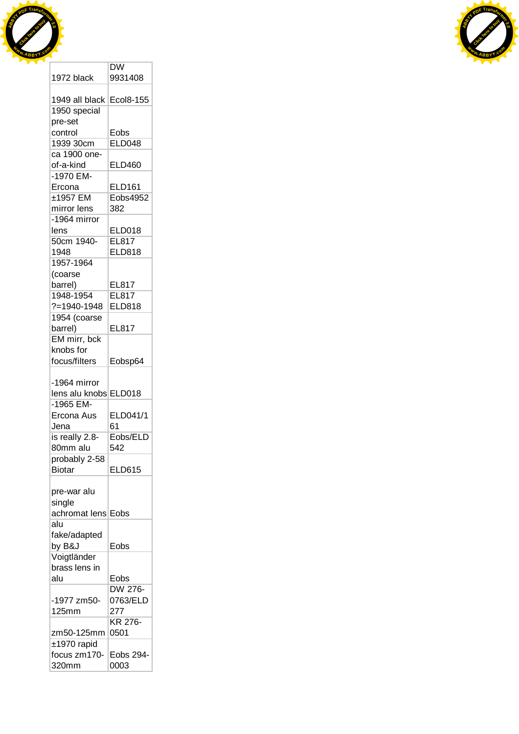



|                              | $\overline{\mathsf{D}}\mathsf{W}$ |
|------------------------------|-----------------------------------|
| 1972 black                   | 9931408                           |
|                              |                                   |
| 1949 all black Ecol8-155     |                                   |
| 1950 special                 |                                   |
| pre-set                      |                                   |
| control                      | Eobs                              |
| 1939 30cm                    | <b>ELD048</b>                     |
| ca 1900 one-                 |                                   |
| of-a-kind                    | ELD460                            |
| -1970 EM-                    |                                   |
|                              |                                   |
| Ercona                       | ELD161                            |
| ±1957 EM                     | Eobs4952                          |
| mirror lens                  | 382                               |
| -1964 mirror                 |                                   |
| lens                         | ELD018                            |
| 50cm 1940-                   | EL817                             |
| 1948                         | <b>ELD818</b>                     |
| 1957-1964                    |                                   |
| (coarse                      |                                   |
| barrel)                      | EL817                             |
| 1948-1954                    | <b>EL817</b>                      |
| ?=1940-1948                  | <b>ELD818</b>                     |
| 1954 (coarse                 |                                   |
| barrel)                      | EL817                             |
| EM mirr, bck                 |                                   |
| knobs for                    |                                   |
| focus/filters                |                                   |
|                              | Eobsp64                           |
|                              |                                   |
| -1964 mirror                 |                                   |
| lens alu knobs ELD018        |                                   |
| -1965 EM-                    |                                   |
|                              |                                   |
| Ercona Aus                   | ELD041/1                          |
| Jena                         | 61                                |
| is really 2.8-               | Eobs/ELD                          |
| 80mm alu                     | 542                               |
| probably 2-58                |                                   |
| <b>Biotar</b>                | <b>ELD615</b>                     |
|                              |                                   |
| pre-war alu                  |                                   |
|                              |                                   |
| single<br>achromat lens Eobs |                                   |
| alu                          |                                   |
|                              |                                   |
| fake/adapted                 |                                   |
| by B&J                       | Eobs                              |
| Voigtländer                  |                                   |
| brass lens in                |                                   |
| alu                          | Eobs                              |
|                              | DW 276-                           |
| -1977 zm50-                  | 0763/ELD                          |
| 125mm                        | 277                               |
|                              | KR 276-                           |
| zm50-125mm                   | 0501                              |
| ±1970 rapid                  |                                   |
| focus zm170-                 | Eobs 294-                         |